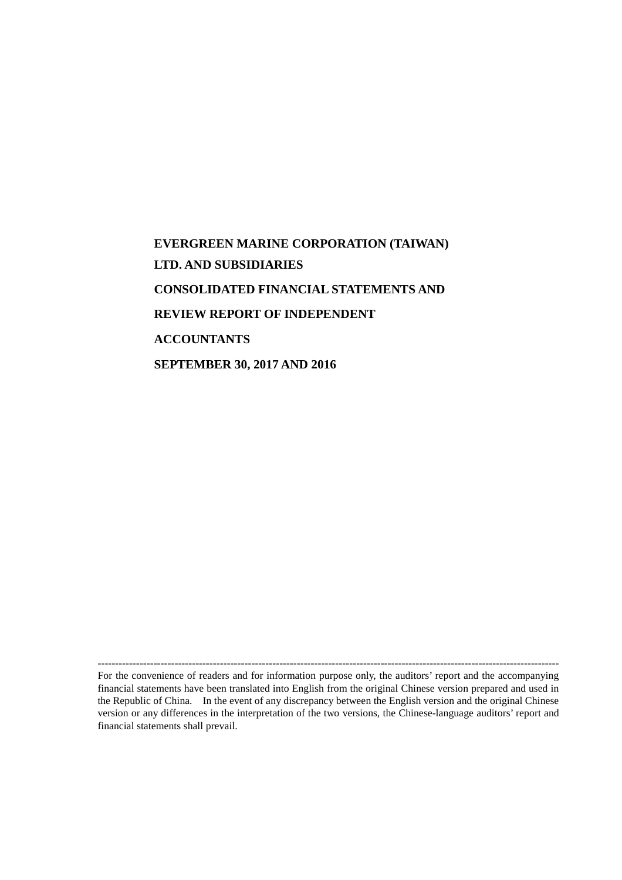# **EVERGREEN MARINE CORPORATION (TAIWAN) LTD. AND SUBSIDIARIES CONSOLIDATED FINANCIAL STATEMENTS AND REVIEW REPORT OF INDEPENDENT ACCOUNTANTS SEPTEMBER 30, 2017 AND 2016**

------------------------------------------------------------------------------------------------------------------------------------

For the convenience of readers and for information purpose only, the auditors' report and the accompanying financial statements have been translated into English from the original Chinese version prepared and used in the Republic of China. In the event of any discrepancy between the English version and the original Chinese version or any differences in the interpretation of the two versions, the Chinese-language auditors' report and financial statements shall prevail.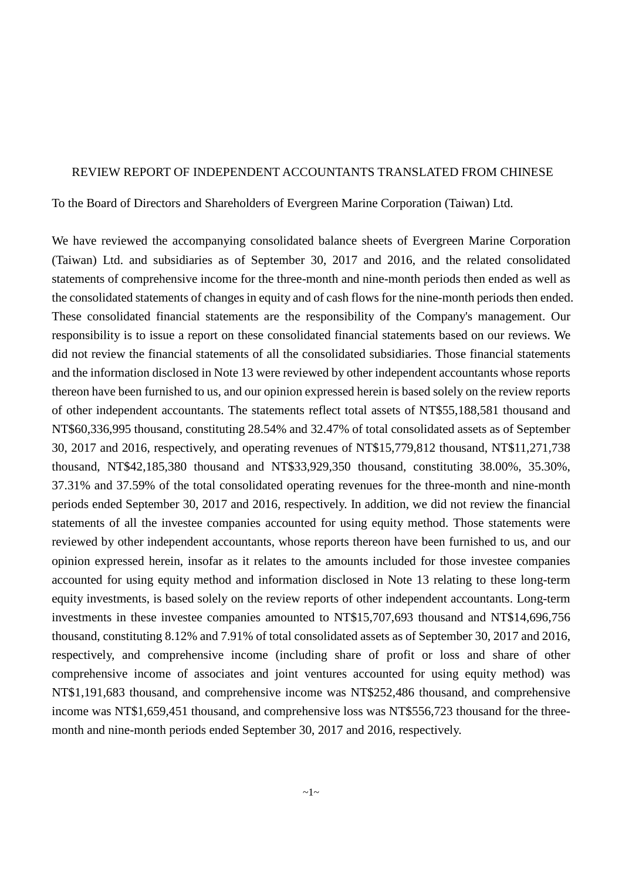### REVIEW REPORT OF INDEPENDENT ACCOUNTANTS TRANSLATED FROM CHINESE

To the Board of Directors and Shareholders of Evergreen Marine Corporation (Taiwan) Ltd.

We have reviewed the accompanying consolidated balance sheets of Evergreen Marine Corporation (Taiwan) Ltd. and subsidiaries as of September 30, 2017 and 2016, and the related consolidated statements of comprehensive income for the three-month and nine-month periods then ended as well as the consolidated statements of changes in equity and of cash flows for the nine-month periods then ended. These consolidated financial statements are the responsibility of the Company's management. Our responsibility is to issue a report on these consolidated financial statements based on our reviews. We did not review the financial statements of all the consolidated subsidiaries. Those financial statements and the information disclosed in Note 13 were reviewed by other independent accountants whose reports thereon have been furnished to us, and our opinion expressed herein is based solely on the review reports of other independent accountants. The statements reflect total assets of NT\$55,188,581 thousand and NT\$60,336,995 thousand, constituting 28.54% and 32.47% of total consolidated assets as of September 30, 2017 and 2016, respectively, and operating revenues of NT\$15,779,812 thousand, NT\$11,271,738 thousand, NT\$42,185,380 thousand and NT\$33,929,350 thousand, constituting 38.00%, 35.30%, 37.31% and 37.59% of the total consolidated operating revenues for the three-month and nine-month periods ended September 30, 2017 and 2016, respectively. In addition, we did not review the financial statements of all the investee companies accounted for using equity method. Those statements were reviewed by other independent accountants, whose reports thereon have been furnished to us, and our opinion expressed herein, insofar as it relates to the amounts included for those investee companies accounted for using equity method and information disclosed in Note 13 relating to these long-term equity investments, is based solely on the review reports of other independent accountants. Long-term investments in these investee companies amounted to NT\$15,707,693 thousand and NT\$14,696,756 thousand, constituting 8.12% and 7.91% of total consolidated assets as of September 30, 2017 and 2016, respectively, and comprehensive income (including share of profit or loss and share of other comprehensive income of associates and joint ventures accounted for using equity method) was NT\$1,191,683 thousand, and comprehensive income was NT\$252,486 thousand, and comprehensive income was NT\$1,659,451 thousand, and comprehensive loss was NT\$556,723 thousand for the threemonth and nine-month periods ended September 30, 2017 and 2016, respectively.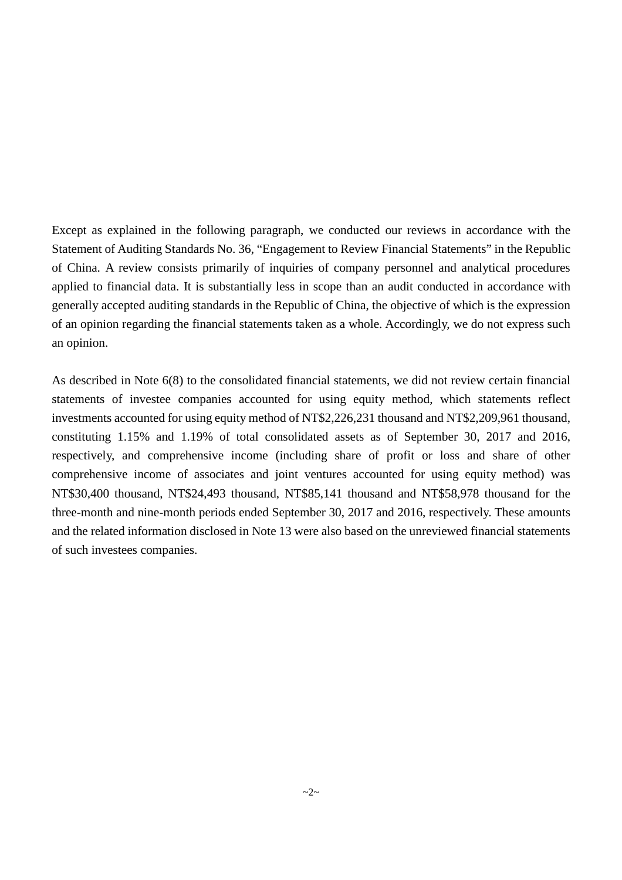Except as explained in the following paragraph, we conducted our reviews in accordance with the Statement of Auditing Standards No. 36, "Engagement to Review Financial Statements" in the Republic of China. A review consists primarily of inquiries of company personnel and analytical procedures applied to financial data. It is substantially less in scope than an audit conducted in accordance with generally accepted auditing standards in the Republic of China, the objective of which is the expression of an opinion regarding the financial statements taken as a whole. Accordingly, we do not express such an opinion.

As described in Note 6(8) to the consolidated financial statements, we did not review certain financial statements of investee companies accounted for using equity method, which statements reflect investments accounted for using equity method of NT\$2,226,231 thousand and NT\$2,209,961 thousand, constituting 1.15% and 1.19% of total consolidated assets as of September 30, 2017 and 2016, respectively, and comprehensive income (including share of profit or loss and share of other comprehensive income of associates and joint ventures accounted for using equity method) was NT\$30,400 thousand, NT\$24,493 thousand, NT\$85,141 thousand and NT\$58,978 thousand for the three-month and nine-month periods ended September 30, 2017 and 2016, respectively. These amounts and the related information disclosed in Note 13 were also based on the unreviewed financial statements of such investees companies.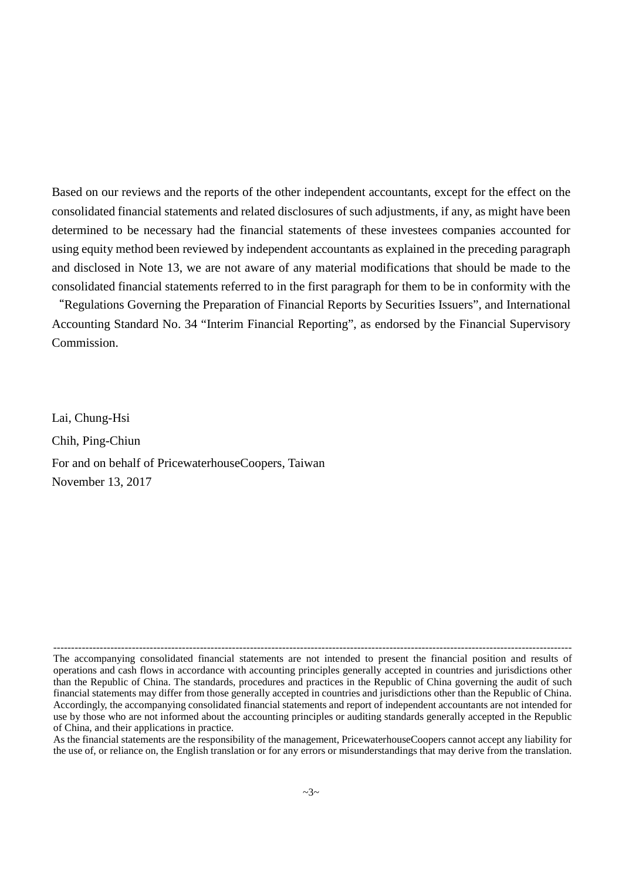Based on our reviews and the reports of the other independent accountants, except for the effect on the consolidated financial statements and related disclosures of such adjustments, if any, as might have been determined to be necessary had the financial statements of these investees companies accounted for using equity method been reviewed by independent accountants as explained in the preceding paragraph and disclosed in Note 13, we are not aware of any material modifications that should be made to the consolidated financial statements referred to in the first paragraph for them to be in conformity with the

"Regulations Governing the Preparation of Financial Reports by Securities Issuers", and International Accounting Standard No. 34 "Interim Financial Reporting", as endorsed by the Financial Supervisory Commission.

Lai, Chung-Hsi Chih, Ping-Chiun For and on behalf of PricewaterhouseCoopers, Taiwan November 13, 2017

As the financial statements are the responsibility of the management, PricewaterhouseCoopers cannot accept any liability for the use of, or reliance on, the English translation or for any errors or misunderstandings that may derive from the translation.

<sup>-------------------------------------------------------------------------------------------------------------------------------------------------</sup> The accompanying consolidated financial statements are not intended to present the financial position and results of operations and cash flows in accordance with accounting principles generally accepted in countries and jurisdictions other than the Republic of China. The standards, procedures and practices in the Republic of China governing the audit of such financial statements may differ from those generally accepted in countries and jurisdictions other than the Republic of China. Accordingly, the accompanying consolidated financial statements and report of independent accountants are not intended for use by those who are not informed about the accounting principles or auditing standards generally accepted in the Republic of China, and their applications in practice.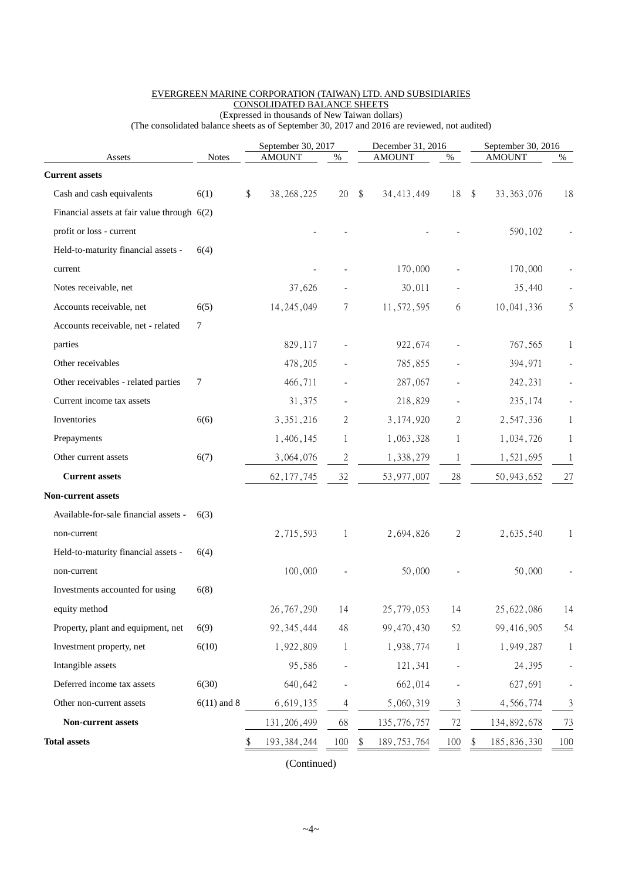| Assets                                        | <b>Notes</b>  | September 30, 2017<br><b>AMOUNT</b> | $\%$         | December 31, 2016<br><b>AMOUNT</b><br>% |                |               | September 30, 2016<br><b>AMOUNT</b> |              |  |
|-----------------------------------------------|---------------|-------------------------------------|--------------|-----------------------------------------|----------------|---------------|-------------------------------------|--------------|--|
| <b>Current assets</b>                         |               |                                     |              |                                         |                |               |                                     | %            |  |
| Cash and cash equivalents                     | 6(1)          | \$<br>38, 268, 225                  | 20           | \$<br>34, 413, 449                      | 18             | $\mathbf{\$}$ | 33, 363, 076                        | 18           |  |
| Financial assets at fair value through $6(2)$ |               |                                     |              |                                         |                |               |                                     |              |  |
| profit or loss - current                      |               |                                     |              |                                         |                |               | 590,102                             |              |  |
| Held-to-maturity financial assets -           | 6(4)          |                                     |              |                                         |                |               |                                     |              |  |
| current                                       |               |                                     |              | 170,000                                 |                |               | 170,000                             |              |  |
| Notes receivable, net                         |               | 37,626                              |              | 30,011                                  |                |               | 35,440                              |              |  |
| Accounts receivable, net                      | 6(5)          | 14, 245, 049                        | 7            | 11,572,595                              | 6              |               | 10,041,336                          | 5            |  |
| Accounts receivable, net - related            | 7             |                                     |              |                                         |                |               |                                     |              |  |
| parties                                       |               | 829,117                             |              | 922,674                                 |                |               | 767,565                             | $\mathbf{1}$ |  |
| Other receivables                             |               | 478,205                             |              | 785,855                                 |                |               | 394,971                             |              |  |
| Other receivables - related parties           | 7             | 466,711                             |              | 287,067                                 |                |               | 242,231                             |              |  |
| Current income tax assets                     |               | 31,375                              |              | 218,829                                 |                |               | 235,174                             |              |  |
| Inventories                                   | 6(6)          | 3, 351, 216                         | 2            | 3,174,920                               | 2              |               | 2,547,336                           | $\mathbf{1}$ |  |
| Prepayments                                   |               | 1,406,145                           | 1            | 1,063,328                               | 1              |               | 1,034,726                           | 1            |  |
| Other current assets                          | 6(7)          | 3,064,076                           | 2            | 1,338,279                               | 1              |               | 1,521,695                           | 1            |  |
| <b>Current assets</b>                         |               | 62, 177, 745                        | 32           | 53, 977, 007                            | 28             |               | 50, 943, 652                        | 27           |  |
| <b>Non-current assets</b>                     |               |                                     |              |                                         |                |               |                                     |              |  |
| Available-for-sale financial assets -         | 6(3)          |                                     |              |                                         |                |               |                                     |              |  |
| non-current                                   |               | 2,715,593                           | 1            | 2,694,826                               | 2              |               | 2,635,540                           | 1            |  |
| Held-to-maturity financial assets -           | 6(4)          |                                     |              |                                         |                |               |                                     |              |  |
| non-current                                   |               | 100,000                             |              | 50,000                                  |                |               | 50,000                              |              |  |
| Investments accounted for using               | 6(8)          |                                     |              |                                         |                |               |                                     |              |  |
| equity method                                 |               | 26, 767, 290                        | 14           | 25,779,053                              | 14             |               | 25,622,086                          | 14           |  |
| Property, plant and equipment, net            | 6(9)          | 92, 345, 444                        | 48           | 99,470,430                              | 52             |               | 99,416,905                          | 54           |  |
| Investment property, net                      | 6(10)         | 1,922,809                           | $\mathbf{1}$ | 1,938,774                               | $\mathbf{1}$   |               | 1,949,287                           | 1            |  |
| Intangible assets                             |               | 95,586                              |              | 121,341                                 |                |               | 24,395                              |              |  |
| Deferred income tax assets                    | 6(30)         | 640,642                             |              | 662,014                                 |                |               | 627,691                             |              |  |
| Other non-current assets                      | $6(11)$ and 8 | 6,619,135                           | 4            | 5,060,319                               | $\mathfrak{Z}$ |               | 4,566,774                           | 3            |  |
| Non-current assets                            |               | 131, 206, 499                       | 68           | 135,776,757                             | 72             |               | 134,892,678                         | 73           |  |
| <b>Total assets</b>                           |               | \$<br>193, 384, 244                 | 100          | \$<br>189, 753, 764                     | 100            | \$            | 185, 836, 330                       | 100          |  |
|                                               |               |                                     |              |                                         |                |               |                                     |              |  |

#### EVERGREEN MARINE CORPORATION (TAIWAN) LTD. AND SUBSIDIARIES CONSOLIDATED BALANCE SHEETS (Expressed in thousands of New Taiwan dollars)

(The consolidated balance sheets as of September 30, 2017 and 2016 are reviewed, not audited)

(Continued)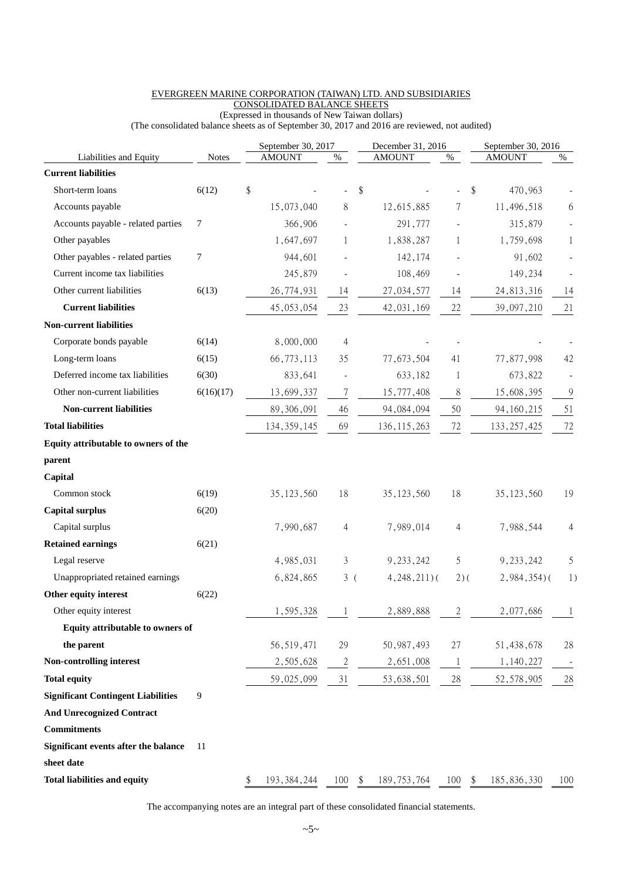|                                           |              | September 30, 2017  |                          | December 31, 2016   |                |    | September 30, 2016 |        |
|-------------------------------------------|--------------|---------------------|--------------------------|---------------------|----------------|----|--------------------|--------|
| Liabilities and Equity                    | <b>Notes</b> | <b>AMOUNT</b>       | $\%$                     | <b>AMOUNT</b>       | $\%$           |    | <b>AMOUNT</b>      | $\%$   |
| <b>Current liabilities</b>                |              |                     |                          |                     |                |    |                    |        |
| Short-term loans                          | 6(12)        | \$                  |                          | \$                  |                | \$ | 470,963            |        |
| Accounts payable                          |              | 15,073,040          | 8                        | 12,615,885          | 7              |    | 11,496,518         | 6      |
| Accounts payable - related parties        | 7            | 366,906             |                          | 291,777             |                |    | 315,879            |        |
| Other payables                            |              | 1,647,697           | 1                        | 1,838,287           | 1              |    | 1,759,698          | 1      |
| Other payables - related parties          | 7            | 944,601             |                          | 142,174             |                |    | 91,602             |        |
| Current income tax liabilities            |              | 245,879             | $\overline{a}$           | 108,469             |                |    | 149,234            |        |
| Other current liabilities                 | 6(13)        | 26,774,931          | 14                       | 27,034,577          | 14             |    | 24,813,316         | 14     |
| <b>Current liabilities</b>                |              | 45, 053, 054        | 23                       | 42,031,169          | 22             |    | 39,097,210         | 21     |
| <b>Non-current liabilities</b>            |              |                     |                          |                     |                |    |                    |        |
| Corporate bonds payable                   | 6(14)        | 8,000,000           | 4                        |                     |                |    |                    |        |
| Long-term loans                           | 6(15)        | 66,773,113          | 35                       | 77,673,504          | 41             |    | 77,877,998         | 42     |
| Deferred income tax liabilities           | 6(30)        | 833,641             | $\overline{\phantom{a}}$ | 633,182             | 1              |    | 673,822            |        |
| Other non-current liabilities             | 6(16)(17)    | 13,699,337          | $\overline{7}$           | 15,777,408          | 8              |    | 15,608,395         | 9      |
| <b>Non-current liabilities</b>            |              | 89,306,091          | 46                       | 94,084,094          | 50             |    | 94, 160, 215       | 51     |
| <b>Total liabilities</b>                  |              | 134, 359, 145       | 69                       | 136, 115, 263       | 72             |    | 133, 257, 425      | 72     |
| Equity attributable to owners of the      |              |                     |                          |                     |                |    |                    |        |
| parent                                    |              |                     |                          |                     |                |    |                    |        |
| Capital                                   |              |                     |                          |                     |                |    |                    |        |
| Common stock                              | 6(19)        | 35, 123, 560        | 18                       | 35, 123, 560        | 18             |    | 35, 123, 560       | 19     |
| <b>Capital surplus</b>                    | 6(20)        |                     |                          |                     |                |    |                    |        |
| Capital surplus                           |              | 7,990,687           | 4                        | 7,989,014           | 4              |    | 7,988,544          | 4      |
| <b>Retained earnings</b>                  | 6(21)        |                     |                          |                     |                |    |                    |        |
| Legal reserve                             |              | 4,985,031           | 3                        | 9, 233, 242         | 5              |    | 9, 233, 242        | 5      |
| Unappropriated retained earnings          |              | 6,824,865           | 3(                       | $4,248,211$ (       | $2)$ (         |    | $2,984,354$ $($    | 1)     |
| Other equity interest                     | 6(22)        |                     |                          |                     |                |    |                    |        |
| Other equity interest                     |              | 1,595,328           | 1                        | 2,889,888           | $\overline{2}$ |    | 2,077,686          | -1     |
| Equity attributable to owners of          |              |                     |                          |                     |                |    |                    |        |
| the parent                                |              | 56, 519, 471        | 29                       | 50, 987, 493        | 27             |    | 51,438,678         | 28     |
| Non-controlling interest                  |              | 2,505,628           | $\overline{c}$           | 2,651,008           | 1              |    | 1,140,227          |        |
| <b>Total equity</b>                       |              | 59,025,099          | 31                       | 53,638,501          | $28\,$         |    | 52, 578, 905       | $28\,$ |
| <b>Significant Contingent Liabilities</b> | 9            |                     |                          |                     |                |    |                    |        |
| <b>And Unrecognized Contract</b>          |              |                     |                          |                     |                |    |                    |        |
| <b>Commitments</b>                        |              |                     |                          |                     |                |    |                    |        |
| Significant events after the balance      | 11           |                     |                          |                     |                |    |                    |        |
| sheet date                                |              |                     |                          |                     |                |    |                    |        |
| <b>Total liabilities and equity</b>       |              | \$<br>193, 384, 244 | 100                      | \$<br>189, 753, 764 | 100            | \$ | 185,836,330        | 100    |

### EVERGREEN MARINE CORPORATION (TAIWAN) LTD. AND SUBSIDIARIES CONSOLIDATED BALANCE SHEETS

(Expressed in thousands of New Taiwan dollars) (The consolidated balance sheets as of September 30, 2017 and 2016 are reviewed, not audited)

The accompanying notes are an integral part of these consolidated financial statements.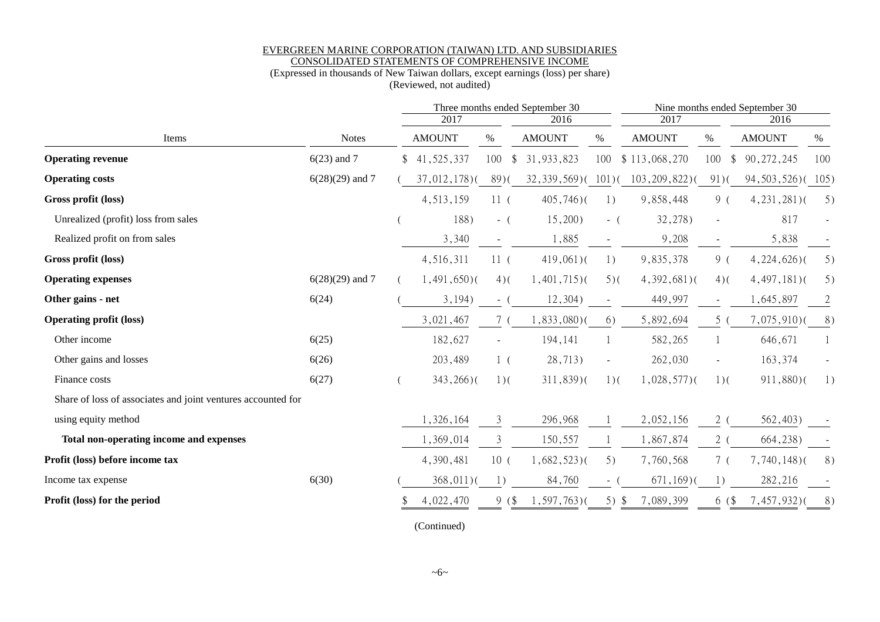#### EVERGREEN MARINE CORPORATION (TAIWAN) LTD. AND SUBSIDIARIES CONSOLIDATED STATEMENTS OF COMPREHENSIVE INCOME

### (Expressed in thousands of New Taiwan dollars, except earnings (loss) per share)

(Reviewed, not audited)

|                                                              |                   |    |                 | Three months ended September 30<br>2017 |                          |                |                    |                      | Nine months ended September 30<br>2017<br>2016 |                |  |  |  |
|--------------------------------------------------------------|-------------------|----|-----------------|-----------------------------------------|--------------------------|----------------|--------------------|----------------------|------------------------------------------------|----------------|--|--|--|
|                                                              |                   |    |                 |                                         | 2016                     |                |                    |                      |                                                |                |  |  |  |
| Items                                                        | <b>Notes</b>      |    | <b>AMOUNT</b>   | %                                       | <b>AMOUNT</b>            | $\%$           | <b>AMOUNT</b>      | %                    | <b>AMOUNT</b>                                  | %              |  |  |  |
| <b>Operating revenue</b>                                     | $6(23)$ and 7     | \$ | 41,525,337      | 100<br>\$.                              | 31,933,823               | 100            | \$113,068,270      | 100<br>$\frac{1}{2}$ | 90, 272, 245                                   | 100            |  |  |  |
| <b>Operating costs</b>                                       | $6(28)(29)$ and 7 |    | $37,012,178$ )( | 89(                                     | $32,339,569$ ( $101$ ) ( |                | $103, 209, 822$ )( | $91)$ (              | 94, 503, 526) (105)                            |                |  |  |  |
| Gross profit (loss)                                          |                   |    | 4, 513, 159     | 11 <sup>6</sup>                         | $405,746$ )(             | 1)             | 9,858,448          | 9(                   | $4,231,281$ )(                                 | 5)             |  |  |  |
| Unrealized (profit) loss from sales                          |                   |    | 188)            | $-$ (                                   | 15,200                   | $-$ (          | 32,278)            |                      | 817                                            |                |  |  |  |
| Realized profit on from sales                                |                   |    | 3,340           |                                         | 1,885                    |                | 9,208              |                      | 5,838                                          |                |  |  |  |
| Gross profit (loss)                                          |                   |    | 4,516,311       | 11 <sup>6</sup>                         | $419,061$ )(             | 1)             | 9,835,378          | 9(                   | $4,224,626$ )(                                 | 5)             |  |  |  |
| <b>Operating expenses</b>                                    | $6(28)(29)$ and 7 |    | $1,491,650$ )(  | $4)$ (                                  | $1,401,715$ )(           | $5)$ (         | $4,392,681$ (      | $4)$ (               | $4,497,181$ $($                                | 5)             |  |  |  |
| Other gains - net                                            | 6(24)             |    | 3,194)          | $-$ (                                   | 12,304)                  |                | 449,997            | $\sim$               | 1,645,897                                      | $\overline{2}$ |  |  |  |
| <b>Operating profit (loss)</b>                               |                   |    | 3,021,467       |                                         | $1,833,080$ $($          | 6)             | 5,892,694          | 5 <sub>0</sub>       | $7,075,910$ $($                                | 8)             |  |  |  |
| Other income                                                 | 6(25)             |    | 182,627         |                                         | 194,141                  |                | 582,265            |                      | 646,671                                        |                |  |  |  |
| Other gains and losses                                       | 6(26)             |    | 203,489         | 1 (                                     | 28,713)                  | $\blacksquare$ | 262,030            |                      | 163,374                                        |                |  |  |  |
| Finance costs                                                | 6(27)             |    | $343,266$ )(    | $1)$ (                                  | $311,839$ )(             | $1)$ (         | $1,028,577$ )(     | $1)$ (               | 911,880)(                                      | 1)             |  |  |  |
| Share of loss of associates and joint ventures accounted for |                   |    |                 |                                         |                          |                |                    |                      |                                                |                |  |  |  |
| using equity method                                          |                   |    | 1,326,164       | 3                                       | 296,968                  |                | 2,052,156          | 2(                   | 562,403)                                       |                |  |  |  |
| Total non-operating income and expenses                      |                   |    | 1,369,014       | 3                                       | 150,557                  |                | 1,867,874          | 2(                   | 664, 238)                                      |                |  |  |  |
| Profit (loss) before income tax                              |                   |    | 4,390,481       | 10 <sup>°</sup>                         | $1,682,523$ $($          | 5)             | 7,760,568          | 7(                   | $7,740,148$ )(                                 | 8)             |  |  |  |
| Income tax expense                                           | 6(30)             |    | $368,011$ )(    | 1)                                      | 84,760                   | $\sim$         | $671,169$ )(       | 1)                   | 282,216                                        |                |  |  |  |
| Profit (loss) for the period                                 |                   |    | 4,022,470       | 9(                                      | $1, 597, 763$ )(         | $5)$ \$        | 7,089,399          | $6($ \$              | $7,457,932$ )                                  | 8)             |  |  |  |
|                                                              |                   |    |                 |                                         |                          |                |                    |                      |                                                |                |  |  |  |

(Continued)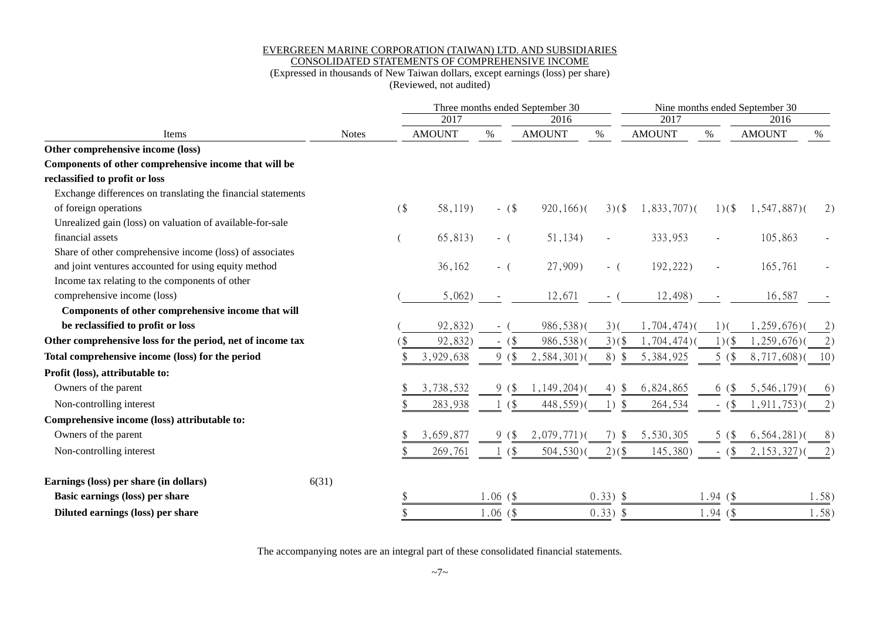#### EVERGREEN MARINE CORPORATION (TAIWAN) LTD. AND SUBSIDIARIES CONSOLIDATED STATEMENTS OF COMPREHENSIVE INCOME

### (Expressed in thousands of New Taiwan dollars, except earnings (loss) per share)

(Reviewed, not audited)

|                                                              |              |   |               |            | Three months ended September 30 |                |                 |          | Nine months ended September 30 |                      |
|--------------------------------------------------------------|--------------|---|---------------|------------|---------------------------------|----------------|-----------------|----------|--------------------------------|----------------------|
|                                                              |              |   | 2017          |            | 2016                            |                | 2017            |          | 2016                           | %                    |
| Items                                                        | <b>Notes</b> |   | <b>AMOUNT</b> | $\%$       | <b>AMOUNT</b>                   | $\%$           | <b>AMOUNT</b>   | $\%$     | <b>AMOUNT</b>                  |                      |
| Other comprehensive income (loss)                            |              |   |               |            |                                 |                |                 |          |                                |                      |
| Components of other comprehensive income that will be        |              |   |               |            |                                 |                |                 |          |                                |                      |
| reclassified to profit or loss                               |              |   |               |            |                                 |                |                 |          |                                |                      |
| Exchange differences on translating the financial statements |              |   |               |            |                                 |                |                 |          |                                |                      |
| of foreign operations                                        |              | ( | 58,119)       | $-$ (\$)   | $920, 166$ )(                   | $3)(\$$        | $1,833,707$ )(  | $1)(\$   | $1, 547, 887$ )(               | 2)                   |
| Unrealized gain (loss) on valuation of available-for-sale    |              |   |               |            |                                 |                |                 |          |                                |                      |
| financial assets                                             |              |   | 65,813)       | $-$ (      | 51,134)                         | $\blacksquare$ | 333,953         |          | 105,863                        |                      |
| Share of other comprehensive income (loss) of associates     |              |   |               |            |                                 |                |                 |          |                                |                      |
| and joint ventures accounted for using equity method         |              |   | 36,162        | $-$ (      | 27,909)                         | $-$ (          | 192,222)        |          | 165,761                        |                      |
| Income tax relating to the components of other               |              |   |               |            |                                 |                |                 |          |                                |                      |
| comprehensive income (loss)                                  |              |   | 5,062)        |            | 12,671                          |                | 12,498)         |          | 16,587                         |                      |
| Components of other comprehensive income that will           |              |   |               |            |                                 |                |                 |          |                                |                      |
| be reclassified to profit or loss                            |              |   | 92,832)       |            | 986,538)(                       | $3)$ (         | $1,704,474$ $($ | $1)$ (   | $1,259,676$ )                  | $\mathbf{2}^{\cdot}$ |
| Other comprehensive loss for the period, net of income tax   |              |   | 92,832        | $($ \$     | 986,538)(                       | $3)(\$$        | ,704,474)       | 1)(      | 1,259,676)                     |                      |
| Total comprehensive income (loss) for the period             |              |   | 3,929,638     | 9<br>(     | $2,584,301$ )(                  | 8)<br>- \$     | 5,384,925       | 5(       | $8,717,608$ )(                 | 10)                  |
| Profit (loss), attributable to:                              |              |   |               |            |                                 |                |                 |          |                                |                      |
| Owners of the parent                                         |              |   | 3,738,532     | (\$<br>9   | $1,149,204$ $($                 | 4)<br>-S       | 6,824,865       | 6 (\$    | $5,546,179$ )                  | $6^{\circ}$          |
| Non-controlling interest                                     |              |   | 283,938       | (          | 448,559)(                       | $1)$ \$        | 264,534         | $-$ (\$) | $1, 911, 753$ )(               | 2)                   |
| Comprehensive income (loss) attributable to:                 |              |   |               |            |                                 |                |                 |          |                                |                      |
| Owners of the parent                                         |              |   | 3,659,877     | 9(         | $2,079,771$ )(                  | 7)<br>-S       | 5,530,305       | 5(       | $6, 564, 281$ )                | 8                    |
| Non-controlling interest                                     |              |   | 269,761       | (          | $504,530$ )(                    | $2)(\$$        | 145,380)        | $-$ (\$) | $2, 153, 327$ )                |                      |
| Earnings (loss) per share (in dollars)<br>6(31)              |              |   |               |            |                                 |                |                 |          |                                |                      |
| Basic earnings (loss) per share                              |              |   |               | $1.06($ \$ |                                 | $0.33)$ \$     |                 | 1.94(    |                                | 1.58)                |
| Diluted earnings (loss) per share                            |              |   |               | $1.06($ \$ |                                 | $0.33)$ \$     |                 | 1.94(    |                                | 1.58)                |

The accompanying notes are an integral part of these consolidated financial statements.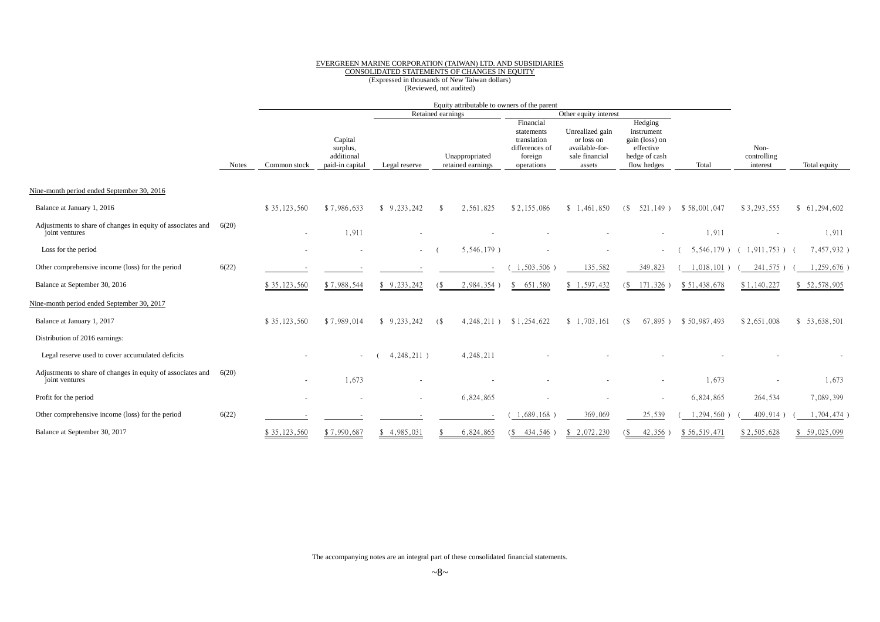#### EVERGREEN MARINE CORPORATION (TAIWAN) LTD. AND SUBSIDIARIES

#### CONSOLIDATED STATEMENTS OF CHANGES IN EQUITY

# (Expressed in thousands of New Taiwan dollars) (Reviewed, not audited)

|                                                                               |              |              |                                                      |                          |                   |                                     | Equity attributable to owners of the parent                                       |                                                                             |     |                                                                                      |              |                                 |               |
|-------------------------------------------------------------------------------|--------------|--------------|------------------------------------------------------|--------------------------|-------------------|-------------------------------------|-----------------------------------------------------------------------------------|-----------------------------------------------------------------------------|-----|--------------------------------------------------------------------------------------|--------------|---------------------------------|---------------|
|                                                                               |              |              |                                                      |                          | Retained earnings |                                     |                                                                                   | Other equity interest                                                       |     |                                                                                      |              |                                 |               |
|                                                                               | <b>Notes</b> | Common stock | Capital<br>surplus,<br>additional<br>paid-in capital | Legal reserve            |                   | Unappropriated<br>retained earnings | Financial<br>statements<br>translation<br>differences of<br>foreign<br>operations | Unrealized gain<br>or loss on<br>available-for-<br>sale financial<br>assets |     | Hedging<br>instrument<br>gain (loss) on<br>effective<br>hedge of cash<br>flow hedges | Total        | Non-<br>controlling<br>interest | Total equity  |
| Nine-month period ended September 30, 2016                                    |              |              |                                                      |                          |                   |                                     |                                                                                   |                                                                             |     |                                                                                      |              |                                 |               |
| Balance at January 1, 2016                                                    |              | \$35,123,560 | \$7,986,633                                          | \$9,233,242              |                   | 2,561,825                           | \$2,155,086                                                                       | \$1,461,850                                                                 | (S) | 521,149)                                                                             | \$58,001,047 | \$3,293,555                     | \$61,294,602  |
| Adjustments to share of changes in equity of associates and<br>joint ventures | 6(20)        |              | 1,911                                                |                          |                   |                                     |                                                                                   |                                                                             |     |                                                                                      | 1,911        |                                 | 1,911         |
| Loss for the period                                                           |              |              |                                                      | $\sim$                   |                   | 5,546,179)                          |                                                                                   |                                                                             |     |                                                                                      | 5,546,179)   | $1,911,753$ )                   | 7,457,932)    |
| Other comprehensive income (loss) for the period                              | 6(22)        |              |                                                      |                          |                   |                                     | 1,503,506                                                                         | 135,582                                                                     |     | 349,823                                                                              | 1,018,101    | 241,575                         | ,259,676      |
| Balance at September 30, 2016                                                 |              | \$35,123,560 | \$7,988,544                                          | \$9,233,242              | (                 | 2,984,354                           | 651,580<br>\$                                                                     | \$1,597,432                                                                 | C\$ | 171,326                                                                              | \$51,438,678 | \$1,140,227                     | \$52,578,905  |
| Nine-month period ended September 30, 2017                                    |              |              |                                                      |                          |                   |                                     |                                                                                   |                                                                             |     |                                                                                      |              |                                 |               |
| Balance at January 1, 2017                                                    |              | \$35,123,560 | \$7,989,014                                          | 9,233,242                | (                 | $4,248,211$ )                       | \$1,254,622                                                                       | \$1,703,161                                                                 | (S) | $67,895$ )                                                                           | \$50,987,493 | \$2,651,008                     | \$53,638,501  |
| Distribution of 2016 earnings:                                                |              |              |                                                      |                          |                   |                                     |                                                                                   |                                                                             |     |                                                                                      |              |                                 |               |
| Legal reserve used to cover accumulated deficits                              |              |              | $\sim$                                               | $4,248,211$ )            |                   | 4,248,211                           |                                                                                   |                                                                             |     |                                                                                      |              |                                 |               |
| Adjustments to share of changes in equity of associates and<br>joint ventures | 6(20)        | $\sim$       | 1,673                                                |                          |                   |                                     |                                                                                   |                                                                             |     |                                                                                      | 1,673        |                                 | 1,673         |
| Profit for the period                                                         |              |              |                                                      | $\overline{\phantom{a}}$ |                   | 6,824,865                           |                                                                                   |                                                                             |     |                                                                                      | 6,824,865    | 264,534                         | 7,089,399     |
| Other comprehensive income (loss) for the period                              | 6(22)        |              |                                                      |                          |                   |                                     | 1,689,168                                                                         | 369,069                                                                     |     | 25,539                                                                               | 1,294,560    | 409,914                         | $1,704,474$ ) |
| Balance at September 30, 2017                                                 |              | \$35,123,560 | \$7,990,687                                          | \$4,985,031              |                   | 6,824,865                           | (\$434,546)                                                                       | \$2,072,230                                                                 |     | 42,356                                                                               | \$56,519,471 | \$2,505,628                     | \$59,025,099  |

The accompanying notes are an integral part of these consolidated financial statements.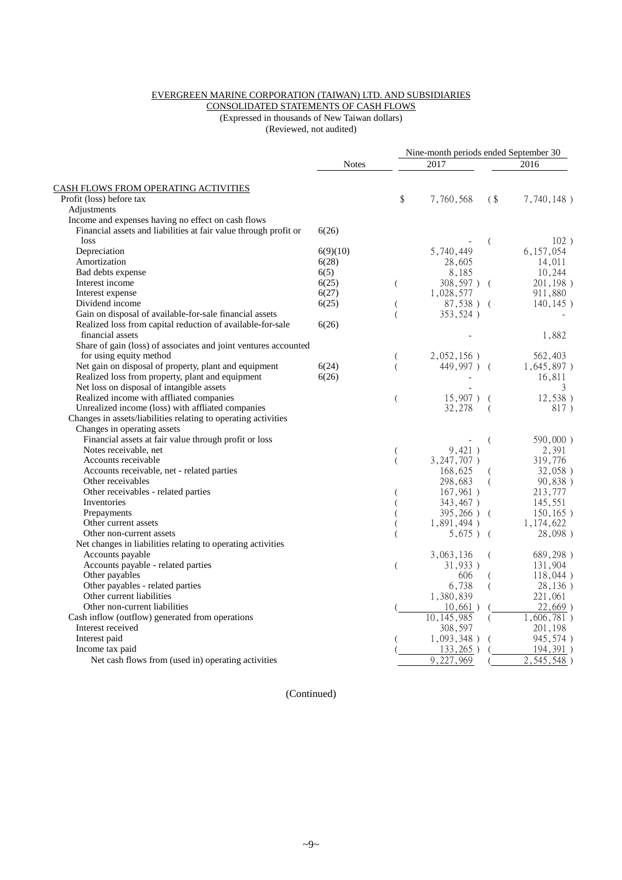### EVERGREEN MARINE CORPORATION (TAIWAN) LTD. AND SUBSIDIARIES

CONSOLIDATED STATEMENTS OF CASH FLOWS (Expressed in thousands of New Taiwan dollars)

(Reviewed, not audited)

|                                                                  |              |                | Nine-month periods ended September 30 |          |               |
|------------------------------------------------------------------|--------------|----------------|---------------------------------------|----------|---------------|
|                                                                  | <b>Notes</b> |                | 2017                                  |          | 2016          |
| <b>CASH FLOWS FROM OPERATING ACTIVITIES</b>                      |              |                |                                       |          |               |
| Profit (loss) before tax                                         |              | \$             | 7,760,568                             | $($ \$   | 7,740,148)    |
| Adjustments                                                      |              |                |                                       |          |               |
| Income and expenses having no effect on cash flows               |              |                |                                       |          |               |
| Financial assets and liabilities at fair value through profit or | 6(26)        |                |                                       |          |               |
| loss                                                             |              |                |                                       | (        | 102)          |
| Depreciation                                                     | 6(9)(10)     |                | 5,740,449                             |          | 6, 157, 054   |
| Amortization                                                     | 6(28)        |                | 28,605                                |          | 14,011        |
| Bad debts expense                                                | 6(5)         |                | 8,185                                 |          | 10,244        |
| Interest income                                                  | 6(25)        | €              | 308,597) (                            |          | 201,198)      |
| Interest expense                                                 | 6(27)        |                | 1,028,577                             |          | 911,880       |
| Dividend income                                                  | 6(25)        | (              | 87,538) (                             |          | $140, 145$ )  |
| Gain on disposal of available-for-sale financial assets          |              | $\overline{(}$ | 353,524)                              |          |               |
| Realized loss from capital reduction of available-for-sale       | 6(26)        |                |                                       |          |               |
| financial assets                                                 |              |                |                                       |          | 1,882         |
| Share of gain (loss) of associates and joint ventures accounted  |              |                |                                       |          |               |
| for using equity method                                          |              | (              | $2,052,156$ )                         |          | 562,403       |
| Net gain on disposal of property, plant and equipment            | 6(24)        | $\overline{(}$ | 449,997)                              | - (      | $1,645,897$ ) |
| Realized loss from property, plant and equipment                 | 6(26)        |                |                                       |          | 16,811        |
| Net loss on disposal of intangible assets                        |              |                |                                       |          | 3             |
| Realized income with affliated companies                         |              | $\overline{(}$ | $15,907$ ) (                          |          | 12,538)       |
| Unrealized income (loss) with affliated companies                |              |                | 32,278                                | (        | 817)          |
| Changes in assets/liabilities relating to operating activities   |              |                |                                       |          |               |
| Changes in operating assets                                      |              |                |                                       |          |               |
| Financial assets at fair value through profit or loss            |              |                |                                       | (        | 590,000)      |
| Notes receivable, net                                            |              | (              | 9,421)                                |          | 2,391         |
| Accounts receivable                                              |              | $\left($       | $3,247,707$ )                         |          | 319,776       |
| Accounts receivable, net - related parties                       |              |                | 168,625                               |          | 32,058)       |
| Other receivables                                                |              |                | 298,683                               | (        | 90,838)       |
| Other receivables - related parties                              |              |                | 167,961)                              |          | 213,777       |
| Inventories                                                      |              |                | 343,467)                              |          | 145,551       |
| Prepayments                                                      |              |                | 395,266) (                            |          | $150, 165$ )  |
| Other current assets                                             |              |                | 1,891,494)                            |          | 1,174,622     |
| Other non-current assets                                         |              |                | $5,675$ )                             | - (      | 28,098)       |
| Net changes in liabilities relating to operating activities      |              |                |                                       |          |               |
| Accounts payable                                                 |              |                | 3,063,136                             | $\left($ | 689,298)      |
| Accounts payable - related parties                               |              | $\overline{(}$ | $31,933$ )                            |          | 131,904       |
| Other payables                                                   |              |                | 606                                   | (        | 118,044)      |
| Other payables - related parties                                 |              |                | 6,738                                 |          | 28,136)       |
| Other current liabilities                                        |              |                | 1,380,839                             |          | 221,061       |
| Other non-current liabilities                                    |              |                | $10,661$ )                            |          | 22,669)       |
| Cash inflow (outflow) generated from operations                  |              |                | 10, 145, 985                          | (        | 1,606,781)    |
| Interest received                                                |              |                | 308,597                               |          | 201,198       |
| Interest paid                                                    |              |                | 1,093,348)                            |          | 945,574)      |
| Income tax paid                                                  |              |                | 133,265)                              |          | 194,391)      |
| Net cash flows from (used in) operating activities               |              |                | 9,227,969                             |          | 2,545,548)    |

(Continued)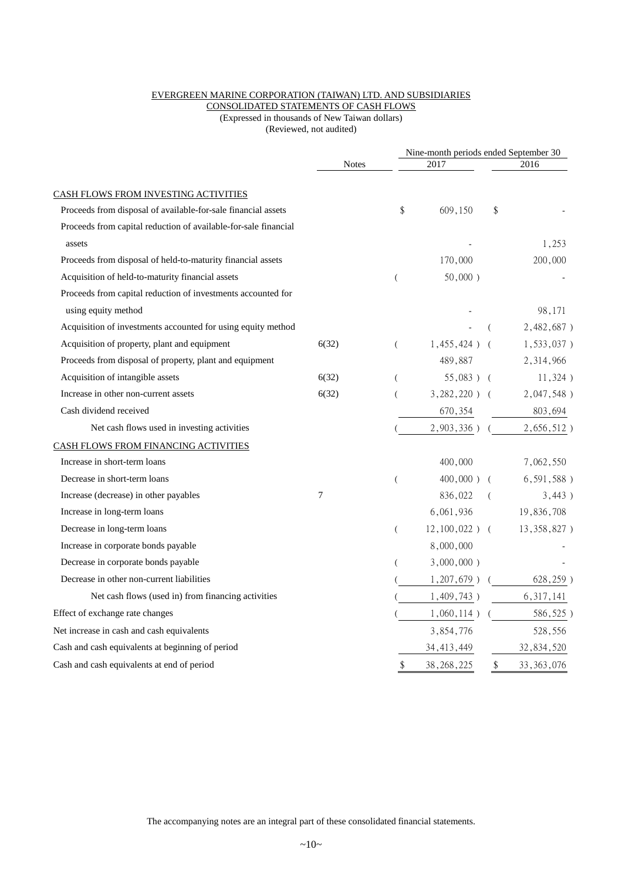### EVERGREEN MARINE CORPORATION (TAIWAN) LTD. AND SUBSIDIARIES

CONSOLIDATED STATEMENTS OF CASH FLOWS (Expressed in thousands of New Taiwan dollars)

(Reviewed, not audited)

|                                                                 |              |                  | Nine-month periods ended September 30 |          |               |
|-----------------------------------------------------------------|--------------|------------------|---------------------------------------|----------|---------------|
|                                                                 | <b>Notes</b> |                  | 2017                                  |          | 2016          |
| CASH FLOWS FROM INVESTING ACTIVITIES                            |              |                  |                                       |          |               |
| Proceeds from disposal of available-for-sale financial assets   |              | \$               | 609,150                               | \$       |               |
| Proceeds from capital reduction of available-for-sale financial |              |                  |                                       |          |               |
| assets                                                          |              |                  |                                       |          | 1,253         |
| Proceeds from disposal of held-to-maturity financial assets     |              |                  | 170,000                               |          | 200,000       |
| Acquisition of held-to-maturity financial assets                |              | $\overline{(\ }$ | $50,000$ )                            |          |               |
| Proceeds from capital reduction of investments accounted for    |              |                  |                                       |          |               |
| using equity method                                             |              |                  |                                       |          | 98,171        |
| Acquisition of investments accounted for using equity method    |              |                  |                                       | $\left($ | 2,482,687)    |
| Acquisition of property, plant and equipment                    | 6(32)        | $\left($         | $1,455,424$ ) (                       |          | $1,533,037$ ) |
| Proceeds from disposal of property, plant and equipment         |              |                  | 489,887                               |          | 2,314,966     |
| Acquisition of intangible assets                                | 6(32)        | $\left($         | $55,083$ ) (                          |          | 11,324)       |
| Increase in other non-current assets                            | 6(32)        | $\overline{(}$   | $3,282,220$ ) (                       |          | 2,047,548)    |
| Cash dividend received                                          |              |                  | 670,354                               |          | 803,694       |
| Net cash flows used in investing activities                     |              |                  | $2,903,336$ )                         |          | 2,656,512)    |
| CASH FLOWS FROM FINANCING ACTIVITIES                            |              |                  |                                       |          |               |
| Increase in short-term loans                                    |              |                  | 400,000                               |          | 7,062,550     |
| Decrease in short-term loans                                    |              | $\overline{(}$   | $400,000$ ) (                         |          | $6,591,588$ ) |
| Increase (decrease) in other payables                           | 7            |                  | 836,022                               |          | 3,443)        |
| Increase in long-term loans                                     |              |                  | 6,061,936                             |          | 19,836,708    |
| Decrease in long-term loans                                     |              | (                | $12,100,022$ ) (                      |          | 13,358,827)   |
| Increase in corporate bonds payable                             |              |                  | 8,000,000                             |          |               |
| Decrease in corporate bonds payable                             |              |                  | $3,000,000$ )                         |          |               |
| Decrease in other non-current liabilities                       |              |                  | $1,207,679$ )                         |          | 628, 259)     |
| Net cash flows (used in) from financing activities              |              |                  | 1,409,743)                            |          | 6, 317, 141   |
| Effect of exchange rate changes                                 |              |                  | $1,060,114$ )                         |          | 586,525)      |
| Net increase in cash and cash equivalents                       |              |                  | 3,854,776                             |          | 528,556       |
| Cash and cash equivalents at beginning of period                |              |                  | 34, 413, 449                          |          | 32,834,520    |
| Cash and cash equivalents at end of period                      |              | S                | 38, 268, 225                          | \$       | 33, 363, 076  |

The accompanying notes are an integral part of these consolidated financial statements.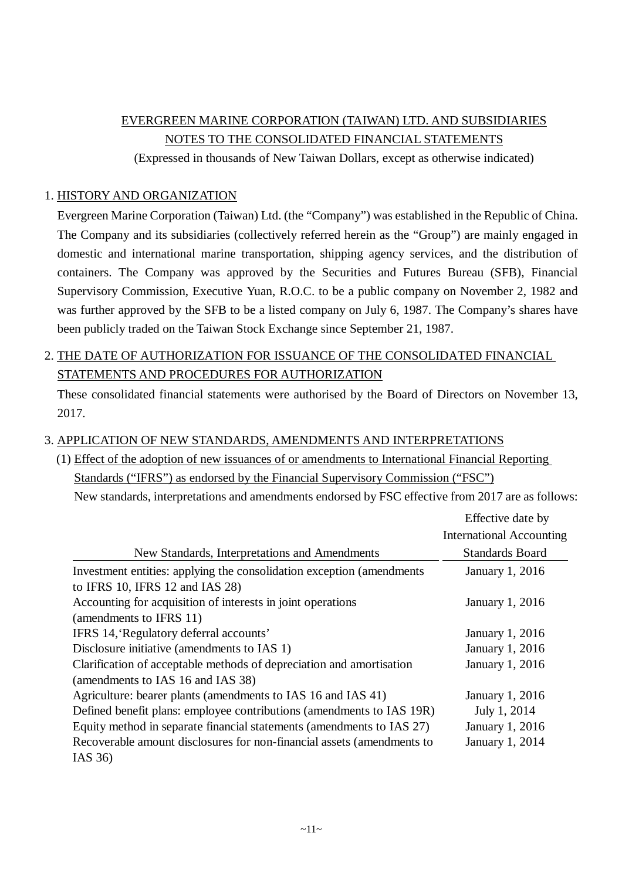# EVERGREEN MARINE CORPORATION (TAIWAN) LTD. AND SUBSIDIARIES NOTES TO THE CONSOLIDATED FINANCIAL STATEMENTS

(Expressed in thousands of New Taiwan Dollars, except as otherwise indicated)

# 1. HISTORY AND ORGANIZATION

Evergreen Marine Corporation (Taiwan) Ltd. (the "Company") was established in the Republic of China. The Company and its subsidiaries (collectively referred herein as the "Group") are mainly engaged in domestic and international marine transportation, shipping agency services, and the distribution of containers. The Company was approved by the Securities and Futures Bureau (SFB), Financial Supervisory Commission, Executive Yuan, R.O.C. to be a public company on November 2, 1982 and was further approved by the SFB to be a listed company on July 6, 1987. The Company's shares have been publicly traded on the Taiwan Stock Exchange since September 21, 1987.

# 2. THE DATE OF AUTHORIZATION FOR ISSUANCE OF THE CONSOLIDATED FINANCIAL STATEMENTS AND PROCEDURES FOR AUTHORIZATION

These consolidated financial statements were authorised by the Board of Directors on November 13, 2017.

# 3. APPLICATION OF NEW STANDARDS, AMENDMENTS AND INTERPRETATIONS

(1) Effect of the adoption of new issuances of or amendments to International Financial Reporting Standards ("IFRS") as endorsed by the Financial Supervisory Commission ("FSC") New standards, interpretations and amendments endorsed by FSC effective from 2017 are as follows:

|                                                                        | Effective date by               |
|------------------------------------------------------------------------|---------------------------------|
|                                                                        | <b>International Accounting</b> |
| New Standards, Interpretations and Amendments                          | <b>Standards Board</b>          |
| Investment entities: applying the consolidation exception (amendments) | January 1, 2016                 |
| to IFRS 10, IFRS 12 and IAS 28)                                        |                                 |
| Accounting for acquisition of interests in joint operations            | January 1, 2016                 |
| (amendments to IFRS 11)                                                |                                 |
| IFRS 14, Regulatory deferral accounts'                                 | January 1, 2016                 |
| Disclosure initiative (amendments to IAS 1)                            | January 1, 2016                 |
| Clarification of acceptable methods of depreciation and amortisation   | January 1, 2016                 |
| (amendments to IAS 16 and IAS 38)                                      |                                 |
| Agriculture: bearer plants (amendments to IAS 16 and IAS 41)           | January 1, 2016                 |
| Defined benefit plans: employee contributions (amendments to IAS 19R)  | July 1, 2014                    |
| Equity method in separate financial statements (amendments to IAS 27)  | January 1, 2016                 |
| Recoverable amount disclosures for non-financial assets (amendments to | January 1, 2014                 |
| IAS 36)                                                                |                                 |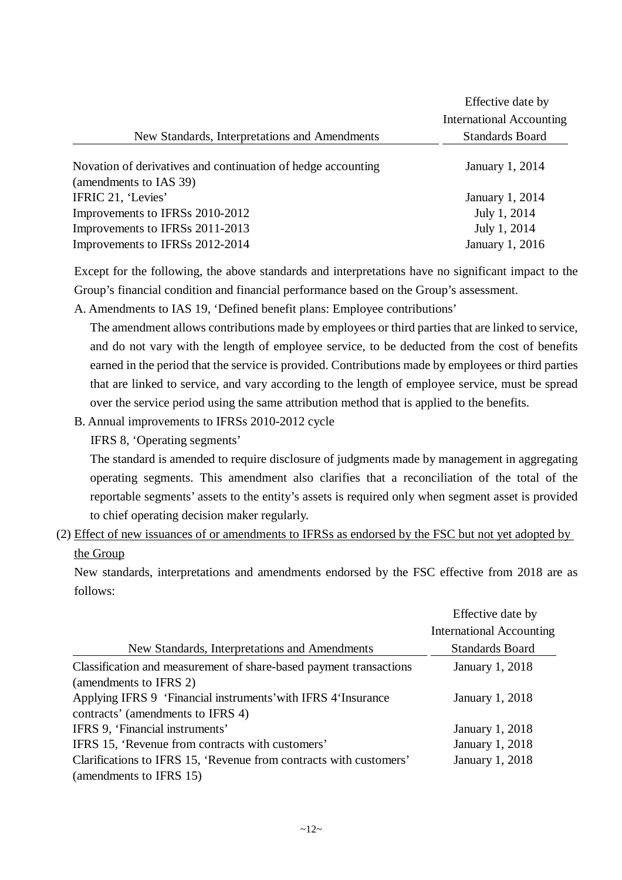|                                                                                        | Effective date by<br><b>International Accounting</b> |
|----------------------------------------------------------------------------------------|------------------------------------------------------|
| New Standards, Interpretations and Amendments                                          | <b>Standards Board</b>                               |
| Novation of derivatives and continuation of hedge accounting<br>(amendments to IAS 39) | January 1, 2014                                      |
| IFRIC 21, 'Levies'                                                                     | January 1, 2014                                      |
| Improvements to IFRSs 2010-2012                                                        | July 1, 2014                                         |
| Improvements to IFRSs 2011-2013                                                        | July 1, 2014                                         |
| Improvements to IFRSs 2012-2014                                                        | January 1, 2016                                      |

Except for the following, the above standards and interpretations have no significant impact to the Group's financial condition and financial performance based on the Group's assessment.

A. Amendments to IAS 19, 'Defined benefit plans: Employee contributions'

The amendment allows contributions made by employees or third parties that are linked to service, and do not vary with the length of employee service, to be deducted from the cost of benefits earned in the period that the service is provided. Contributions made by employees or third parties that are linked to service, and vary according to the length of employee service, must be spread over the service period using the same attribution method that is applied to the benefits.

B. Annual improvements to IFRSs 2010-2012 cycle

IFRS 8, 'Operating segments'

The standard is amended to require disclosure of judgments made by management in aggregating operating segments. This amendment also clarifies that a reconciliation of the total of the reportable segments' assets to the entity's assets is required only when segment asset is provided to chief operating decision maker regularly.

(2) Effect of new issuances of or amendments to IFRSs as endorsed by the FSC but not yet adopted by the Group

New standards, interpretations and amendments endorsed by the FSC effective from 2018 are as follows:

|                                                                    | Effective date by               |
|--------------------------------------------------------------------|---------------------------------|
|                                                                    | <b>International Accounting</b> |
| New Standards, Interpretations and Amendments                      | <b>Standards Board</b>          |
| Classification and measurement of share-based payment transactions | January 1, 2018                 |
| (amendments to IFRS 2)                                             |                                 |
| Applying IFRS 9 'Financial instruments' with IFRS 4'Insurance      | January 1, 2018                 |
| contracts' (amendments to IFRS 4)                                  |                                 |
| IFRS 9, 'Financial instruments'                                    | January 1, 2018                 |
| IFRS 15, 'Revenue from contracts with customers'                   | January 1, 2018                 |
| Clarifications to IFRS 15, 'Revenue from contracts with customers' | <b>January 1, 2018</b>          |
| (amendments to IFRS 15)                                            |                                 |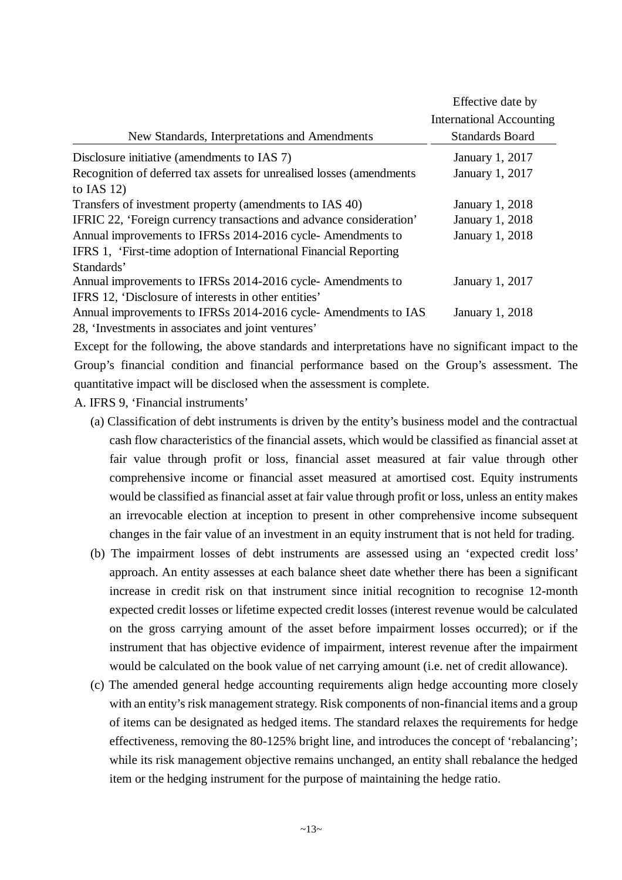| New Standards, Interpretations and Amendments                         | Effective date by<br><b>International Accounting</b><br><b>Standards Board</b> |
|-----------------------------------------------------------------------|--------------------------------------------------------------------------------|
|                                                                       |                                                                                |
| Disclosure initiative (amendments to IAS 7)                           | January 1, 2017                                                                |
| Recognition of deferred tax assets for unrealised losses (amendments) | January 1, 2017                                                                |
| to IAS $12$ )                                                         |                                                                                |
| Transfers of investment property (amendments to IAS 40)               | January 1, 2018                                                                |
| IFRIC 22, 'Foreign currency transactions and advance consideration'   | January 1, 2018                                                                |
| Annual improvements to IFRSs 2014-2016 cycle-Amendments to            | January 1, 2018                                                                |
| IFRS 1, 'First-time adoption of International Financial Reporting     |                                                                                |
| Standards'                                                            |                                                                                |
| Annual improvements to IFRSs 2014-2016 cycle- Amendments to           | January 1, 2017                                                                |
| IFRS 12, 'Disclosure of interests in other entities'                  |                                                                                |
| Annual improvements to IFRSs 2014-2016 cycle- Amendments to IAS       | January 1, 2018                                                                |
| 28, 'Investments in associates and joint ventures'                    |                                                                                |

Except for the following, the above standards and interpretations have no significant impact to the Group's financial condition and financial performance based on the Group's assessment. The quantitative impact will be disclosed when the assessment is complete.

A. IFRS 9, 'Financial instruments'

- (a) Classification of debt instruments is driven by the entity's business model and the contractual cash flow characteristics of the financial assets, which would be classified as financial asset at fair value through profit or loss, financial asset measured at fair value through other comprehensive income or financial asset measured at amortised cost. Equity instruments would be classified as financial asset at fair value through profit or loss, unless an entity makes an irrevocable election at inception to present in other comprehensive income subsequent changes in the fair value of an investment in an equity instrument that is not held for trading.
- (b) The impairment losses of debt instruments are assessed using an 'expected credit loss' approach. An entity assesses at each balance sheet date whether there has been a significant increase in credit risk on that instrument since initial recognition to recognise 12-month expected credit losses or lifetime expected credit losses (interest revenue would be calculated on the gross carrying amount of the asset before impairment losses occurred); or if the instrument that has objective evidence of impairment, interest revenue after the impairment would be calculated on the book value of net carrying amount (i.e. net of credit allowance).
- (c) The amended general hedge accounting requirements align hedge accounting more closely with an entity's risk management strategy. Risk components of non-financial items and a group of items can be designated as hedged items. The standard relaxes the requirements for hedge effectiveness, removing the 80-125% bright line, and introduces the concept of 'rebalancing'; while its risk management objective remains unchanged, an entity shall rebalance the hedged item or the hedging instrument for the purpose of maintaining the hedge ratio.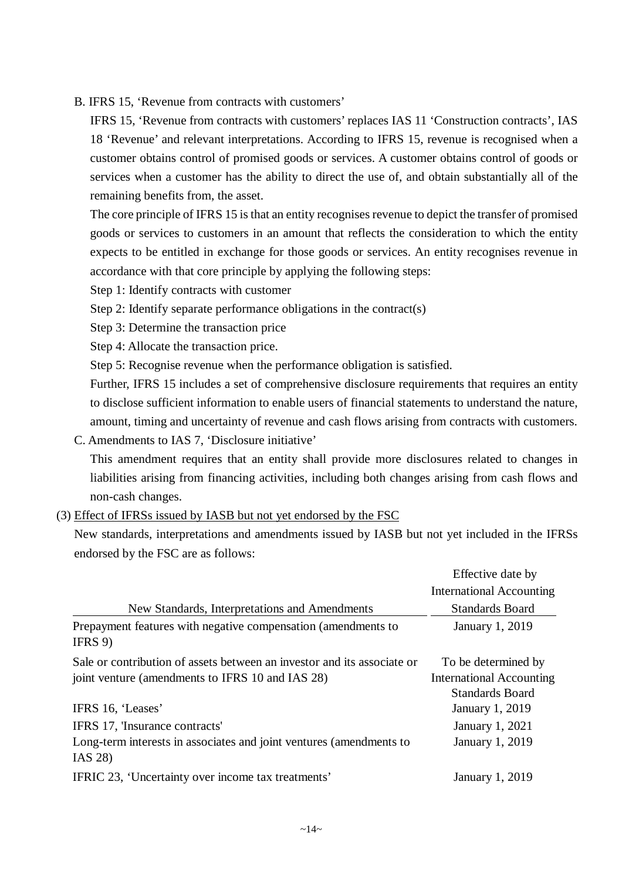B. IFRS 15, 'Revenue from contracts with customers'

IFRS 15, 'Revenue from contracts with customers' replaces IAS 11 'Construction contracts', IAS 18 'Revenue' and relevant interpretations. According to IFRS 15, revenue is recognised when a customer obtains control of promised goods or services. A customer obtains control of goods or services when a customer has the ability to direct the use of, and obtain substantially all of the remaining benefits from, the asset.

The core principle of IFRS 15 is that an entity recognises revenue to depict the transfer of promised goods or services to customers in an amount that reflects the consideration to which the entity expects to be entitled in exchange for those goods or services. An entity recognises revenue in accordance with that core principle by applying the following steps:

- Step 1: Identify contracts with customer
- Step 2: Identify separate performance obligations in the contract(s)
- Step 3: Determine the transaction price
- Step 4: Allocate the transaction price.

Step 5: Recognise revenue when the performance obligation is satisfied.

Further, IFRS 15 includes a set of comprehensive disclosure requirements that requires an entity to disclose sufficient information to enable users of financial statements to understand the nature, amount, timing and uncertainty of revenue and cash flows arising from contracts with customers.

C. Amendments to IAS 7, 'Disclosure initiative'

This amendment requires that an entity shall provide more disclosures related to changes in liabilities arising from financing activities, including both changes arising from cash flows and non-cash changes.

(3) Effect of IFRSs issued by IASB but not yet endorsed by the FSC

New standards, interpretations and amendments issued by IASB but not yet included in the IFRSs endorsed by the FSC are as follows:

|                                                                                                                             | Effective date by                                                                |
|-----------------------------------------------------------------------------------------------------------------------------|----------------------------------------------------------------------------------|
|                                                                                                                             | <b>International Accounting</b>                                                  |
| New Standards, Interpretations and Amendments                                                                               | <b>Standards Board</b>                                                           |
| Prepayment features with negative compensation (amendments to<br>IFRS 9                                                     | January 1, 2019                                                                  |
| Sale or contribution of assets between an investor and its associate or<br>joint venture (amendments to IFRS 10 and IAS 28) | To be determined by<br><b>International Accounting</b><br><b>Standards Board</b> |
| IFRS 16, 'Leases'                                                                                                           | January 1, 2019                                                                  |
| IFRS 17, 'Insurance contracts'                                                                                              | January 1, 2021                                                                  |
| Long-term interests in associates and joint ventures (amendments to<br>IAS 28)                                              | January 1, 2019                                                                  |
| IFRIC 23, 'Uncertainty over income tax treatments'                                                                          | January 1, 2019                                                                  |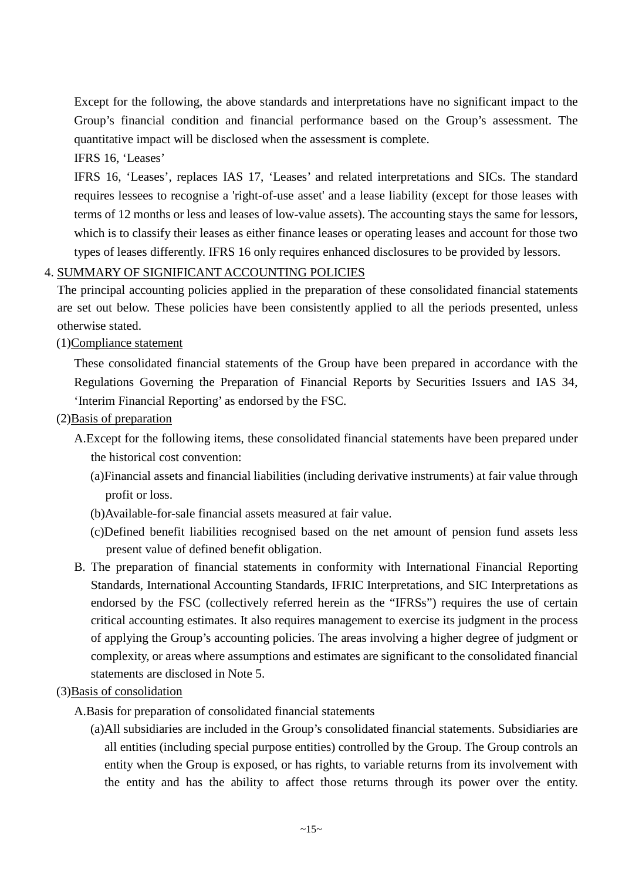Except for the following, the above standards and interpretations have no significant impact to the Group's financial condition and financial performance based on the Group's assessment. The quantitative impact will be disclosed when the assessment is complete.

IFRS 16, 'Leases'

IFRS 16, 'Leases', replaces IAS 17, 'Leases' and related interpretations and SICs. The standard requires lessees to recognise a 'right-of-use asset' and a lease liability (except for those leases with terms of 12 months or less and leases of low-value assets). The accounting stays the same for lessors, which is to classify their leases as either finance leases or operating leases and account for those two types of leases differently. IFRS 16 only requires enhanced disclosures to be provided by lessors.

# 4. SUMMARY OF SIGNIFICANT ACCOUNTING POLICIES

The principal accounting policies applied in the preparation of these consolidated financial statements are set out below. These policies have been consistently applied to all the periods presented, unless otherwise stated.

(1)Compliance statement

These consolidated financial statements of the Group have been prepared in accordance with the Regulations Governing the Preparation of Financial Reports by Securities Issuers and IAS 34, 'Interim Financial Reporting' as endorsed by the FSC.

- (2)Basis of preparation
	- A.Except for the following items, these consolidated financial statements have been prepared under the historical cost convention:
		- (a)Financial assets and financial liabilities (including derivative instruments) at fair value through profit or loss.
		- (b)Available-for-sale financial assets measured at fair value.
		- (c)Defined benefit liabilities recognised based on the net amount of pension fund assets less present value of defined benefit obligation.
	- B. The preparation of financial statements in conformity with International Financial Reporting Standards, International Accounting Standards, IFRIC Interpretations, and SIC Interpretations as endorsed by the FSC (collectively referred herein as the "IFRSs") requires the use of certain critical accounting estimates. It also requires management to exercise its judgment in the process of applying the Group's accounting policies. The areas involving a higher degree of judgment or complexity, or areas where assumptions and estimates are significant to the consolidated financial statements are disclosed in Note 5.

# (3)Basis of consolidation

- A.Basis for preparation of consolidated financial statements
	- (a)All subsidiaries are included in the Group's consolidated financial statements. Subsidiaries are all entities (including special purpose entities) controlled by the Group. The Group controls an entity when the Group is exposed, or has rights, to variable returns from its involvement with the entity and has the ability to affect those returns through its power over the entity.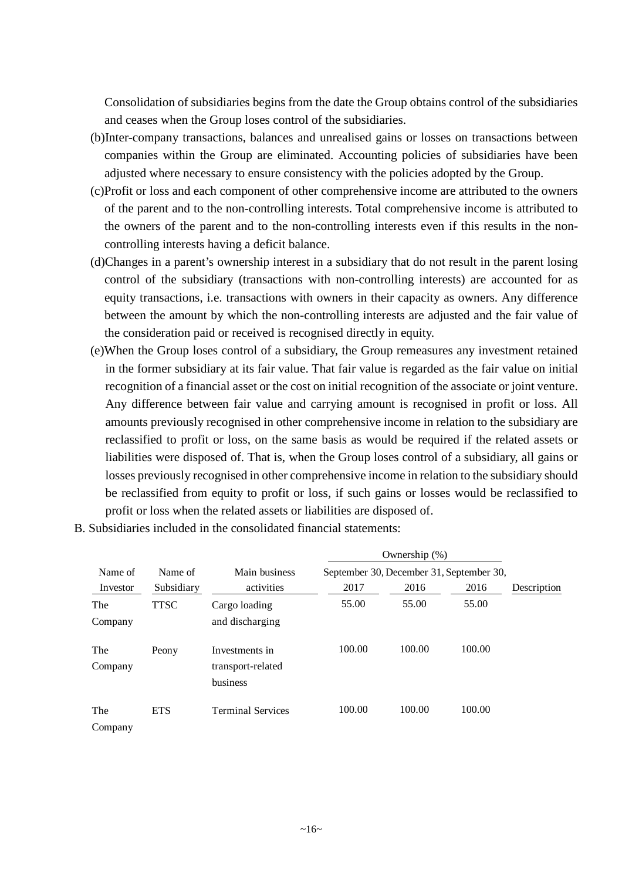Consolidation of subsidiaries begins from the date the Group obtains control of the subsidiaries and ceases when the Group loses control of the subsidiaries.

- (b)Inter-company transactions, balances and unrealised gains or losses on transactions between companies within the Group are eliminated. Accounting policies of subsidiaries have been adjusted where necessary to ensure consistency with the policies adopted by the Group.
- (c)Profit or loss and each component of other comprehensive income are attributed to the owners of the parent and to the non-controlling interests. Total comprehensive income is attributed to the owners of the parent and to the non-controlling interests even if this results in the noncontrolling interests having a deficit balance.
- (d)Changes in a parent's ownership interest in a subsidiary that do not result in the parent losing control of the subsidiary (transactions with non-controlling interests) are accounted for as equity transactions, i.e. transactions with owners in their capacity as owners. Any difference between the amount by which the non-controlling interests are adjusted and the fair value of the consideration paid or received is recognised directly in equity.
- (e)When the Group loses control of a subsidiary, the Group remeasures any investment retained in the former subsidiary at its fair value. That fair value is regarded as the fair value on initial recognition of a financial asset or the cost on initial recognition of the associate or joint venture. Any difference between fair value and carrying amount is recognised in profit or loss. All amounts previously recognised in other comprehensive income in relation to the subsidiary are reclassified to profit or loss, on the same basis as would be required if the related assets or liabilities were disposed of. That is, when the Group loses control of a subsidiary, all gains or losses previously recognised in other comprehensive income in relation to the subsidiary should be reclassified from equity to profit or loss, if such gains or losses would be reclassified to profit or loss when the related assets or liabilities are disposed of.

|                |             |                                                 |        | Ownership $(\%)$                         |        |             |
|----------------|-------------|-------------------------------------------------|--------|------------------------------------------|--------|-------------|
| Name of        | Name of     | Main business                                   |        | September 30, December 31, September 30, |        |             |
| Investor       | Subsidiary  | activities                                      | 2017   | 2016                                     | 2016   | Description |
| The            | <b>TTSC</b> | Cargo loading                                   | 55.00  | 55.00                                    | 55.00  |             |
| Company        |             | and discharging                                 |        |                                          |        |             |
| The<br>Company | Peony       | Investments in<br>transport-related<br>business | 100.00 | 100.00                                   | 100.00 |             |
| The<br>Company | <b>ETS</b>  | <b>Terminal Services</b>                        | 100.00 | 100.00                                   | 100.00 |             |

B. Subsidiaries included in the consolidated financial statements: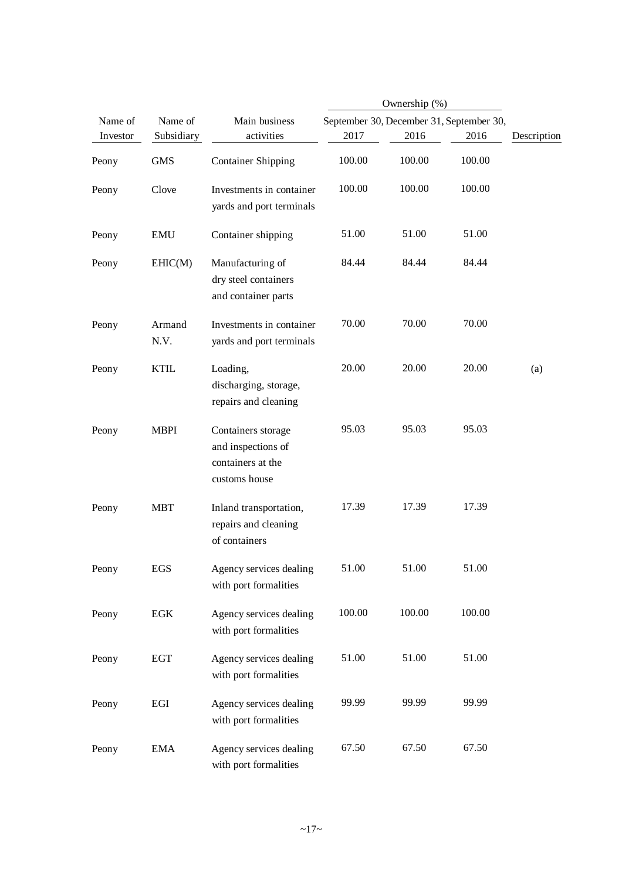|          |                |                                                                                |        | Ownership (%) |                                          |             |
|----------|----------------|--------------------------------------------------------------------------------|--------|---------------|------------------------------------------|-------------|
| Name of  | Name of        | Main business                                                                  |        |               | September 30, December 31, September 30, |             |
| Investor | Subsidiary     | activities                                                                     | 2017   | 2016          | 2016                                     | Description |
| Peony    | <b>GMS</b>     | <b>Container Shipping</b>                                                      | 100.00 | 100.00        | 100.00                                   |             |
| Peony    | Clove          | Investments in container<br>yards and port terminals                           | 100.00 | 100.00        | 100.00                                   |             |
| Peony    | <b>EMU</b>     | Container shipping                                                             | 51.00  | 51.00         | 51.00                                    |             |
| Peony    | EHIC(M)        | Manufacturing of<br>dry steel containers<br>and container parts                | 84.44  | 84.44         | 84.44                                    |             |
| Peony    | Armand<br>N.V. | Investments in container<br>yards and port terminals                           | 70.00  | 70.00         | 70.00                                    |             |
| Peony    | <b>KTIL</b>    | Loading,<br>discharging, storage,<br>repairs and cleaning                      | 20.00  | 20.00         | 20.00                                    | (a)         |
| Peony    | <b>MBPI</b>    | Containers storage<br>and inspections of<br>containers at the<br>customs house | 95.03  | 95.03         | 95.03                                    |             |
| Peony    | <b>MBT</b>     | Inland transportation,<br>repairs and cleaning<br>of containers                | 17.39  | 17.39         | 17.39                                    |             |
| Peony    | EGS            | Agency services dealing<br>with port formalities                               | 51.00  | 51.00         | 51.00                                    |             |
| Peony    | EGK            | Agency services dealing<br>with port formalities                               | 100.00 | 100.00        | 100.00                                   |             |
| Peony    | <b>EGT</b>     | Agency services dealing<br>with port formalities                               | 51.00  | 51.00         | 51.00                                    |             |
| Peony    | EGI            | Agency services dealing<br>with port formalities                               | 99.99  | 99.99         | 99.99                                    |             |
| Peony    | <b>EMA</b>     | Agency services dealing<br>with port formalities                               | 67.50  | 67.50         | 67.50                                    |             |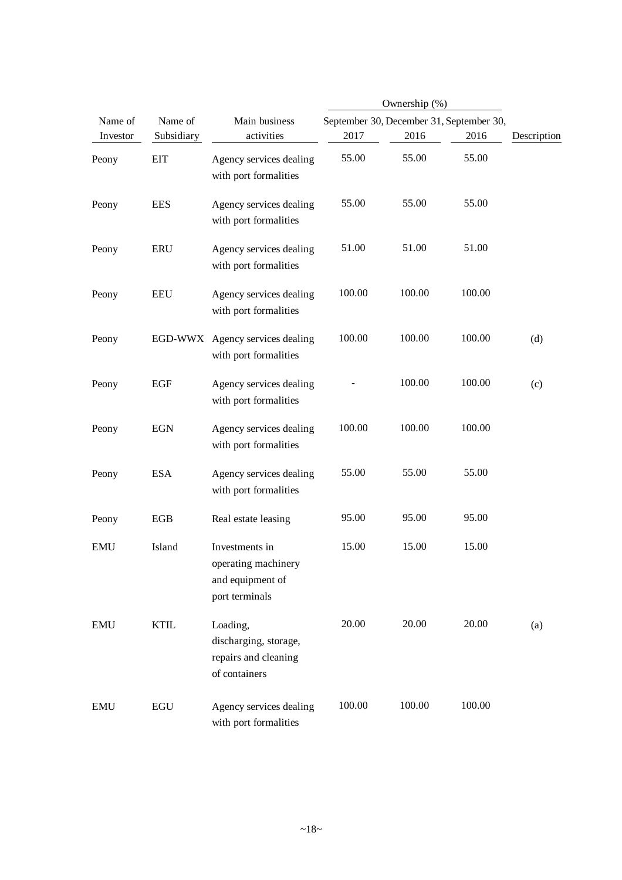|            |             |                                                                             |        | Ownership (%)                            |        |             |
|------------|-------------|-----------------------------------------------------------------------------|--------|------------------------------------------|--------|-------------|
| Name of    | Name of     | Main business                                                               |        | September 30, December 31, September 30, |        |             |
| Investor   | Subsidiary  | activities                                                                  | 2017   | 2016                                     | 2016   | Description |
| Peony      | <b>EIT</b>  | Agency services dealing<br>with port formalities                            | 55.00  | 55.00                                    | 55.00  |             |
| Peony      | <b>EES</b>  | Agency services dealing<br>with port formalities                            | 55.00  | 55.00                                    | 55.00  |             |
| Peony      | <b>ERU</b>  | Agency services dealing<br>with port formalities                            | 51.00  | 51.00                                    | 51.00  |             |
| Peony      | <b>EEU</b>  | Agency services dealing<br>with port formalities                            | 100.00 | 100.00                                   | 100.00 |             |
| Peony      |             | EGD-WWX Agency services dealing<br>with port formalities                    | 100.00 | 100.00                                   | 100.00 | (d)         |
| Peony      | <b>EGF</b>  | Agency services dealing<br>with port formalities                            |        | 100.00                                   | 100.00 | (c)         |
| Peony      | <b>EGN</b>  | Agency services dealing<br>with port formalities                            | 100.00 | 100.00                                   | 100.00 |             |
| Peony      | <b>ESA</b>  | Agency services dealing<br>with port formalities                            | 55.00  | 55.00                                    | 55.00  |             |
| Peony      | <b>EGB</b>  | Real estate leasing                                                         | 95.00  | 95.00                                    | 95.00  |             |
| <b>EMU</b> | Island      | Investments in<br>operating machinery<br>and equipment of<br>port terminals | 15.00  | 15.00                                    | 15.00  |             |
| <b>EMU</b> | <b>KTIL</b> | Loading,<br>discharging, storage,<br>repairs and cleaning<br>of containers  | 20.00  | 20.00                                    | 20.00  | (a)         |
| <b>EMU</b> | <b>EGU</b>  | Agency services dealing<br>with port formalities                            | 100.00 | 100.00                                   | 100.00 |             |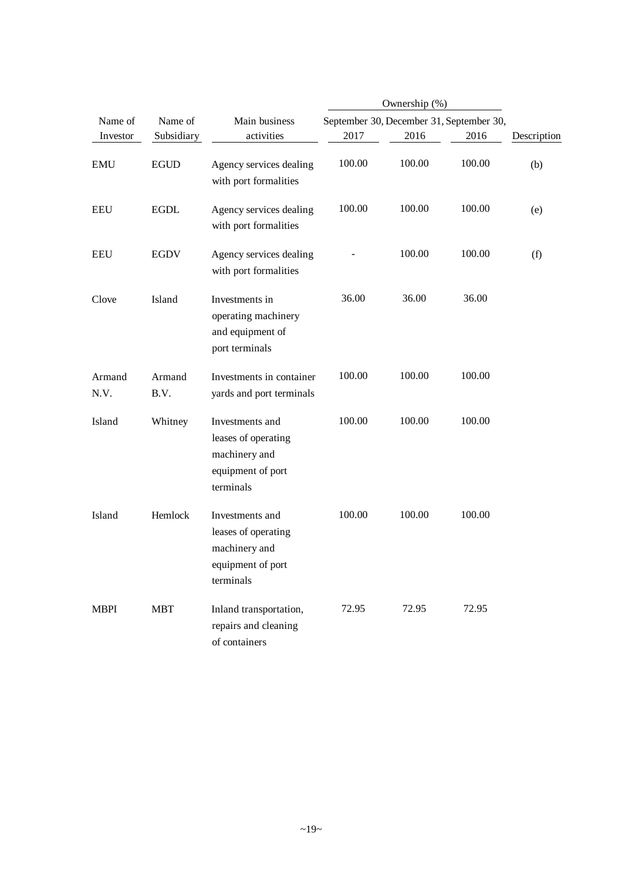|                |                |                                                                                           | Ownership (%) |                                          |        |             |
|----------------|----------------|-------------------------------------------------------------------------------------------|---------------|------------------------------------------|--------|-------------|
| Name of        | Name of        | Main business                                                                             |               | September 30, December 31, September 30, |        |             |
| Investor       | Subsidiary     | activities                                                                                | 2017          | 2016                                     | 2016   | Description |
| <b>EMU</b>     | <b>EGUD</b>    | Agency services dealing<br>with port formalities                                          | 100.00        | 100.00                                   | 100.00 | (b)         |
| <b>EEU</b>     | <b>EGDL</b>    | Agency services dealing<br>with port formalities                                          | 100.00        | 100.00                                   | 100.00 | (e)         |
| <b>EEU</b>     | <b>EGDV</b>    | Agency services dealing<br>with port formalities                                          |               | 100.00                                   | 100.00 | (f)         |
| Clove          | Island         | Investments in<br>operating machinery<br>and equipment of<br>port terminals               | 36.00         | 36.00                                    | 36.00  |             |
| Armand<br>N.V. | Armand<br>B.V. | Investments in container<br>yards and port terminals                                      | 100.00        | 100.00                                   | 100.00 |             |
| Island         | Whitney        | Investments and<br>leases of operating<br>machinery and<br>equipment of port<br>terminals | 100.00        | 100.00                                   | 100.00 |             |
| Island         | Hemlock        | Investments and<br>leases of operating<br>machinery and<br>equipment of port<br>terminals | 100.00        | 100.00                                   | 100.00 |             |
| <b>MBPI</b>    | <b>MBT</b>     | Inland transportation,<br>repairs and cleaning<br>of containers                           | 72.95         | 72.95                                    | 72.95  |             |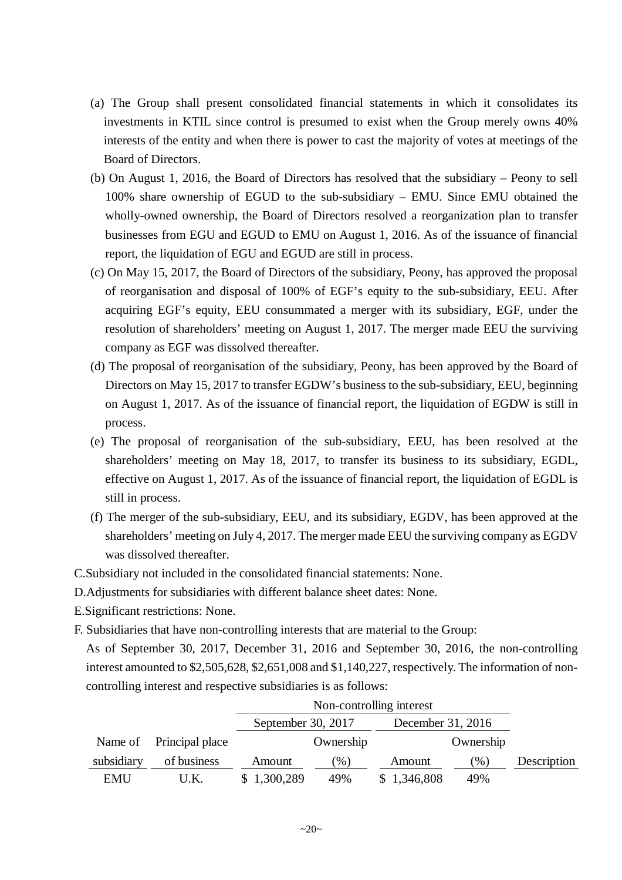- (a) The Group shall present consolidated financial statements in which it consolidates its investments in KTIL since control is presumed to exist when the Group merely owns 40% interests of the entity and when there is power to cast the majority of votes at meetings of the Board of Directors.
- (b) On August 1, 2016, the Board of Directors has resolved that the subsidiary Peony to sell 100% share ownership of EGUD to the sub-subsidiary – EMU. Since EMU obtained the wholly-owned ownership, the Board of Directors resolved a reorganization plan to transfer businesses from EGU and EGUD to EMU on August 1, 2016. As of the issuance of financial report, the liquidation of EGU and EGUD are still in process.
- (c) On May 15, 2017, the Board of Directors of the subsidiary, Peony, has approved the proposal of reorganisation and disposal of 100% of EGF's equity to the sub-subsidiary, EEU. After acquiring EGF's equity, EEU consummated a merger with its subsidiary, EGF, under the resolution of shareholders' meeting on August 1, 2017. The merger made EEU the surviving company as EGF was dissolved thereafter.
- (d) The proposal of reorganisation of the subsidiary, Peony, has been approved by the Board of Directors on May 15, 2017 to transfer EGDW's business to the sub-subsidiary, EEU, beginning on August 1, 2017. As of the issuance of financial report, the liquidation of EGDW is still in process.
- (e) The proposal of reorganisation of the sub-subsidiary, EEU, has been resolved at the shareholders' meeting on May 18, 2017, to transfer its business to its subsidiary, EGDL, effective on August 1, 2017. As of the issuance of financial report, the liquidation of EGDL is still in process.
- (f) The merger of the sub-subsidiary, EEU, and its subsidiary, EGDV, has been approved at the shareholders' meeting on July 4, 2017. The merger made EEU the surviving company as EGDV was dissolved thereafter.
- C.Subsidiary not included in the consolidated financial statements: None.
- D.Adjustments for subsidiaries with different balance sheet dates: None.
- E.Significant restrictions: None.
- F. Subsidiaries that have non-controlling interests that are material to the Group:
	- As of September 30, 2017, December 31, 2016 and September 30, 2016, the non-controlling interest amounted to \$2,505,628, \$2,651,008 and \$1,140,227, respectively. The information of noncontrolling interest and respective subsidiaries is as follows:

|            |                         |                    | Non-controlling interest |                   |           |             |  |  |
|------------|-------------------------|--------------------|--------------------------|-------------------|-----------|-------------|--|--|
|            |                         | September 30, 2017 |                          | December 31, 2016 |           |             |  |  |
|            | Name of Principal place |                    | Ownership                |                   | Ownership |             |  |  |
| subsidiary | of business             | Amount             | $\mathcal{O}_0$          | Amount            | $(\%)$    | Description |  |  |
| <b>EMU</b> | U.K.                    | \$1,300,289        | 49%                      | \$1,346,808       | 49%       |             |  |  |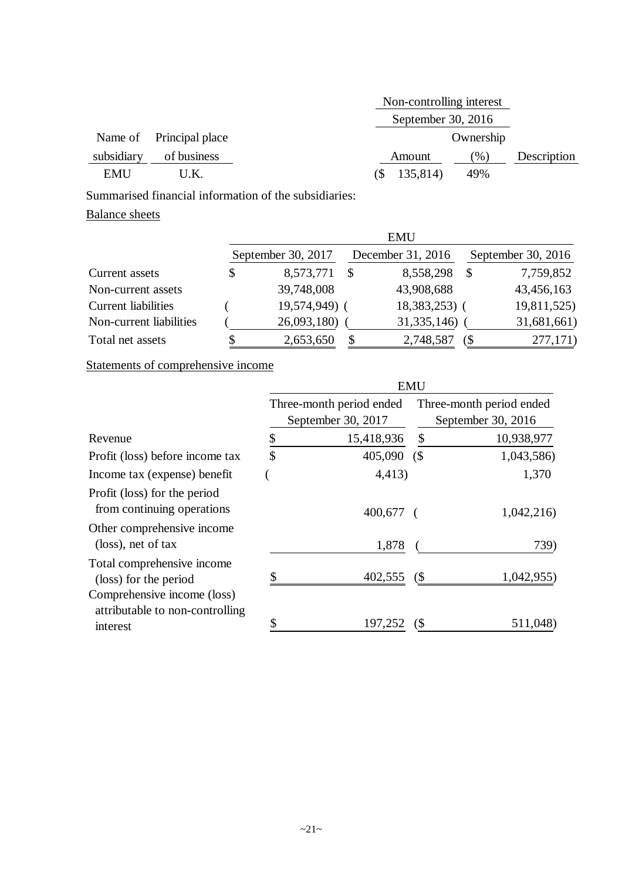|            |                         | Non-controlling interest |             |
|------------|-------------------------|--------------------------|-------------|
|            |                         | September 30, $2016$     |             |
|            | Name of Principal place | Ownership                |             |
| subsidiary | of business             | $(\%)$<br>Amount         | Description |
| <b>EMU</b> | U.K.                    | 135,814)<br>49%<br>(S    |             |

Summarised financial information of the subsidiaries:

# Balance sheets

|                            |                    |              | <b>EMU</b>        |     |                    |
|----------------------------|--------------------|--------------|-------------------|-----|--------------------|
|                            | September 30, 2017 |              | December 31, 2016 |     | September 30, 2016 |
| Current assets             | \$<br>8,573,771    | \$           | 8,558,298         | S   | 7,759,852          |
| Non-current assets         | 39,748,008         |              | 43,908,688        |     | 43,456,163         |
| <b>Current liabilities</b> | 19,574,949) (      |              | 18,383,253) (     |     | 19,811,525)        |
| Non-current liabilities    | 26,093,180)        |              | 31, 335, 146)     |     | 31,681,661)        |
| Total net assets           | 2,653,650          | $\mathbb{S}$ | 2,748,587         | (\$ | 277,171)           |

# Statements of comprehensive income

|                                                                            | <b>EMU</b> |                                                |                            |                                                |  |
|----------------------------------------------------------------------------|------------|------------------------------------------------|----------------------------|------------------------------------------------|--|
|                                                                            |            | Three-month period ended<br>September 30, 2017 |                            | Three-month period ended<br>September 30, 2016 |  |
| Revenue                                                                    | \$         | 15,418,936                                     | \$                         | 10,938,977                                     |  |
| Profit (loss) before income tax                                            | \$         | 405,090                                        | (                          | 1,043,586)                                     |  |
| Income tax (expense) benefit                                               |            | 4,413)                                         |                            | 1,370                                          |  |
| Profit (loss) for the period<br>from continuing operations                 |            | $400,677$ (                                    |                            | 1,042,216)                                     |  |
| Other comprehensive income<br>(loss), net of tax                           |            | 1,878                                          |                            | 739)                                           |  |
| Total comprehensive income<br>(loss) for the period                        | S          | 402,555                                        | $\left( \text{\$} \right)$ | 1,042,955                                      |  |
| Comprehensive income (loss)<br>attributable to non-controlling<br>interest |            | 197,252                                        |                            | 511,048                                        |  |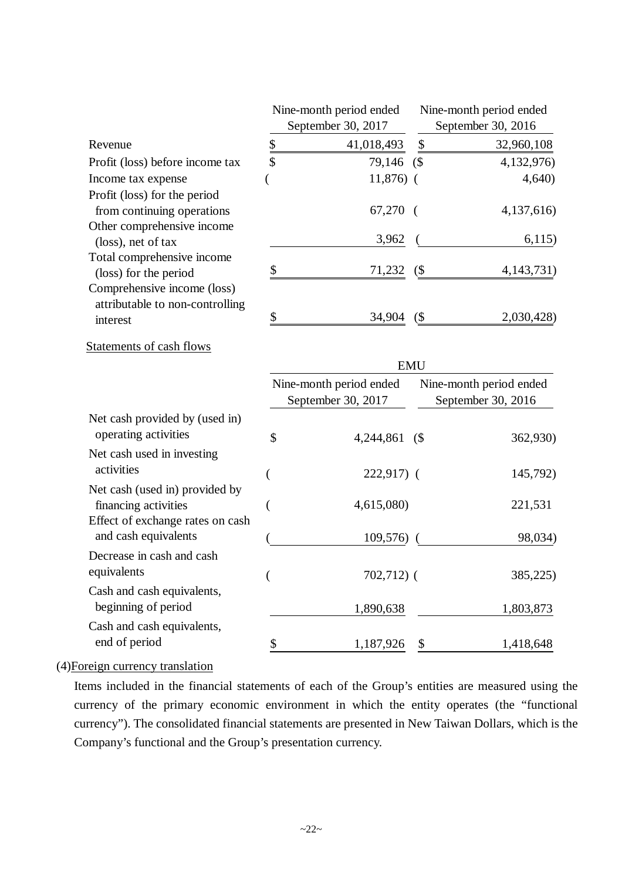|                                                                |               | Nine-month period ended                       |            | Nine-month period ended                       |
|----------------------------------------------------------------|---------------|-----------------------------------------------|------------|-----------------------------------------------|
|                                                                |               | September 30, 2017                            |            | September 30, 2016                            |
| Revenue                                                        | $\frac{6}{5}$ | 41,018,493                                    | \$         | 32,960,108                                    |
| Profit (loss) before income tax                                | \$            | 79,146                                        | (S         | 4,132,976)                                    |
| Income tax expense                                             |               | $11,876$ (                                    |            | 4,640                                         |
| Profit (loss) for the period<br>from continuing operations     |               | 67,270                                        |            | 4,137,616)                                    |
| Other comprehensive income                                     |               |                                               |            |                                               |
| (loss), net of tax                                             |               | 3,962                                         |            | 6,115)                                        |
| Total comprehensive income                                     | \$            |                                               |            |                                               |
| (loss) for the period                                          |               | 71,232                                        | (          | 4, 143, 731)                                  |
| Comprehensive income (loss)<br>attributable to non-controlling |               |                                               |            |                                               |
| interest                                                       | \$            | 34,904                                        | (          | 2,030,428)                                    |
| Statements of cash flows                                       |               |                                               |            |                                               |
|                                                                |               |                                               | <b>EMU</b> |                                               |
|                                                                |               | Nine-month period ended<br>September 30, 2017 |            | Nine-month period ended<br>September 30, 2016 |
| Net cash provided by (used in)<br>operating activities         | \$            | 4,244,861                                     | (          | 362,930)                                      |
| Net cash used in investing                                     |               |                                               |            |                                               |
| activities                                                     |               | $222,917$ (                                   |            | 145,792)                                      |
| Net cash (used in) provided by<br>financing activities         |               | 4,615,080)                                    |            | 221,531                                       |
| Effect of exchange rates on cash<br>and cash equivalents       |               | 109,576)                                      |            | 98,034)                                       |
| Decrease in cash and cash                                      |               |                                               |            |                                               |
| equivalents                                                    |               | 702,712) (                                    |            | 385,225)                                      |
| Cash and cash equivalents,<br>beginning of period              |               | 1,890,638                                     |            | 1,803,873                                     |
| Cash and cash equivalents,                                     |               |                                               |            |                                               |
| end of period                                                  | \$            | 1,187,926                                     | \$         | 1,418,648                                     |

(4)Foreign currency translation

Items included in the financial statements of each of the Group's entities are measured using the currency of the primary economic environment in which the entity operates (the "functional currency"). The consolidated financial statements are presented in New Taiwan Dollars, which is the Company's functional and the Group's presentation currency.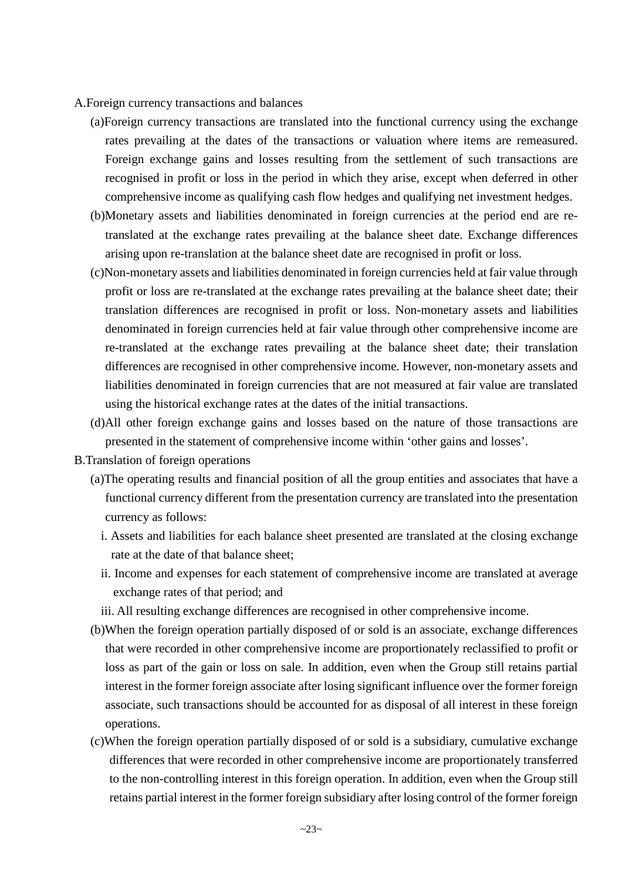- A.Foreign currency transactions and balances
	- (a)Foreign currency transactions are translated into the functional currency using the exchange rates prevailing at the dates of the transactions or valuation where items are remeasured. Foreign exchange gains and losses resulting from the settlement of such transactions are recognised in profit or loss in the period in which they arise, except when deferred in other comprehensive income as qualifying cash flow hedges and qualifying net investment hedges.
	- (b)Monetary assets and liabilities denominated in foreign currencies at the period end are retranslated at the exchange rates prevailing at the balance sheet date. Exchange differences arising upon re-translation at the balance sheet date are recognised in profit or loss.
	- (c)Non-monetary assets and liabilities denominated in foreign currencies held at fair value through profit or loss are re-translated at the exchange rates prevailing at the balance sheet date; their translation differences are recognised in profit or loss. Non-monetary assets and liabilities denominated in foreign currencies held at fair value through other comprehensive income are re-translated at the exchange rates prevailing at the balance sheet date; their translation differences are recognised in other comprehensive income. However, non-monetary assets and liabilities denominated in foreign currencies that are not measured at fair value are translated using the historical exchange rates at the dates of the initial transactions.
	- (d)All other foreign exchange gains and losses based on the nature of those transactions are presented in the statement of comprehensive income within 'other gains and losses'.
- B.Translation of foreign operations
	- (a)The operating results and financial position of all the group entities and associates that have a functional currency different from the presentation currency are translated into the presentation currency as follows:
		- i. Assets and liabilities for each balance sheet presented are translated at the closing exchange rate at the date of that balance sheet;
		- ii. Income and expenses for each statement of comprehensive income are translated at average exchange rates of that period; and
		- iii. All resulting exchange differences are recognised in other comprehensive income.
	- (b)When the foreign operation partially disposed of or sold is an associate, exchange differences that were recorded in other comprehensive income are proportionately reclassified to profit or loss as part of the gain or loss on sale. In addition, even when the Group still retains partial interest in the former foreign associate after losing significant influence over the former foreign associate, such transactions should be accounted for as disposal of all interest in these foreign operations.
	- (c)When the foreign operation partially disposed of or sold is a subsidiary, cumulative exchange differences that were recorded in other comprehensive income are proportionately transferred to the non-controlling interest in this foreign operation. In addition, even when the Group still retains partial interest in the former foreign subsidiary after losing control of the former foreign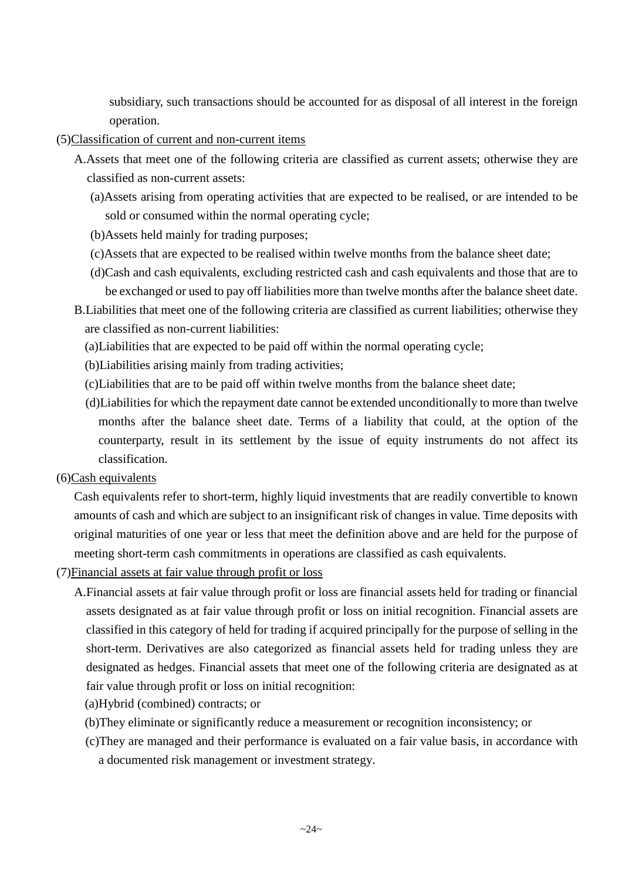subsidiary, such transactions should be accounted for as disposal of all interest in the foreign operation.

- (5)Classification of current and non-current items
	- A.Assets that meet one of the following criteria are classified as current assets; otherwise they are classified as non-current assets:
		- (a)Assets arising from operating activities that are expected to be realised, or are intended to be sold or consumed within the normal operating cycle;
		- (b)Assets held mainly for trading purposes;
		- (c)Assets that are expected to be realised within twelve months from the balance sheet date;
		- (d)Cash and cash equivalents, excluding restricted cash and cash equivalents and those that are to be exchanged or used to pay off liabilities more than twelve months after the balance sheet date.
	- B.Liabilities that meet one of the following criteria are classified as current liabilities; otherwise they are classified as non-current liabilities:
		- (a)Liabilities that are expected to be paid off within the normal operating cycle;
		- (b)Liabilities arising mainly from trading activities;
		- (c)Liabilities that are to be paid off within twelve months from the balance sheet date;
		- (d)Liabilities for which the repayment date cannot be extended unconditionally to more than twelve months after the balance sheet date. Terms of a liability that could, at the option of the counterparty, result in its settlement by the issue of equity instruments do not affect its classification.
- (6)Cash equivalents

Cash equivalents refer to short-term, highly liquid investments that are readily convertible to known amounts of cash and which are subject to an insignificant risk of changes in value. Time deposits with original maturities of one year or less that meet the definition above and are held for the purpose of meeting short-term cash commitments in operations are classified as cash equivalents.

- (7)Financial assets at fair value through profit or loss
	- A.Financial assets at fair value through profit or loss are financial assets held for trading or financial assets designated as at fair value through profit or loss on initial recognition. Financial assets are classified in this category of held for trading if acquired principally for the purpose of selling in the short-term. Derivatives are also categorized as financial assets held for trading unless they are designated as hedges. Financial assets that meet one of the following criteria are designated as at fair value through profit or loss on initial recognition:
		- (a)Hybrid (combined) contracts; or
		- (b)They eliminate or significantly reduce a measurement or recognition inconsistency; or
		- (c)They are managed and their performance is evaluated on a fair value basis, in accordance with a documented risk management or investment strategy.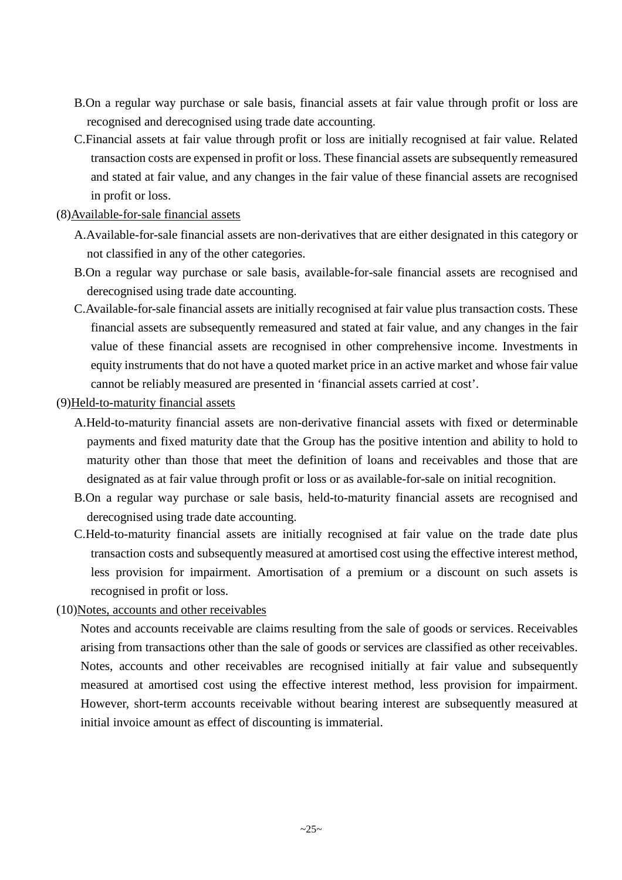- B.On a regular way purchase or sale basis, financial assets at fair value through profit or loss are recognised and derecognised using trade date accounting.
- C.Financial assets at fair value through profit or loss are initially recognised at fair value. Related transaction costs are expensed in profit or loss. These financial assets are subsequently remeasured and stated at fair value, and any changes in the fair value of these financial assets are recognised in profit or loss.
- (8)Available-for-sale financial assets
	- A.Available-for-sale financial assets are non-derivatives that are either designated in this category or not classified in any of the other categories.
	- B.On a regular way purchase or sale basis, available-for-sale financial assets are recognised and derecognised using trade date accounting.
	- C.Available-for-sale financial assets are initially recognised at fair value plus transaction costs. These financial assets are subsequently remeasured and stated at fair value, and any changes in the fair value of these financial assets are recognised in other comprehensive income. Investments in equity instruments that do not have a quoted market price in an active market and whose fair value cannot be reliably measured are presented in 'financial assets carried at cost'.
- (9)Held-to-maturity financial assets
	- A.Held-to-maturity financial assets are non-derivative financial assets with fixed or determinable payments and fixed maturity date that the Group has the positive intention and ability to hold to maturity other than those that meet the definition of loans and receivables and those that are designated as at fair value through profit or loss or as available-for-sale on initial recognition.
	- B.On a regular way purchase or sale basis, held-to-maturity financial assets are recognised and derecognised using trade date accounting.
	- C.Held-to-maturity financial assets are initially recognised at fair value on the trade date plus transaction costs and subsequently measured at amortised cost using the effective interest method, less provision for impairment. Amortisation of a premium or a discount on such assets is recognised in profit or loss.
- (10)Notes, accounts and other receivables

Notes and accounts receivable are claims resulting from the sale of goods or services. Receivables arising from transactions other than the sale of goods or services are classified as other receivables. Notes, accounts and other receivables are recognised initially at fair value and subsequently measured at amortised cost using the effective interest method, less provision for impairment. However, short-term accounts receivable without bearing interest are subsequently measured at initial invoice amount as effect of discounting is immaterial.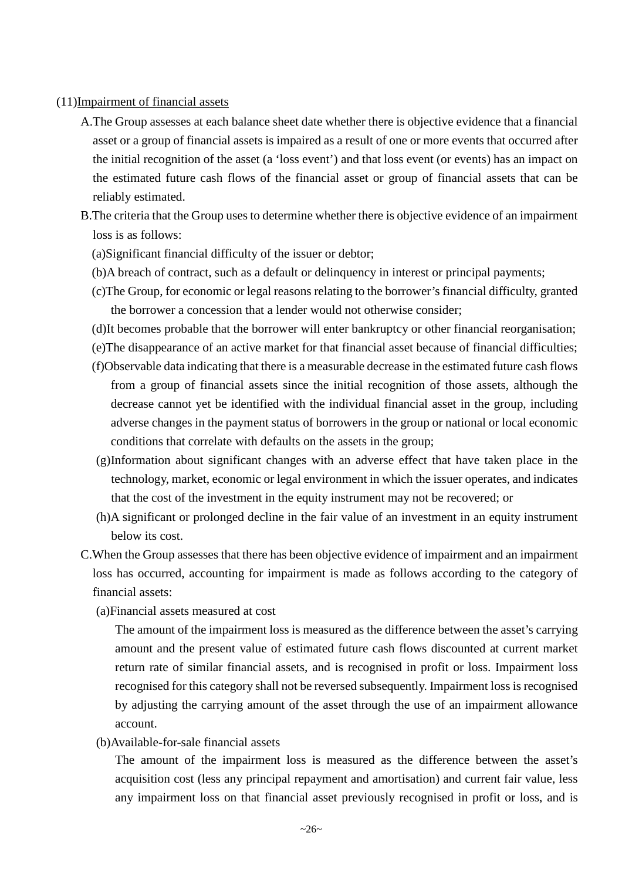### (11)Impairment of financial assets

- A.The Group assesses at each balance sheet date whether there is objective evidence that a financial asset or a group of financial assets is impaired as a result of one or more events that occurred after the initial recognition of the asset (a 'loss event') and that loss event (or events) has an impact on the estimated future cash flows of the financial asset or group of financial assets that can be reliably estimated.
- B.The criteria that the Group uses to determine whether there is objective evidence of an impairment loss is as follows:
	- (a)Significant financial difficulty of the issuer or debtor;
	- (b)A breach of contract, such as a default or delinquency in interest or principal payments;
	- (c)The Group, for economic or legal reasons relating to the borrower's financial difficulty, granted the borrower a concession that a lender would not otherwise consider;
	- (d)It becomes probable that the borrower will enter bankruptcy or other financial reorganisation;
	- (e)The disappearance of an active market for that financial asset because of financial difficulties;
	- (f)Observable data indicating that there is a measurable decrease in the estimated future cash flows from a group of financial assets since the initial recognition of those assets, although the decrease cannot yet be identified with the individual financial asset in the group, including adverse changes in the payment status of borrowers in the group or national or local economic conditions that correlate with defaults on the assets in the group;
	- (g)Information about significant changes with an adverse effect that have taken place in the technology, market, economic or legal environment in which the issuer operates, and indicates that the cost of the investment in the equity instrument may not be recovered; or
	- (h)A significant or prolonged decline in the fair value of an investment in an equity instrument below its cost.
- C.When the Group assesses that there has been objective evidence of impairment and an impairment loss has occurred, accounting for impairment is made as follows according to the category of financial assets:
	- (a)Financial assets measured at cost

The amount of the impairment loss is measured as the difference between the asset's carrying amount and the present value of estimated future cash flows discounted at current market return rate of similar financial assets, and is recognised in profit or loss. Impairment loss recognised for this category shall not be reversed subsequently. Impairment loss is recognised by adjusting the carrying amount of the asset through the use of an impairment allowance account.

(b)Available-for-sale financial assets

The amount of the impairment loss is measured as the difference between the asset's acquisition cost (less any principal repayment and amortisation) and current fair value, less any impairment loss on that financial asset previously recognised in profit or loss, and is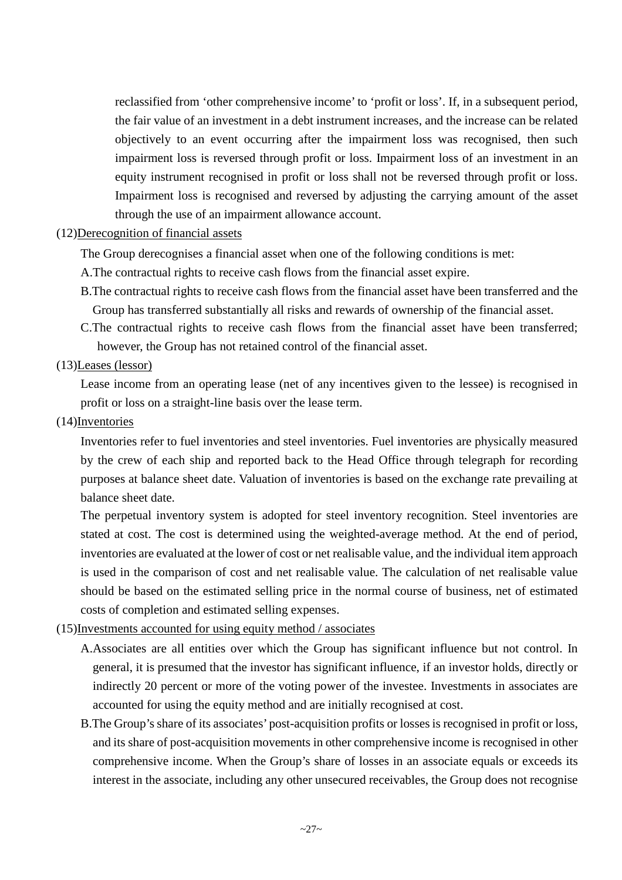reclassified from 'other comprehensive income' to 'profit or loss'. If, in a subsequent period, the fair value of an investment in a debt instrument increases, and the increase can be related objectively to an event occurring after the impairment loss was recognised, then such impairment loss is reversed through profit or loss. Impairment loss of an investment in an equity instrument recognised in profit or loss shall not be reversed through profit or loss. Impairment loss is recognised and reversed by adjusting the carrying amount of the asset through the use of an impairment allowance account.

## (12)Derecognition of financial assets

The Group derecognises a financial asset when one of the following conditions is met:

- A.The contractual rights to receive cash flows from the financial asset expire.
- B.The contractual rights to receive cash flows from the financial asset have been transferred and the Group has transferred substantially all risks and rewards of ownership of the financial asset.
- C.The contractual rights to receive cash flows from the financial asset have been transferred; however, the Group has not retained control of the financial asset.
- (13)Leases (lessor)

Lease income from an operating lease (net of any incentives given to the lessee) is recognised in profit or loss on a straight-line basis over the lease term.

(14)Inventories

Inventories refer to fuel inventories and steel inventories. Fuel inventories are physically measured by the crew of each ship and reported back to the Head Office through telegraph for recording purposes at balance sheet date. Valuation of inventories is based on the exchange rate prevailing at balance sheet date.

The perpetual inventory system is adopted for steel inventory recognition. Steel inventories are stated at cost. The cost is determined using the weighted-average method. At the end of period, inventories are evaluated at the lower of cost or net realisable value, and the individual item approach is used in the comparison of cost and net realisable value. The calculation of net realisable value should be based on the estimated selling price in the normal course of business, net of estimated costs of completion and estimated selling expenses.

# (15)Investments accounted for using equity method / associates

- A.Associates are all entities over which the Group has significant influence but not control. In general, it is presumed that the investor has significant influence, if an investor holds, directly or indirectly 20 percent or more of the voting power of the investee. Investments in associates are accounted for using the equity method and are initially recognised at cost.
- B.The Group's share of its associates' post-acquisition profits or losses is recognised in profit or loss, and its share of post-acquisition movements in other comprehensive income is recognised in other comprehensive income. When the Group's share of losses in an associate equals or exceeds its interest in the associate, including any other unsecured receivables, the Group does not recognise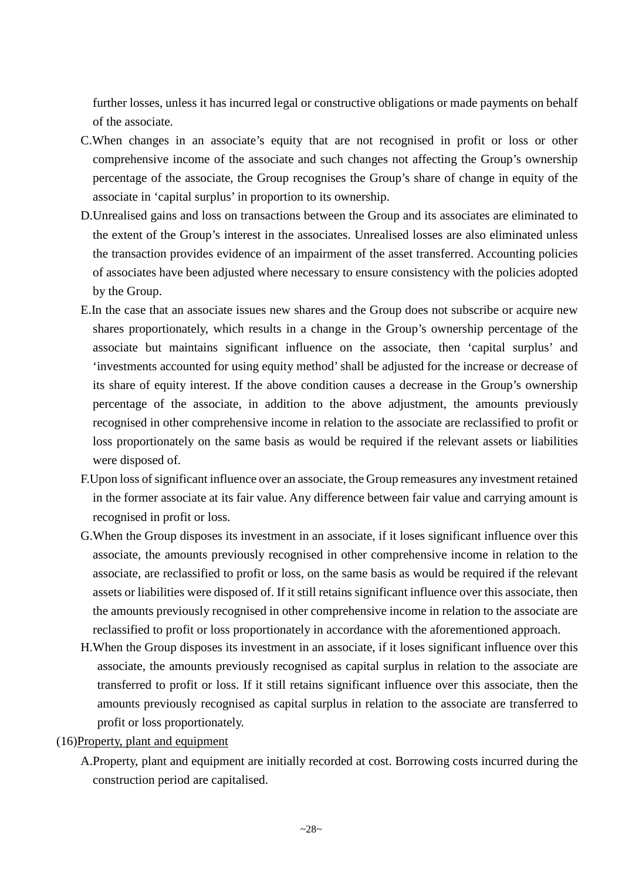further losses, unless it has incurred legal or constructive obligations or made payments on behalf of the associate.

- C.When changes in an associate's equity that are not recognised in profit or loss or other comprehensive income of the associate and such changes not affecting the Group's ownership percentage of the associate, the Group recognises the Group's share of change in equity of the associate in 'capital surplus' in proportion to its ownership.
- D.Unrealised gains and loss on transactions between the Group and its associates are eliminated to the extent of the Group's interest in the associates. Unrealised losses are also eliminated unless the transaction provides evidence of an impairment of the asset transferred. Accounting policies of associates have been adjusted where necessary to ensure consistency with the policies adopted by the Group.
- E.In the case that an associate issues new shares and the Group does not subscribe or acquire new shares proportionately, which results in a change in the Group's ownership percentage of the associate but maintains significant influence on the associate, then 'capital surplus' and 'investments accounted for using equity method' shall be adjusted for the increase or decrease of its share of equity interest. If the above condition causes a decrease in the Group's ownership percentage of the associate, in addition to the above adjustment, the amounts previously recognised in other comprehensive income in relation to the associate are reclassified to profit or loss proportionately on the same basis as would be required if the relevant assets or liabilities were disposed of.
- F.Upon loss of significant influence over an associate, the Group remeasures any investment retained in the former associate at its fair value. Any difference between fair value and carrying amount is recognised in profit or loss.
- G.When the Group disposes its investment in an associate, if it loses significant influence over this associate, the amounts previously recognised in other comprehensive income in relation to the associate, are reclassified to profit or loss, on the same basis as would be required if the relevant assets or liabilities were disposed of. If it still retains significant influence over this associate, then the amounts previously recognised in other comprehensive income in relation to the associate are reclassified to profit or loss proportionately in accordance with the aforementioned approach.
- H.When the Group disposes its investment in an associate, if it loses significant influence over this associate, the amounts previously recognised as capital surplus in relation to the associate are transferred to profit or loss. If it still retains significant influence over this associate, then the amounts previously recognised as capital surplus in relation to the associate are transferred to profit or loss proportionately.
- (16)Property, plant and equipment
	- A.Property, plant and equipment are initially recorded at cost. Borrowing costs incurred during the construction period are capitalised.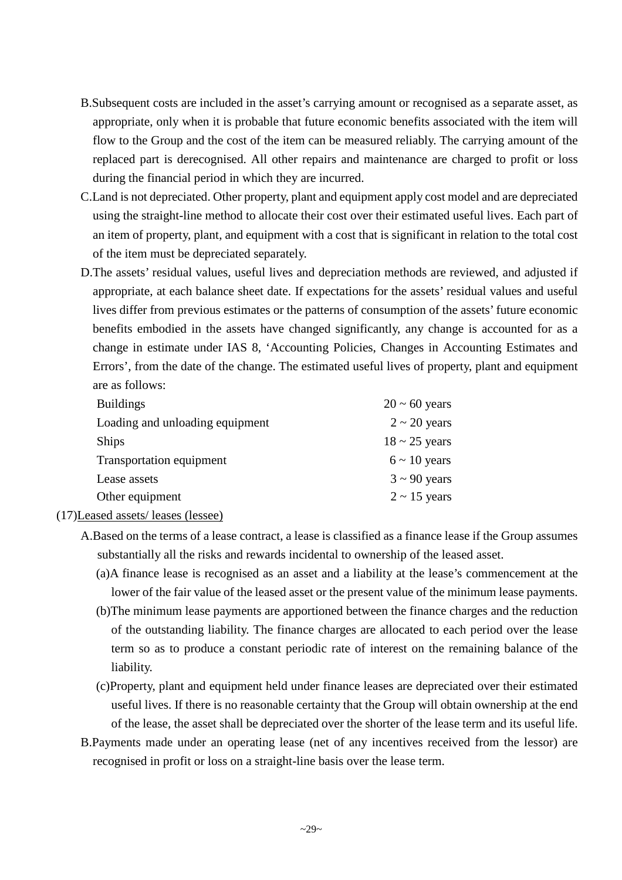- B.Subsequent costs are included in the asset's carrying amount or recognised as a separate asset, as appropriate, only when it is probable that future economic benefits associated with the item will flow to the Group and the cost of the item can be measured reliably. The carrying amount of the replaced part is derecognised. All other repairs and maintenance are charged to profit or loss during the financial period in which they are incurred.
- C.Land is not depreciated. Other property, plant and equipment apply cost model and are depreciated using the straight-line method to allocate their cost over their estimated useful lives. Each part of an item of property, plant, and equipment with a cost that is significant in relation to the total cost of the item must be depreciated separately.
- D.The assets' residual values, useful lives and depreciation methods are reviewed, and adjusted if appropriate, at each balance sheet date. If expectations for the assets' residual values and useful lives differ from previous estimates or the patterns of consumption of the assets' future economic benefits embodied in the assets have changed significantly, any change is accounted for as a change in estimate under IAS 8, 'Accounting Policies, Changes in Accounting Estimates and Errors', from the date of the change. The estimated useful lives of property, plant and equipment are as follows:

| <b>Buildings</b>                | $20 \sim 60$ years |
|---------------------------------|--------------------|
| Loading and unloading equipment | $2 \sim 20$ years  |
| <b>Ships</b>                    | $18 \sim 25$ years |
| Transportation equipment        | $6 \sim 10$ years  |
| Lease assets                    | $3 \sim 90$ years  |
| Other equipment                 | $2 \sim 15$ years  |

- (17)Leased assets/ leases (lessee)
	- A.Based on the terms of a lease contract, a lease is classified as a finance lease if the Group assumes substantially all the risks and rewards incidental to ownership of the leased asset.
		- (a)A finance lease is recognised as an asset and a liability at the lease's commencement at the lower of the fair value of the leased asset or the present value of the minimum lease payments.
		- (b)The minimum lease payments are apportioned between the finance charges and the reduction of the outstanding liability. The finance charges are allocated to each period over the lease term so as to produce a constant periodic rate of interest on the remaining balance of the liability.
		- (c)Property, plant and equipment held under finance leases are depreciated over their estimated useful lives. If there is no reasonable certainty that the Group will obtain ownership at the end of the lease, the asset shall be depreciated over the shorter of the lease term and its useful life.
	- B.Payments made under an operating lease (net of any incentives received from the lessor) are recognised in profit or loss on a straight-line basis over the lease term.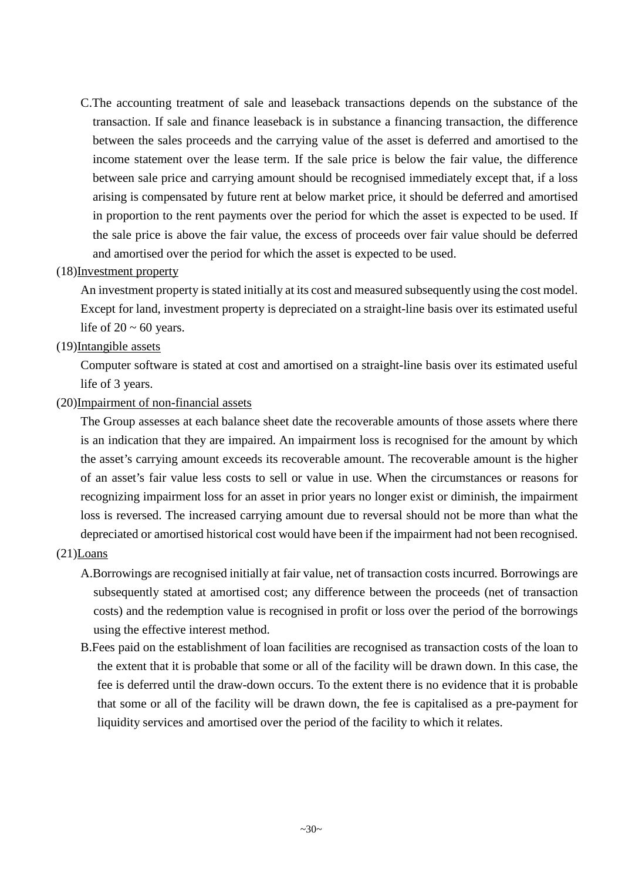C.The accounting treatment of sale and leaseback transactions depends on the substance of the transaction. If sale and finance leaseback is in substance a financing transaction, the difference between the sales proceeds and the carrying value of the asset is deferred and amortised to the income statement over the lease term. If the sale price is below the fair value, the difference between sale price and carrying amount should be recognised immediately except that, if a loss arising is compensated by future rent at below market price, it should be deferred and amortised in proportion to the rent payments over the period for which the asset is expected to be used. If the sale price is above the fair value, the excess of proceeds over fair value should be deferred and amortised over the period for which the asset is expected to be used.

## (18)Investment property

An investment property is stated initially at its cost and measured subsequently using the cost model. Except for land, investment property is depreciated on a straight-line basis over its estimated useful life of  $20 \sim 60$  years.

### (19)Intangible assets

Computer software is stated at cost and amortised on a straight-line basis over its estimated useful life of 3 years.

### (20)Impairment of non-financial assets

The Group assesses at each balance sheet date the recoverable amounts of those assets where there is an indication that they are impaired. An impairment loss is recognised for the amount by which the asset's carrying amount exceeds its recoverable amount. The recoverable amount is the higher of an asset's fair value less costs to sell or value in use. When the circumstances or reasons for recognizing impairment loss for an asset in prior years no longer exist or diminish, the impairment loss is reversed. The increased carrying amount due to reversal should not be more than what the depreciated or amortised historical cost would have been if the impairment had not been recognised.

### (21)Loans

- A.Borrowings are recognised initially at fair value, net of transaction costs incurred. Borrowings are subsequently stated at amortised cost; any difference between the proceeds (net of transaction costs) and the redemption value is recognised in profit or loss over the period of the borrowings using the effective interest method.
- B.Fees paid on the establishment of loan facilities are recognised as transaction costs of the loan to the extent that it is probable that some or all of the facility will be drawn down. In this case, the fee is deferred until the draw-down occurs. To the extent there is no evidence that it is probable that some or all of the facility will be drawn down, the fee is capitalised as a pre-payment for liquidity services and amortised over the period of the facility to which it relates.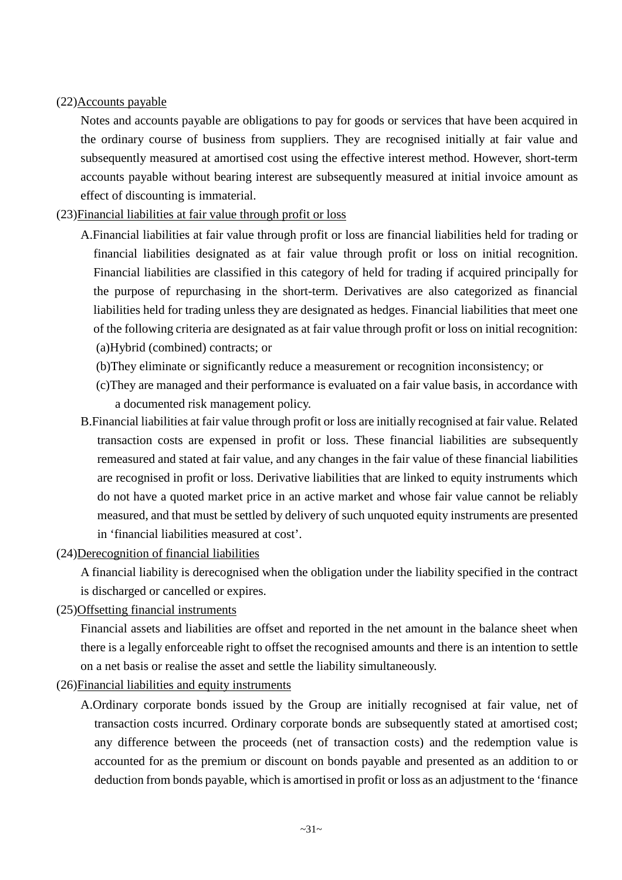## (22)Accounts payable

Notes and accounts payable are obligations to pay for goods or services that have been acquired in the ordinary course of business from suppliers. They are recognised initially at fair value and subsequently measured at amortised cost using the effective interest method. However, short-term accounts payable without bearing interest are subsequently measured at initial invoice amount as effect of discounting is immaterial.

## (23)Financial liabilities at fair value through profit or loss

- A.Financial liabilities at fair value through profit or loss are financial liabilities held for trading or financial liabilities designated as at fair value through profit or loss on initial recognition. Financial liabilities are classified in this category of held for trading if acquired principally for the purpose of repurchasing in the short-term. Derivatives are also categorized as financial liabilities held for trading unless they are designated as hedges. Financial liabilities that meet one of the following criteria are designated as at fair value through profit or loss on initial recognition: (a)Hybrid (combined) contracts; or
	- (b)They eliminate or significantly reduce a measurement or recognition inconsistency; or
	- (c)They are managed and their performance is evaluated on a fair value basis, in accordance with a documented risk management policy.
- B.Financial liabilities at fair value through profit or loss are initially recognised at fair value. Related transaction costs are expensed in profit or loss. These financial liabilities are subsequently remeasured and stated at fair value, and any changes in the fair value of these financial liabilities are recognised in profit or loss. Derivative liabilities that are linked to equity instruments which do not have a quoted market price in an active market and whose fair value cannot be reliably measured, and that must be settled by delivery of such unquoted equity instruments are presented in 'financial liabilities measured at cost'.
- (24)Derecognition of financial liabilities

A financial liability is derecognised when the obligation under the liability specified in the contract is discharged or cancelled or expires.

(25)Offsetting financial instruments

Financial assets and liabilities are offset and reported in the net amount in the balance sheet when there is a legally enforceable right to offset the recognised amounts and there is an intention to settle on a net basis or realise the asset and settle the liability simultaneously.

- (26)Financial liabilities and equity instruments
	- A.Ordinary corporate bonds issued by the Group are initially recognised at fair value, net of transaction costs incurred. Ordinary corporate bonds are subsequently stated at amortised cost; any difference between the proceeds (net of transaction costs) and the redemption value is accounted for as the premium or discount on bonds payable and presented as an addition to or deduction from bonds payable, which is amortised in profit or loss as an adjustment to the 'finance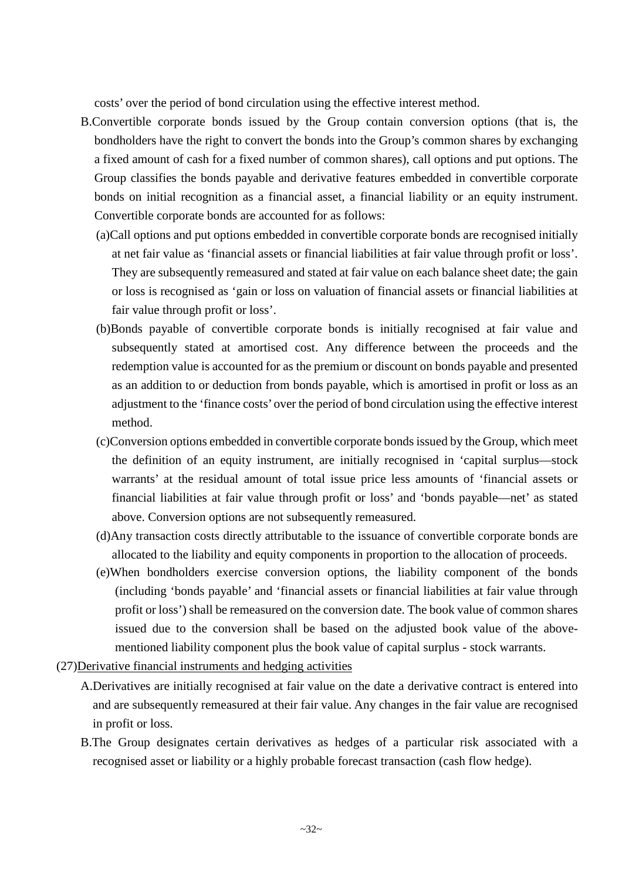costs' over the period of bond circulation using the effective interest method.

- B.Convertible corporate bonds issued by the Group contain conversion options (that is, the bondholders have the right to convert the bonds into the Group's common shares by exchanging a fixed amount of cash for a fixed number of common shares), call options and put options. The Group classifies the bonds payable and derivative features embedded in convertible corporate bonds on initial recognition as a financial asset, a financial liability or an equity instrument. Convertible corporate bonds are accounted for as follows:
	- (a)Call options and put options embedded in convertible corporate bonds are recognised initially at net fair value as 'financial assets or financial liabilities at fair value through profit or loss'. They are subsequently remeasured and stated at fair value on each balance sheet date; the gain or loss is recognised as 'gain or loss on valuation of financial assets or financial liabilities at fair value through profit or loss'.
	- (b)Bonds payable of convertible corporate bonds is initially recognised at fair value and subsequently stated at amortised cost. Any difference between the proceeds and the redemption value is accounted for as the premium or discount on bonds payable and presented as an addition to or deduction from bonds payable, which is amortised in profit or loss as an adjustment to the 'finance costs' over the period of bond circulation using the effective interest method.
	- (c)Conversion options embedded in convertible corporate bonds issued by the Group, which meet the definition of an equity instrument, are initially recognised in 'capital surplus—stock warrants' at the residual amount of total issue price less amounts of 'financial assets or financial liabilities at fair value through profit or loss' and 'bonds payable—net' as stated above. Conversion options are not subsequently remeasured.
	- (d)Any transaction costs directly attributable to the issuance of convertible corporate bonds are allocated to the liability and equity components in proportion to the allocation of proceeds.
	- (e)When bondholders exercise conversion options, the liability component of the bonds (including 'bonds payable' and 'financial assets or financial liabilities at fair value through profit or loss') shall be remeasured on the conversion date. The book value of common shares issued due to the conversion shall be based on the adjusted book value of the abovementioned liability component plus the book value of capital surplus - stock warrants.
- (27)Derivative financial instruments and hedging activities
	- A.Derivatives are initially recognised at fair value on the date a derivative contract is entered into and are subsequently remeasured at their fair value. Any changes in the fair value are recognised in profit or loss.
	- B.The Group designates certain derivatives as hedges of a particular risk associated with a recognised asset or liability or a highly probable forecast transaction (cash flow hedge).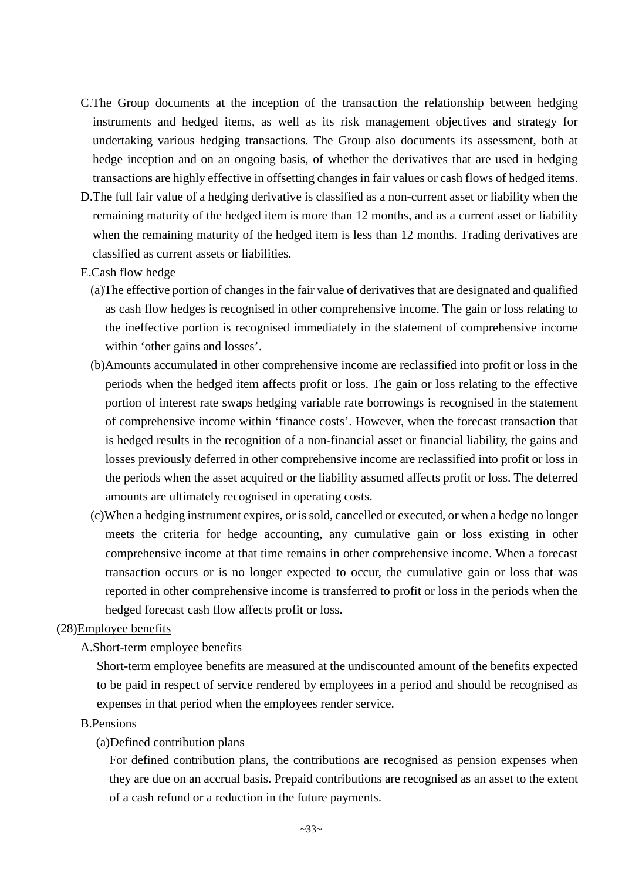- C.The Group documents at the inception of the transaction the relationship between hedging instruments and hedged items, as well as its risk management objectives and strategy for undertaking various hedging transactions. The Group also documents its assessment, both at hedge inception and on an ongoing basis, of whether the derivatives that are used in hedging transactions are highly effective in offsetting changes in fair values or cash flows of hedged items.
- D.The full fair value of a hedging derivative is classified as a non-current asset or liability when the remaining maturity of the hedged item is more than 12 months, and as a current asset or liability when the remaining maturity of the hedged item is less than 12 months. Trading derivatives are classified as current assets or liabilities.
- E.Cash flow hedge
	- (a)The effective portion of changes in the fair value of derivatives that are designated and qualified as cash flow hedges is recognised in other comprehensive income. The gain or loss relating to the ineffective portion is recognised immediately in the statement of comprehensive income within 'other gains and losses'.
	- (b)Amounts accumulated in other comprehensive income are reclassified into profit or loss in the periods when the hedged item affects profit or loss. The gain or loss relating to the effective portion of interest rate swaps hedging variable rate borrowings is recognised in the statement of comprehensive income within 'finance costs'. However, when the forecast transaction that is hedged results in the recognition of a non-financial asset or financial liability, the gains and losses previously deferred in other comprehensive income are reclassified into profit or loss in the periods when the asset acquired or the liability assumed affects profit or loss. The deferred amounts are ultimately recognised in operating costs.
	- (c)When a hedging instrument expires, or is sold, cancelled or executed, or when a hedge no longer meets the criteria for hedge accounting, any cumulative gain or loss existing in other comprehensive income at that time remains in other comprehensive income. When a forecast transaction occurs or is no longer expected to occur, the cumulative gain or loss that was reported in other comprehensive income is transferred to profit or loss in the periods when the hedged forecast cash flow affects profit or loss.

### (28)Employee benefits

## A.Short-term employee benefits

Short-term employee benefits are measured at the undiscounted amount of the benefits expected to be paid in respect of service rendered by employees in a period and should be recognised as expenses in that period when the employees render service.

### B.Pensions

### (a)Defined contribution plans

For defined contribution plans, the contributions are recognised as pension expenses when they are due on an accrual basis. Prepaid contributions are recognised as an asset to the extent of a cash refund or a reduction in the future payments.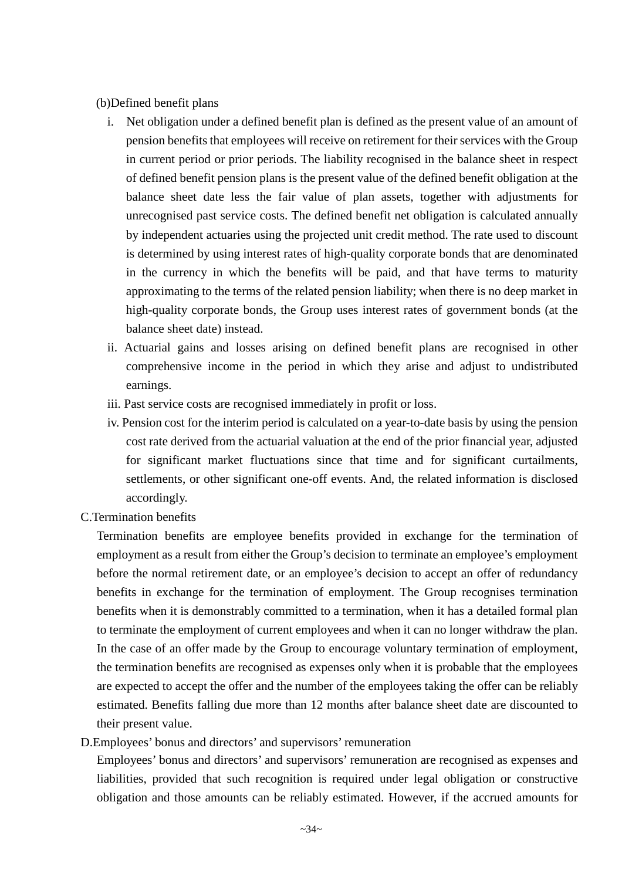### (b)Defined benefit plans

- i. Net obligation under a defined benefit plan is defined as the present value of an amount of pension benefits that employees will receive on retirement for their services with the Group in current period or prior periods. The liability recognised in the balance sheet in respect of defined benefit pension plans is the present value of the defined benefit obligation at the balance sheet date less the fair value of plan assets, together with adjustments for unrecognised past service costs. The defined benefit net obligation is calculated annually by independent actuaries using the projected unit credit method. The rate used to discount is determined by using interest rates of high-quality corporate bonds that are denominated in the currency in which the benefits will be paid, and that have terms to maturity approximating to the terms of the related pension liability; when there is no deep market in high-quality corporate bonds, the Group uses interest rates of government bonds (at the balance sheet date) instead.
- ii. Actuarial gains and losses arising on defined benefit plans are recognised in other comprehensive income in the period in which they arise and adjust to undistributed earnings.
- iii. Past service costs are recognised immediately in profit or loss.
- iv. Pension cost for the interim period is calculated on a year-to-date basis by using the pension cost rate derived from the actuarial valuation at the end of the prior financial year, adjusted for significant market fluctuations since that time and for significant curtailments, settlements, or other significant one-off events. And, the related information is disclosed accordingly.
- C.Termination benefits

Termination benefits are employee benefits provided in exchange for the termination of employment as a result from either the Group's decision to terminate an employee's employment before the normal retirement date, or an employee's decision to accept an offer of redundancy benefits in exchange for the termination of employment. The Group recognises termination benefits when it is demonstrably committed to a termination, when it has a detailed formal plan to terminate the employment of current employees and when it can no longer withdraw the plan. In the case of an offer made by the Group to encourage voluntary termination of employment, the termination benefits are recognised as expenses only when it is probable that the employees are expected to accept the offer and the number of the employees taking the offer can be reliably estimated. Benefits falling due more than 12 months after balance sheet date are discounted to their present value.

D.Employees' bonus and directors' and supervisors' remuneration

Employees' bonus and directors' and supervisors' remuneration are recognised as expenses and liabilities, provided that such recognition is required under legal obligation or constructive obligation and those amounts can be reliably estimated. However, if the accrued amounts for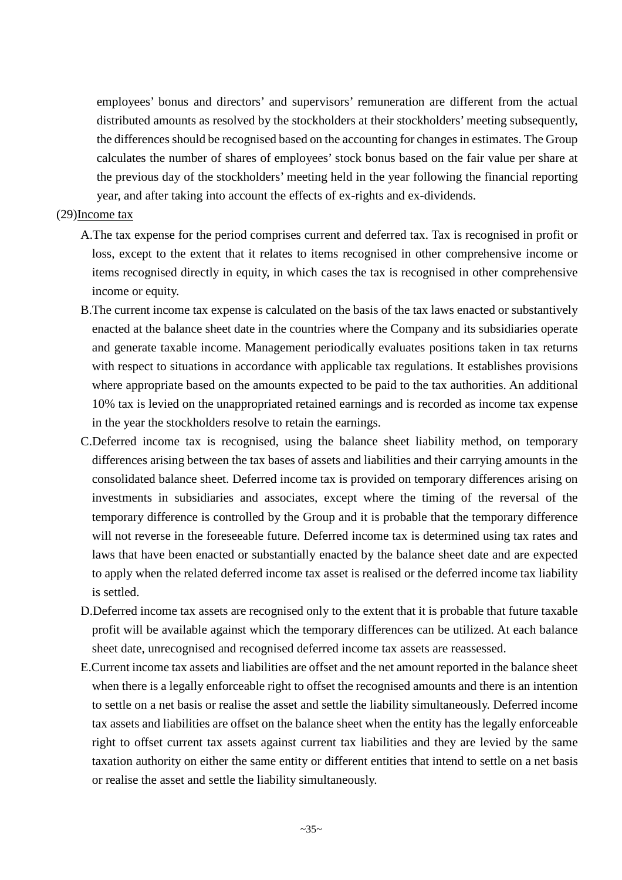employees' bonus and directors' and supervisors' remuneration are different from the actual distributed amounts as resolved by the stockholders at their stockholders' meeting subsequently, the differences should be recognised based on the accounting for changes in estimates. The Group calculates the number of shares of employees' stock bonus based on the fair value per share at the previous day of the stockholders' meeting held in the year following the financial reporting year, and after taking into account the effects of ex-rights and ex-dividends.

### (29)Income tax

- A.The tax expense for the period comprises current and deferred tax. Tax is recognised in profit or loss, except to the extent that it relates to items recognised in other comprehensive income or items recognised directly in equity, in which cases the tax is recognised in other comprehensive income or equity.
- B.The current income tax expense is calculated on the basis of the tax laws enacted or substantively enacted at the balance sheet date in the countries where the Company and its subsidiaries operate and generate taxable income. Management periodically evaluates positions taken in tax returns with respect to situations in accordance with applicable tax regulations. It establishes provisions where appropriate based on the amounts expected to be paid to the tax authorities. An additional 10% tax is levied on the unappropriated retained earnings and is recorded as income tax expense in the year the stockholders resolve to retain the earnings.
- C.Deferred income tax is recognised, using the balance sheet liability method, on temporary differences arising between the tax bases of assets and liabilities and their carrying amounts in the consolidated balance sheet. Deferred income tax is provided on temporary differences arising on investments in subsidiaries and associates, except where the timing of the reversal of the temporary difference is controlled by the Group and it is probable that the temporary difference will not reverse in the foreseeable future. Deferred income tax is determined using tax rates and laws that have been enacted or substantially enacted by the balance sheet date and are expected to apply when the related deferred income tax asset is realised or the deferred income tax liability is settled.
- D.Deferred income tax assets are recognised only to the extent that it is probable that future taxable profit will be available against which the temporary differences can be utilized. At each balance sheet date, unrecognised and recognised deferred income tax assets are reassessed.
- E.Current income tax assets and liabilities are offset and the net amount reported in the balance sheet when there is a legally enforceable right to offset the recognised amounts and there is an intention to settle on a net basis or realise the asset and settle the liability simultaneously. Deferred income tax assets and liabilities are offset on the balance sheet when the entity has the legally enforceable right to offset current tax assets against current tax liabilities and they are levied by the same taxation authority on either the same entity or different entities that intend to settle on a net basis or realise the asset and settle the liability simultaneously.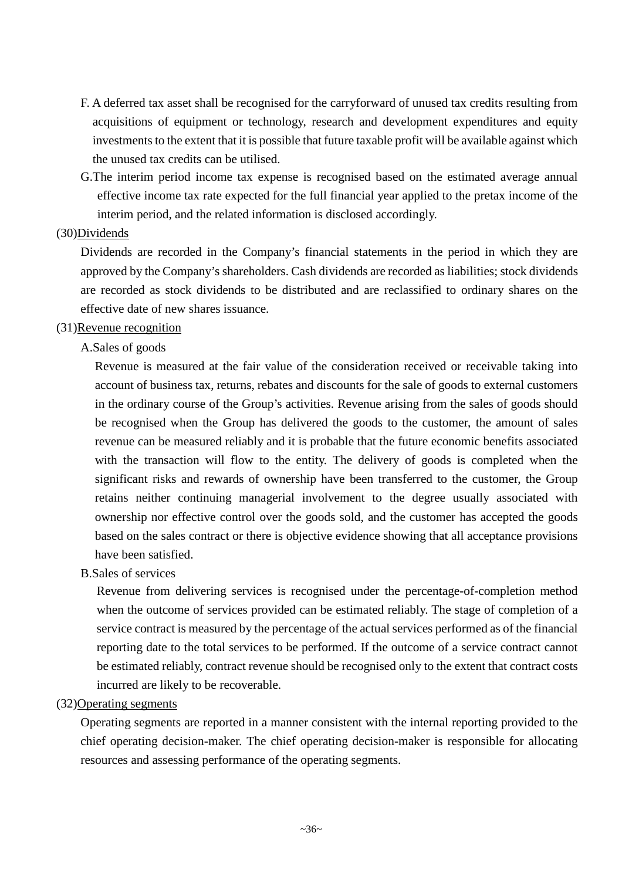- F. A deferred tax asset shall be recognised for the carryforward of unused tax credits resulting from acquisitions of equipment or technology, research and development expenditures and equity investments to the extent that it is possible that future taxable profit will be available against which the unused tax credits can be utilised.
- G.The interim period income tax expense is recognised based on the estimated average annual effective income tax rate expected for the full financial year applied to the pretax income of the interim period, and the related information is disclosed accordingly.

#### (30)Dividends

Dividends are recorded in the Company's financial statements in the period in which they are approved by the Company's shareholders. Cash dividends are recorded as liabilities; stock dividends are recorded as stock dividends to be distributed and are reclassified to ordinary shares on the effective date of new shares issuance.

#### (31)Revenue recognition

#### A.Sales of goods

Revenue is measured at the fair value of the consideration received or receivable taking into account of business tax, returns, rebates and discounts for the sale of goods to external customers in the ordinary course of the Group's activities. Revenue arising from the sales of goods should be recognised when the Group has delivered the goods to the customer, the amount of sales revenue can be measured reliably and it is probable that the future economic benefits associated with the transaction will flow to the entity. The delivery of goods is completed when the significant risks and rewards of ownership have been transferred to the customer, the Group retains neither continuing managerial involvement to the degree usually associated with ownership nor effective control over the goods sold, and the customer has accepted the goods based on the sales contract or there is objective evidence showing that all acceptance provisions have been satisfied.

#### B.Sales of services

Revenue from delivering services is recognised under the percentage-of-completion method when the outcome of services provided can be estimated reliably. The stage of completion of a service contract is measured by the percentage of the actual services performed as of the financial reporting date to the total services to be performed. If the outcome of a service contract cannot be estimated reliably, contract revenue should be recognised only to the extent that contract costs incurred are likely to be recoverable.

#### (32)Operating segments

Operating segments are reported in a manner consistent with the internal reporting provided to the chief operating decision-maker. The chief operating decision-maker is responsible for allocating resources and assessing performance of the operating segments.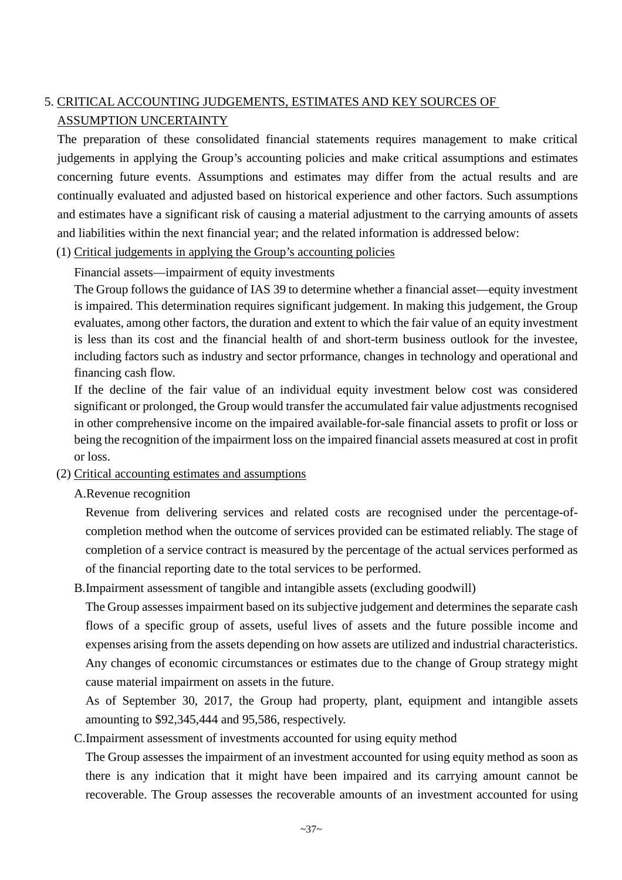## 5. CRITICAL ACCOUNTING JUDGEMENTS, ESTIMATES AND KEY SOURCES OF ASSUMPTION UNCERTAINTY

The preparation of these consolidated financial statements requires management to make critical judgements in applying the Group's accounting policies and make critical assumptions and estimates concerning future events. Assumptions and estimates may differ from the actual results and are continually evaluated and adjusted based on historical experience and other factors. Such assumptions and estimates have a significant risk of causing a material adjustment to the carrying amounts of assets and liabilities within the next financial year; and the related information is addressed below:

(1) Critical judgements in applying the Group's accounting policies

Financial assets—impairment of equity investments

The Group follows the guidance of IAS 39 to determine whether a financial asset—equity investment is impaired. This determination requires significant judgement. In making this judgement, the Group evaluates, among other factors, the duration and extent to which the fair value of an equity investment is less than its cost and the financial health of and short-term business outlook for the investee, including factors such as industry and sector prformance, changes in technology and operational and financing cash flow.

If the decline of the fair value of an individual equity investment below cost was considered significant or prolonged, the Group would transfer the accumulated fair value adjustments recognised in other comprehensive income on the impaired available-for-sale financial assets to profit or loss or being the recognition of the impairment loss on the impaired financial assets measured at cost in profit or loss.

### (2) Critical accounting estimates and assumptions

A.Revenue recognition

Revenue from delivering services and related costs are recognised under the percentage-ofcompletion method when the outcome of services provided can be estimated reliably. The stage of completion of a service contract is measured by the percentage of the actual services performed as of the financial reporting date to the total services to be performed.

B.Impairment assessment of tangible and intangible assets (excluding goodwill)

The Group assesses impairment based on its subjective judgement and determines the separate cash flows of a specific group of assets, useful lives of assets and the future possible income and expenses arising from the assets depending on how assets are utilized and industrial characteristics. Any changes of economic circumstances or estimates due to the change of Group strategy might cause material impairment on assets in the future.

As of September 30, 2017, the Group had property, plant, equipment and intangible assets amounting to \$92,345,444 and 95,586, respectively.

C.Impairment assessment of investments accounted for using equity method

The Group assesses the impairment of an investment accounted for using equity method as soon as there is any indication that it might have been impaired and its carrying amount cannot be recoverable. The Group assesses the recoverable amounts of an investment accounted for using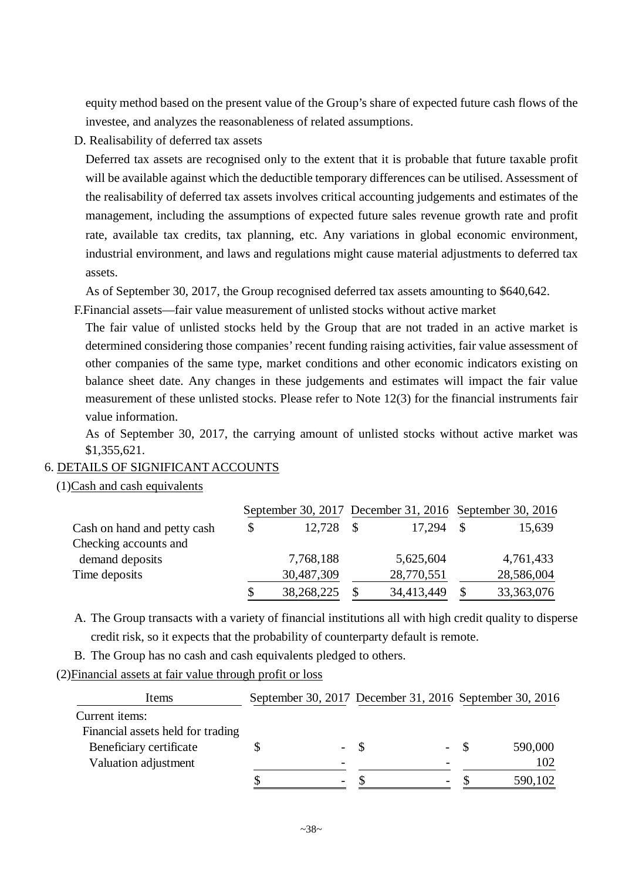equity method based on the present value of the Group's share of expected future cash flows of the investee, and analyzes the reasonableness of related assumptions.

D. Realisability of deferred tax assets

Deferred tax assets are recognised only to the extent that it is probable that future taxable profit will be available against which the deductible temporary differences can be utilised. Assessment of the realisability of deferred tax assets involves critical accounting judgements and estimates of the management, including the assumptions of expected future sales revenue growth rate and profit rate, available tax credits, tax planning, etc. Any variations in global economic environment, industrial environment, and laws and regulations might cause material adjustments to deferred tax assets.

As of September 30, 2017, the Group recognised deferred tax assets amounting to \$640,642.

F.Financial assets—fair value measurement of unlisted stocks without active market

The fair value of unlisted stocks held by the Group that are not traded in an active market is determined considering those companies' recent funding raising activities, fair value assessment of other companies of the same type, market conditions and other economic indicators existing on balance sheet date. Any changes in these judgements and estimates will impact the fair value measurement of these unlisted stocks. Please refer to Note 12(3) for the financial instruments fair value information.

As of September 30, 2017, the carrying amount of unlisted stocks without active market was \$1,355,621.

#### 6. DETAILS OF SIGNIFICANT ACCOUNTS

(1)Cash and cash equivalents

|                             | September 30, 2017 December 31, 2016 September 30, 2016 |            |  |            |  |              |
|-----------------------------|---------------------------------------------------------|------------|--|------------|--|--------------|
| Cash on hand and petty cash |                                                         | 12,728     |  | 17,294     |  | 15,639       |
| Checking accounts and       |                                                         |            |  |            |  |              |
| demand deposits             |                                                         | 7,768,188  |  | 5,625,604  |  | 4,761,433    |
| Time deposits               |                                                         | 30,487,309 |  | 28,770,551 |  | 28,586,004   |
|                             |                                                         | 38,268,225 |  | 34,413,449 |  | 33, 363, 076 |

A. The Group transacts with a variety of financial institutions all with high credit quality to disperse credit risk, so it expects that the probability of counterparty default is remote.

B. The Group has no cash and cash equivalents pledged to others.

(2)Financial assets at fair value through profit or loss

| Items                             | September 30, 2017 December 31, 2016 September 30, 2016 |                          |                          |      |         |
|-----------------------------------|---------------------------------------------------------|--------------------------|--------------------------|------|---------|
| Current items:                    |                                                         |                          |                          |      |         |
| Financial assets held for trading |                                                         |                          |                          |      |         |
| Beneficiary certificate           |                                                         | $-$ \$                   | $\overline{\phantom{a}}$ | - \$ | 590,000 |
| Valuation adjustment              |                                                         |                          |                          |      | 102     |
|                                   |                                                         | $\overline{\phantom{a}}$ | $\overline{\phantom{a}}$ |      | 590,102 |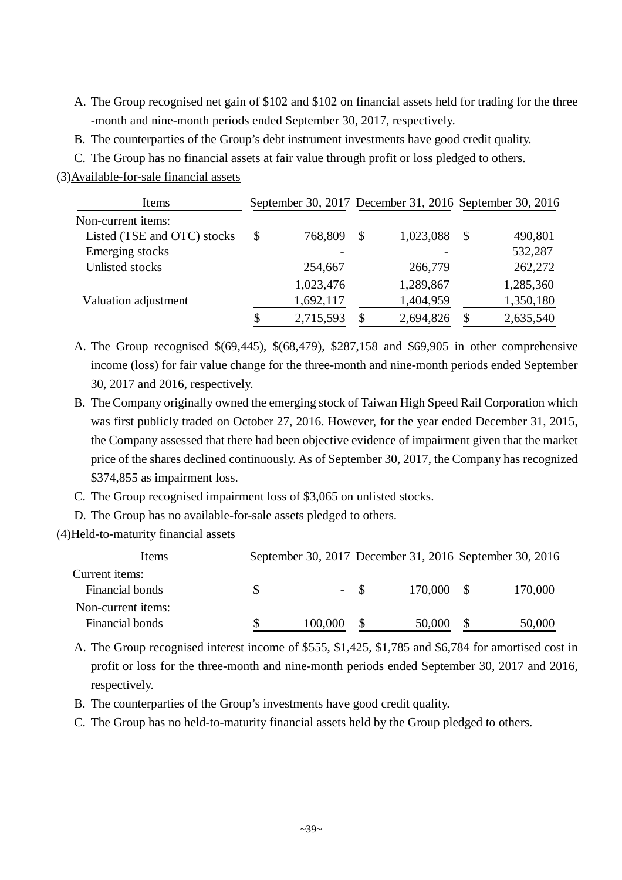- A. The Group recognised net gain of \$102 and \$102 on financial assets held for trading for the three -month and nine-month periods ended September 30, 2017, respectively.
- B. The counterparties of the Group's debt instrument investments have good credit quality.
- C. The Group has no financial assets at fair value through profit or loss pledged to others.

(3)Available-for-sale financial assets

| Items                       |               |               | September 30, 2017 December 31, 2016 September 30, 2016 |               |           |
|-----------------------------|---------------|---------------|---------------------------------------------------------|---------------|-----------|
| Non-current items:          |               |               |                                                         |               |           |
| Listed (TSE and OTC) stocks | \$<br>768,809 | <sup>\$</sup> | 1,023,088                                               | <sup>\$</sup> | 490,801   |
| Emerging stocks             |               |               |                                                         |               | 532,287   |
| Unlisted stocks             | 254,667       |               | 266,779                                                 |               | 262,272   |
|                             | 1,023,476     |               | 1,289,867                                               |               | 1,285,360 |
| Valuation adjustment        | 1,692,117     |               | 1,404,959                                               |               | 1,350,180 |
|                             | 2,715,593     | \$.           | 2,694,826                                               | S             | 2,635,540 |

- A. The Group recognised \$(69,445), \$(68,479), \$287,158 and \$69,905 in other comprehensive income (loss) for fair value change for the three-month and nine-month periods ended September 30, 2017 and 2016, respectively.
- B. The Company originally owned the emerging stock of Taiwan High Speed Rail Corporation which was first publicly traded on October 27, 2016. However, for the year ended December 31, 2015, the Company assessed that there had been objective evidence of impairment given that the market price of the shares declined continuously. As of September 30, 2017, the Company has recognized \$374,855 as impairment loss.
- C. The Group recognised impairment loss of \$3,065 on unlisted stocks.
- D. The Group has no available-for-sale assets pledged to others.
- (4)Held-to-maturity financial assets

| Items              |                          |         | September 30, 2017 December 31, 2016 September 30, 2016 |         |  |
|--------------------|--------------------------|---------|---------------------------------------------------------|---------|--|
| Current items:     |                          |         |                                                         |         |  |
| Financial bonds    | $\overline{\phantom{a}}$ | 170,000 |                                                         | 170,000 |  |
| Non-current items: |                          |         |                                                         |         |  |
| Financial bonds    | 100,000                  | 50,000  |                                                         | 50,000  |  |

A. The Group recognised interest income of \$555, \$1,425, \$1,785 and \$6,784 for amortised cost in profit or loss for the three-month and nine-month periods ended September 30, 2017 and 2016, respectively.

- B. The counterparties of the Group's investments have good credit quality.
- C. The Group has no held-to-maturity financial assets held by the Group pledged to others.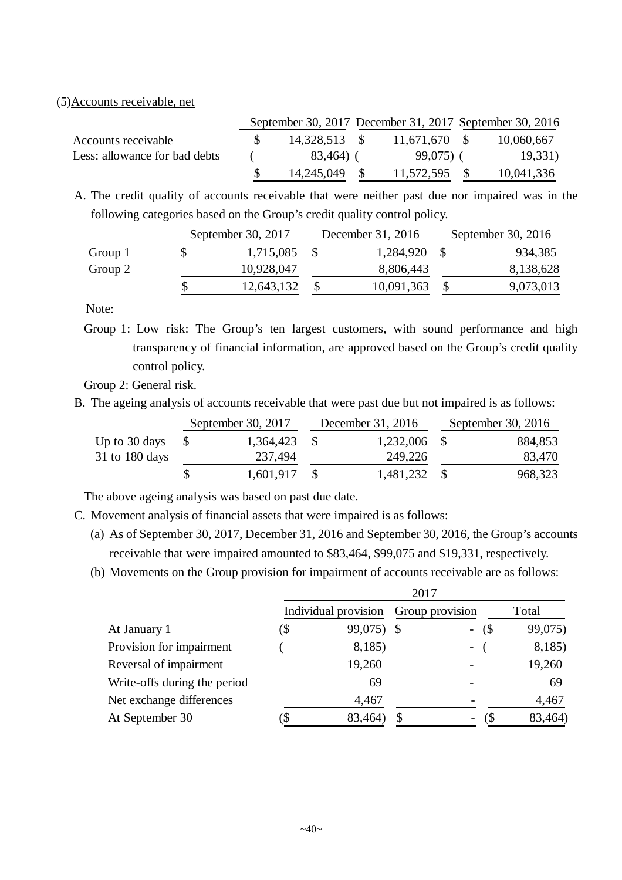#### (5)Accounts receivable, net

|                               | September 30, 2017 December 31, 2017 September 30, 2016 |               |                 |  |            |  |
|-------------------------------|---------------------------------------------------------|---------------|-----------------|--|------------|--|
| Accounts receivable           |                                                         | 14,328,513 \$ | $11,671,670$ \$ |  | 10,060,667 |  |
| Less: allowance for bad debts |                                                         | 83,464)       | 99,075)         |  | 19,331)    |  |
|                               |                                                         | 14,245,049    | 11,572,595      |  | 10,041,336 |  |

A. The credit quality of accounts receivable that were neither past due nor impaired was in the following categories based on the Group's credit quality control policy.

|         | September 30, 2017 | December 31, 2016 | September 30, $2016$ |           |  |
|---------|--------------------|-------------------|----------------------|-----------|--|
| Group 1 | 1,715,085          | 1,284,920         |                      | 934,385   |  |
| Group 2 | 10,928,047         | 8,806,443         |                      | 8,138,628 |  |
|         | 12,643,132         | 10,091,363        |                      | 9,073,013 |  |
|         |                    |                   |                      |           |  |

Note:

Group 1: Low risk: The Group's ten largest customers, with sound performance and high transparency of financial information, are approved based on the Group's credit quality control policy.

Group 2: General risk.

B. The ageing analysis of accounts receivable that were past due but not impaired is as follows:

|                | September 30, 2017 | December 31, 2016 | September 30, 2016 |         |  |
|----------------|--------------------|-------------------|--------------------|---------|--|
| Up to 30 days  | 1,364,423          | 1,232,006         |                    | 884,853 |  |
| 31 to 180 days | 237,494            | 249,226           |                    | 83,470  |  |
|                | 1,601,917          | 1,481,232         |                    | 968,323 |  |

The above ageing analysis was based on past due date.

C. Movement analysis of financial assets that were impaired is as follows:

- (a) As of September 30, 2017, December 31, 2016 and September 30, 2016, the Group's accounts receivable that were impaired amounted to \$83,464, \$99,075 and \$19,331, respectively.
- (b) Movements on the Group provision for impairment of accounts receivable are as follows:

|                              | 2017 |                      |    |                 |         |  |  |  |
|------------------------------|------|----------------------|----|-----------------|---------|--|--|--|
|                              |      | Individual provision |    | Group provision | Total   |  |  |  |
| At January 1                 | (\$  | 99,075) \$           |    | $-$ (\$)        | 99,075) |  |  |  |
| Provision for impairment     |      | 8,185)               |    | $\sim$ $-$      | 8,185)  |  |  |  |
| Reversal of impairment       |      | 19,260               |    |                 | 19,260  |  |  |  |
| Write-offs during the period |      | 69                   |    |                 | 69      |  |  |  |
| Net exchange differences     |      | 4,467                |    |                 | 4,467   |  |  |  |
| At September 30              |      | 83,464)              | \$ |                 | 83,464) |  |  |  |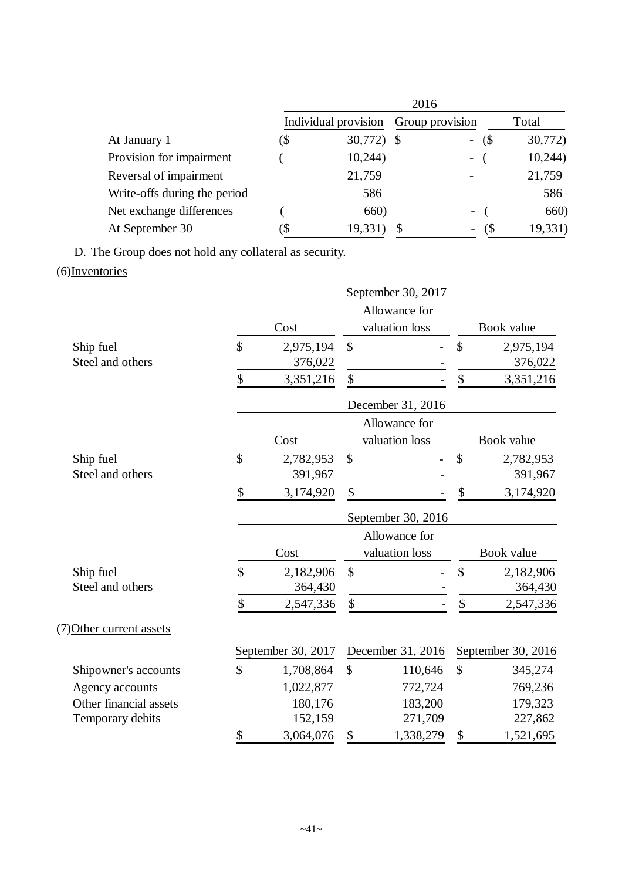|                              | 2016 |                      |                 |                              |         |  |  |
|------------------------------|------|----------------------|-----------------|------------------------------|---------|--|--|
|                              |      | Individual provision | Group provision |                              | Total   |  |  |
| At January 1                 | (\$  | 30,772) \$           |                 | $-$ (\$)                     | 30,772) |  |  |
| Provision for impairment     |      | 10,244)              |                 | $\blacksquare$               | 10,244  |  |  |
| Reversal of impairment       |      | 21,759               |                 |                              | 21,759  |  |  |
| Write-offs during the period |      | 586                  |                 |                              | 586     |  |  |
| Net exchange differences     |      | 660)                 |                 | $\qquad \qquad \blacksquare$ | 660)    |  |  |
| At September 30              |      | 19,331               |                 | $\qquad \qquad \blacksquare$ | 19,331  |  |  |

D. The Group does not hold any collateral as security. (6)Inventories

|                          |                     |                    |                           | September 30, 2017              |               |                    |
|--------------------------|---------------------|--------------------|---------------------------|---------------------------------|---------------|--------------------|
|                          | Cost                |                    |                           | Allowance for<br>valuation loss |               | Book value         |
| Ship fuel                | \$                  | 2,975,194          | $\boldsymbol{\mathsf{S}}$ |                                 | \$            | 2,975,194          |
| Steel and others         |                     | 376,022            |                           |                                 |               | 376,022            |
|                          | \$                  | 3,351,216          | \$                        |                                 | \$            | 3,351,216          |
|                          |                     |                    |                           | December 31, 2016               |               |                    |
|                          |                     |                    |                           | Allowance for                   |               |                    |
|                          |                     | Cost               |                           | valuation loss                  |               | Book value         |
| Ship fuel                | \$                  | 2,782,953          | \$                        |                                 | \$            | 2,782,953          |
| Steel and others         |                     | 391,967            |                           |                                 |               | 391,967            |
|                          | \$                  | 3,174,920          | \$                        |                                 | \$            | 3,174,920          |
|                          |                     |                    |                           | September 30, 2016              |               |                    |
|                          |                     |                    |                           | Allowance for                   |               |                    |
|                          |                     | Cost               |                           | valuation loss                  |               | Book value         |
| Ship fuel                | $\hat{\mathcal{L}}$ | 2,182,906          | \$                        |                                 | \$            | 2,182,906          |
| Steel and others         |                     | 364,430            |                           |                                 |               | 364,430            |
|                          | \$                  | 2,547,336          | \$                        |                                 | \$            | 2,547,336          |
| (7) Other current assets |                     |                    |                           |                                 |               |                    |
|                          |                     | September 30, 2017 |                           | December 31, 2016               |               | September 30, 2016 |
| Shipowner's accounts     | \$                  | 1,708,864          | $\mathbb{S}$              | 110,646                         | $\mathcal{S}$ | 345,274            |
| Agency accounts          |                     | 1,022,877          |                           | 772,724                         |               | 769,236            |
| Other financial assets   |                     | 180,176            |                           | 183,200                         |               | 179,323            |
| Temporary debits         |                     | 152,159            |                           | 271,709                         |               | 227,862            |
|                          | \$                  | 3,064,076          | \$                        | 1,338,279                       | \$            | 1,521,695          |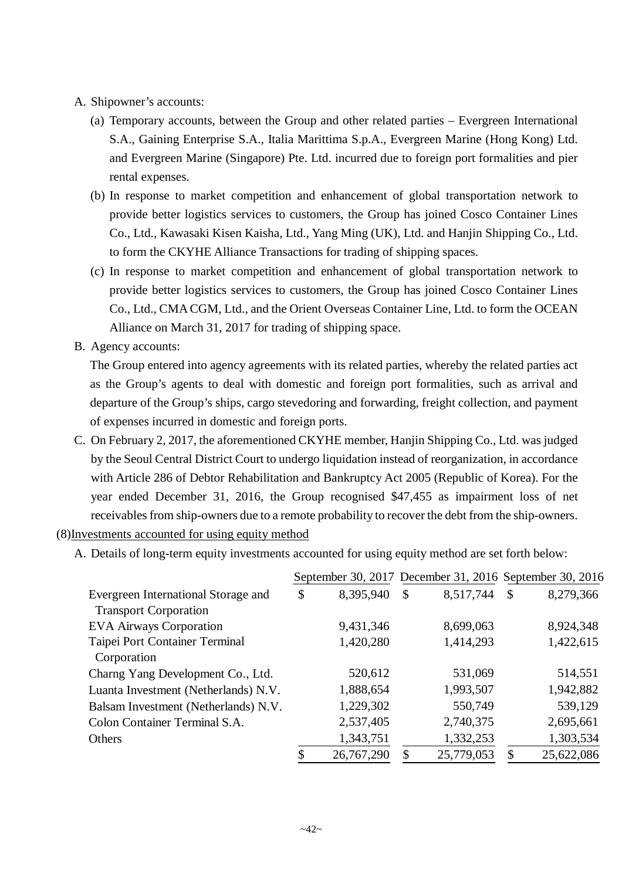- A. Shipowner's accounts:
	- (a) Temporary accounts, between the Group and other related parties Evergreen International S.A., Gaining Enterprise S.A., Italia Marittima S.p.A., Evergreen Marine (Hong Kong) Ltd. and Evergreen Marine (Singapore) Pte. Ltd. incurred due to foreign port formalities and pier rental expenses.
	- (b) In response to market competition and enhancement of global transportation network to provide better logistics services to customers, the Group has joined Cosco Container Lines Co., Ltd., Kawasaki Kisen Kaisha, Ltd., Yang Ming (UK), Ltd. and Hanjin Shipping Co., Ltd. to form the CKYHE Alliance Transactions for trading of shipping spaces.
	- (c) In response to market competition and enhancement of global transportation network to provide better logistics services to customers, the Group has joined Cosco Container Lines Co., Ltd., CMA CGM, Ltd., and the Orient Overseas Container Line, Ltd. to form the OCEAN Alliance on March 31, 2017 for trading of shipping space.
- B. Agency accounts:

The Group entered into agency agreements with its related parties, whereby the related parties act as the Group's agents to deal with domestic and foreign port formalities, such as arrival and departure of the Group's ships, cargo stevedoring and forwarding, freight collection, and payment of expenses incurred in domestic and foreign ports.

- C. On February 2, 2017, the aforementioned CKYHE member, Hanjin Shipping Co., Ltd. was judged by the Seoul Central District Court to undergo liquidation instead of reorganization, in accordance with Article 286 of Debtor Rehabilitation and Bankruptcy Act 2005 (Republic of Korea). For the year ended December 31, 2016, the Group recognised \$47,455 as impairment loss of net receivables from ship-owners due to a remote probability to recover the debt from the ship-owners.
- (8)Investments accounted for using equity method
	- A. Details of long-term equity investments accounted for using equity method are set forth below:

|                                      |                  |              | September 30, 2017 December 31, 2016 September 30, 2016 |    |            |
|--------------------------------------|------------------|--------------|---------------------------------------------------------|----|------------|
| Evergreen International Storage and  | \$<br>8,395,940  | \$           | 8,517,744                                               | \$ | 8,279,366  |
| <b>Transport Corporation</b>         |                  |              |                                                         |    |            |
| <b>EVA Airways Corporation</b>       | 9,431,346        |              | 8,699,063                                               |    | 8,924,348  |
| Taipei Port Container Terminal       | 1,420,280        |              | 1,414,293                                               |    | 1,422,615  |
| Corporation                          |                  |              |                                                         |    |            |
| Charng Yang Development Co., Ltd.    | 520,612          |              | 531,069                                                 |    | 514,551    |
| Luanta Investment (Netherlands) N.V. | 1,888,654        |              | 1,993,507                                               |    | 1,942,882  |
| Balsam Investment (Netherlands) N.V. | 1,229,302        |              | 550,749                                                 |    | 539,129    |
| Colon Container Terminal S.A.        | 2,537,405        |              | 2,740,375                                               |    | 2,695,661  |
| Others                               | 1,343,751        |              | 1,332,253                                               |    | 1,303,534  |
|                                      | \$<br>26,767,290 | $\mathbb{S}$ | 25,779,053                                              | S  | 25,622,086 |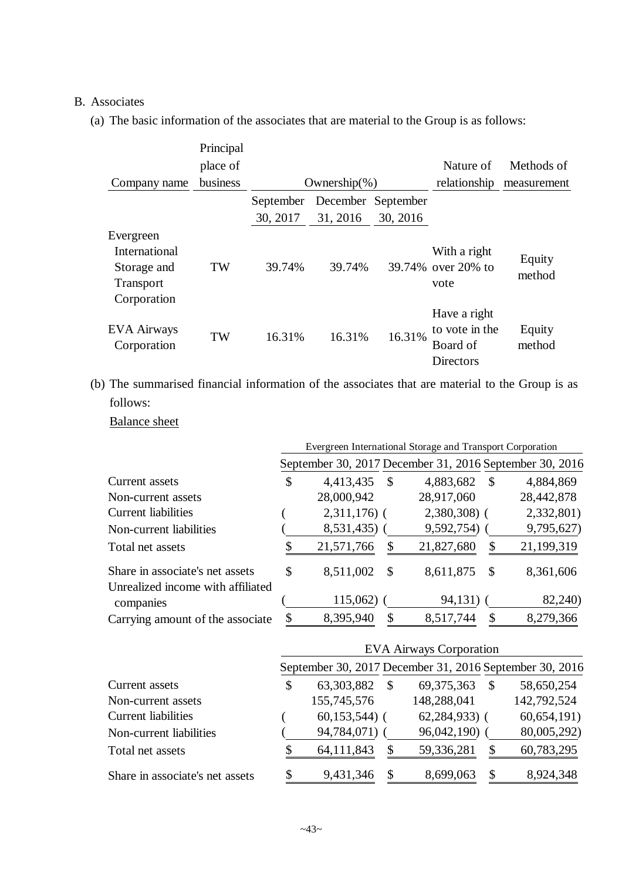#### B. Associates

(a) The basic information of the associates that are material to the Group is as follows:

|                                                                              | Principal |           |                  |                    |                                                         |                  |
|------------------------------------------------------------------------------|-----------|-----------|------------------|--------------------|---------------------------------------------------------|------------------|
|                                                                              | place of  |           |                  |                    | Nature of                                               | Methods of       |
| Company name                                                                 | business  |           | Ownership $(\%)$ |                    | relationship                                            | measurement      |
|                                                                              |           | September |                  | December September |                                                         |                  |
|                                                                              |           | 30, 2017  | 31, 2016         | 30, 2016           |                                                         |                  |
| Evergreen<br><b>International</b><br>Storage and<br>Transport<br>Corporation | TW        | 39.74%    | 39.74%           |                    | With a right<br>39.74% over 20% to<br>vote              | Equity<br>method |
| <b>EVA Airways</b><br>Corporation                                            | TW        | 16.31%    | 16.31%           | 16.31%             | Have a right<br>to vote in the<br>Board of<br>Directors | Equity<br>method |

(b) The summarised financial information of the associates that are material to the Group is as follows:

Balance sheet

|                                                |                  |              | Evergreen International Storage and Transport Corporation |               |                                                         |
|------------------------------------------------|------------------|--------------|-----------------------------------------------------------|---------------|---------------------------------------------------------|
|                                                |                  |              |                                                           |               | September 30, 2017 December 31, 2016 September 30, 2016 |
| Current assets                                 | \$<br>4,413,435  | <sup>S</sup> | 4,883,682                                                 | <sup>\$</sup> | 4,884,869                                               |
| Non-current assets                             | 28,000,942       |              | 28,917,060                                                |               | 28,442,878                                              |
| <b>Current liabilities</b>                     | $2,311,176$ (    |              | $2,380,308$ (                                             |               | 2,332,801)                                              |
| Non-current liabilities                        | 8,531,435)       |              | 9,592,754)                                                |               | 9,795,627)                                              |
| Total net assets                               | \$<br>21,571,766 | S            | 21,827,680                                                | S             | 21,199,319                                              |
| Share in associate's net assets                | \$<br>8,511,002  | $\mathbb{S}$ | 8,611,875                                                 | <sup>\$</sup> | 8,361,606                                               |
| Unrealized income with affiliated<br>companies | 115,062)         |              | 94,131)                                                   |               | 82,240)                                                 |
| Carrying amount of the associate               | \$<br>8,395,940  | \$           | 8,517,744                                                 |               | 8,279,366                                               |

|                                 |                                                         | <b>EVA Airways Corporation</b> |             |
|---------------------------------|---------------------------------------------------------|--------------------------------|-------------|
|                                 | September 30, 2017 December 31, 2016 September 30, 2016 |                                |             |
| Current assets                  | \$<br>63,303,882<br><sup>\$</sup>                       | 69, 375, 363<br><sup>S</sup>   | 58,650,254  |
| Non-current assets              | 155,745,576                                             | 148,288,041                    | 142,792,524 |
| <b>Current liabilities</b>      | $60,153,544$ ) (                                        | $62,284,933$ (                 | 60,654,191) |
| Non-current liabilities         | 94,784,071)                                             | 96,042,190)                    | 80,005,292) |
| Total net assets                | 64,111,843                                              | 59,336,281<br>\$               | 60,783,295  |
| Share in associate's net assets | 9,431,346<br>S                                          | 8,699,063<br>\$                | 8,924,348   |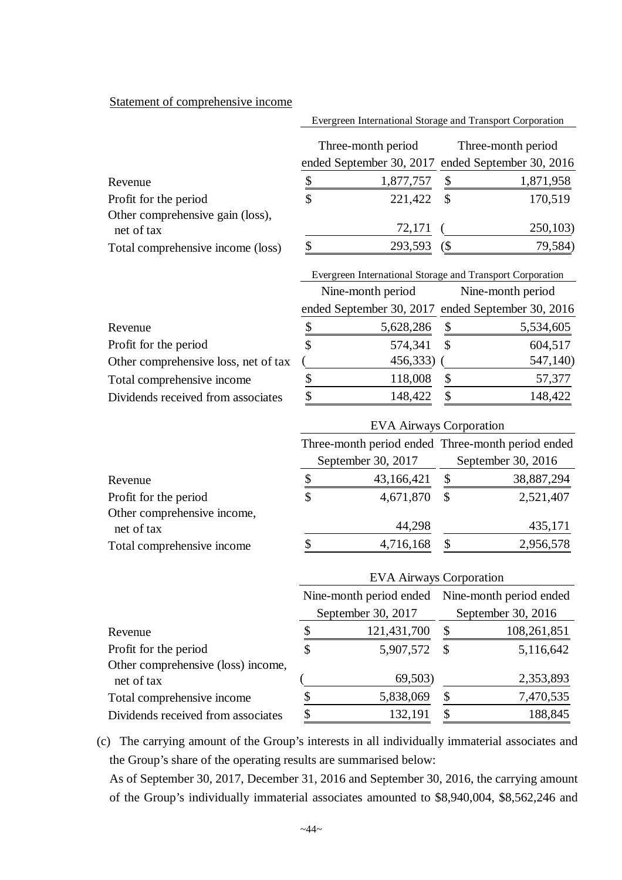#### Statement of comprehensive income

|                                                | Evergreen International Storage and Transport Corporation |          |                                                   |
|------------------------------------------------|-----------------------------------------------------------|----------|---------------------------------------------------|
|                                                | Three-month period                                        |          | Three-month period                                |
|                                                |                                                           |          | ended September 30, 2017 ended September 30, 2016 |
| Revenue                                        | 1,877,757                                                 | <b>S</b> | 1,871,958                                         |
| Profit for the period                          | \$<br>221,422 \$                                          |          | 170,519                                           |
| Other comprehensive gain (loss),<br>net of tax | 72,171                                                    |          | 250,103)                                          |
| Total comprehensive income (loss)              | 293,593                                                   | (\$      | 79,584)                                           |

|                                      | Evergreen International Storage and Transport Corporation |                   |
|--------------------------------------|-----------------------------------------------------------|-------------------|
|                                      | Nine-month period                                         | Nine-month period |
|                                      | ended September 30, 2017 ended September 30, 2016         |                   |
| Revenue                              | 5,628,286                                                 | 5,534,605         |
| Profit for the period                | 574,341                                                   | 604,517           |
| Other comprehensive loss, net of tax | 456,333)                                                  | 547,140)          |
| Total comprehensive income           | 118,008                                                   | 57,377            |
| Dividends received from associates   | 148,422                                                   | 148,422           |

|                                           |                    |    | Three-month period ended Three-month period ended |
|-------------------------------------------|--------------------|----|---------------------------------------------------|
|                                           | September 30, 2017 |    | September 30, 2016                                |
| Revenue                                   | 43,166,421         | S  | 38,887,294                                        |
| Profit for the period                     | \$<br>4,671,870    | -S | 2,521,407                                         |
| Other comprehensive income,<br>net of tax | 44,298             |    | 435,171                                           |
| Total comprehensive income                | 4,716,168          |    | 2,956,578                                         |

EVA Airways Corporation

|                 |                           | September 30, 2016                                                                        |
|-----------------|---------------------------|-------------------------------------------------------------------------------------------|
| 121,431,700     | $\boldsymbol{\mathsf{S}}$ | 108,261,851                                                                               |
| \$<br>5,907,572 |                           | 5,116,642                                                                                 |
| 69,503)         |                           | 2,353,893                                                                                 |
| 5,838,069       | \$                        | 7,470,535                                                                                 |
| 132,191         | £.                        | 188,845                                                                                   |
|                 | September 30, 2017        | <b>EVA Airways Corporation</b><br>Nine-month period ended Nine-month period ended<br>- \$ |

(c) The carrying amount of the Group's interests in all individually immaterial associates and the Group's share of the operating results are summarised below:

As of September 30, 2017, December 31, 2016 and September 30, 2016, the carrying amount of the Group's individually immaterial associates amounted to \$8,940,004, \$8,562,246 and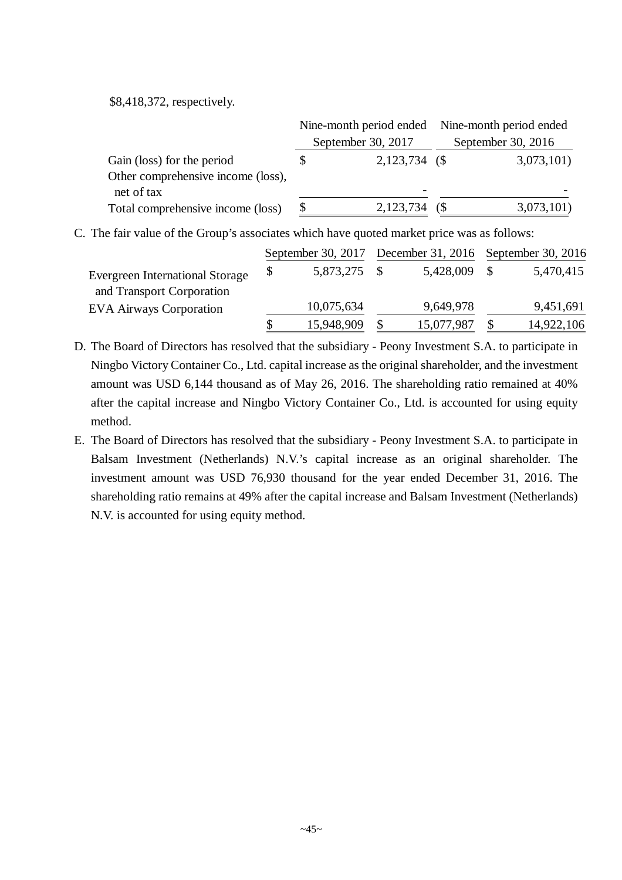\$8,418,372, respectively.

|                                    |                    | Nine-month period ended Nine-month period ended |
|------------------------------------|--------------------|-------------------------------------------------|
|                                    | September 30, 2017 | September 30, 2016                              |
| Gain (loss) for the period         | $2,123,734$ (\$)   | 3,073,101)                                      |
| Other comprehensive income (loss), |                    |                                                 |
| net of tax                         |                    |                                                 |
| Total comprehensive income (loss)  | 2,123,734          | 3,073,101)                                      |

C. The fair value of the Group's associates which have quoted market price was as follows:

|                                        |            | September 30, 2017 December 31, 2016 September 30, 2016 |            |
|----------------------------------------|------------|---------------------------------------------------------|------------|
| <b>Evergreen International Storage</b> | 5,873,275  | 5,428,009                                               | 5,470,415  |
| and Transport Corporation              |            |                                                         |            |
| <b>EVA Airways Corporation</b>         | 10,075,634 | 9,649,978                                               | 9,451,691  |
|                                        | 15,948,909 | 15,077,987                                              | 14,922,106 |

- D. The Board of Directors has resolved that the subsidiary Peony Investment S.A. to participate in Ningbo Victory Container Co., Ltd. capital increase as the original shareholder, and the investment amount was USD 6,144 thousand as of May 26, 2016. The shareholding ratio remained at 40% after the capital increase and Ningbo Victory Container Co., Ltd. is accounted for using equity method.
- E. The Board of Directors has resolved that the subsidiary Peony Investment S.A. to participate in Balsam Investment (Netherlands) N.V.'s capital increase as an original shareholder. The investment amount was USD 76,930 thousand for the year ended December 31, 2016. The shareholding ratio remains at 49% after the capital increase and Balsam Investment (Netherlands) N.V. is accounted for using equity method.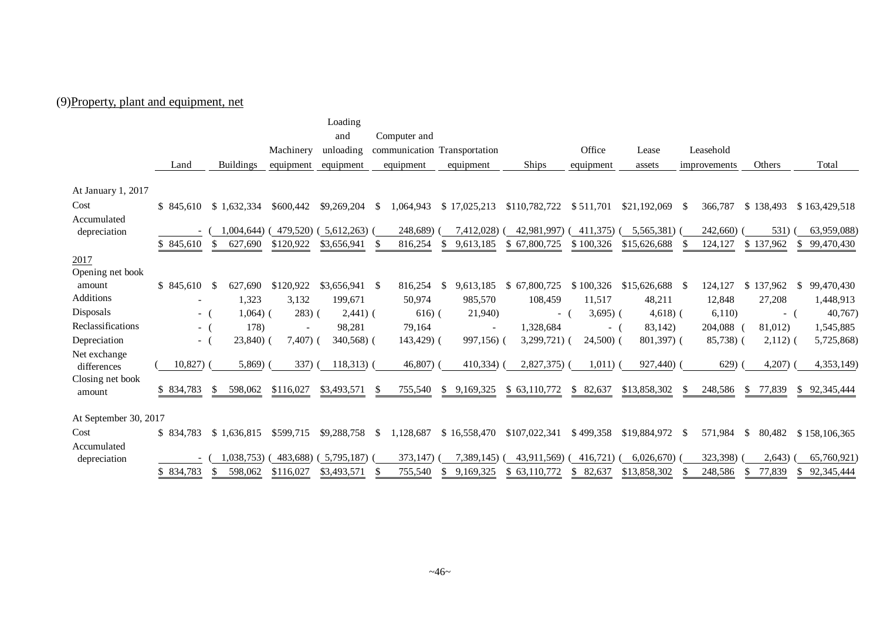## (9)Property, plant and equipment, net

|                       |                          |                  |                          | Loading         |                 |                              |                  |              |                   |                     |              |                            |
|-----------------------|--------------------------|------------------|--------------------------|-----------------|-----------------|------------------------------|------------------|--------------|-------------------|---------------------|--------------|----------------------------|
|                       |                          |                  |                          | and             | Computer and    |                              |                  |              |                   |                     |              |                            |
|                       |                          |                  | Machinery                | unloading       |                 | communication Transportation |                  | Office       | Lease             | Leasehold           |              |                            |
|                       | Land                     | <b>Buildings</b> | equipment                | equipment       | equipment       | equipment                    | Ships            | equipment    | assets            | improvements        | Others       | Total                      |
|                       |                          |                  |                          |                 |                 |                              |                  |              |                   |                     |              |                            |
| At January 1, 2017    |                          |                  |                          |                 |                 |                              |                  |              |                   |                     |              |                            |
| Cost                  | \$845.610                | \$1,632,334      | \$600,442                | \$9,269,204     | 1.064.943<br>-S | \$17,025,213                 | \$110,782,722    | \$511,701    | \$21,192,069      | 366,787<br>-S       | \$138,493    | \$163,429,518              |
| Accumulated           |                          |                  |                          |                 |                 |                              |                  |              |                   |                     |              |                            |
| depreciation          | $\overline{\phantom{a}}$ | 1,004,644)       | 479,520)                 | 5,612,263       | 248,689)        | 7,412,028)                   | 42,981,997)      | 411,375)     | 5,565,381)        | 242,660)            | 531)         | 63,959,088)                |
|                       | \$845,610                | 627,690          | \$120,922                | \$3,656,941     | 816,254         | \$.<br>9,613,185             | 67,800,725<br>\$ | \$100,326    | \$15,626,688      | 124,127             | \$137,962    | \$<br>99,470,430           |
| 2017                  |                          |                  |                          |                 |                 |                              |                  |              |                   |                     |              |                            |
| Opening net book      |                          |                  |                          |                 |                 |                              |                  |              |                   |                     |              |                            |
| amount                | \$845,610                | 627.690<br>- \$  | \$120,922                | $$3,656,941$ \$ | 816,254         | 9,613,185<br>-S              | \$67,800,725     | \$100,326    | $$15,626,688$ \\$ | 124,127             | \$137,962    | 99,470,430<br>S.           |
| <b>Additions</b>      | $\overline{\phantom{a}}$ | 1,323            | 3,132                    | 199,671         | 50,974          | 985,570                      | 108,459          | 11,517       | 48,211            | 12,848              | 27,208       | 1,448,913                  |
| Disposals             | $-$ (                    | $1,064)$ (       | $283)$ (                 | $2,441)$ (      | $616)$ (        | 21,940)                      | $\sim$           | $3,695$ ) (  | $4,618$ ) (       | 6,110)              | - (          | 40,767                     |
| Reclassifications     | $-$ (                    | 178)             | $\overline{\phantom{a}}$ | 98,281          | 79,164          | $\overline{\phantom{a}}$     | 1,328,684        | $\sim$       | 83,142)           | 204,088             | 81,012)      | 1,545,885                  |
| Depreciation          | $\sim$                   | $23,840)$ (      | $7,407$ )                | 340,568) (      | $143,429$ (     | 997,156) (                   | $3,299,721$ (    | $24,500$ )   | $801,397$ (       | 85,738) (           | $2,112)$ (   | 5,725,868)                 |
| Net exchange          |                          |                  |                          |                 |                 |                              |                  |              |                   |                     |              |                            |
| differences           | $10,827$ ) (             | $5,869$ )        | 337)                     | $118,313$ (     | $46,807$ (      | 410,334)                     | $2,827,375$ (    | 1,011)       | 927,440) (        | 629)                | 4,207)       | 4,353,149)                 |
| Closing net book      | \$834,783                | 598,062<br>- \$  | \$116,027                | \$3,493,571     | 755,540<br>-S   | 9,169,325<br><sup>S</sup>    | \$63,110,772     | 82,637<br>S. | \$13,858,302      | 248,586<br>-SS      | 77,839<br>S  | \$92,345,444               |
| amount                |                          |                  |                          |                 |                 |                              |                  |              |                   |                     |              |                            |
| At September 30, 2017 |                          |                  |                          |                 |                 |                              |                  |              |                   |                     |              |                            |
| Cost                  | \$834,783                | \$1,636,815      | \$599,715                | \$9,288,758     | 1,128,687<br>-S | \$16,558,470                 | \$107,022,341    | \$499,358    | \$19,884,972      | 571,984<br>-S       | \$<br>80,482 |                            |
| Accumulated           |                          |                  |                          |                 |                 |                              |                  |              |                   |                     |              | \$158,106,365              |
| depreciation          |                          | 1.038.753)       | 483,688)                 | 5,795,187       | 373,147)        | 7.389.145)                   | 43.911.569)      | 416,721      | 6,026,670         | 323,398)            | 2,643)       | 65,760,921)                |
|                       | \$834,783                | 598.062<br>-\$   | \$116,027                | \$3,493,571     | 755,540<br>-\$  | 9,169,325<br><sup>\$</sup>   | \$63,110,772     | \$<br>82.637 | \$13,858,302      | 248,586<br><b>S</b> | 77.839<br>\$ | 92,345,444<br>$\mathbb{S}$ |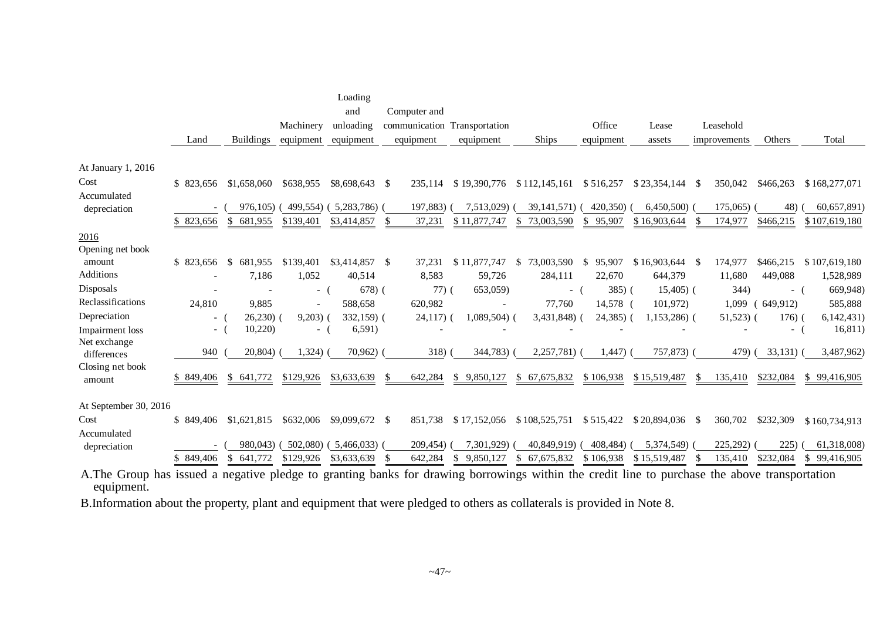|                             |               |                         |                | Loading         |                              |                          |                   |                         |                   |                 |           |                            |
|-----------------------------|---------------|-------------------------|----------------|-----------------|------------------------------|--------------------------|-------------------|-------------------------|-------------------|-----------------|-----------|----------------------------|
|                             |               |                         |                | and             | Computer and                 |                          |                   |                         |                   |                 |           |                            |
|                             |               |                         | Machinery      | unloading       | communication Transportation |                          |                   | Office                  | Lease             | Leasehold       |           |                            |
|                             | Land          | <b>Buildings</b>        | equipment      | equipment       | equipment                    | equipment                | <b>Ships</b>      | equipment               | assets            | improvements    | Others    | Total                      |
| At January 1, 2016          |               |                         |                |                 |                              |                          |                   |                         |                   |                 |           |                            |
| Cost                        | \$ 823,656    | \$1,658,060             | \$638,955      | \$8,698,643     | - \$<br>235,114              | \$19,390,776             | \$112,145,161     | \$516,257               | \$23,354,144      | 350,042<br>- \$ | \$466,263 | \$168,277,071              |
| Accumulated                 |               |                         |                |                 |                              |                          |                   |                         |                   |                 |           |                            |
| depreciation                |               | 976,105)                | 499,554)       | (5,283,786)     | 197,883)                     | 7,513,029)               | 39, 141, 571)     | 420,350)                | 6,450,500)        | 175,065)        | 48)       | 60,657,891)                |
|                             | \$823,656     | 681,955<br>\$           | \$139,401      | \$3,414,857     | 37,231<br>\$.                | \$11,877,747             | 73,003,590<br>S.  | 95,907<br>S.            | \$16,903,644      | 174,977         | \$466,215 | \$107,619,180              |
| 2016                        |               |                         |                |                 |                              |                          |                   |                         |                   |                 |           |                            |
| Opening net book            |               |                         |                |                 |                              |                          |                   |                         |                   |                 |           |                            |
| amount                      | \$823,656     | $\mathbb{S}$<br>681,955 | \$139,401      | \$3,414,857     | 37,231<br>- \$               | \$11,877,747             | 73,003,590<br>\$  | 95,907<br><sup>\$</sup> | $$16,903,644$ \\$ | 174,977         | \$466,215 | \$107,619,180              |
| Additions                   |               | 7,186                   | 1,052          | 40,514          | 8,583                        | 59,726                   | 284,111           | 22,670                  | 644,379           | 11,680          | 449,088   | 1,528,989                  |
| Disposals                   |               |                         | - (            | 678(            | $77)$ (                      | 653,059)                 | $-$ (             | 385(                    | $15,405$ (        | 344)            | - (       | 669,948)                   |
| Reclassifications           | 24,810        | 9,885                   | $\overline{a}$ | 588,658         | 620,982                      | $\overline{\phantom{a}}$ | 77,760            | 14,578 (                | 101,972)          | 1,099           | 649,912)  | 585,888                    |
| Depreciation                | $ -$          | $26,230$ (              | 9,203)         | $332,159$ (     | $24,117)$ (                  | $1,089,504$ (            | 3,431,848)        | $24,385$ (              | $1,153,286$ (     | $51,523$ (      | 176)      | 6,142,431)                 |
| Impairment loss             | $ \,$         | 10,220                  | $\sim$ $-$     | 6,591)          |                              |                          |                   |                         |                   |                 | $-$ (     | 16,811)                    |
| Net exchange<br>differences | 940           | 20,804)                 | 1,324)         | 70,962)         | 318)                         | 344,783)                 | 2,257,781)        | 1,447)                  | 757,873)          | 479)            | 33,131)   | 3,487,962)                 |
| Closing net book            |               |                         |                |                 |                              |                          |                   |                         |                   |                 |           |                            |
| amount                      | \$849,406     | \$<br>641,772           | \$129,926      | \$3,633,639     | 642,284<br>S.                | 9.850.127<br>\$.         | 67,675,832<br>\$. | \$106,938               | \$15,519,487      | 135,410         | \$232,084 | \$99,416,905               |
| At September 30, 2016       |               |                         |                |                 |                              |                          |                   |                         |                   |                 |           |                            |
| Cost                        | \$849,406     | \$1,621,815             | \$632,006      | $$9,099,672$ \$ | 851,738                      | \$17,152,056             | \$108,525,751     | \$515,422               | $$20,894,036$ \\$ | 360,702         | \$232,309 | \$160,734,913              |
| Accumulated                 |               |                         |                |                 |                              |                          |                   |                         |                   |                 |           |                            |
| depreciation                |               | 980,043)                | 502,080)       | 5,466,033)      | 209,454)                     | 7,301,929)               | 40,849,919)       | 408,484)                | 5,374,549)        | 225,292)        | 225)      | 61,318,008)                |
|                             | 849,406<br>S. | 641,772                 | \$129,926      | \$3,633,639     | 642,284                      | 9,850,127                | 67, 675, 832      | \$106,938               | \$15,519,487      | 135,410         | \$232,084 | $\mathbb{S}$<br>99,416,905 |
|                             |               |                         |                |                 |                              |                          |                   |                         |                   |                 |           |                            |

A.The Group has issued a negative pledge to granting banks for drawing borrowings within the credit line to purchase the above transportation equipment.

B.Information about the property, plant and equipment that were pledged to others as collaterals is provided in Note 8.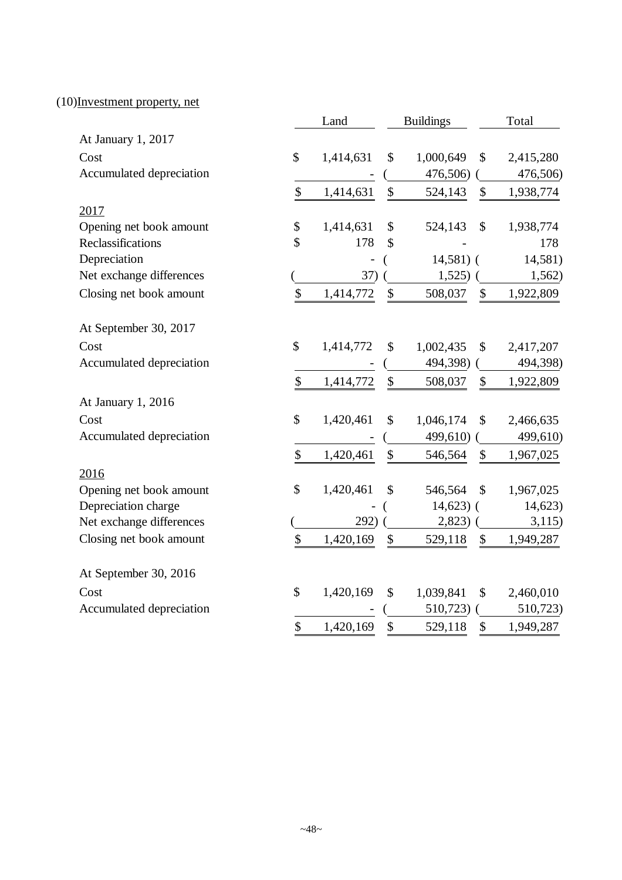## (10)Investment property, net

|                          | Land            |               | <b>Buildings</b> |                           | Total     |
|--------------------------|-----------------|---------------|------------------|---------------------------|-----------|
| At January 1, 2017       |                 |               |                  |                           |           |
| Cost                     | \$<br>1,414,631 | \$            | 1,000,649        | \$                        | 2,415,280 |
| Accumulated depreciation |                 |               | 476,506)         |                           | 476,506)  |
|                          | \$<br>1,414,631 | \$            | 524,143          | \$                        | 1,938,774 |
| 2017                     |                 |               |                  |                           |           |
| Opening net book amount  | \$<br>1,414,631 | \$            | 524,143          | $\mathcal{S}$             | 1,938,774 |
| Reclassifications        | \$<br>178       | $\mathcal{S}$ |                  |                           | 178       |
| Depreciation             |                 |               | $14,581$ (       |                           | 14,581)   |
| Net exchange differences | 37)             |               | 1,525)           |                           | 1,562)    |
| Closing net book amount  | \$<br>1,414,772 | \$            | 508,037          | $\mathcal{S}$             | 1,922,809 |
| At September 30, 2017    |                 |               |                  |                           |           |
| Cost                     | \$<br>1,414,772 | \$            | 1,002,435        | \$                        | 2,417,207 |
| Accumulated depreciation |                 |               | 494,398)         |                           | 494,398)  |
|                          | \$<br>1,414,772 | \$            | 508,037          | \$                        | 1,922,809 |
| At January 1, 2016       |                 |               |                  |                           |           |
| Cost                     | \$<br>1,420,461 | \$            | 1,046,174        | $\mathcal{S}$             | 2,466,635 |
| Accumulated depreciation |                 |               | 499,610)         |                           | 499,610)  |
|                          | \$<br>1,420,461 | \$            | 546,564          | \$                        | 1,967,025 |
| 2016                     |                 |               |                  |                           |           |
| Opening net book amount  | \$<br>1,420,461 | \$            | 546,564          | $\mathcal{S}$             | 1,967,025 |
| Depreciation charge      |                 |               | $14,623$ (       |                           | 14,623)   |
| Net exchange differences | 292)            |               | 2,823)           |                           | 3,115)    |
| Closing net book amount  | \$<br>1,420,169 | \$            | 529,118          | \$                        | 1,949,287 |
| At September 30, 2016    |                 |               |                  |                           |           |
| Cost                     | \$<br>1,420,169 | \$            | 1,039,841        | \$                        | 2,460,010 |
| Accumulated depreciation |                 |               | 510,723)         |                           | 510,723)  |
|                          | \$<br>1,420,169 | \$            | 529,118          | $\boldsymbol{\mathsf{S}}$ | 1,949,287 |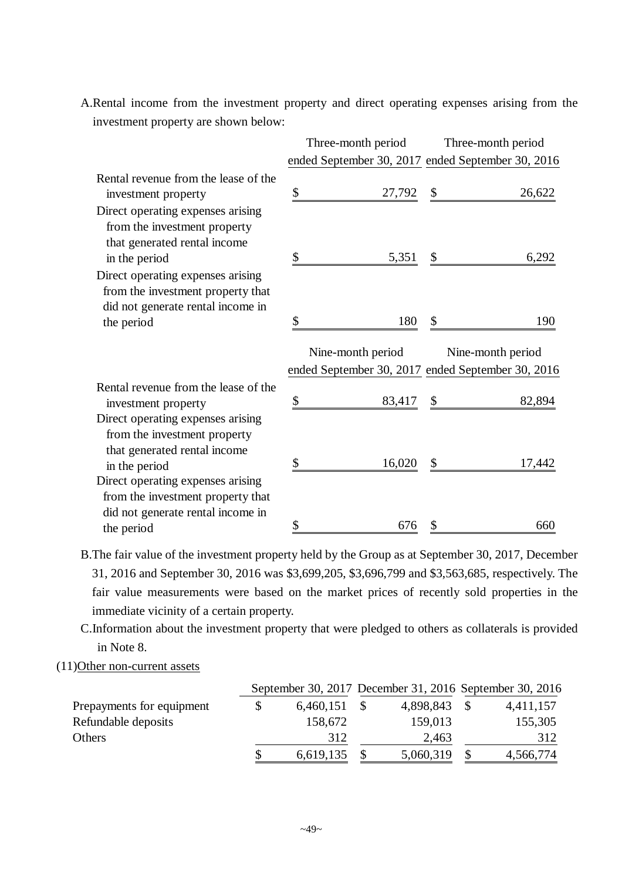A.Rental income from the investment property and direct operating expenses arising from the investment property are shown below:

|                                                                                                                           | Three-month period | Three-month period                                                     |
|---------------------------------------------------------------------------------------------------------------------------|--------------------|------------------------------------------------------------------------|
|                                                                                                                           |                    | ended September 30, 2017 ended September 30, 2016                      |
| Rental revenue from the lease of the<br>investment property                                                               | \$<br>27,792       | 26,622<br>$\mathcal{S}$                                                |
| Direct operating expenses arising<br>from the investment property<br>that generated rental income<br>in the period        | \$<br>5,351        | $\mathcal{S}$<br>6,292                                                 |
| Direct operating expenses arising<br>from the investment property that<br>did not generate rental income in<br>the period | \$<br>180          | \$<br>190                                                              |
|                                                                                                                           |                    |                                                                        |
|                                                                                                                           | Nine-month period  | Nine-month period<br>ended September 30, 2017 ended September 30, 2016 |
| Rental revenue from the lease of the<br>investment property                                                               | \$<br>83,417       | 82,894<br>$\boldsymbol{\mathsf{S}}$                                    |
| Direct operating expenses arising<br>from the investment property<br>that generated rental income<br>in the period        | 16,020<br>\$       | $\mathcal{S}$<br>17,442                                                |
| Direct operating expenses arising<br>from the investment property that<br>did not generate rental income in               |                    |                                                                        |

B.The fair value of the investment property held by the Group as at September 30, 2017, December 31, 2016 and September 30, 2016 was \$3,699,205, \$3,696,799 and \$3,563,685, respectively. The fair value measurements were based on the market prices of recently sold properties in the immediate vicinity of a certain property.

C.Information about the investment property that were pledged to others as collaterals is provided in Note 8.

#### (11)Other non-current assets

|                           |           |           |               | September 30, 2017 December 31, 2016 September 30, 2016 |
|---------------------------|-----------|-----------|---------------|---------------------------------------------------------|
| Prepayments for equipment | 6,460,151 | 4,898,843 |               | 4,411,157                                               |
| Refundable deposits       | 158,672   | 159,013   |               | 155,305                                                 |
| Others                    | 312       | 2,463     |               | 312                                                     |
|                           | 6,619,135 | 5,060,319 | $\mathcal{S}$ | 4,566,774                                               |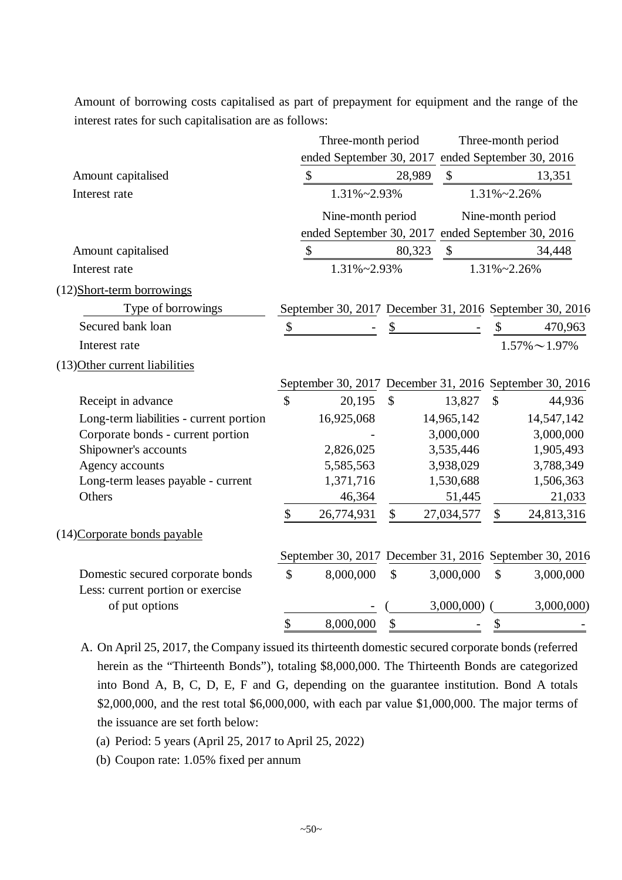Amount of borrowing costs capitalised as part of prepayment for equipment and the range of the interest rates for such capitalisation are as follows:

|                                         |                           | Three-month period                                      |                           |                           |                 | Three-month period   |
|-----------------------------------------|---------------------------|---------------------------------------------------------|---------------------------|---------------------------|-----------------|----------------------|
|                                         |                           | ended September 30, 2017 ended September 30, 2016       |                           |                           |                 |                      |
| Amount capitalised                      |                           | $\boldsymbol{\mathsf{S}}$                               | 28,989                    | $\boldsymbol{\mathsf{S}}$ |                 | 13,351               |
| Interest rate                           |                           | 1.31%~2.93%                                             |                           |                           | $1.31\%$ ~2.26% |                      |
|                                         |                           | Nine-month period                                       |                           |                           |                 | Nine-month period    |
|                                         |                           | ended September 30, 2017 ended September 30, 2016       |                           |                           |                 |                      |
| Amount capitalised                      |                           | \$                                                      | 80,323                    | $\boldsymbol{\mathsf{S}}$ |                 | 34,448               |
| Interest rate                           |                           | 1.31%~2.93%                                             |                           |                           | 1.31%~2.26%     |                      |
| (12)Short-term borrowings               |                           |                                                         |                           |                           |                 |                      |
| Type of borrowings                      |                           | September 30, 2017 December 31, 2016 September 30, 2016 |                           |                           |                 |                      |
| Secured bank loan                       | $\boldsymbol{\mathbb{S}}$ |                                                         | \$                        |                           | \$              | 470,963              |
| Interest rate                           |                           |                                                         |                           |                           |                 | $1.57\% \sim 1.97\%$ |
| (13) Other current liabilities          |                           |                                                         |                           |                           |                 |                      |
|                                         |                           | September 30, 2017 December 31, 2016 September 30, 2016 |                           |                           |                 |                      |
| Receipt in advance                      | \$                        | 20,195                                                  | $\mathcal{S}$             | 13,827                    | $\mathcal{S}$   | 44,936               |
| Long-term liabilities - current portion |                           | 16,925,068                                              |                           | 14,965,142                |                 | 14,547,142           |
| Corporate bonds - current portion       |                           |                                                         |                           | 3,000,000                 |                 | 3,000,000            |
| Shipowner's accounts                    |                           | 2,826,025                                               |                           | 3,535,446                 |                 | 1,905,493            |
| Agency accounts                         |                           | 5,585,563                                               |                           | 3,938,029                 |                 | 3,788,349            |
| Long-term leases payable - current      |                           | 1,371,716                                               |                           | 1,530,688                 |                 | 1,506,363            |
| Others                                  |                           | 46,364                                                  |                           | 51,445                    |                 | 21,033               |
|                                         | \$                        | 26,774,931                                              | $\mathbb{S}$              | 27,034,577                | \$              | 24,813,316           |
| (14) Corporate bonds payable            |                           |                                                         |                           |                           |                 |                      |
|                                         |                           | September 30, 2017 December 31, 2016 September 30, 2016 |                           |                           |                 |                      |
| Domestic secured corporate bonds        | \$                        | 8,000,000                                               | $\boldsymbol{\mathsf{S}}$ | 3,000,000                 | $\mathbb{S}$    | 3,000,000            |
| Less: current portion or exercise       |                           |                                                         |                           |                           |                 |                      |
| of put options                          |                           |                                                         |                           | 3,000,000)                |                 | 3,000,000)           |
|                                         | \$                        | 8,000,000                                               | \$                        |                           | \$              |                      |

A. On April 25, 2017, the Company issued its thirteenth domestic secured corporate bonds (referred herein as the "Thirteenth Bonds"), totaling \$8,000,000. The Thirteenth Bonds are categorized into Bond A, B, C, D, E, F and G, depending on the guarantee institution. Bond A totals \$2,000,000, and the rest total \$6,000,000, with each par value \$1,000,000. The major terms of the issuance are set forth below:

(a) Period: 5 years (April 25, 2017 to April 25, 2022)

(b) Coupon rate: 1.05% fixed per annum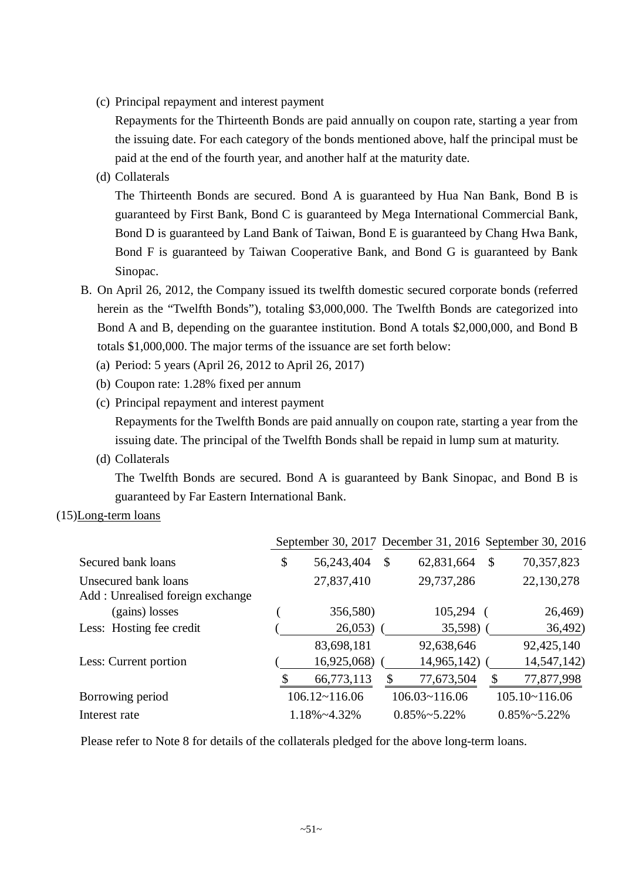(c) Principal repayment and interest payment

Repayments for the Thirteenth Bonds are paid annually on coupon rate, starting a year from the issuing date. For each category of the bonds mentioned above, half the principal must be paid at the end of the fourth year, and another half at the maturity date.

(d) Collaterals

The Thirteenth Bonds are secured. Bond A is guaranteed by Hua Nan Bank, Bond B is guaranteed by First Bank, Bond C is guaranteed by Mega International Commercial Bank, Bond D is guaranteed by Land Bank of Taiwan, Bond E is guaranteed by Chang Hwa Bank, Bond F is guaranteed by Taiwan Cooperative Bank, and Bond G is guaranteed by Bank Sinopac.

- B. On April 26, 2012, the Company issued its twelfth domestic secured corporate bonds (referred herein as the "Twelfth Bonds"), totaling \$3,000,000. The Twelfth Bonds are categorized into Bond A and B, depending on the guarantee institution. Bond A totals \$2,000,000, and Bond B totals \$1,000,000. The major terms of the issuance are set forth below:
	- (a) Period: 5 years (April 26, 2012 to April 26, 2017)
	- (b) Coupon rate: 1.28% fixed per annum
	- (c) Principal repayment and interest payment Repayments for the Twelfth Bonds are paid annually on coupon rate, starting a year from the issuing date. The principal of the Twelfth Bonds shall be repaid in lump sum at maturity.
	- (d) Collaterals

The Twelfth Bonds are secured. Bond A is guaranteed by Bank Sinopac, and Bond B is guaranteed by Far Eastern International Bank.

(15)Long-term loans

|                                  | September 30, 2017 December 31, 2016 September 30, 2016 |               |                        |                        |
|----------------------------------|---------------------------------------------------------|---------------|------------------------|------------------------|
| Secured bank loans               | \$<br>56,243,404                                        | $\mathcal{S}$ | 62,831,664             | \$<br>70,357,823       |
| Unsecured bank loans             | 27,837,410                                              |               | 29,737,286             | 22,130,278             |
| Add: Unrealised foreign exchange |                                                         |               |                        |                        |
| (gains) losses                   | 356,580)                                                |               | 105,294                | 26,469)                |
| Less: Hosting fee credit         | 26,053                                                  |               | $35,598$ )             | 36,492)                |
|                                  | 83,698,181                                              |               | 92,638,646             | 92,425,140             |
| Less: Current portion            | 16,925,068)                                             |               | 14,965,142)            | 14,547,142)            |
|                                  | \$<br>66,773,113                                        | \$            | 77,673,504             | \$<br>77,877,998       |
| Borrowing period                 | $106.12 \times 116.06$                                  |               | $106.03 \times 116.06$ | $105.10 \times 116.06$ |
| Interest rate                    | 1.18%~4.32%                                             |               | $0.85\% \sim 5.22\%$   | $0.85\% \sim 5.22\%$   |

Please refer to Note 8 for details of the collaterals pledged for the above long-term loans.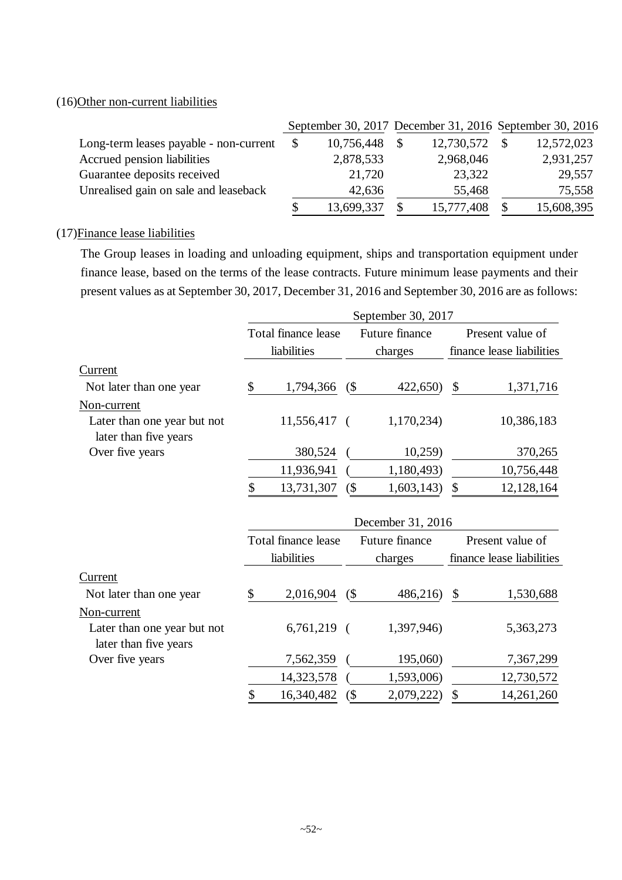## (16)Other non-current liabilities

|                                        |                  |              |            | September 30, 2017 December 31, 2016 September 30, 2016 |
|----------------------------------------|------------------|--------------|------------|---------------------------------------------------------|
| Long-term leases payable - non-current | \$<br>10,756,448 | <sup>S</sup> | 12,730,572 | 12,572,023                                              |
| Accrued pension liabilities            | 2,878,533        |              | 2,968,046  | 2,931,257                                               |
| Guarantee deposits received            | 21,720           |              | 23,322     | 29,557                                                  |
| Unrealised gain on sale and leaseback  | 42,636           |              | 55,468     | 75,558                                                  |
|                                        | 13,699,337       |              | 15,777,408 | 15,608,395                                              |

#### (17)Finance lease liabilities

The Group leases in loading and unloading equipment, ships and transportation equipment under finance lease, based on the terms of the lease contracts. Future minimum lease payments and their present values as at September 30, 2017, December 31, 2016 and September 30, 2016 are as follows:

|                                                      |                     |          | September 30, 2017 |                           |
|------------------------------------------------------|---------------------|----------|--------------------|---------------------------|
|                                                      | Total finance lease |          | Future finance     | Present value of          |
|                                                      | liabilities         |          | charges            | finance lease liabilities |
| Current                                              |                     |          |                    |                           |
| Not later than one year                              | \$<br>1,794,366     | (        | 422,650)           | \$<br>1,371,716           |
| Non-current                                          |                     |          |                    |                           |
| Later than one year but not<br>later than five years | 11,556,417          | $\left($ | 1,170,234)         | 10,386,183                |
| Over five years                                      | 380,524             |          | 10,259             | 370,265                   |
|                                                      | 11,936,941          |          | 1,180,493)         | 10,756,448                |
|                                                      | \$<br>13,731,307    | $($ \$   | 1,603,143)         | \$<br>12,128,164          |
|                                                      |                     |          | December 31, 2016  |                           |
|                                                      | Total finance lease |          | Future finance     | Present value of          |
|                                                      | liabilities         |          | charges            | finance lease liabilities |
| Current                                              |                     |          |                    |                           |
| Not later than one year                              | \$<br>2,016,904     | (        | 486,216)           | \$<br>1,530,688           |
| Non-current                                          |                     |          |                    |                           |
| Later than one year but not<br>later than five years | $6,761,219$ (       |          | 1,397,946)         | 5,363,273                 |
| Over five years                                      | 7,562,359           |          | 195,060)           | 7,367,299                 |
|                                                      | 14,323,578          |          | 1,593,006)         | 12,730,572                |
|                                                      | \$<br>16,340,482    | $($ \$   | 2,079,222)         | \$<br>14,261,260          |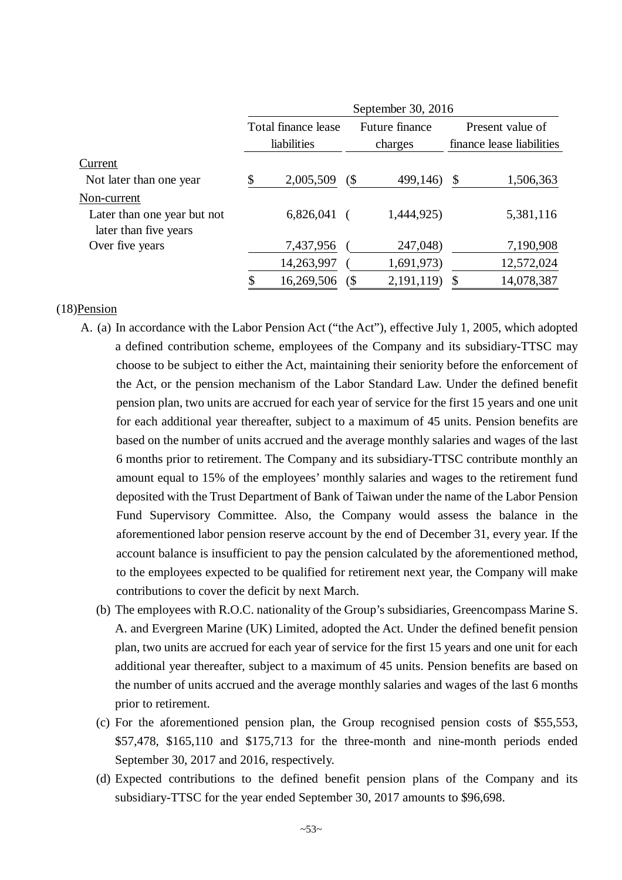|                                                      | September 30, 2016 |                     |   |                |    |                           |  |  |
|------------------------------------------------------|--------------------|---------------------|---|----------------|----|---------------------------|--|--|
|                                                      |                    | Total finance lease |   | Future finance |    | Present value of          |  |  |
|                                                      |                    | liabilities         |   | charges        |    | finance lease liabilities |  |  |
| Current                                              |                    |                     |   |                |    |                           |  |  |
| Not later than one year                              | \$                 | 2,005,509           | ( | 499,146)       | \$ | 1,506,363                 |  |  |
| Non-current                                          |                    |                     |   |                |    |                           |  |  |
| Later than one year but not<br>later than five years |                    | 6,826,041           |   | 1,444,925)     |    | 5,381,116                 |  |  |
| Over five years                                      |                    | 7,437,956           |   | 247,048)       |    | 7,190,908                 |  |  |
|                                                      |                    | 14,263,997          |   | 1,691,973)     |    | 12,572,024                |  |  |
|                                                      | \$                 | 16,269,506          | ( | 2, 191, 119)   | S  | 14,078,387                |  |  |

#### (18)Pension

- A. (a) In accordance with the Labor Pension Act ("the Act"), effective July 1, 2005, which adopted a defined contribution scheme, employees of the Company and its subsidiary-TTSC may choose to be subject to either the Act, maintaining their seniority before the enforcement of the Act, or the pension mechanism of the Labor Standard Law. Under the defined benefit pension plan, two units are accrued for each year of service for the first 15 years and one unit for each additional year thereafter, subject to a maximum of 45 units. Pension benefits are based on the number of units accrued and the average monthly salaries and wages of the last 6 months prior to retirement. The Company and its subsidiary-TTSC contribute monthly an amount equal to 15% of the employees' monthly salaries and wages to the retirement fund deposited with the Trust Department of Bank of Taiwan under the name of the Labor Pension Fund Supervisory Committee. Also, the Company would assess the balance in the aforementioned labor pension reserve account by the end of December 31, every year. If the account balance is insufficient to pay the pension calculated by the aforementioned method, to the employees expected to be qualified for retirement next year, the Company will make contributions to cover the deficit by next March.
	- (b) The employees with R.O.C. nationality of the Group's subsidiaries, Greencompass Marine S. A. and Evergreen Marine (UK) Limited, adopted the Act. Under the defined benefit pension plan, two units are accrued for each year of service for the first 15 years and one unit for each additional year thereafter, subject to a maximum of 45 units. Pension benefits are based on the number of units accrued and the average monthly salaries and wages of the last 6 months prior to retirement.
	- (c) For the aforementioned pension plan, the Group recognised pension costs of \$55,553, \$57,478, \$165,110 and \$175,713 for the three-month and nine-month periods ended September 30, 2017 and 2016, respectively.
	- (d) Expected contributions to the defined benefit pension plans of the Company and its subsidiary-TTSC for the year ended September 30, 2017 amounts to \$96,698.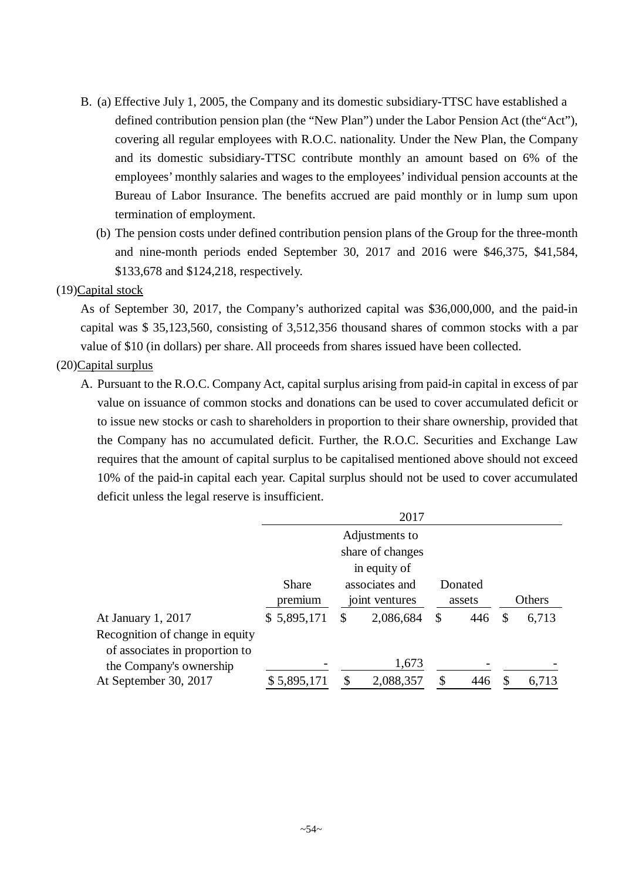- B. (a) Effective July 1, 2005, the Company and its domestic subsidiary-TTSC have established a defined contribution pension plan (the "New Plan") under the Labor Pension Act (the"Act"), covering all regular employees with R.O.C. nationality. Under the New Plan, the Company and its domestic subsidiary-TTSC contribute monthly an amount based on 6% of the employees' monthly salaries and wages to the employees' individual pension accounts at the Bureau of Labor Insurance. The benefits accrued are paid monthly or in lump sum upon termination of employment.
	- (b) The pension costs under defined contribution pension plans of the Group for the three-month and nine-month periods ended September 30, 2017 and 2016 were \$46,375, \$41,584, \$133,678 and \$124,218, respectively.

#### (19)Capital stock

As of September 30, 2017, the Company's authorized capital was \$36,000,000, and the paid-in capital was \$ 35,123,560, consisting of 3,512,356 thousand shares of common stocks with a par value of \$10 (in dollars) per share. All proceeds from shares issued have been collected.

#### (20)Capital surplus

A. Pursuant to the R.O.C. Company Act, capital surplus arising from paid-in capital in excess of par value on issuance of common stocks and donations can be used to cover accumulated deficit or to issue new stocks or cash to shareholders in proportion to their share ownership, provided that the Company has no accumulated deficit. Further, the R.O.C. Securities and Exchange Law requires that the amount of capital surplus to be capitalised mentioned above should not exceed 10% of the paid-in capital each year. Capital surplus should not be used to cover accumulated deficit unless the legal reserve is insufficient.

|                                 |              |   | 2017             |              |         |             |
|---------------------------------|--------------|---|------------------|--------------|---------|-------------|
|                                 |              |   | Adjustments to   |              |         |             |
|                                 |              |   | share of changes |              |         |             |
|                                 |              |   | in equity of     |              |         |             |
|                                 | <b>Share</b> |   | associates and   |              | Donated |             |
|                                 | premium      |   | joint ventures   |              | assets  | Others      |
| At January 1, 2017              | \$5,895,171  | S | 2,086,684        | $\mathbb{S}$ | 446     | \$<br>6,713 |
| Recognition of change in equity |              |   |                  |              |         |             |
| of associates in proportion to  |              |   |                  |              |         |             |
| the Company's ownership         |              |   | 1,673            |              |         |             |
| At September 30, 2017           | \$5,895,171  | ¢ | 2,088,357        |              |         | 6,713       |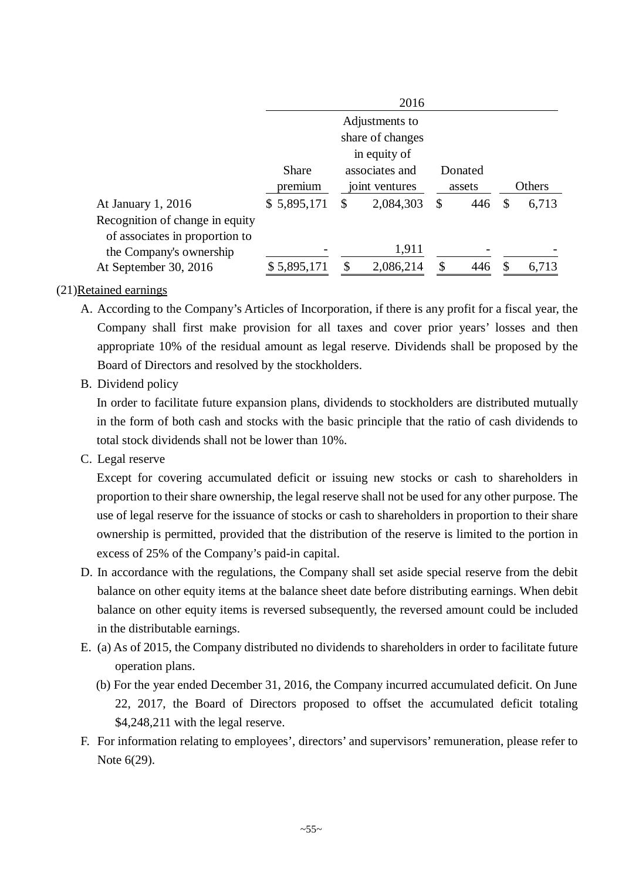|                                 |              |    | 2016             |     |         |    |        |
|---------------------------------|--------------|----|------------------|-----|---------|----|--------|
|                                 |              |    | Adjustments to   |     |         |    |        |
|                                 |              |    | share of changes |     |         |    |        |
|                                 |              |    | in equity of     |     |         |    |        |
|                                 | <b>Share</b> |    | associates and   |     | Donated |    |        |
|                                 | premium      |    | joint ventures   |     | assets  |    | Others |
| At January 1, 2016              | \$5,895,171  | \$ | 2,084,303        | S   | 446     | \$ | 6,713  |
| Recognition of change in equity |              |    |                  |     |         |    |        |
| of associates in proportion to  |              |    |                  |     |         |    |        |
| the Company's ownership         |              |    | 1,911            |     |         |    |        |
| At September 30, 2016           | \$5,895,171  | S. | 2,086,214        | \$. | 446     | £. | 6,713  |

#### (21)Retained earnings

- A. According to the Company's Articles of Incorporation, if there is any profit for a fiscal year, the Company shall first make provision for all taxes and cover prior years' losses and then appropriate 10% of the residual amount as legal reserve. Dividends shall be proposed by the Board of Directors and resolved by the stockholders.
- B. Dividend policy

In order to facilitate future expansion plans, dividends to stockholders are distributed mutually in the form of both cash and stocks with the basic principle that the ratio of cash dividends to total stock dividends shall not be lower than 10%.

C. Legal reserve

Except for covering accumulated deficit or issuing new stocks or cash to shareholders in proportion to their share ownership, the legal reserve shall not be used for any other purpose. The use of legal reserve for the issuance of stocks or cash to shareholders in proportion to their share ownership is permitted, provided that the distribution of the reserve is limited to the portion in excess of 25% of the Company's paid-in capital.

- D. In accordance with the regulations, the Company shall set aside special reserve from the debit balance on other equity items at the balance sheet date before distributing earnings. When debit balance on other equity items is reversed subsequently, the reversed amount could be included in the distributable earnings.
- E. (a) As of 2015, the Company distributed no dividends to shareholders in order to facilitate future operation plans.
	- (b) For the year ended December 31, 2016, the Company incurred accumulated deficit. On June 22, 2017, the Board of Directors proposed to offset the accumulated deficit totaling \$4,248,211 with the legal reserve.
- F. For information relating to employees', directors' and supervisors' remuneration, please refer to Note 6(29).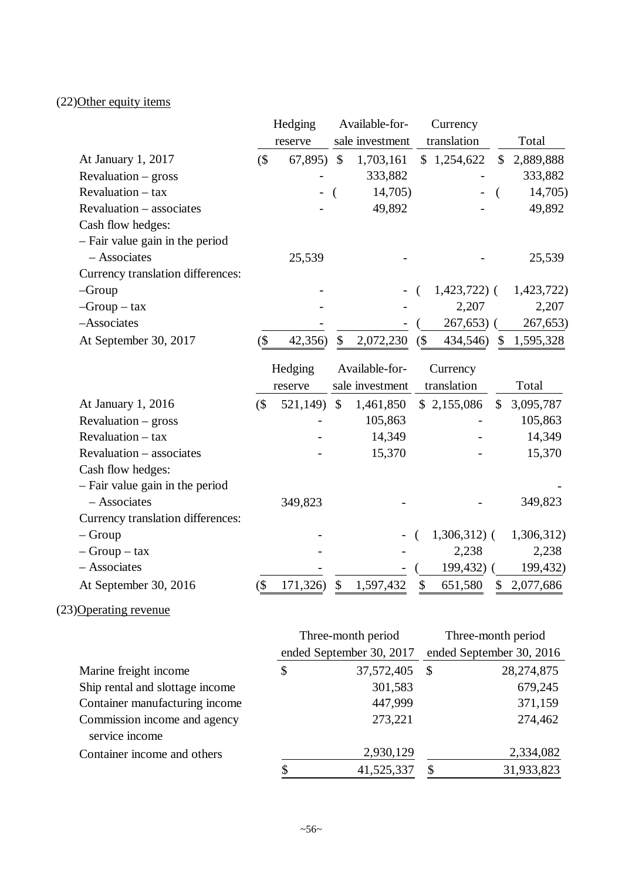# (22)Other equity items

|                                   |        | Hedging  |               | Available-for-           |   | Currency                 |                           |             |
|-----------------------------------|--------|----------|---------------|--------------------------|---|--------------------------|---------------------------|-------------|
|                                   |        | reserve  |               | sale investment          |   | translation              |                           | Total       |
| At January 1, 2017                | $($ \$ | 67,895   | $\mathcal{S}$ | 1,703,161                |   | \$1,254,622              | $\boldsymbol{\mathsf{S}}$ | 2,889,888   |
| $Revaluation - gross$             |        |          |               | 333,882                  |   |                          |                           | 333,882     |
| Revaluation - tax                 |        |          |               | 14,705)                  |   |                          |                           | 14,705)     |
| Revaluation - associates          |        |          |               | 49,892                   |   |                          |                           | 49,892      |
| Cash flow hedges:                 |        |          |               |                          |   |                          |                           |             |
| - Fair value gain in the period   |        |          |               |                          |   |                          |                           |             |
| - Associates                      |        | 25,539   |               |                          |   |                          |                           | 25,539      |
| Currency translation differences: |        |          |               |                          |   |                          |                           |             |
| $-Group$                          |        |          |               |                          |   | $1,423,722)$ (           |                           | 1,423,722)  |
| $-Group - tax$                    |        |          |               |                          |   | 2,207                    |                           | 2,207       |
| -Associates                       |        |          |               |                          |   | 267,653)                 |                           | 267,653)    |
| At September 30, 2017             | (\$    | 42,356)  | \$            | 2,072,230                | ( | 434,546)                 | \$                        | 1,595,328   |
|                                   |        |          |               |                          |   |                          |                           |             |
|                                   |        | Hedging  |               | Available-for-           |   | Currency                 |                           |             |
|                                   |        | reserve  |               | sale investment          |   | translation              |                           | Total       |
| At January 1, 2016                | $($ \$ | 521,149) | $\mathcal{S}$ | 1,461,850                |   | \$2,155,086              | \$                        | 3,095,787   |
| $Revaluation - gross$             |        |          |               | 105,863                  |   |                          |                           | 105,863     |
| Revaluation - tax                 |        |          |               | 14,349                   |   |                          |                           | 14,349      |
| Revaluation - associates          |        |          |               | 15,370                   |   |                          |                           | 15,370      |
| Cash flow hedges:                 |        |          |               |                          |   |                          |                           |             |
| - Fair value gain in the period   |        |          |               |                          |   |                          |                           |             |
| - Associates                      |        | 349,823  |               |                          |   |                          |                           | 349,823     |
| Currency translation differences: |        |          |               |                          |   |                          |                           |             |
| $-$ Group                         |        |          |               |                          |   | $1,306,312$ (            |                           | 1,306,312)  |
| $-$ Group $-$ tax                 |        |          |               |                          |   | 2,238                    |                           | 2,238       |
| - Associates                      |        |          |               |                          |   | 199,432)                 |                           | 199,432)    |
| At September 30, 2016             | $($ \$ | 171,326) |               | \$1,597,432              |   | \$651,580                |                           | \$2,077,686 |
| (23) Operating revenue            |        |          |               |                          |   |                          |                           |             |
|                                   |        |          |               | Three-month period       |   | Three-month period       |                           |             |
|                                   |        |          |               | ended September 30, 2017 |   | ended September 30, 2016 |                           |             |
| Marine freight income             |        | \$       |               | 37,572,405               |   | \$                       |                           | 28,274,875  |
| Ship rental and slottage income   |        |          |               | 301,583                  |   |                          |                           | 679,245     |
| Container manufacturing income    |        |          |               | 447,999                  |   |                          |                           | 371,159     |

|                                 | 41,525,337 | 31,933,823 |
|---------------------------------|------------|------------|
| Container income and others     | 2,930,129  | 2,334,082  |
| service income                  |            |            |
| Commission income and agency    | 273,221    | 274,462    |
| Container manufacturing income  | 447,999    | 371,159    |
| Suip rental and slottage income | JULJ0J     | 0/9,24J    |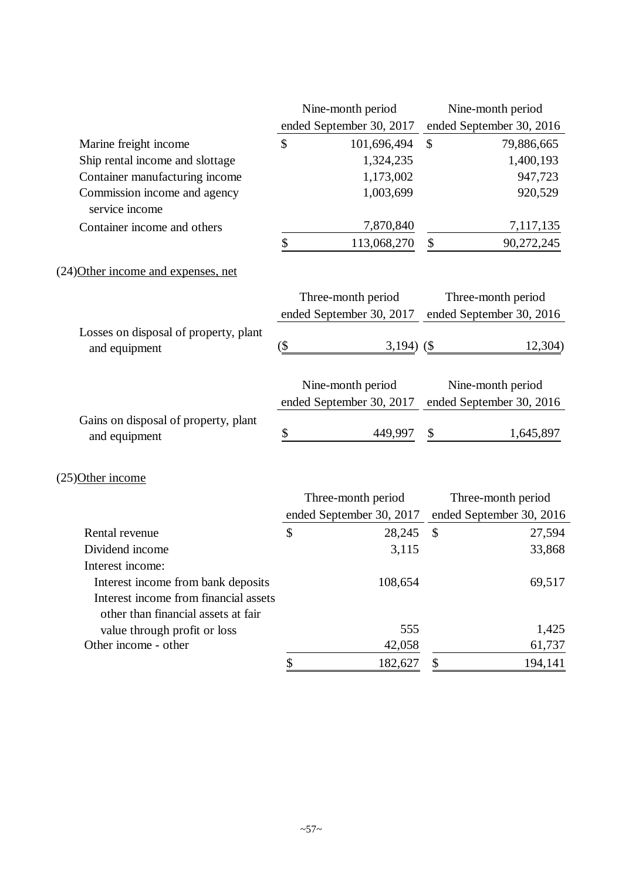|                                                        | Nine-month period        | Nine-month period        |
|--------------------------------------------------------|--------------------------|--------------------------|
|                                                        | ended September 30, 2017 | ended September 30, 2016 |
| Marine freight income                                  | \$<br>101,696,494        | \$<br>79,886,665         |
| Ship rental income and slottage                        | 1,324,235                | 1,400,193                |
| Container manufacturing income                         | 1,173,002                | 947,723                  |
| Commission income and agency<br>service income         | 1,003,699                | 920,529                  |
| Container income and others                            | 7,870,840                | 7,117,135                |
|                                                        | \$<br>113,068,270        | \$<br>90,272,245         |
| (24) Other income and expenses, net                    |                          |                          |
|                                                        | Three-month period       | Three-month period       |
|                                                        | ended September 30, 2017 | ended September 30, 2016 |
| Losses on disposal of property, plant<br>and equipment | $(\$\,$<br>3,194 $($ \$  | 12,304)                  |
|                                                        | Nine-month period        | Nine-month period        |
|                                                        | ended September 30, 2017 | ended September 30, 2016 |
| Gains on disposal of property, plant<br>and equipment  | \$<br>449,997            | \$<br>1,645,897          |
| (25) Other income                                      |                          |                          |
|                                                        | Three-month period       | Three-month period       |
|                                                        | ended September 30, 2017 | ended September 30, 2016 |
| Rental revenue                                         | \$<br>28,245             | \$<br>27,594             |
| Dividend income                                        | 3,115                    | 33,868                   |
| Interest income:                                       |                          |                          |
| Interest income from bank deposits                     | 108,654                  | 69,517                   |
| Interest income from financial assets                  |                          |                          |
| other than financial assets at fair                    |                          |                          |
| value through profit or loss                           | 555                      | 1,425                    |
| Other income - other                                   | 42,058                   | 61,737                   |
|                                                        | 182,627<br>\$            | 194,141<br>\$            |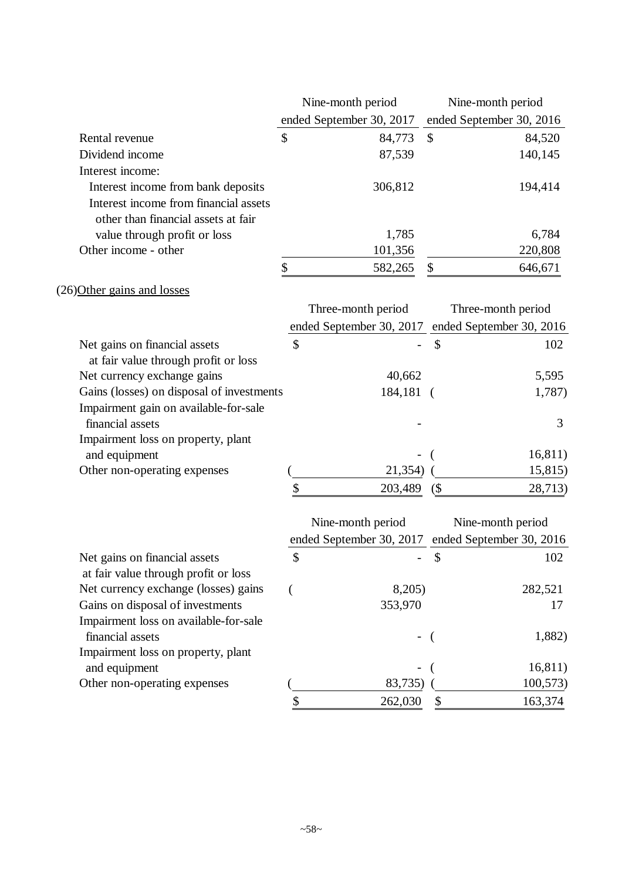|                                                                              | Nine-month period        | Nine-month period        |                          |
|------------------------------------------------------------------------------|--------------------------|--------------------------|--------------------------|
|                                                                              | ended September 30, 2017 | ended September 30, 2016 |                          |
| Rental revenue                                                               | \$<br>84,773             | \$                       | 84,520                   |
| Dividend income                                                              | 87,539                   |                          | 140,145                  |
| Interest income:                                                             |                          |                          |                          |
| Interest income from bank deposits                                           | 306,812                  |                          | 194,414                  |
| Interest income from financial assets                                        |                          |                          |                          |
| other than financial assets at fair                                          |                          |                          |                          |
| value through profit or loss                                                 | 1,785                    |                          | 6,784                    |
| Other income - other                                                         | 101,356                  |                          | 220,808                  |
|                                                                              | \$<br>582,265            | \$                       | 646,671                  |
| (26) Other gains and losses                                                  |                          |                          |                          |
|                                                                              | Three-month period       |                          | Three-month period       |
|                                                                              | ended September 30, 2017 |                          | ended September 30, 2016 |
| Net gains on financial assets                                                | \$                       | \$                       | 102                      |
| at fair value through profit or loss                                         |                          |                          |                          |
| Net currency exchange gains                                                  | 40,662                   |                          | 5,595                    |
| Gains (losses) on disposal of investments                                    | 184,181                  | $\sqrt{ }$               | 1,787)                   |
| Impairment gain on available-for-sale                                        |                          |                          |                          |
| financial assets                                                             |                          |                          | 3                        |
| Impairment loss on property, plant                                           |                          |                          |                          |
| and equipment                                                                |                          |                          | 16,811)                  |
| Other non-operating expenses                                                 | 21,354)                  |                          | 15,815)                  |
|                                                                              | \$<br>203,489            | (                        | 28,713)                  |
|                                                                              |                          |                          |                          |
|                                                                              | Nine-month period        |                          | Nine-month period        |
|                                                                              | ended September 30, 2017 |                          | ended September 30, 2016 |
| Net gains on financial assets                                                | \$                       | \$                       | 102                      |
| at fair value through profit or loss<br>Net currency exchange (losses) gains | 8,205)                   |                          | 282,521                  |
| Gains on disposal of investments                                             | 353,970                  |                          | 17                       |
| Impairment loss on available-for-sale                                        |                          |                          |                          |
| financial assets                                                             |                          |                          | 1,882)                   |
| Impairment loss on property, plant                                           |                          |                          |                          |
| and equipment                                                                |                          |                          | 16,811)                  |
| Other non-operating expenses                                                 | 83,735)                  |                          | 100,573)                 |
|                                                                              | \$<br>262,030            | \$                       | 163,374                  |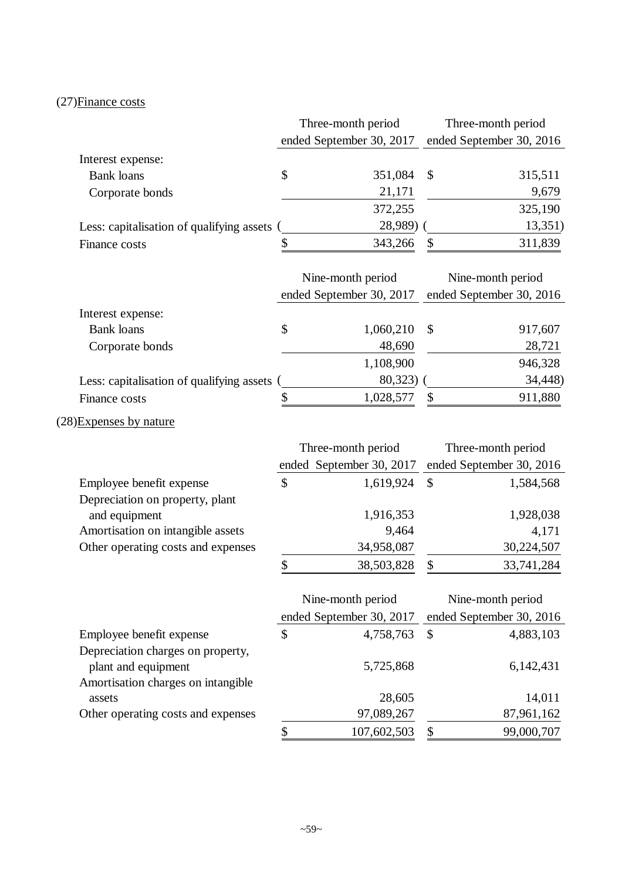# (27)Finance costs

|                                           | Three-month period       |              | Three-month period       |
|-------------------------------------------|--------------------------|--------------|--------------------------|
|                                           | ended September 30, 2017 |              | ended September 30, 2016 |
| Interest expense:                         |                          |              |                          |
| <b>Bank</b> loans                         | \$<br>351,084            | \$           | 315,511                  |
| Corporate bonds                           | 21,171                   |              | 9,679                    |
|                                           | 372,255                  |              | 325,190                  |
| Less: capitalisation of qualifying assets | 28,989)                  |              | 13,351)                  |
| Finance costs                             | \$<br>343,266            | \$           | 311,839                  |
|                                           |                          |              |                          |
|                                           | Nine-month period        |              | Nine-month period        |
|                                           | ended September 30, 2017 |              | ended September 30, 2016 |
| Interest expense:                         |                          |              |                          |
| <b>Bank</b> loans                         | \$<br>1,060,210          | \$           | 917,607                  |
| Corporate bonds                           | 48,690                   |              | 28,721                   |
|                                           | 1,108,900                |              | 946,328                  |
| Less: capitalisation of qualifying assets | 80,323)                  |              | 34,448)                  |
| Finance costs                             | \$<br>1,028,577          | \$           | 911,880                  |
| (28) Expenses by nature                   |                          |              |                          |
|                                           | Three-month period       |              | Three-month period       |
|                                           | ended September 30, 2017 |              | ended September 30, 2016 |
| Employee benefit expense                  | \$<br>1,619,924          | $\mathbb{S}$ | 1,584,568                |
| Depreciation on property, plant           |                          |              |                          |
| and equipment                             | 1,916,353                |              | 1,928,038                |
| Amortisation on intangible assets         | 9,464                    |              | 4,171                    |
| Other operating costs and expenses        | 34,958,087               |              | 30,224,507               |
|                                           | \$<br>38,503,828         | \$           | 33,741,284               |
|                                           | Nine-month period        |              | Nine-month period        |
|                                           | ended September 30, 2017 |              | ended September 30, 2016 |
| Employee benefit expense                  | \$<br>4,758,763          | \$           | 4,883,103                |
| Depreciation charges on property,         |                          |              |                          |
| plant and equipment                       | 5,725,868                |              | 6,142,431                |
| Amortisation charges on intangible        |                          |              |                          |
| assets                                    | 28,605                   |              | 14,011                   |
| Other operating costs and expenses        | 97,089,267               |              | 87,961,162               |
|                                           | \$<br>107,602,503        | \$           | 99,000,707               |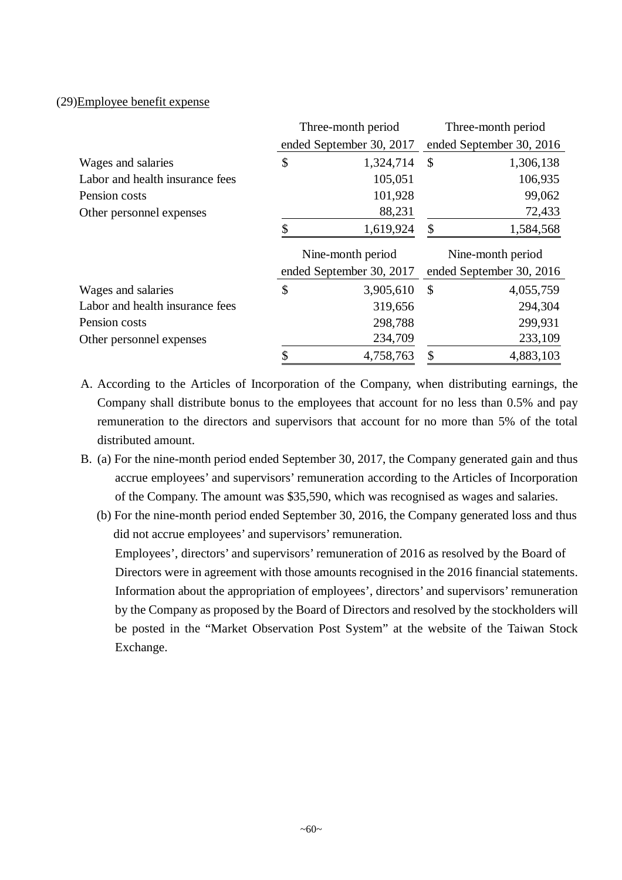#### (29)Employee benefit expense

|                                 |                   | Three-month period       |               | Three-month period       |
|---------------------------------|-------------------|--------------------------|---------------|--------------------------|
|                                 |                   | ended September 30, 2017 |               | ended September 30, 2016 |
| Wages and salaries              | \$                | 1,324,714                | $\mathcal{S}$ | 1,306,138                |
| Labor and health insurance fees |                   | 105,051                  |               | 106,935                  |
| Pension costs                   |                   | 101,928                  |               | 99,062                   |
| Other personnel expenses        |                   | 88,231                   |               | 72,433                   |
|                                 | \$                | 1,619,924                | \$            | 1,584,568                |
|                                 | Nine-month period |                          |               |                          |
|                                 |                   |                          |               | Nine-month period        |
|                                 |                   | ended September 30, 2017 |               | ended September 30, 2016 |
| Wages and salaries              | \$                | 3,905,610                | $\mathcal{S}$ | 4,055,759                |
| Labor and health insurance fees |                   | 319,656                  |               | 294,304                  |
| Pension costs                   |                   | 298,788                  |               | 299,931                  |
| Other personnel expenses        |                   | 234,709                  |               | 233,109                  |

- A. According to the Articles of Incorporation of the Company, when distributing earnings, the Company shall distribute bonus to the employees that account for no less than 0.5% and pay remuneration to the directors and supervisors that account for no more than 5% of the total distributed amount.
- B. (a) For the nine-month period ended September 30, 2017, the Company generated gain and thus accrue employees' and supervisors' remuneration according to the Articles of Incorporation of the Company. The amount was \$35,590, which was recognised as wages and salaries.
	- ..(b) For the nine-month period ended September 30, 2016, the Company generated loss and thus did not accrue employees' and supervisors' remuneration. Employees', directors' and supervisors' remuneration of 2016 as resolved by the Board of Directors were in agreement with those amounts recognised in the 2016 financial statements. Information about the appropriation of employees', directors' and supervisors' remuneration by the Company as proposed by the Board of Directors and resolved by the stockholders will be posted in the "Market Observation Post System" at the website of the Taiwan Stock Exchange.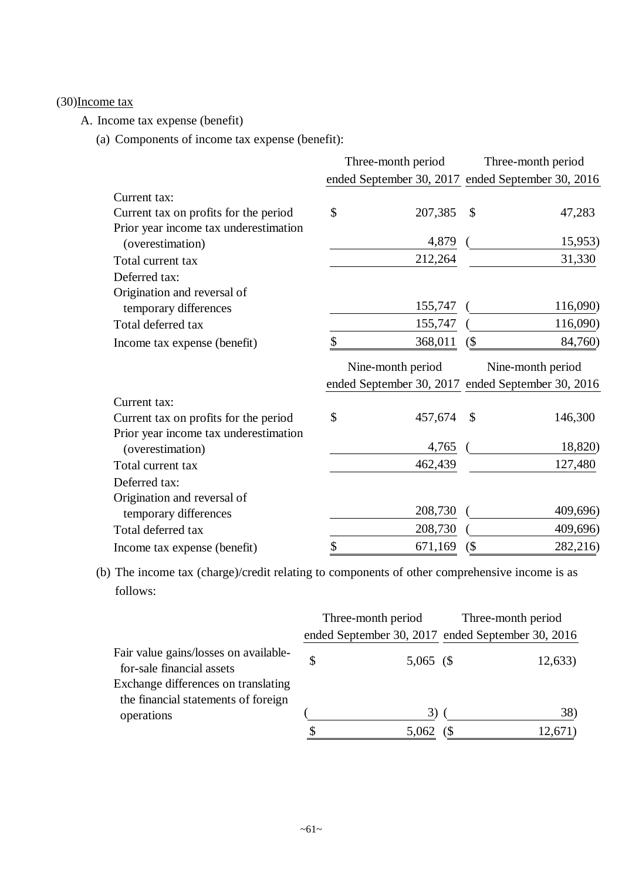## (30)Income tax

A. Income tax expense (benefit)

(a) Components of income tax expense (benefit):

|                                       | Three-month period |        | Three-month period                                |
|---------------------------------------|--------------------|--------|---------------------------------------------------|
|                                       |                    |        | ended September 30, 2017 ended September 30, 2016 |
| Current tax:                          |                    |        |                                                   |
| Current tax on profits for the period | \$<br>207,385      | \$     | 47,283                                            |
| Prior year income tax underestimation |                    |        |                                                   |
| (overestimation)                      | 4,879              |        | 15,953)                                           |
| Total current tax                     | 212,264            |        | 31,330                                            |
| Deferred tax:                         |                    |        |                                                   |
| Origination and reversal of           |                    |        |                                                   |
| temporary differences                 | 155,747            |        | 116,090)                                          |
| Total deferred tax                    | 155,747            |        | 116,090)                                          |
| Income tax expense (benefit)          | \$<br>368,011      | $($ \$ | 84,760)                                           |
|                                       |                    |        |                                                   |
|                                       | Nine-month period  |        | Nine-month period                                 |
|                                       |                    |        | ended September 30, 2017 ended September 30, 2016 |
| Current tax:                          |                    |        |                                                   |
| Current tax on profits for the period | \$<br>457,674      | \$     | 146,300                                           |
| Prior year income tax underestimation |                    |        |                                                   |
| (overestimation)                      | 4,765              |        | 18,820)                                           |
| Total current tax                     | 462,439            |        | 127,480                                           |
| Deferred tax:                         |                    |        |                                                   |
| Origination and reversal of           |                    |        |                                                   |
| temporary differences                 | 208,730            |        | 409,696)                                          |
| Total deferred tax                    | 208,730            |        | 409,696)                                          |

(b) The income tax (charge)/credit relating to components of other comprehensive income is as follows:

|                                                                            | Three-month period |  | Three-month period                                |  |
|----------------------------------------------------------------------------|--------------------|--|---------------------------------------------------|--|
|                                                                            |                    |  | ended September 30, 2017 ended September 30, 2016 |  |
| Fair value gains/losses on available-<br>for-sale financial assets         | $5,065$ (\$)       |  | 12,633)                                           |  |
| Exchange differences on translating<br>the financial statements of foreign |                    |  |                                                   |  |
| operations                                                                 | 3)                 |  | 38)                                               |  |
|                                                                            | 5,062              |  | 12.671                                            |  |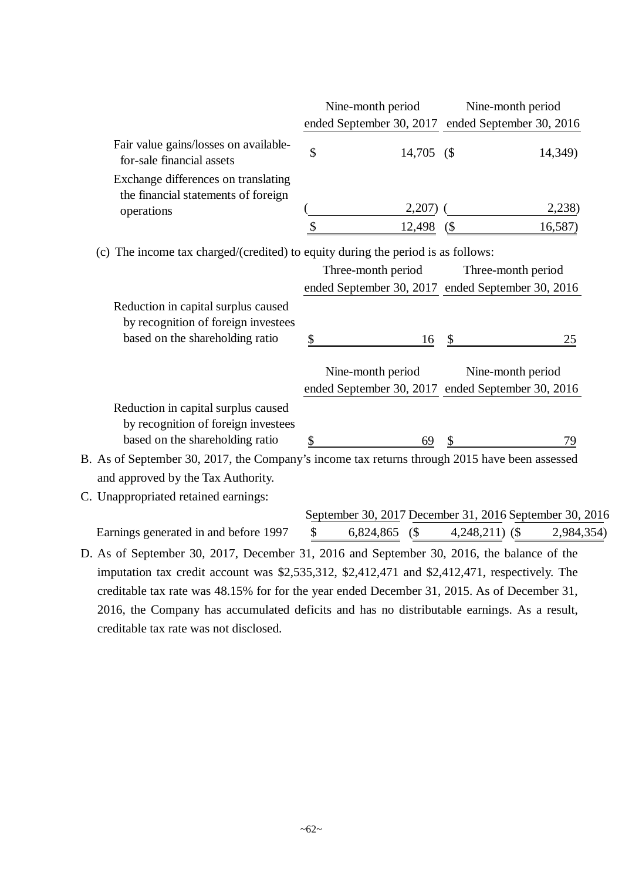|                                                                                               |                                 | Nine-month period                                       |               | Nine-month period  |            |
|-----------------------------------------------------------------------------------------------|---------------------------------|---------------------------------------------------------|---------------|--------------------|------------|
|                                                                                               |                                 | ended September 30, 2017 ended September 30, 2016       |               |                    |            |
| Fair value gains/losses on available-<br>for-sale financial assets                            | $\boldsymbol{\hat{\mathsf{S}}}$ | 14,705 (\$                                              |               |                    | 14,349)    |
| Exchange differences on translating<br>the financial statements of foreign                    |                                 |                                                         |               |                    |            |
| operations                                                                                    |                                 | 2,207)                                                  |               |                    | 2,238      |
|                                                                                               | \$                              | 12,498                                                  | $($ \$        |                    | 16,587)    |
| (c) The income tax charged/(credited) to equity during the period is as follows:              |                                 |                                                         |               |                    |            |
|                                                                                               |                                 | Three-month period                                      |               | Three-month period |            |
|                                                                                               |                                 | ended September 30, 2017 ended September 30, 2016       |               |                    |            |
| Reduction in capital surplus caused                                                           |                                 |                                                         |               |                    |            |
| by recognition of foreign investees                                                           |                                 |                                                         |               |                    |            |
| based on the shareholding ratio                                                               | \$                              | <u>16</u>                                               | $\frac{1}{2}$ |                    | 25         |
|                                                                                               |                                 | Nine-month period                                       |               |                    |            |
|                                                                                               |                                 | ended September 30, 2017 ended September 30, 2016       |               | Nine-month period  |            |
|                                                                                               |                                 |                                                         |               |                    |            |
| Reduction in capital surplus caused<br>by recognition of foreign investees                    |                                 |                                                         |               |                    |            |
| based on the shareholding ratio                                                               | \$                              | 69                                                      | $\mathcal{S}$ |                    | 79         |
| B. As of September 30, 2017, the Company's income tax returns through 2015 have been assessed |                                 |                                                         |               |                    |            |
| and approved by the Tax Authority.                                                            |                                 |                                                         |               |                    |            |
| C. Unappropriated retained earnings:                                                          |                                 |                                                         |               |                    |            |
|                                                                                               |                                 | September 30, 2017 December 31, 2016 September 30, 2016 |               |                    |            |
| Earnings generated in and before 1997                                                         | \$                              | $6,824,865$ (\$)                                        |               | $4,248,211)$ (\$   | 2,984,354) |
| D. As of September 30, 2017, December 31, 2016 and September 30, 2016, the balance of the     |                                 |                                                         |               |                    |            |
| imputation tax credit account was \$2,535,312, \$2,412,471 and \$2,412,471, respectively. The |                                 |                                                         |               |                    |            |
|                                                                                               |                                 |                                                         |               |                    |            |
| creditable tax rate was 48.15% for for the year ended December 31, 2015. As of December 31,   |                                 |                                                         |               |                    |            |
| 2016, the Company has accumulated deficits and has no distributable earnings. As a result,    |                                 |                                                         |               |                    |            |
| creditable tax rate was not disclosed.                                                        |                                 |                                                         |               |                    |            |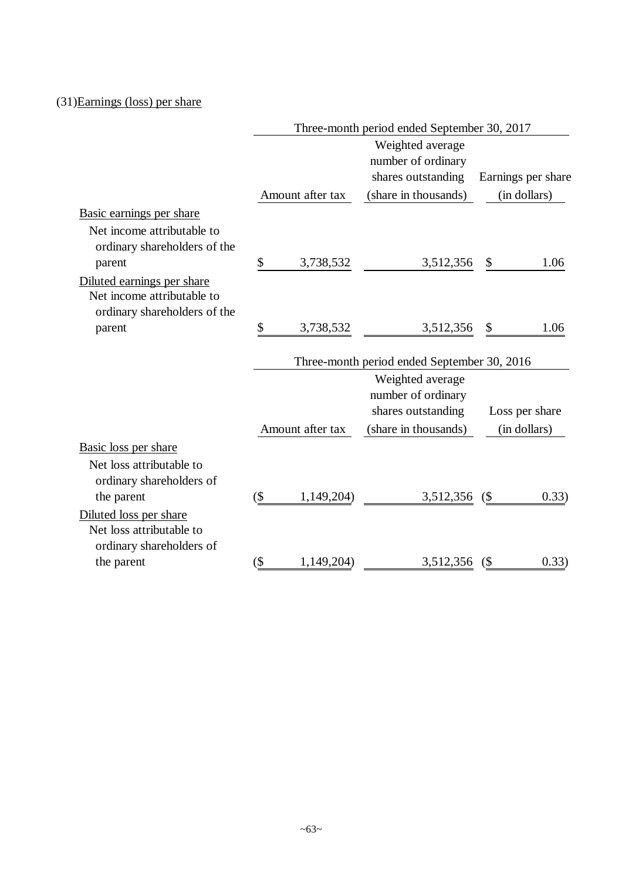## (31)Earnings (loss) per share

|                              |         |                  | Three-month period ended September 30, 2017 |                    |
|------------------------------|---------|------------------|---------------------------------------------|--------------------|
|                              |         |                  | Weighted average                            |                    |
|                              |         |                  | number of ordinary                          |                    |
|                              |         |                  | shares outstanding                          | Earnings per share |
|                              |         | Amount after tax | (share in thousands)                        | (in dollars)       |
| Basic earnings per share     |         |                  |                                             |                    |
| Net income attributable to   |         |                  |                                             |                    |
| ordinary shareholders of the |         |                  |                                             |                    |
| parent                       | \$      | 3,738,532        | 3,512,356                                   | \$<br>1.06         |
| Diluted earnings per share   |         |                  |                                             |                    |
| Net income attributable to   |         |                  |                                             |                    |
| ordinary shareholders of the |         |                  |                                             |                    |
| parent                       | \$      | 3,738,532        | 3,512,356                                   | \$<br>1.06         |
|                              |         |                  |                                             |                    |
|                              |         |                  | Three-month period ended September 30, 2016 |                    |
|                              |         |                  | Weighted average                            |                    |
|                              |         |                  | number of ordinary                          |                    |
|                              |         |                  | shares outstanding                          | Loss per share     |
|                              |         | Amount after tax | (share in thousands)                        | (in dollars)       |
| Basic loss per share         |         |                  |                                             |                    |
| Net loss attributable to     |         |                  |                                             |                    |
| ordinary shareholders of     |         |                  |                                             |                    |
| the parent                   | $($ \$  | 1,149,204        | 3,512,356 (\$)                              | 0.33)              |
| Diluted loss per share       |         |                  |                                             |                    |
| Net loss attributable to     |         |                  |                                             |                    |
| ordinary shareholders of     |         |                  |                                             |                    |
| the parent                   | $(\$\,$ | 1,149,204)       | 3,512,356 (\$)                              | 0.33)              |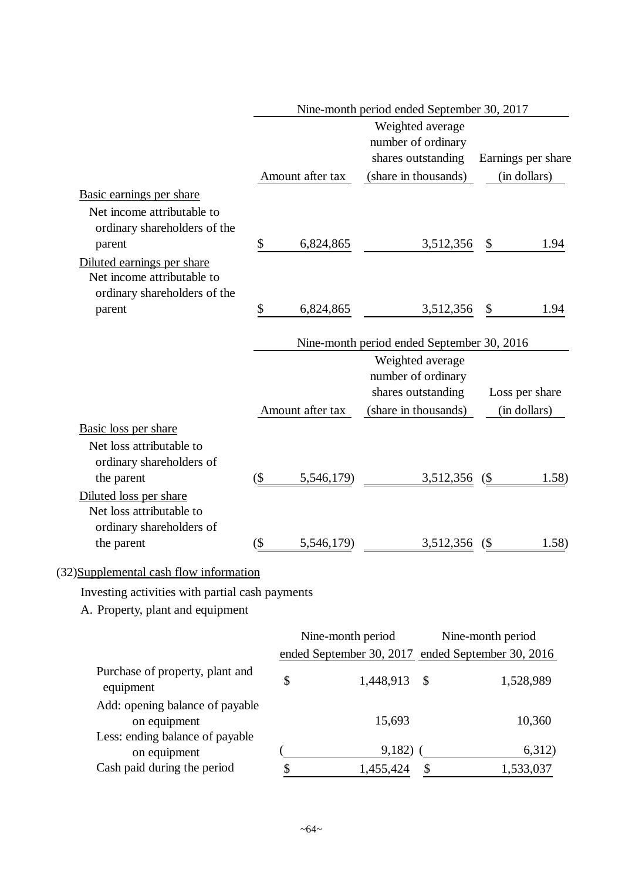|                                                 |        |                   | Nine-month period ended September 30, 2017                     |                    |
|-------------------------------------------------|--------|-------------------|----------------------------------------------------------------|--------------------|
|                                                 |        |                   | Weighted average                                               |                    |
|                                                 |        |                   | number of ordinary                                             |                    |
|                                                 |        |                   | shares outstanding                                             | Earnings per share |
|                                                 |        | Amount after tax  | (share in thousands)                                           | (in dollars)       |
| Basic earnings per share                        |        |                   |                                                                |                    |
| Net income attributable to                      |        |                   |                                                                |                    |
| ordinary shareholders of the                    |        |                   |                                                                |                    |
| parent                                          | \$     | 6,824,865         | 3,512,356                                                      | \$<br>1.94         |
| Diluted earnings per share                      |        |                   |                                                                |                    |
| Net income attributable to                      |        |                   |                                                                |                    |
| ordinary shareholders of the                    |        |                   |                                                                |                    |
| parent                                          | \$     | 6,824,865         | 3,512,356                                                      | \$<br>1.94         |
|                                                 |        |                   |                                                                |                    |
|                                                 |        |                   | Nine-month period ended September 30, 2016<br>Weighted average |                    |
|                                                 |        |                   | number of ordinary                                             |                    |
|                                                 |        |                   | shares outstanding                                             | Loss per share     |
|                                                 |        | Amount after tax  | (share in thousands)                                           | (in dollars)       |
| Basic loss per share                            |        |                   |                                                                |                    |
| Net loss attributable to                        |        |                   |                                                                |                    |
| ordinary shareholders of                        |        |                   |                                                                |                    |
| the parent                                      | $($ \$ | 5,546,179)        | 3,512,356                                                      | (<br>1.58)         |
| Diluted loss per share                          |        |                   |                                                                |                    |
| Net loss attributable to                        |        |                   |                                                                |                    |
| ordinary shareholders of                        |        |                   |                                                                |                    |
| the parent                                      | (\$    | 5,546,179)        | 3,512,356                                                      | $($ \$<br>1.58)    |
| (32) Supplemental cash flow information         |        |                   |                                                                |                    |
|                                                 |        |                   |                                                                |                    |
| Investing activities with partial cash payments |        |                   |                                                                |                    |
| A. Property, plant and equipment                |        |                   |                                                                |                    |
|                                                 |        | Nine-month period |                                                                | Nine-month period  |
|                                                 |        |                   | ended September 30, 2017 ended September 30, 2016              |                    |
| Purchase of property, plant and<br>equipment    |        | \$                | 1,448,913<br>\$                                                | 1,528,989          |
| Add: opening balance of payable                 |        |                   |                                                                |                    |
| on equipment                                    |        |                   | 15,693                                                         | 10,360             |
| Less: ending balance of payable<br>on equipment |        |                   | 9,182)                                                         | 6,312)             |
| Cash paid during the period                     |        |                   | 1,455,424                                                      | 1,533,037          |
|                                                 |        |                   |                                                                |                    |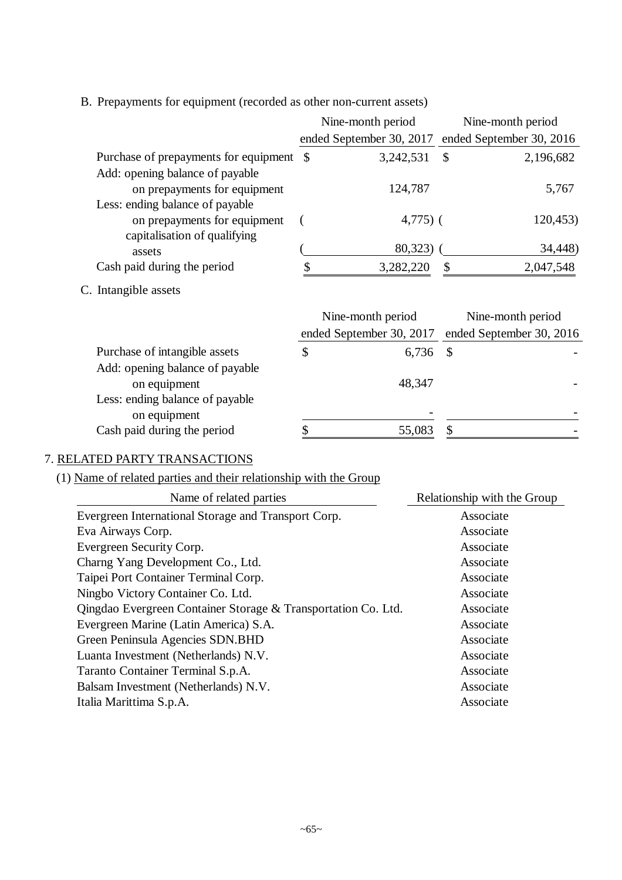|                                           | Nine-month period                                 |                            | Nine-month period |
|-------------------------------------------|---------------------------------------------------|----------------------------|-------------------|
|                                           | ended September 30, 2017 ended September 30, 2016 |                            |                   |
| Purchase of prepayments for equipment \\$ | 3,242,531                                         | $\mathcal{S}$              | 2,196,682         |
| Add: opening balance of payable           |                                                   |                            |                   |
| on prepayments for equipment              | 124,787                                           |                            | 5,767             |
| Less: ending balance of payable           |                                                   |                            |                   |
| on prepayments for equipment              | $4,775$ ) (                                       |                            | 120,453)          |
| capitalisation of qualifying              |                                                   |                            |                   |
| assets                                    | 80,323) (                                         |                            | 34,448)           |
| Cash paid during the period               | 3,282,220                                         | $\boldsymbol{\mathcal{S}}$ | 2,047,548         |
| C. Intangible assets                      |                                                   |                            |                   |
|                                           | Nine-month period                                 |                            | Nine-month period |
|                                           | ended September 30, 2017 ended September 30, 2016 |                            |                   |
| Purchase of intangible assets             | \$<br>6,736                                       | $\mathcal{S}$              |                   |
| Add: opening balance of payable           |                                                   |                            |                   |
| on equipment                              | 48,347                                            |                            |                   |
| Less: ending balance of payable           |                                                   |                            |                   |
| on equipment                              |                                                   |                            |                   |
| Cash paid during the period               | \$<br>55,083                                      | \$                         |                   |

B. Prepayments for equipment (recorded as other non-current assets)

#### 7. RELATED PARTY TRANSACTIONS

## (1) Name of related parties and their relationship with the Group

| Relationship with the Group |
|-----------------------------|
| Associate                   |
| Associate                   |
| Associate                   |
| Associate                   |
| Associate                   |
| Associate                   |
| Associate                   |
| Associate                   |
| Associate                   |
| Associate                   |
| Associate                   |
| Associate                   |
| Associate                   |
|                             |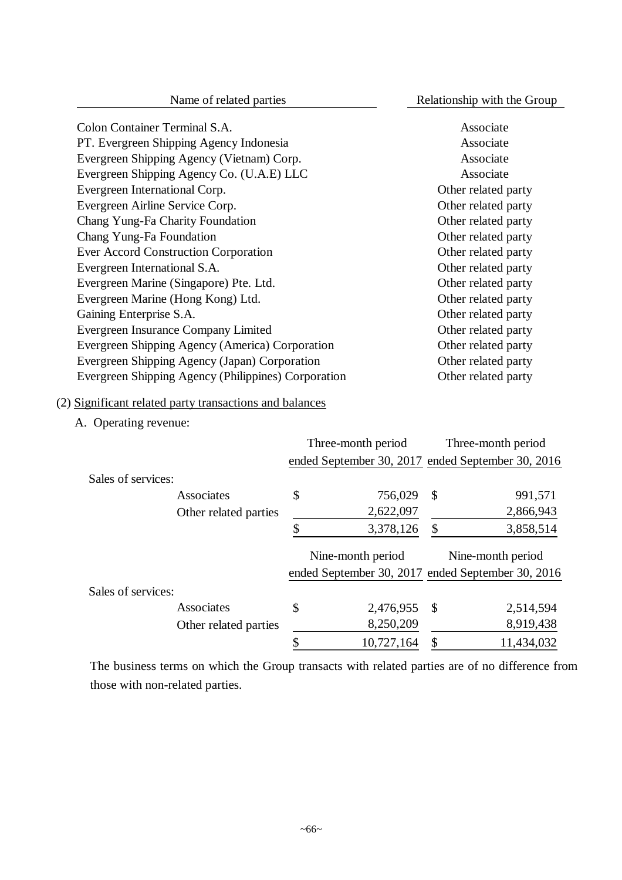| Colon Container Terminal S.A.                       | Associate           |
|-----------------------------------------------------|---------------------|
| PT. Evergreen Shipping Agency Indonesia             | Associate           |
| Evergreen Shipping Agency (Vietnam) Corp.           | Associate           |
| Evergreen Shipping Agency Co. (U.A.E) LLC           | Associate           |
| Evergreen International Corp.                       | Other related party |
| Evergreen Airline Service Corp.                     | Other related party |
| Chang Yung-Fa Charity Foundation                    | Other related party |
| Chang Yung-Fa Foundation                            | Other related party |
| Ever Accord Construction Corporation                | Other related party |
| Evergreen International S.A.                        | Other related party |
| Evergreen Marine (Singapore) Pte. Ltd.              | Other related party |
| Evergreen Marine (Hong Kong) Ltd.                   | Other related party |
| Gaining Enterprise S.A.                             | Other related party |
| Evergreen Insurance Company Limited                 | Other related party |
| Evergreen Shipping Agency (America) Corporation     | Other related party |
| Evergreen Shipping Agency (Japan) Corporation       | Other related party |
| Evergreen Shipping Agency (Philippines) Corporation | Other related party |

## (2) Significant related party transactions and balances

A. Operating revenue:

|                    |                       |    | Three-month period                                |               | Three-month period                                |
|--------------------|-----------------------|----|---------------------------------------------------|---------------|---------------------------------------------------|
|                    |                       |    | ended September 30, 2017 ended September 30, 2016 |               |                                                   |
| Sales of services: |                       |    |                                                   |               |                                                   |
|                    | Associates            | \$ | 756,029                                           | \$            | 991,571                                           |
|                    | Other related parties |    | 2,622,097                                         |               | 2,866,943                                         |
|                    |                       | S  | 3,378,126                                         | \$            | 3,858,514                                         |
|                    |                       |    | Nine-month period                                 |               | Nine-month period                                 |
|                    |                       |    |                                                   |               | ended September 30, 2017 ended September 30, 2016 |
|                    |                       |    |                                                   |               |                                                   |
| Sales of services: |                       |    |                                                   |               |                                                   |
|                    | Associates            | \$ | 2,476,955                                         | $\mathcal{S}$ | 2,514,594                                         |
|                    | Other related parties |    | 8,250,209                                         |               | 8,919,438                                         |

The business terms on which the Group transacts with related parties are of no difference from those with non-related parties.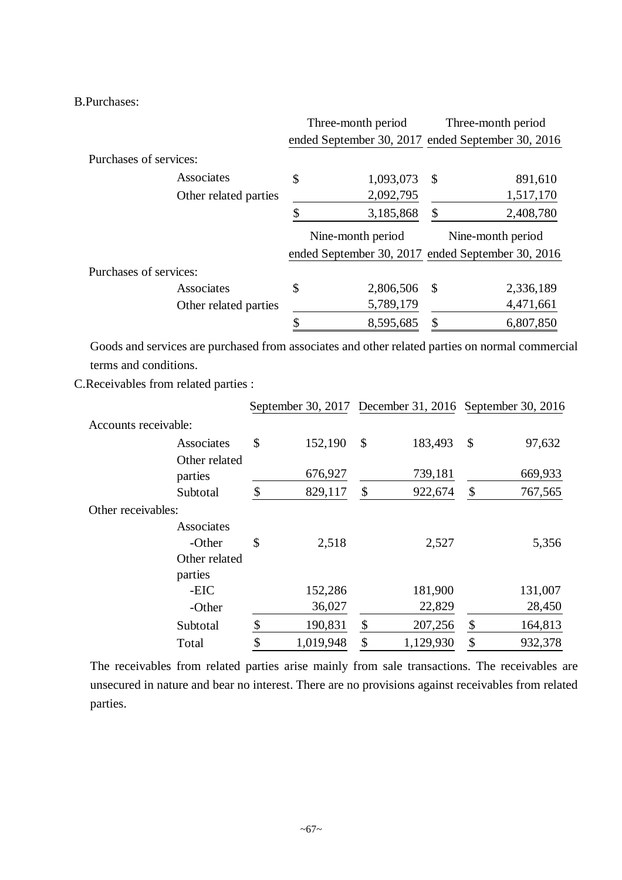B.Purchases:

|                        |                       | Three-month period |                   | Three-month period |                                                   |
|------------------------|-----------------------|--------------------|-------------------|--------------------|---------------------------------------------------|
|                        |                       |                    |                   |                    | ended September 30, 2017 ended September 30, 2016 |
| Purchases of services: |                       |                    |                   |                    |                                                   |
|                        | Associates            | \$                 | 1,093,073         | <b>S</b>           | 891,610                                           |
|                        | Other related parties |                    | 2,092,795         |                    | 1,517,170                                         |
|                        |                       |                    | 3,185,868         | \$                 | 2,408,780                                         |
|                        |                       |                    | Nine-month period |                    | Nine-month period                                 |
|                        |                       |                    |                   |                    | ended September 30, 2017 ended September 30, 2016 |
| Purchases of services: |                       |                    |                   |                    |                                                   |
|                        | Associates            | \$                 | 2,806,506         | -\$                | 2,336,189                                         |
|                        | Other related parties |                    | 5,789,179         |                    | 4,471,661                                         |
|                        |                       |                    |                   |                    |                                                   |

Goods and services are purchased from associates and other related parties on normal commercial terms and conditions.

C.Receivables from related parties :

|                          | September 30, 2017 December 31, 2016 September 30, 2016 |                 |               |
|--------------------------|---------------------------------------------------------|-----------------|---------------|
| Accounts receivable:     |                                                         |                 |               |
| Associates               | \$<br>152,190                                           | \$<br>183,493   | \$<br>97,632  |
| Other related<br>parties | 676,927                                                 | 739,181         | 669,933       |
| Subtotal                 | \$<br>829,117                                           | \$<br>922,674   | \$<br>767,565 |
| Other receivables:       |                                                         |                 |               |
| Associates               |                                                         |                 |               |
| -Other                   | \$<br>2,518                                             | 2,527           | 5,356         |
| Other related            |                                                         |                 |               |
| parties                  |                                                         |                 |               |
| -EIC                     | 152,286                                                 | 181,900         | 131,007       |
| -Other                   | 36,027                                                  | 22,829          | 28,450        |
| Subtotal                 | \$<br>190,831                                           | \$<br>207,256   | \$<br>164,813 |
| Total                    | \$<br>1,019,948                                         | \$<br>1,129,930 | \$<br>932,378 |

The receivables from related parties arise mainly from sale transactions. The receivables are unsecured in nature and bear no interest. There are no provisions against receivables from related parties.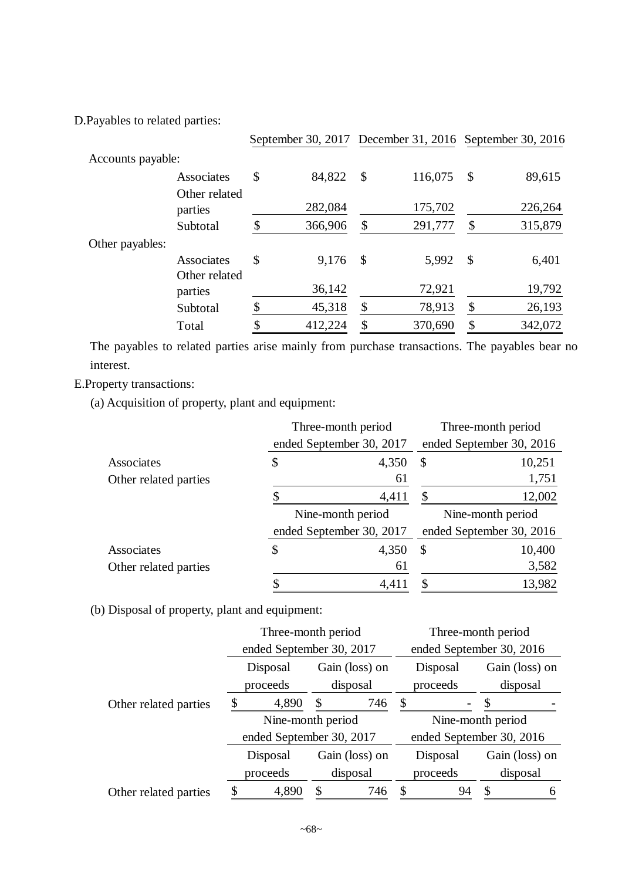D.Payables to related parties:

|                          |               |                           | September 30, 2017 December 31, 2016 September 30, 2016 |               |         |
|--------------------------|---------------|---------------------------|---------------------------------------------------------|---------------|---------|
| Accounts payable:        |               |                           |                                                         |               |         |
| Associates               | \$<br>84,822  | $\boldsymbol{\mathsf{S}}$ | 116,075                                                 | $\mathbb{S}$  | 89,615  |
| Other related<br>parties | 282,084       |                           | 175,702                                                 |               | 226,264 |
| Subtotal                 | \$<br>366,906 | \$                        | 291,777                                                 | \$            | 315,879 |
| Other payables:          |               |                           |                                                         |               |         |
| Associates               | \$<br>9,176   | $\mathcal{S}$             | 5,992                                                   | $\mathcal{S}$ | 6,401   |
| Other related<br>parties | 36,142        |                           | 72,921                                                  |               | 19,792  |
| Subtotal                 | \$<br>45,318  | \$                        | 78,913                                                  | \$            | 26,193  |
| Total                    | \$<br>412,224 | \$                        | 370,690                                                 | \$            | 342,072 |

The payables to related parties arise mainly from purchase transactions. The payables bear no interest.

E.Property transactions:

(a) Acquisition of property, plant and equipment:

|                       | Three-month period       | Three-month period |                          |  |
|-----------------------|--------------------------|--------------------|--------------------------|--|
|                       | ended September 30, 2017 |                    | ended September 30, 2016 |  |
| Associates            | \$<br>4,350<br>\$        |                    | 10,251                   |  |
| Other related parties | 61                       |                    | 1,751                    |  |
|                       | 4,411                    | \$                 | 12,002                   |  |
|                       | Nine-month period        | Nine-month period  |                          |  |
|                       |                          |                    |                          |  |
|                       | ended September 30, 2017 |                    | ended September 30, 2016 |  |
| Associates            | \$<br>4,350              | \$                 | 10,400                   |  |
| Other related parties | 61                       |                    | 3,582                    |  |

(b) Disposal of property, plant and equipment:

|                       | Three-month period       |                          |                |     | Three-month period       |    |                |  |
|-----------------------|--------------------------|--------------------------|----------------|-----|--------------------------|----|----------------|--|
|                       |                          | ended September 30, 2017 |                |     | ended September 30, 2016 |    |                |  |
|                       | Disposal                 |                          | Gain (loss) on |     | Disposal                 |    | Gain (loss) on |  |
|                       | proceeds                 |                          | disposal       |     | proceeds                 |    | disposal       |  |
| Other related parties |                          | 4,890                    | \$             | 746 | S                        |    |                |  |
|                       |                          | Nine-month period        |                |     | Nine-month period        |    |                |  |
|                       | ended September 30, 2017 |                          |                |     | ended September 30, 2016 |    |                |  |
|                       |                          | Disposal                 | Gain (loss) on |     | Disposal                 |    | Gain (loss) on |  |
|                       | proceeds                 |                          | disposal       |     | proceeds                 |    | disposal       |  |
| Other related parties | 4,890                    |                          |                | 746 |                          | 94 |                |  |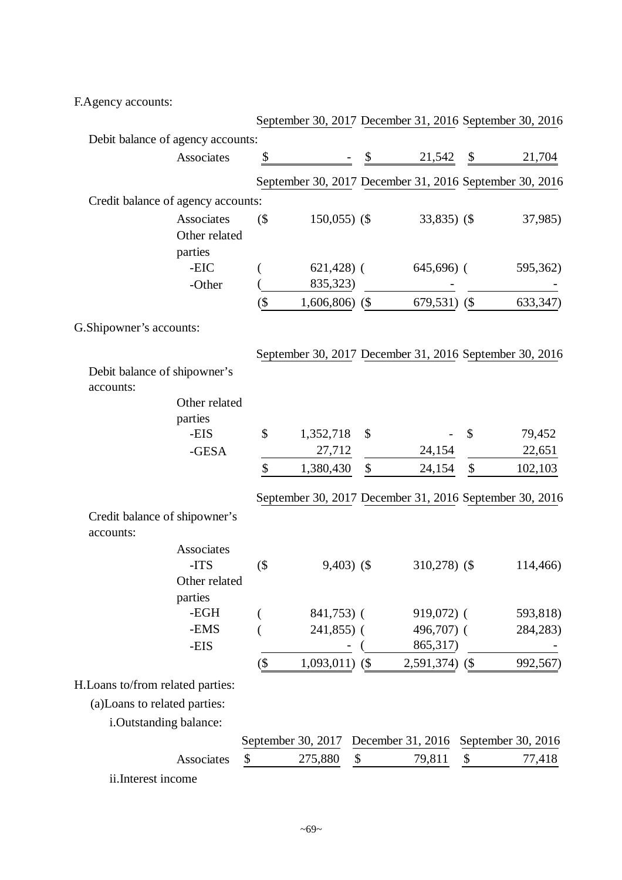F.Agency accounts:

|                                            |               |         | September 30, 2017 December 31, 2016 September 30, 2016 |                           |                                      |        |           |
|--------------------------------------------|---------------|---------|---------------------------------------------------------|---------------------------|--------------------------------------|--------|-----------|
| Debit balance of agency accounts:          |               |         |                                                         |                           |                                      |        |           |
|                                            | Associates    | \$      |                                                         | \$                        | 21,542                               | \$     | 21,704    |
|                                            |               |         | September 30, 2017 December 31, 2016 September 30, 2016 |                           |                                      |        |           |
| Credit balance of agency accounts:         |               |         |                                                         |                           |                                      |        |           |
|                                            | Associates    | $($ \$  | $150,055$ (\$)                                          |                           | $33,835$ (\$)                        |        | 37,985)   |
|                                            | Other related |         |                                                         |                           |                                      |        |           |
|                                            | parties       |         |                                                         |                           |                                      |        |           |
|                                            | -EIC          |         | $621,428$ (                                             |                           | $645,696$ (                          |        | 595,362)  |
|                                            | -Other        |         | 835,323)                                                |                           |                                      |        |           |
|                                            |               | $(\$\)$ | $1,606,806$ (\$)                                        |                           | $679,531)$ (\$                       |        | 633, 347) |
| G.Shipowner's accounts:                    |               |         |                                                         |                           |                                      |        |           |
|                                            |               |         | September 30, 2017 December 31, 2016 September 30, 2016 |                           |                                      |        |           |
| Debit balance of shipowner's               |               |         |                                                         |                           |                                      |        |           |
| accounts:                                  |               |         |                                                         |                           |                                      |        |           |
|                                            | Other related |         |                                                         |                           |                                      |        |           |
|                                            | parties       |         |                                                         |                           |                                      |        |           |
|                                            | -EIS          | \$      | 1,352,718                                               | \$                        |                                      | \$     | 79,452    |
|                                            | -GESA         |         | 27,712                                                  |                           | 24,154                               |        | 22,651    |
|                                            |               | \$      | 1,380,430                                               | $\boldsymbol{\mathsf{S}}$ | 24,154                               | \$     | 102,103   |
|                                            |               |         | September 30, 2017 December 31, 2016 September 30, 2016 |                           |                                      |        |           |
| Credit balance of shipowner's<br>accounts: |               |         |                                                         |                           |                                      |        |           |
|                                            | Associates    |         |                                                         |                           |                                      |        |           |
|                                            | -ITS          | $($ \$  | $9,403)$ (\$)                                           |                           | $310,278$ (\$)                       |        | 114,466)  |
|                                            | Other related |         |                                                         |                           |                                      |        |           |
|                                            | parties       |         |                                                         |                           |                                      |        |           |
|                                            | -EGH          |         | 841,753) (                                              |                           | 919,072) (                           |        | 593,818)  |
|                                            | -EMS          |         | $241,855$ ) (                                           |                           | 496,707) (                           |        | 284,283)  |
|                                            | -EIS          |         |                                                         |                           | 865,317)                             |        |           |
|                                            |               | $(\$\,$ | $1,093,011$ (\$)                                        |                           | $2,591,374)$ (\$                     |        | 992,567)  |
| H.Loans to/from related parties:           |               |         |                                                         |                           |                                      |        |           |
| (a)Loans to related parties:               |               |         |                                                         |                           |                                      |        |           |
| i.Outstanding balance:                     |               |         |                                                         |                           |                                      |        |           |
|                                            |               |         | September 30, 2017                                      |                           | December 31, 2016 September 30, 2016 |        |           |
|                                            | Associates    | \$      | 275,880                                                 | \$                        | 79,811                               | $\$\,$ | 77,418    |
|                                            |               |         |                                                         |                           |                                      |        |           |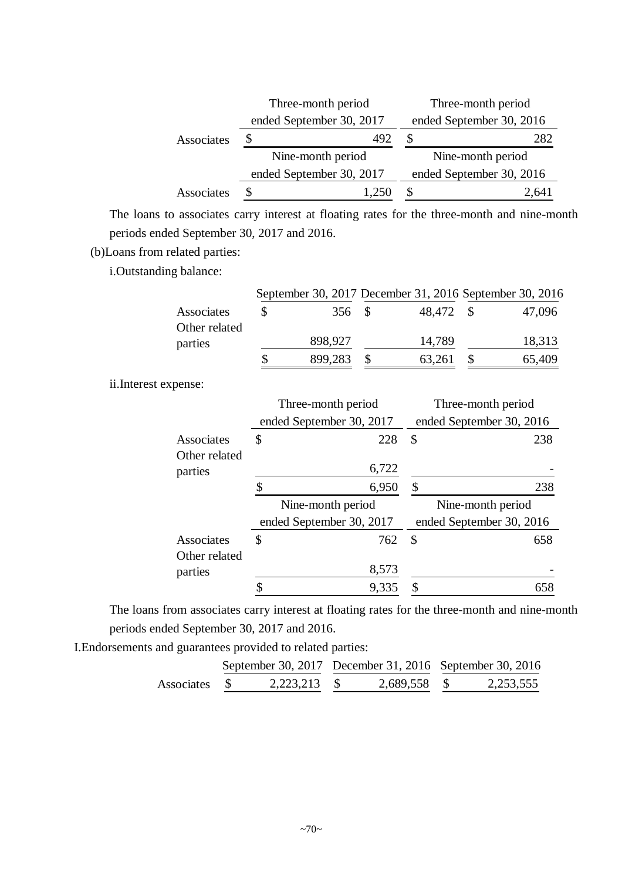|            | Three-month period       | Three-month period       |  |  |  |
|------------|--------------------------|--------------------------|--|--|--|
|            | ended September 30, 2017 | ended September 30, 2016 |  |  |  |
| Associates | 492                      | 282                      |  |  |  |
|            | Nine-month period        | Nine-month period        |  |  |  |
|            | ended September 30, 2017 | ended September 30, 2016 |  |  |  |
| Associates |                          | 2.64                     |  |  |  |

The loans to associates carry interest at floating rates for the three-month and nine-month periods ended September 30, 2017 and 2016.

(b)Loans from related parties:

i.Outstanding balance:

|               |         |           | September 30, 2017 December 31, 2016 September 30, 2016 |
|---------------|---------|-----------|---------------------------------------------------------|
| Associates    | 356 \$  | 48,472 \$ | 47,096                                                  |
| Other related |         |           |                                                         |
| parties       | 898,927 | 14,789    | 18,313                                                  |
|               | 899,283 | 63,261    | 65,409                                                  |

ii.Interest expense:

|               | Three-month period       | Three-month period        |
|---------------|--------------------------|---------------------------|
|               | ended September 30, 2017 | ended September 30, 2016  |
| Associates    | 228<br>\$                | 238<br>\$                 |
| Other related |                          |                           |
| parties       | 6,722                    |                           |
|               | 6,950                    | 238<br>\$                 |
|               |                          |                           |
|               | Nine-month period        | Nine-month period         |
|               | ended September 30, 2017 | ended September 30, 2016  |
| Associates    | \$<br>762                | $\mathbf{\hat{S}}$<br>658 |
| Other related |                          |                           |
| parties       | 8,573                    |                           |

The loans from associates carry interest at floating rates for the three-month and nine-month periods ended September 30, 2017 and 2016.

I.Endorsements and guarantees provided to related parties:

|               |              |              | September 30, 2017 December 31, 2016 September 30, 2016 |           |  |
|---------------|--------------|--------------|---------------------------------------------------------|-----------|--|
| Associates \$ | 2,223,213 \$ | 2,689,558 \$ |                                                         | 2,253,555 |  |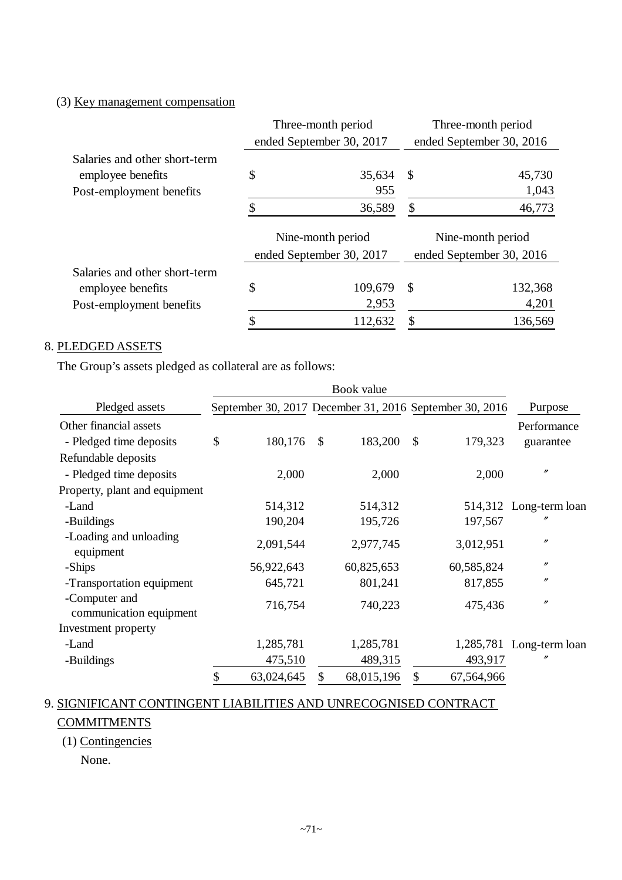## (3) Key management compensation

|                               | Three-month period |                                               | Three-month period |                                               |
|-------------------------------|--------------------|-----------------------------------------------|--------------------|-----------------------------------------------|
|                               |                    | ended September 30, 2017                      |                    | ended September 30, 2016                      |
| Salaries and other short-term |                    |                                               |                    |                                               |
| employee benefits             | \$                 | 35,634                                        | $\mathbb{S}$       | 45,730                                        |
| Post-employment benefits      |                    | 955                                           |                    | 1,043                                         |
|                               |                    | 36,589                                        | \$                 | 46,773                                        |
|                               |                    | Nine-month period<br>ended September 30, 2017 |                    | Nine-month period<br>ended September 30, 2016 |
| Salaries and other short-term |                    |                                               |                    |                                               |
| employee benefits             | \$                 | 109,679                                       | \$                 | 132,368                                       |
| Post-employment benefits      |                    | 2,953                                         |                    | 4,201                                         |
|                               |                    | 112,632                                       | \$                 | 136,569                                       |

## 8. PLEDGED ASSETS

The Group's assets pledged as collateral are as follows:

| Pledged assets                           |    |            |              |            |               | September 30, 2017 December 31, 2016 September 30, 2016 | Purpose                  |
|------------------------------------------|----|------------|--------------|------------|---------------|---------------------------------------------------------|--------------------------|
| Other financial assets                   |    |            |              |            |               |                                                         | Performance              |
| - Pledged time deposits                  | \$ | 180,176    | $\mathbb{S}$ | 183,200    | $\mathcal{S}$ | 179,323                                                 | guarantee                |
| Refundable deposits                      |    |            |              |            |               |                                                         |                          |
| - Pledged time deposits                  |    | 2,000      |              | 2,000      |               | 2,000                                                   | $^{\prime\prime}$        |
| Property, plant and equipment            |    |            |              |            |               |                                                         |                          |
| -Land                                    |    | 514,312    |              | 514,312    |               |                                                         | 514,312 Long-term loan   |
| -Buildings                               |    | 190,204    |              | 195,726    |               | 197,567                                                 |                          |
| -Loading and unloading<br>equipment      |    | 2,091,544  |              | 2,977,745  |               | 3,012,951                                               | $^{\prime\prime}$        |
| -Ships                                   |    | 56,922,643 |              | 60,825,653 |               | 60,585,824                                              | $^{\prime\prime}$        |
| -Transportation equipment                |    | 645,721    |              | 801,241    |               | 817,855                                                 | $^{\prime\prime}$        |
| -Computer and<br>communication equipment |    | 716,754    |              | 740,223    |               | 475,436                                                 | $^{\prime\prime}$        |
| Investment property                      |    |            |              |            |               |                                                         |                          |
| -Land                                    |    | 1,285,781  |              | 1,285,781  |               |                                                         | 1,285,781 Long-term loan |
| -Buildings                               |    | 475,510    |              | 489,315    |               | 493,917                                                 | $^{\prime\prime}$        |
|                                          | \$ | 63,024,645 | \$           | 68,015,196 | \$            | 67,564,966                                              |                          |

## 9. SIGNIFICANT CONTINGENT LIABILITIES AND UNRECOGNISED CONTRACT

### **COMMITMENTS**

## (1) Contingencies

None.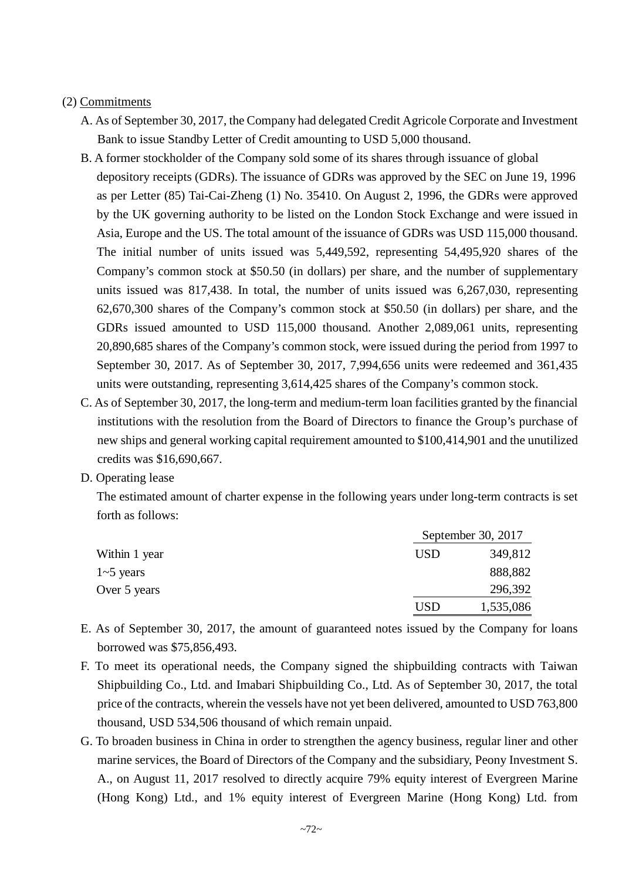## (2) Commitments

- A. As of September 30, 2017, the Company had delegated Credit Agricole Corporate and Investment Bank to issue Standby Letter of Credit amounting to USD 5,000 thousand.
- B. A former stockholder of the Company sold some of its shares through issuance of global depository receipts (GDRs). The issuance of GDRs was approved by the SEC on June 19, 1996 as per Letter (85) Tai-Cai-Zheng (1) No. 35410. On August 2, 1996, the GDRs were approved by the UK governing authority to be listed on the London Stock Exchange and were issued in Asia, Europe and the US. The total amount of the issuance of GDRs was USD 115,000 thousand. The initial number of units issued was 5,449,592, representing 54,495,920 shares of the Company's common stock at \$50.50 (in dollars) per share, and the number of supplementary units issued was 817,438. In total, the number of units issued was 6,267,030, representing 62,670,300 shares of the Company's common stock at \$50.50 (in dollars) per share, and the GDRs issued amounted to USD 115,000 thousand. Another 2,089,061 units, representing 20,890,685 shares of the Company's common stock, were issued during the period from 1997 to September 30, 2017. As of September 30, 2017, 7,994,656 units were redeemed and 361,435 units were outstanding, representing 3,614,425 shares of the Company's common stock.
- C. As of September 30, 2017, the long-term and medium-term loan facilities granted by the financial institutions with the resolution from the Board of Directors to finance the Group's purchase of new ships and general working capital requirement amounted to \$100,414,901 and the unutilized credits was \$16,690,667.
- D. Operating lease

The estimated amount of charter expense in the following years under long-term contracts is set forth as follows:

|               |            | September 30, 2017 |
|---------------|------------|--------------------|
| Within 1 year | <b>USD</b> | 349,812            |
| $1-5$ years   |            | 888,882            |
| Over 5 years  |            | 296,392            |
|               | USD        | 1,535,086          |

- E. As of September 30, 2017, the amount of guaranteed notes issued by the Company for loans borrowed was \$75,856,493.
- F. To meet its operational needs, the Company signed the shipbuilding contracts with Taiwan Shipbuilding Co., Ltd. and Imabari Shipbuilding Co., Ltd. As of September 30, 2017, the total price of the contracts, wherein the vessels have not yet been delivered, amounted to USD 763,800 thousand, USD 534,506 thousand of which remain unpaid.
- G. To broaden business in China in order to strengthen the agency business, regular liner and other marine services, the Board of Directors of the Company and the subsidiary, Peony Investment S. A., on August 11, 2017 resolved to directly acquire 79% equity interest of Evergreen Marine (Hong Kong) Ltd., and 1% equity interest of Evergreen Marine (Hong Kong) Ltd. from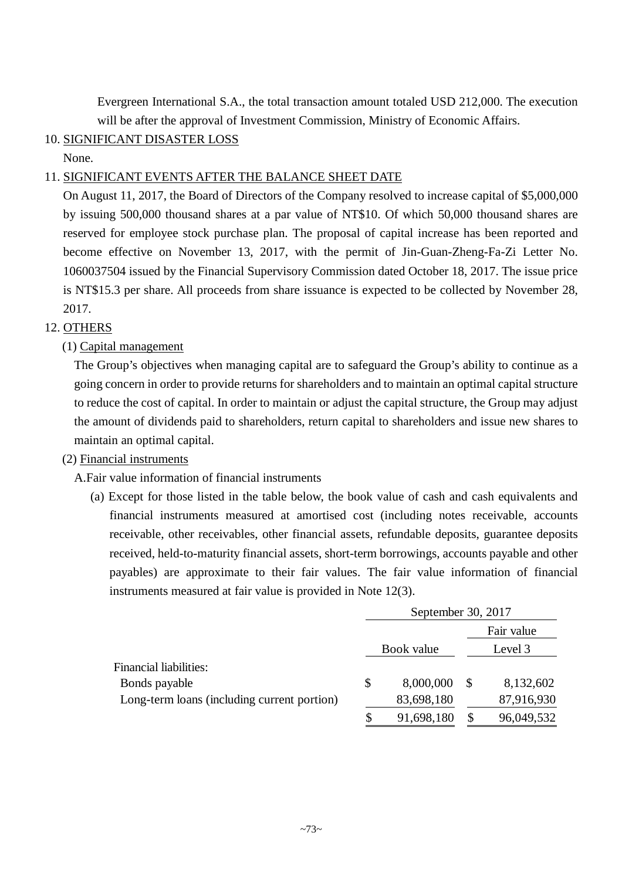Evergreen International S.A., the total transaction amount totaled USD 212,000. The execution will be after the approval of Investment Commission, Ministry of Economic Affairs.

# 10. SIGNIFICANT DISASTER LOSS

None.

# 11. SIGNIFICANT EVENTS AFTER THE BALANCE SHEET DATE

On August 11, 2017, the Board of Directors of the Company resolved to increase capital of \$5,000,000 by issuing 500,000 thousand shares at a par value of NT\$10. Of which 50,000 thousand shares are reserved for employee stock purchase plan. The proposal of capital increase has been reported and become effective on November 13, 2017, with the permit of Jin-Guan-Zheng-Fa-Zi Letter No. 1060037504 issued by the Financial Supervisory Commission dated October 18, 2017. The issue price is NT\$15.3 per share. All proceeds from share issuance is expected to be collected by November 28, 2017.

# 12. OTHERS

# (1) Capital management

The Group's objectives when managing capital are to safeguard the Group's ability to continue as a going concern in order to provide returns for shareholders and to maintain an optimal capital structure to reduce the cost of capital. In order to maintain or adjust the capital structure, the Group may adjust the amount of dividends paid to shareholders, return capital to shareholders and issue new shares to maintain an optimal capital.

# (2) Financial instruments

A.Fair value information of financial instruments

(a) Except for those listed in the table below, the book value of cash and cash equivalents and financial instruments measured at amortised cost (including notes receivable, accounts receivable, other receivables, other financial assets, refundable deposits, guarantee deposits received, held-to-maturity financial assets, short-term borrowings, accounts payable and other payables) are approximate to their fair values. The fair value information of financial instruments measured at fair value is provided in Note 12(3).

|                                             |    | September 30, 2017 |   |            |  |
|---------------------------------------------|----|--------------------|---|------------|--|
|                                             |    | Book value         |   | Fair value |  |
|                                             |    |                    |   | Level 3    |  |
| <b>Financial liabilities:</b>               |    |                    |   |            |  |
| Bonds payable                               | \$ | 8,000,000          | S | 8,132,602  |  |
| Long-term loans (including current portion) |    | 83,698,180         |   | 87,916,930 |  |
|                                             |    | 91,698,180         |   | 96,049,532 |  |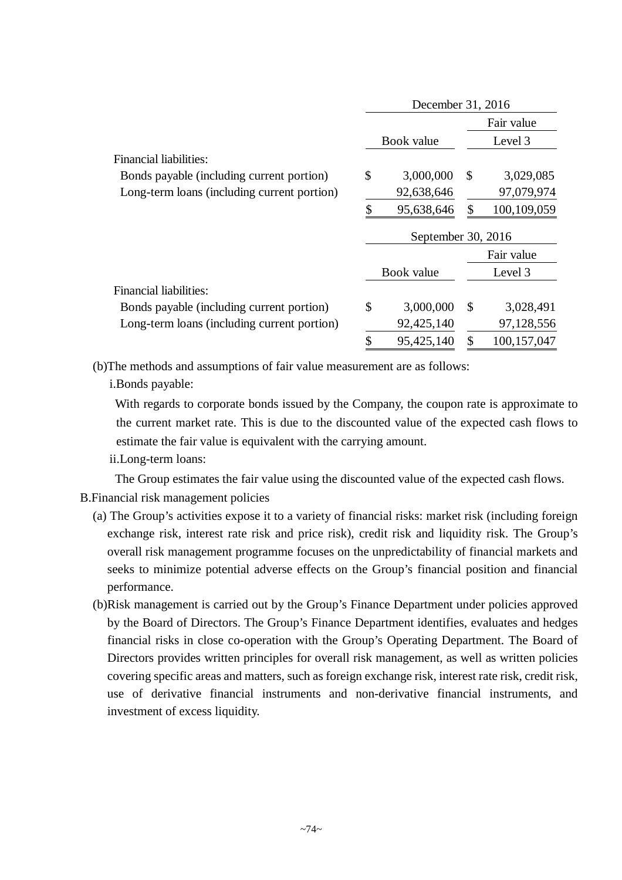|                                             | December 31, 2016 |                    |               |               |  |
|---------------------------------------------|-------------------|--------------------|---------------|---------------|--|
|                                             |                   |                    |               | Fair value    |  |
|                                             |                   | Book value         |               | Level 3       |  |
| Financial liabilities:                      |                   |                    |               |               |  |
| Bonds payable (including current portion)   | \$                | 3,000,000          | <sup>S</sup>  | 3,029,085     |  |
| Long-term loans (including current portion) |                   | 92,638,646         |               | 97,079,974    |  |
|                                             |                   | 95,638,646         | \$            | 100,109,059   |  |
|                                             |                   | September 30, 2016 |               |               |  |
|                                             |                   |                    |               | Fair value    |  |
|                                             |                   | Book value         |               | Level 3       |  |
| Financial liabilities:                      |                   |                    |               |               |  |
| Bonds payable (including current portion)   | \$                | 3,000,000          | $\mathcal{S}$ | 3,028,491     |  |
| Long-term loans (including current portion) |                   | 92,425,140         |               | 97,128,556    |  |
|                                             |                   | 95,425,140         | \$            | 100, 157, 047 |  |

(b)The methods and assumptions of fair value measurement are as follows:

i.Bonds payable:

With regards to corporate bonds issued by the Company, the coupon rate is approximate to the current market rate. This is due to the discounted value of the expected cash flows to estimate the fair value is equivalent with the carrying amount.

ii.Long-term loans:

The Group estimates the fair value using the discounted value of the expected cash flows.

- B.Financial risk management policies
	- (a) The Group's activities expose it to a variety of financial risks: market risk (including foreign exchange risk, interest rate risk and price risk), credit risk and liquidity risk. The Group's overall risk management programme focuses on the unpredictability of financial markets and seeks to minimize potential adverse effects on the Group's financial position and financial performance.
	- (b)Risk management is carried out by the Group's Finance Department under policies approved by the Board of Directors. The Group's Finance Department identifies, evaluates and hedges financial risks in close co-operation with the Group's Operating Department. The Board of Directors provides written principles for overall risk management, as well as written policies covering specific areas and matters, such as foreign exchange risk, interest rate risk, credit risk, use of derivative financial instruments and non-derivative financial instruments, and investment of excess liquidity.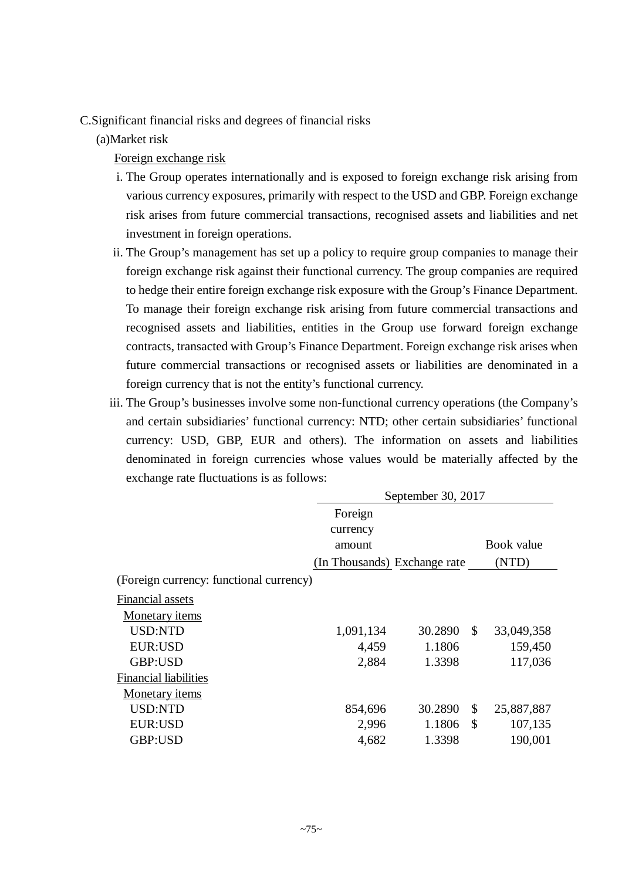C.Significant financial risks and degrees of financial risks

(a)Market risk

Foreign exchange risk

- i. The Group operates internationally and is exposed to foreign exchange risk arising from various currency exposures, primarily with respect to the USD and GBP. Foreign exchange risk arises from future commercial transactions, recognised assets and liabilities and net investment in foreign operations.
- ii. The Group's management has set up a policy to require group companies to manage their foreign exchange risk against their functional currency. The group companies are required to hedge their entire foreign exchange risk exposure with the Group's Finance Department. To manage their foreign exchange risk arising from future commercial transactions and recognised assets and liabilities, entities in the Group use forward foreign exchange contracts, transacted with Group's Finance Department. Foreign exchange risk arises when future commercial transactions or recognised assets or liabilities are denominated in a foreign currency that is not the entity's functional currency.
- iii. The Group's businesses involve some non-functional currency operations (the Company's and certain subsidiaries' functional currency: NTD; other certain subsidiaries' functional currency: USD, GBP, EUR and others). The information on assets and liabilities denominated in foreign currencies whose values would be materially affected by the exchange rate fluctuations is as follows:

|                                         | September 30, 2017           |         |               |            |  |  |
|-----------------------------------------|------------------------------|---------|---------------|------------|--|--|
|                                         | Foreign                      |         |               |            |  |  |
|                                         | currency                     |         |               |            |  |  |
|                                         | amount                       |         |               | Book value |  |  |
|                                         | (In Thousands) Exchange rate |         |               | (NTD)      |  |  |
| (Foreign currency: functional currency) |                              |         |               |            |  |  |
| Financial assets                        |                              |         |               |            |  |  |
| Monetary <i>items</i>                   |                              |         |               |            |  |  |
| USD:NTD                                 | 1,091,134                    | 30.2890 | <sup>\$</sup> | 33,049,358 |  |  |
| <b>EUR:USD</b>                          | 4,459                        | 1.1806  |               | 159,450    |  |  |
| GBP:USD                                 | 2,884                        | 1.3398  |               | 117,036    |  |  |
| <b>Financial liabilities</b>            |                              |         |               |            |  |  |
| <b>Monetary items</b>                   |                              |         |               |            |  |  |
| USD:NTD                                 | 854,696                      | 30.2890 | \$            | 25,887,887 |  |  |
| EUR:USD                                 | 2,996                        | 1.1806  | \$            | 107,135    |  |  |
| GBP:USD                                 | 4,682                        | 1.3398  |               | 190,001    |  |  |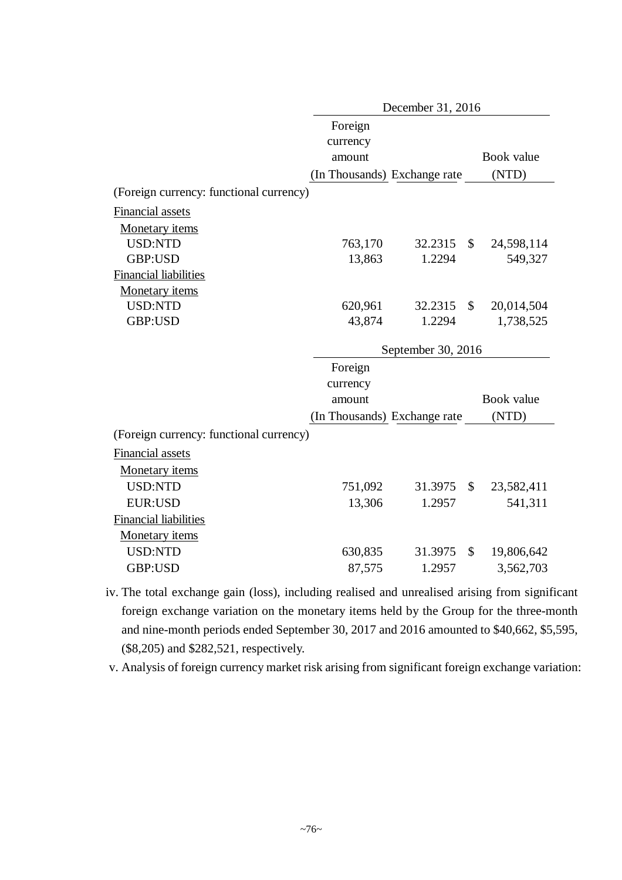|                                         | December 31, 2016            |                    |              |            |  |  |
|-----------------------------------------|------------------------------|--------------------|--------------|------------|--|--|
|                                         | Foreign                      |                    |              |            |  |  |
|                                         | currency                     |                    |              |            |  |  |
|                                         | amount                       |                    |              | Book value |  |  |
|                                         | (In Thousands) Exchange rate |                    |              | (NTD)      |  |  |
| (Foreign currency: functional currency) |                              |                    |              |            |  |  |
| <b>Financial assets</b>                 |                              |                    |              |            |  |  |
| Monetary items                          |                              |                    |              |            |  |  |
| <b>USD:NTD</b>                          | 763,170                      | 32.2315            | $\mathbb{S}$ | 24,598,114 |  |  |
| GBP:USD                                 | 13,863                       | 1.2294             |              | 549,327    |  |  |
| <b>Financial liabilities</b>            |                              |                    |              |            |  |  |
| Monetary items                          |                              |                    |              |            |  |  |
| USD:NTD                                 | 620,961                      | 32.2315            | $\mathbb{S}$ | 20,014,504 |  |  |
| GBP:USD                                 | 43,874                       | 1.2294             |              | 1,738,525  |  |  |
|                                         |                              | September 30, 2016 |              |            |  |  |
|                                         | Foreign                      |                    |              |            |  |  |
|                                         | currency                     |                    |              |            |  |  |
|                                         | amount                       |                    |              | Book value |  |  |
|                                         | (In Thousands) Exchange rate |                    |              | (NTD)      |  |  |
| (Foreign currency: functional currency) |                              |                    |              |            |  |  |
| Financial assets                        |                              |                    |              |            |  |  |
| Monetary items                          |                              |                    |              |            |  |  |
| <b>USD:NTD</b>                          | 751,092                      | 31.3975            | \$           | 23,582,411 |  |  |
| <b>EUR:USD</b>                          | 13,306                       | 1.2957             |              | 541,311    |  |  |
| <b>Financial liabilities</b>            |                              |                    |              |            |  |  |
| Monetary items                          |                              |                    |              |            |  |  |
|                                         |                              |                    |              |            |  |  |
| <b>USD:NTD</b>                          | 630,835                      | 31.3975            | \$           | 19,806,642 |  |  |

iv. The total exchange gain (loss), including realised and unrealised arising from significant foreign exchange variation on the monetary items held by the Group for the three-month and nine-month periods ended September 30, 2017 and 2016 amounted to \$40,662, \$5,595, (\$8,205) and \$282,521, respectively.

v. Analysis of foreign currency market risk arising from significant foreign exchange variation: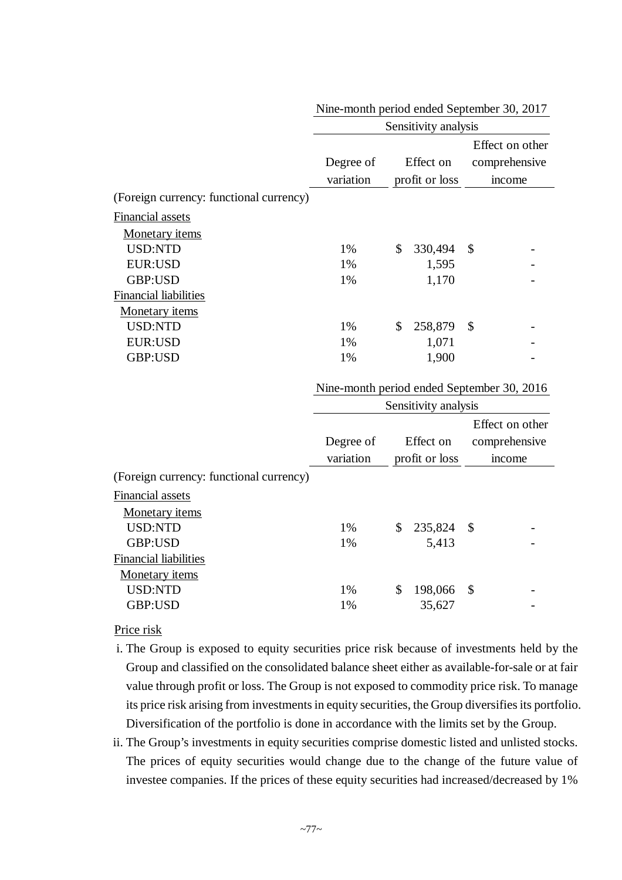|                                         | Sensitivity analysis   |    |                             |                                            |  |  |  |
|-----------------------------------------|------------------------|----|-----------------------------|--------------------------------------------|--|--|--|
|                                         | Degree of<br>variation |    | Effect on<br>profit or loss | Effect on other<br>comprehensive<br>income |  |  |  |
| (Foreign currency: functional currency) |                        |    |                             |                                            |  |  |  |
| Financial assets                        |                        |    |                             |                                            |  |  |  |
| <b>Monetary items</b>                   |                        |    |                             |                                            |  |  |  |
| <b>USD:NTD</b>                          | 1%                     | \$ | 330,494                     | \$                                         |  |  |  |
| <b>EUR:USD</b>                          | 1%                     |    | 1,595                       |                                            |  |  |  |
| GBP:USD                                 | 1%                     |    | 1,170                       |                                            |  |  |  |
| <b>Financial liabilities</b>            |                        |    |                             |                                            |  |  |  |
| Monetary <i>items</i>                   |                        |    |                             |                                            |  |  |  |
| <b>USD:NTD</b>                          | 1%                     | \$ | 258,879                     | $\mathcal{S}$                              |  |  |  |
| <b>EUR:USD</b>                          | 1%                     |    | 1,071                       |                                            |  |  |  |
| GBP:USD                                 | 1%                     |    | 1,900                       |                                            |  |  |  |
|                                         |                        |    |                             |                                            |  |  |  |

|  |  | Nine-month period ended September 30, 2017 |  |
|--|--|--------------------------------------------|--|
|--|--|--------------------------------------------|--|

Nine-month period ended September 30, 2016

|                                         | Sensitivity analysis   |                             |         |      |                                           |  |  |
|-----------------------------------------|------------------------|-----------------------------|---------|------|-------------------------------------------|--|--|
|                                         | Degree of<br>variation | Effect on<br>profit or loss |         |      | Effect on other<br>comprehensive<br>mcome |  |  |
| (Foreign currency: functional currency) |                        |                             |         |      |                                           |  |  |
| Financial assets                        |                        |                             |         |      |                                           |  |  |
| Monetary <i>items</i>                   |                        |                             |         |      |                                           |  |  |
| <b>USD:NTD</b>                          | 1%                     | \$                          | 235,824 | - \$ |                                           |  |  |
| GBP:USD                                 | 1%                     |                             | 5,413   |      |                                           |  |  |
| <b>Financial liabilities</b>            |                        |                             |         |      |                                           |  |  |
| Monetary items                          |                        |                             |         |      |                                           |  |  |
| <b>USD:NTD</b>                          | 1%                     | \$                          | 198,066 | -S   |                                           |  |  |
| GBP:USD                                 | 1%                     |                             | 35,627  |      |                                           |  |  |

## Price risk

- i. The Group is exposed to equity securities price risk because of investments held by the Group and classified on the consolidated balance sheet either as available-for-sale or at fair value through profit or loss. The Group is not exposed to commodity price risk. To manage its price risk arising from investments in equity securities, the Group diversifies its portfolio. Diversification of the portfolio is done in accordance with the limits set by the Group.
- ii. The Group's investments in equity securities comprise domestic listed and unlisted stocks. The prices of equity securities would change due to the change of the future value of investee companies. If the prices of these equity securities had increased/decreased by 1%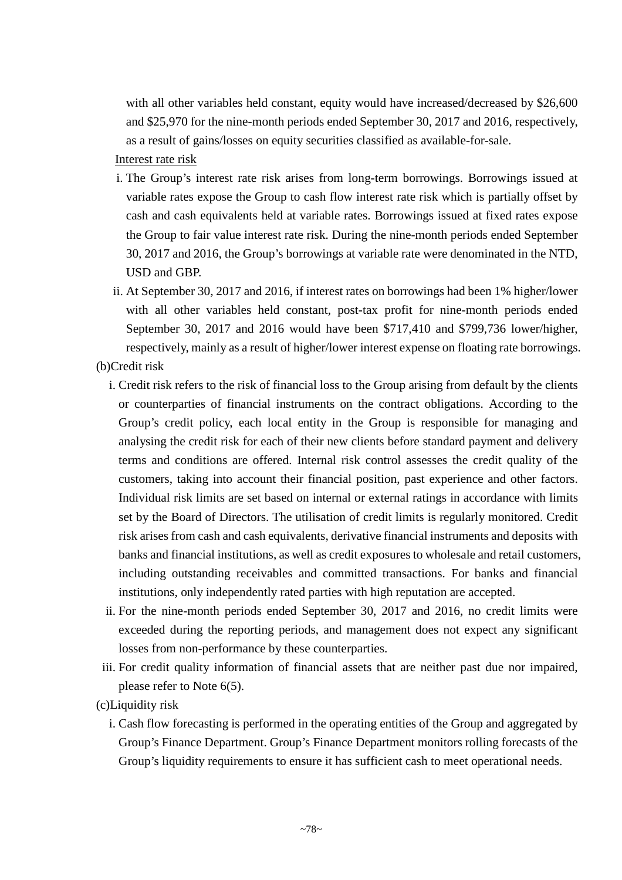with all other variables held constant, equity would have increased/decreased by \$26,600 and \$25,970 for the nine-month periods ended September 30, 2017 and 2016, respectively, as a result of gains/losses on equity securities classified as available-for-sale.

# Interest rate risk

- i. The Group's interest rate risk arises from long-term borrowings. Borrowings issued at variable rates expose the Group to cash flow interest rate risk which is partially offset by cash and cash equivalents held at variable rates. Borrowings issued at fixed rates expose the Group to fair value interest rate risk. During the nine-month periods ended September 30, 2017 and 2016, the Group's borrowings at variable rate were denominated in the NTD, USD and GBP.
- ii. At September 30, 2017 and 2016, if interest rates on borrowings had been 1% higher/lower with all other variables held constant, post-tax profit for nine-month periods ended September 30, 2017 and 2016 would have been \$717,410 and \$799,736 lower/higher, respectively, mainly as a result of higher/lower interest expense on floating rate borrowings.
- (b)Credit risk
	- i. Credit risk refers to the risk of financial loss to the Group arising from default by the clients or counterparties of financial instruments on the contract obligations. According to the Group's credit policy, each local entity in the Group is responsible for managing and analysing the credit risk for each of their new clients before standard payment and delivery terms and conditions are offered. Internal risk control assesses the credit quality of the customers, taking into account their financial position, past experience and other factors. Individual risk limits are set based on internal or external ratings in accordance with limits set by the Board of Directors. The utilisation of credit limits is regularly monitored. Credit risk arises from cash and cash equivalents, derivative financial instruments and deposits with banks and financial institutions, as well as credit exposures to wholesale and retail customers, including outstanding receivables and committed transactions. For banks and financial institutions, only independently rated parties with high reputation are accepted.
	- ii. For the nine-month periods ended September 30, 2017 and 2016, no credit limits were exceeded during the reporting periods, and management does not expect any significant losses from non-performance by these counterparties.
- iii. For credit quality information of financial assets that are neither past due nor impaired, please refer to Note 6(5).
- (c)Liquidity risk
	- i. Cash flow forecasting is performed in the operating entities of the Group and aggregated by Group's Finance Department. Group's Finance Department monitors rolling forecasts of the Group's liquidity requirements to ensure it has sufficient cash to meet operational needs.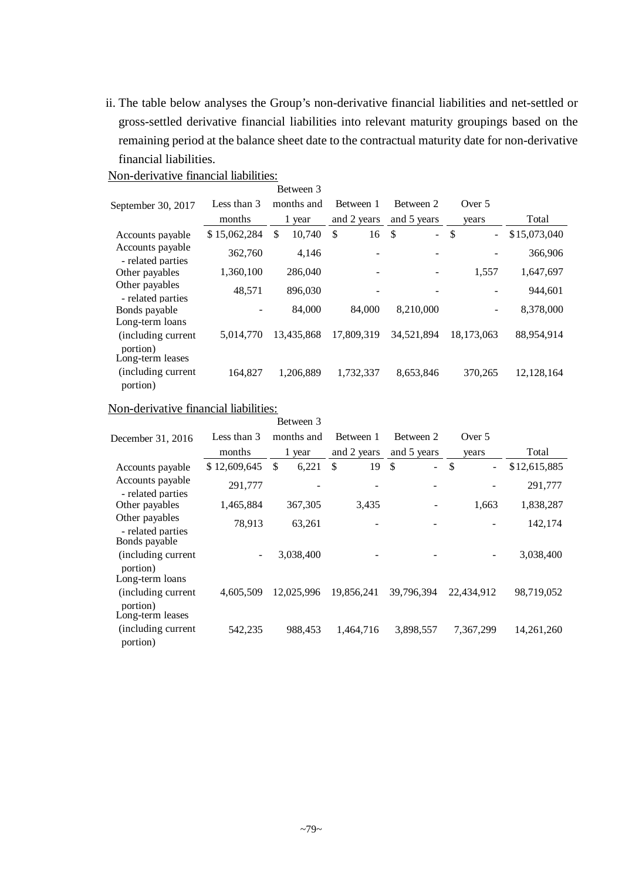ii. The table below analyses the Group's non-derivative financial liabilities and net-settled or gross-settled derivative financial liabilities into relevant maturity groupings based on the remaining period at the balance sheet date to the contractual maturity date for non-derivative financial liabilities.

|                                                    |              | Between 3    |             |                         |                      |              |
|----------------------------------------------------|--------------|--------------|-------------|-------------------------|----------------------|--------------|
| September 30, 2017                                 | Less than 3  | months and   | Between 1   | Between 2               | Over 5               |              |
|                                                    | months       | 1 year       | and 2 years | and 5 years             | years                | Total        |
| Accounts payable                                   | \$15,062,284 | \$<br>10,740 | \$<br>16    | $\mathcal{S}$<br>$\sim$ | \$<br>$\blacksquare$ | \$15,073,040 |
| Accounts payable<br>- related parties              | 362,760      | 4,146        |             |                         |                      | 366,906      |
| Other payables                                     | 1,360,100    | 286,040      |             |                         | 1,557                | 1,647,697    |
| Other payables<br>- related parties                | 48,571       | 896,030      |             |                         |                      | 944,601      |
| Bonds payable                                      |              | 84,000       | 84,000      | 8,210,000               |                      | 8,378,000    |
| Long-term loans<br>(including current<br>portion)  | 5,014,770    | 13,435,868   | 17.809.319  | 34,521,894              | 18,173,063           | 88,954,914   |
| Long-term leases<br>(including current<br>portion) | 164,827      | 1,206,889    | 1,732,337   | 8,653,846               | 370,265              | 12, 128, 164 |

# Non-derivative financial liabilities:

# Non-derivative financial liabilities:

|                                       |                   | Between 3   |             |                      |                                           |              |
|---------------------------------------|-------------------|-------------|-------------|----------------------|-------------------------------------------|--------------|
| December 31, 2016                     | Less than 3       | months and  | Between 1   | Between 2            | Over 5                                    |              |
|                                       | months            | 1 year      | and 2 years | and 5 years          | years                                     | Total        |
| Accounts payable                      | \$12,609,645      | \$<br>6,221 | \$<br>19    | \$<br>$\blacksquare$ | $\mathcal{S}$<br>$\overline{\phantom{0}}$ | \$12,615,885 |
| Accounts payable<br>- related parties | 291,777           |             |             |                      |                                           | 291,777      |
| Other payables                        | 1,465,884         | 367,305     | 3,435       |                      | 1,663                                     | 1,838,287    |
| Other payables<br>- related parties   | 78,913            | 63,261      |             |                      |                                           | 142,174      |
| Bonds payable                         |                   |             |             |                      |                                           |              |
| (including current)<br>portion)       | $\qquad \qquad -$ | 3,038,400   |             |                      |                                           | 3,038,400    |
| Long-term loans                       |                   |             |             |                      |                                           |              |
| (including current)<br>portion)       | 4,605,509         | 12,025,996  | 19,856,241  | 39,796,394           | 22,434,912                                | 98,719,052   |
| Long-term leases                      |                   |             |             |                      |                                           |              |
| (including current                    | 542,235           | 988,453     | 1,464,716   | 3,898,557            | 7,367,299                                 | 14,261,260   |
| portion)                              |                   |             |             |                      |                                           |              |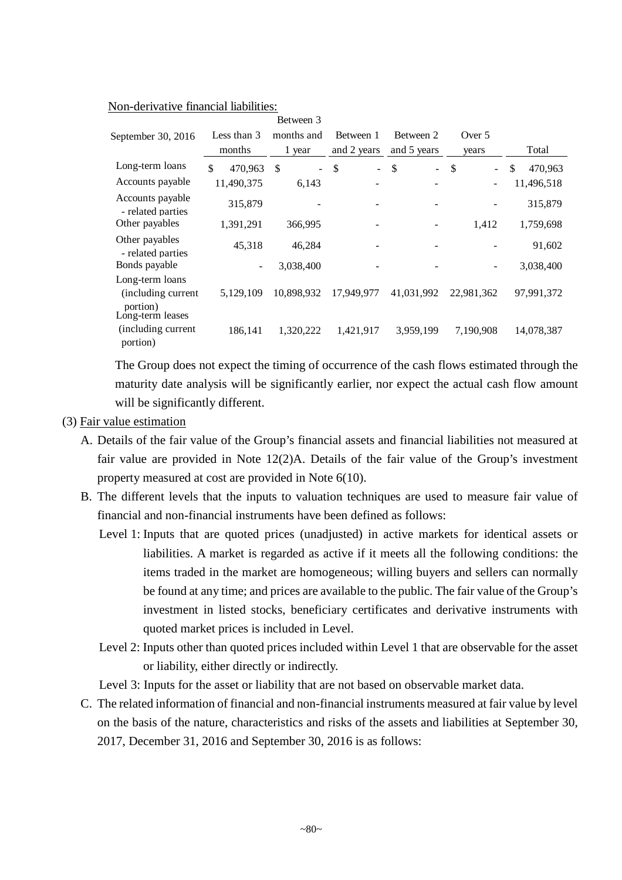|                                       |                          | Between 3            |              |                                |              |               |
|---------------------------------------|--------------------------|----------------------|--------------|--------------------------------|--------------|---------------|
| September 30, 2016                    | Less than 3              | months and           | Between 1    | Between 2                      | Over $5$     |               |
|                                       | months                   | 1 year               | and 2 years  | and 5 years                    | years        | Total         |
| Long-term loans                       | \$<br>470,963            | \$<br>$\blacksquare$ | \$<br>$\sim$ | \$<br>$\overline{\phantom{a}}$ | \$<br>$\sim$ | \$<br>470,963 |
| Accounts payable                      | 11,490,375               | 6,143                |              |                                |              | 11,496,518    |
| Accounts payable<br>- related parties | 315,879                  |                      |              |                                |              | 315,879       |
| Other payables                        | 1,391,291                | 366,995              |              |                                | 1,412        | 1,759,698     |
| Other payables<br>- related parties   | 45,318                   | 46,284               |              |                                |              | 91,602        |
| Bonds payable                         | $\overline{\phantom{a}}$ | 3,038,400            |              |                                |              | 3,038,400     |
| Long-term loans                       |                          |                      |              |                                |              |               |
| (including current)<br>portion)       | 5,129,109                | 10,898,932           | 17,949,977   | 41,031,992                     | 22,981,362   | 97,991,372    |
| Long-term leases                      |                          |                      |              |                                |              |               |
| (including current<br>portion)        | 186,141                  | 1,320,222            | 1,421,917    | 3,959,199                      | 7,190,908    | 14,078,387    |

The Group does not expect the timing of occurrence of the cash flows estimated through the maturity date analysis will be significantly earlier, nor expect the actual cash flow amount will be significantly different.

- (3) Fair value estimation
	- A. Details of the fair value of the Group's financial assets and financial liabilities not measured at fair value are provided in Note 12(2)A. Details of the fair value of the Group's investment property measured at cost are provided in Note 6(10).
	- B. The different levels that the inputs to valuation techniques are used to measure fair value of financial and non-financial instruments have been defined as follows:
		- Level 1: Inputs that are quoted prices (unadjusted) in active markets for identical assets or liabilities. A market is regarded as active if it meets all the following conditions: the items traded in the market are homogeneous; willing buyers and sellers can normally be found at any time; and prices are available to the public. The fair value of the Group's investment in listed stocks, beneficiary certificates and derivative instruments with quoted market prices is included in Level.
		- Level 2: Inputs other than quoted prices included within Level 1 that are observable for the asset or liability, either directly or indirectly.

Level 3: Inputs for the asset or liability that are not based on observable market data.

C. The related information of financial and non-financial instruments measured at fair value by level on the basis of the nature, characteristics and risks of the assets and liabilities at September 30, 2017, December 31, 2016 and September 30, 2016 is as follows: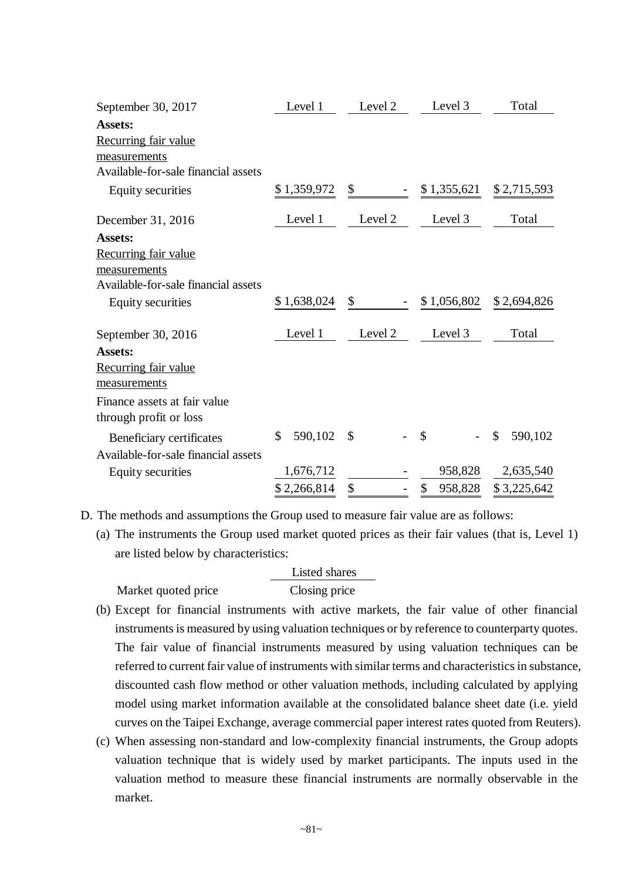| September 30, 2017                                                                            | Level 1       | Level 2       | Level 3          | Total                                |
|-----------------------------------------------------------------------------------------------|---------------|---------------|------------------|--------------------------------------|
| <b>Assets:</b><br><b>Recurring fair value</b>                                                 |               |               |                  |                                      |
| measurements<br>Available-for-sale financial assets                                           |               |               |                  |                                      |
| Equity securities                                                                             | \$1,359,972   | $\sim$        | $-$ \$ 1,355,621 | \$2,715,593                          |
| December 31, 2016                                                                             | Level 1       | Level 2       | Level 3          | Total                                |
| <b>Assets:</b><br>Recurring fair value<br>measurements<br>Available-for-sale financial assets |               |               |                  |                                      |
| <b>Equity securities</b>                                                                      | \$1,638,024   | $\mathsf{\$}$ | \$1,056,802      | \$2,694,826                          |
| September 30, 2016                                                                            | Level 1       | Level 2       | Level 3          | Total                                |
| <b>Assets:</b><br>Recurring fair value<br>measurements                                        |               |               |                  |                                      |
| Finance assets at fair value<br>through profit or loss                                        |               |               |                  |                                      |
| Beneficiary certificates<br>Available-for-sale financial assets                               | 590,102<br>\$ | <sup>\$</sup> | $\mathbb{S}$     | 590,102<br>$\boldsymbol{\mathsf{S}}$ |
| <b>Equity securities</b>                                                                      | 1,676,712     |               | 958,828          | 2,635,540                            |
|                                                                                               | \$2,266,814   | \$            | \$<br>958,828    | \$3,225,642                          |

- D. The methods and assumptions the Group used to measure fair value are as follows:
	- (a) The instruments the Group used market quoted prices as their fair values (that is, Level 1) are listed below by characteristics:

|                     | Listed shares |
|---------------------|---------------|
| Market quoted price | Closing price |

- (b) Except for financial instruments with active markets, the fair value of other financial instruments is measured by using valuation techniques or by reference to counterparty quotes. The fair value of financial instruments measured by using valuation techniques can be referred to current fair value of instruments with similar terms and characteristics in substance, discounted cash flow method or other valuation methods, including calculated by applying model using market information available at the consolidated balance sheet date (i.e. yield curves on the Taipei Exchange, average commercial paper interest rates quoted from Reuters).
- (c) When assessing non-standard and low-complexity financial instruments, the Group adopts valuation technique that is widely used by market participants. The inputs used in the valuation method to measure these financial instruments are normally observable in the market.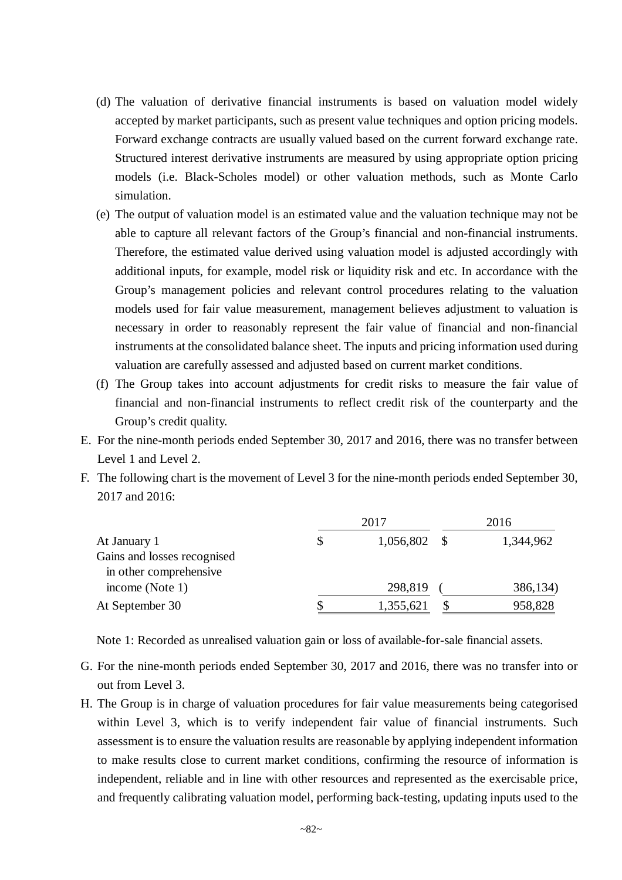- (d) The valuation of derivative financial instruments is based on valuation model widely accepted by market participants, such as present value techniques and option pricing models. Forward exchange contracts are usually valued based on the current forward exchange rate. Structured interest derivative instruments are measured by using appropriate option pricing models (i.e. Black-Scholes model) or other valuation methods, such as Monte Carlo simulation.
- (e) The output of valuation model is an estimated value and the valuation technique may not be able to capture all relevant factors of the Group's financial and non-financial instruments. Therefore, the estimated value derived using valuation model is adjusted accordingly with additional inputs, for example, model risk or liquidity risk and etc. In accordance with the Group's management policies and relevant control procedures relating to the valuation models used for fair value measurement, management believes adjustment to valuation is necessary in order to reasonably represent the fair value of financial and non-financial instruments at the consolidated balance sheet. The inputs and pricing information used during valuation are carefully assessed and adjusted based on current market conditions.
- (f) The Group takes into account adjustments for credit risks to measure the fair value of financial and non-financial instruments to reflect credit risk of the counterparty and the Group's credit quality.
- E. For the nine-month periods ended September 30, 2017 and 2016, there was no transfer between Level 1 and Level 2.
- F. The following chart is the movement of Level 3 for the nine-month periods ended September 30, 2017 and 2016:

|                             | 2017            | 2016 |           |  |
|-----------------------------|-----------------|------|-----------|--|
| At January 1                | \$<br>1,056,802 |      | 1,344,962 |  |
| Gains and losses recognised |                 |      |           |  |
| in other comprehensive      |                 |      |           |  |
| income (Note $1$ )          | 298,819         |      | 386,134)  |  |
| At September 30             | 1,355,621       |      | 958,828   |  |

Note 1: Recorded as unrealised valuation gain or loss of available-for-sale financial assets.

- G. For the nine-month periods ended September 30, 2017 and 2016, there was no transfer into or out from Level 3.
- H. The Group is in charge of valuation procedures for fair value measurements being categorised within Level 3, which is to verify independent fair value of financial instruments. Such assessment is to ensure the valuation results are reasonable by applying independent information to make results close to current market conditions, confirming the resource of information is independent, reliable and in line with other resources and represented as the exercisable price, and frequently calibrating valuation model, performing back-testing, updating inputs used to the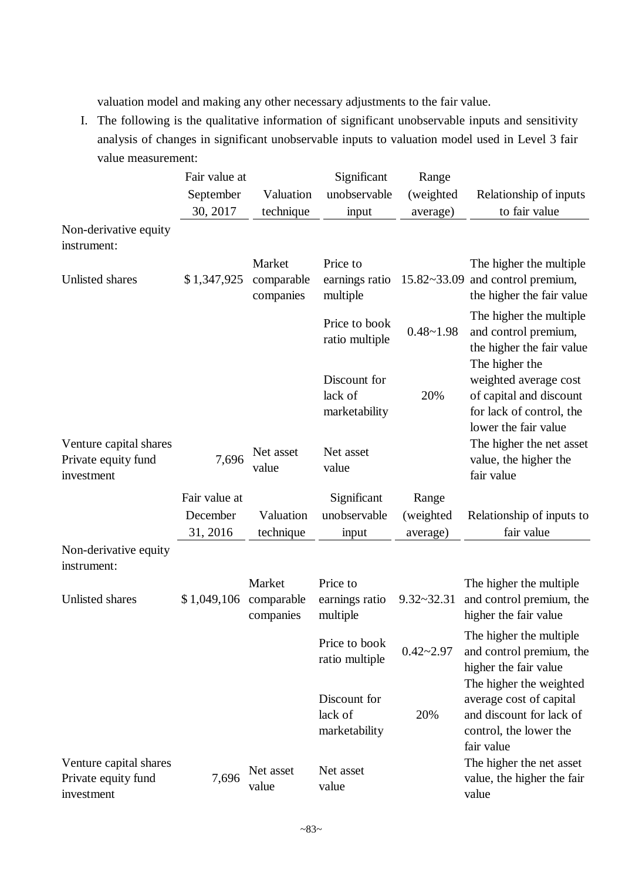valuation model and making any other necessary adjustments to the fair value.

I. The following is the qualitative information of significant unobservable inputs and sensitivity analysis of changes in significant unobservable inputs to valuation model used in Level 3 fair value measurement:

|                                                             | Fair value at<br>September<br>30, 2017 | Valuation<br>technique            | Significant<br>unobservable<br>input     | Range<br>(weighted<br>average) | Relationship of inputs<br>to fair value                                                                                |
|-------------------------------------------------------------|----------------------------------------|-----------------------------------|------------------------------------------|--------------------------------|------------------------------------------------------------------------------------------------------------------------|
| Non-derivative equity<br>instrument:                        |                                        |                                   |                                          |                                |                                                                                                                        |
| Unlisted shares                                             | \$1,347,925                            | Market<br>comparable<br>companies | Price to<br>earnings ratio<br>multiple   | $15.82 - 33.09$                | The higher the multiple<br>and control premium,<br>the higher the fair value                                           |
|                                                             |                                        |                                   | Price to book<br>ratio multiple          | $0.48 - 1.98$                  | The higher the multiple<br>and control premium,<br>the higher the fair value                                           |
|                                                             |                                        |                                   | Discount for<br>lack of<br>marketability | 20%                            | The higher the<br>weighted average cost<br>of capital and discount<br>for lack of control, the<br>lower the fair value |
| Venture capital shares<br>Private equity fund<br>investment | 7,696                                  | Net asset<br>value                | Net asset<br>value                       |                                | The higher the net asset<br>value, the higher the<br>fair value                                                        |
|                                                             | Fair value at                          |                                   | Significant                              | Range                          |                                                                                                                        |
|                                                             | December                               | Valuation                         | unobservable                             | (weighted                      | Relationship of inputs to                                                                                              |
|                                                             | 31, 2016                               | technique                         | input                                    | average)                       | fair value                                                                                                             |
| Non-derivative equity<br>instrument:                        |                                        |                                   |                                          |                                |                                                                                                                        |
| Unlisted shares                                             | \$1,049,106                            | Market<br>comparable<br>companies | Price to<br>earnings ratio<br>multiple   | $9.32 - 32.31$                 | The higher the multiple<br>and control premium, the<br>higher the fair value                                           |
|                                                             |                                        |                                   | Price to book<br>ratio multiple          | $0.42 - 2.97$                  | The higher the multiple<br>and control premium, the<br>higher the fair value                                           |
|                                                             |                                        |                                   | Discount for<br>lack of<br>marketability | 20%                            | The higher the weighted<br>average cost of capital<br>and discount for lack of<br>control, the lower the<br>fair value |
| Venture capital shares<br>Private equity fund<br>investment | 7,696                                  | Net asset<br>value                | Net asset<br>value                       |                                | The higher the net asset<br>value, the higher the fair<br>value                                                        |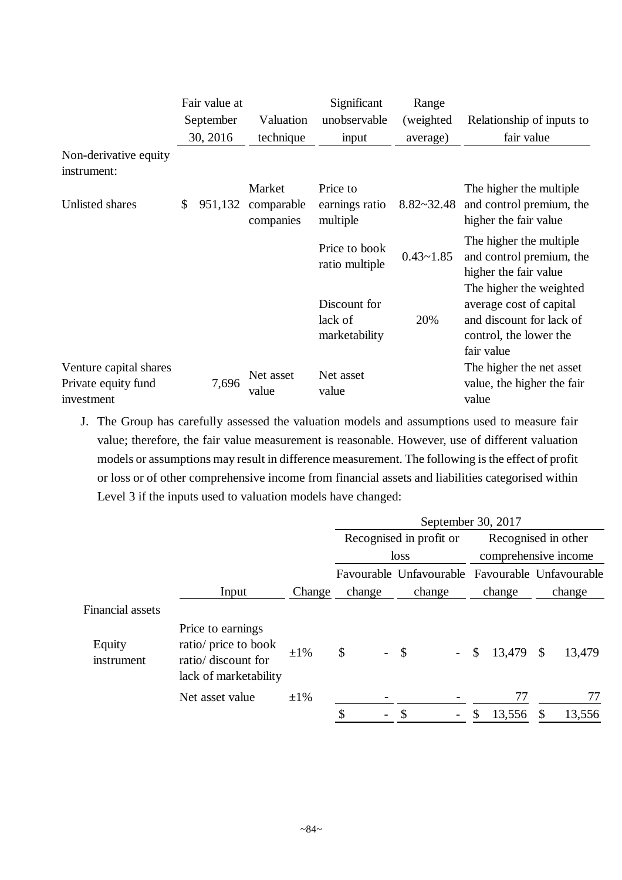|                                                             | Fair value at |                                   | Significant                              | Range          |                                                                                                                        |
|-------------------------------------------------------------|---------------|-----------------------------------|------------------------------------------|----------------|------------------------------------------------------------------------------------------------------------------------|
|                                                             | September     | Valuation                         | unobservable                             | (weighted)     | Relationship of inputs to                                                                                              |
|                                                             | 30, 2016      | technique                         | input                                    | average)       | fair value                                                                                                             |
| Non-derivative equity<br>instrument:                        |               |                                   |                                          |                |                                                                                                                        |
| Unlisted shares                                             | \$<br>951,132 | Market<br>comparable<br>companies | Price to<br>earnings ratio<br>multiple   | $8.82 - 32.48$ | The higher the multiple.<br>and control premium, the<br>higher the fair value                                          |
|                                                             |               |                                   | Price to book<br>ratio multiple          | $0.43 - 1.85$  | The higher the multiple.<br>and control premium, the<br>higher the fair value                                          |
|                                                             |               |                                   | Discount for<br>lack of<br>marketability | 20%            | The higher the weighted<br>average cost of capital<br>and discount for lack of<br>control, the lower the<br>fair value |
| Venture capital shares<br>Private equity fund<br>investment | 7,696         | Net asset<br>value                | Net asset<br>value                       |                | The higher the net asset<br>value, the higher the fair<br>value                                                        |

J. The Group has carefully assessed the valuation models and assumptions used to measure fair value; therefore, the fair value measurement is reasonable. However, use of different valuation models or assumptions may result in difference measurement. The following is the effect of profit or loss or of other comprehensive income from financial assets and liabilities categorised within Level 3 if the inputs used to valuation models have changed:

|                         |                                                                                           |           |                                | Recognised in profit or                         |              | Recognised in other     |
|-------------------------|-------------------------------------------------------------------------------------------|-----------|--------------------------------|-------------------------------------------------|--------------|-------------------------|
|                         |                                                                                           |           |                                | loss                                            |              | comprehensive income    |
|                         |                                                                                           |           |                                | Favourable Unfavourable Favourable Unfavourable |              |                         |
|                         | Input                                                                                     | Change    | change                         | change                                          | change       | change                  |
| <b>Financial assets</b> |                                                                                           |           |                                |                                                 |              |                         |
| Equity<br>instrument    | Price to earnings<br>ratio/ price to book<br>ratio/ discount for<br>lack of marketability | $\pm 1\%$ | \$<br>$\overline{\phantom{0}}$ | $\mathcal{S}$<br>$\overline{\phantom{0}}$       | \$<br>13,479 | 13,479<br>$\mathcal{S}$ |
|                         | Net asset value                                                                           | $\pm 1\%$ |                                |                                                 | 77           | 77                      |
|                         |                                                                                           |           | \$<br>$\qquad \qquad -$        |                                                 | S<br>13,556  | 13,556<br>\$            |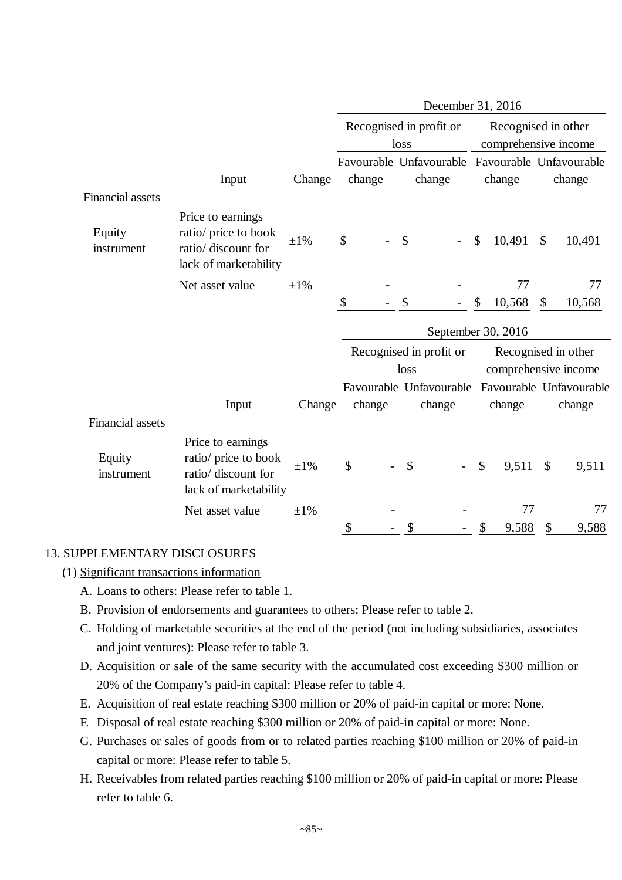|                         |                                                                                           |           |               |                                                 | December 31, 2016                   |                                                 |
|-------------------------|-------------------------------------------------------------------------------------------|-----------|---------------|-------------------------------------------------|-------------------------------------|-------------------------------------------------|
|                         |                                                                                           |           |               | Recognised in profit or<br>loss                 |                                     | Recognised in other<br>comprehensive income     |
|                         |                                                                                           |           |               | Favourable Unfavourable Favourable Unfavourable |                                     |                                                 |
|                         | Input                                                                                     | Change    | change        | change                                          | change                              | change                                          |
| <b>Financial assets</b> |                                                                                           |           |               |                                                 |                                     |                                                 |
| Equity<br>instrument    | Price to earnings<br>ratio/ price to book<br>ratio/ discount for<br>lack of marketability | $\pm 1\%$ | $\mathcal{S}$ | \$                                              | 10,491<br>$\boldsymbol{\mathsf{S}}$ | \$<br>10,491                                    |
|                         | Net asset value                                                                           | $\pm 1\%$ |               |                                                 | 77                                  | 77                                              |
|                         |                                                                                           |           | \$            | \$                                              | \$<br>10,568                        | \$<br>10,568                                    |
|                         |                                                                                           |           |               |                                                 | September 30, 2016                  |                                                 |
|                         |                                                                                           |           |               | Recognised in profit or                         |                                     | Recognised in other                             |
|                         |                                                                                           |           |               | loss                                            |                                     | comprehensive income                            |
|                         |                                                                                           |           |               |                                                 |                                     | Favourable Unfavourable Favourable Unfavourable |
|                         | Input                                                                                     | Change    | change        | change                                          | change                              | change                                          |
| <b>Financial assets</b> |                                                                                           |           |               |                                                 |                                     |                                                 |
| Equity<br>instrument    | Price to earnings<br>ratio/ price to book<br>ratio/ discount for<br>lack of marketability | $\pm 1\%$ | $\mathcal{S}$ | \$                                              | \$<br>9,511                         | $\mathcal{S}$<br>9,511                          |
|                         | Net asset value                                                                           | $\pm 1\%$ |               |                                                 | 77                                  | 77                                              |
|                         |                                                                                           |           | \$            | \$                                              | \$<br>9,588                         | \$<br>9,588                                     |

# 13. SUPPLEMENTARY DISCLOSURES

- (1) Significant transactions information
	- A. Loans to others: Please refer to table 1.
	- B. Provision of endorsements and guarantees to others: Please refer to table 2.
	- C. Holding of marketable securities at the end of the period (not including subsidiaries, associates and joint ventures): Please refer to table 3.
	- D. Acquisition or sale of the same security with the accumulated cost exceeding \$300 million or 20% of the Company's paid-in capital: Please refer to table 4.
	- E. Acquisition of real estate reaching \$300 million or 20% of paid-in capital or more: None.
	- F. Disposal of real estate reaching \$300 million or 20% of paid-in capital or more: None.
	- G. Purchases or sales of goods from or to related parties reaching \$100 million or 20% of paid-in capital or more: Please refer to table 5.
	- H. Receivables from related parties reaching \$100 million or 20% of paid-in capital or more: Please refer to table 6.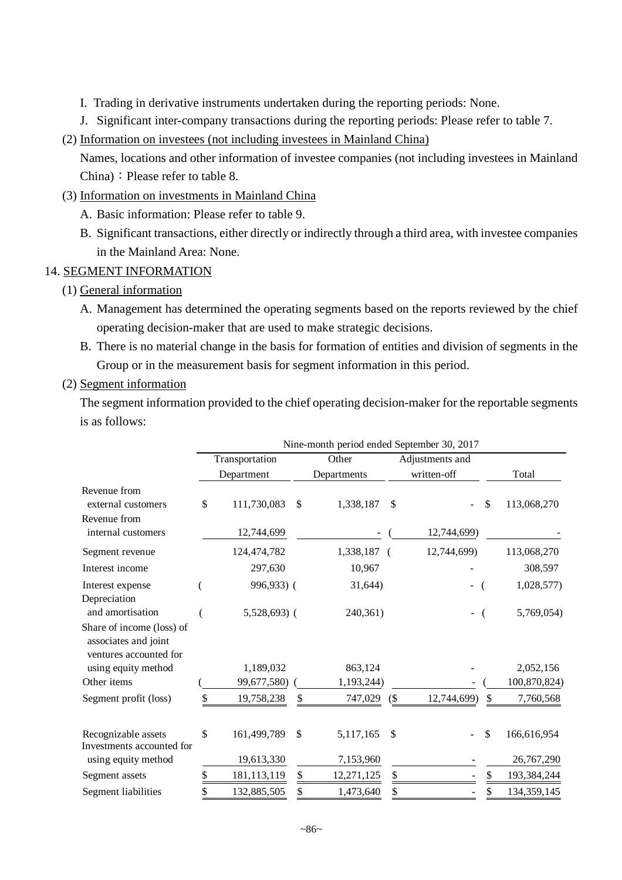- I. Trading in derivative instruments undertaken during the reporting periods: None.
- J. Significant inter-company transactions during the reporting periods: Please refer to table 7.
- (2) Information on investees (not including investees in Mainland China)

Names, locations and other information of investee companies (not including investees in Mainland China): Please refer to table 8.

- (3) Information on investments in Mainland China
	- A. Basic information: Please refer to table 9.
	- B. Significant transactions, either directly or indirectly through a third area, with investee companies in the Mainland Area: None.

# 14. SEGMENT INFORMATION

## (1) General information

- A. Management has determined the operating segments based on the reports reviewed by the chief operating decision-maker that are used to make strategic decisions.
- B. There is no material change in the basis for formation of entities and division of segments in the Group or in the measurement basis for segment information in this period.

## (2) Segment information

The segment information provided to the chief operating decision-maker for the reportable segments is as follows:

|                                                                             |                   |               | Nine-month period ended September 30, 2017 |               |                 |                   |
|-----------------------------------------------------------------------------|-------------------|---------------|--------------------------------------------|---------------|-----------------|-------------------|
|                                                                             | Transportation    |               | Other                                      |               | Adjustments and |                   |
|                                                                             | Department        |               | Departments                                |               | written-off     | Total             |
| Revenue from<br>external customers                                          | \$<br>111,730,083 | <sup>\$</sup> | 1,338,187                                  | $\mathcal{S}$ |                 | \$<br>113,068,270 |
| Revenue from<br>internal customers                                          | 12,744,699        |               |                                            |               | 12,744,699)     |                   |
| Segment revenue                                                             | 124,474,782       |               | 1,338,187 (                                |               | 12,744,699)     | 113,068,270       |
| Interest income                                                             | 297,630           |               | 10,967                                     |               |                 | 308,597           |
| Interest expense<br>Depreciation                                            | 996,933) (        |               | 31,644)                                    |               |                 | 1,028,577)        |
| and amortisation                                                            | $5,528,693$ (     |               | 240,361)                                   |               |                 | 5,769,054)        |
| Share of income (loss) of<br>associates and joint<br>ventures accounted for |                   |               |                                            |               |                 |                   |
| using equity method                                                         | 1,189,032         |               | 863,124                                    |               |                 | 2,052,156         |
| Other items                                                                 | 99,677,580)       |               | 1,193,244)                                 |               |                 | 100,870,824)      |
| Segment profit (loss)                                                       | \$<br>19,758,238  | \$            | 747,029                                    | (             | 12,744,699)     | \$<br>7,760,568   |
| Recognizable assets<br>Investments accounted for                            | \$<br>161,499,789 | \$            | 5,117,165                                  | $\mathcal{S}$ |                 | \$<br>166,616,954 |
| using equity method                                                         | 19,613,330        |               | 7,153,960                                  |               |                 | 26,767,290        |
| Segment assets                                                              | 181,113,119       | \$            | 12,271,125                                 | \$            |                 | 193,384,244       |
| Segment liabilities                                                         | 132,885,505       | \$            | 1,473,640                                  | \$            |                 | \$<br>134,359,145 |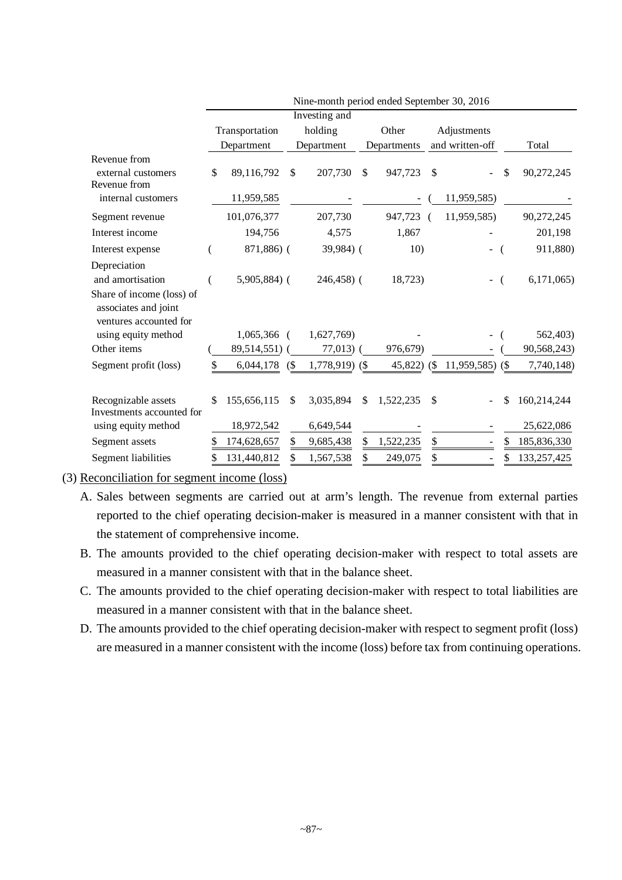|                                                                             |    |                |     | Nine-month period ended September 30, 2016 |                 |                 |    |               |
|-----------------------------------------------------------------------------|----|----------------|-----|--------------------------------------------|-----------------|-----------------|----|---------------|
|                                                                             |    |                |     | Investing and                              |                 |                 |    |               |
|                                                                             |    | Transportation |     | holding                                    | Other           | Adjustments     |    |               |
|                                                                             |    | Department     |     | Department                                 | Departments     | and written-off |    | Total         |
| Revenue from<br>external customers<br>Revenue from                          | \$ | 89,116,792     | \$  | 207,730                                    | \$<br>947,723   | \$              | \$ | 90,272,245    |
| internal customers                                                          |    | 11,959,585     |     |                                            |                 | 11,959,585)     |    |               |
| Segment revenue                                                             |    | 101,076,377    |     | 207,730                                    | 947,723         | 11,959,585)     |    | 90,272,245    |
| Interest income                                                             |    | 194,756        |     | 4,575                                      | 1,867           |                 |    | 201,198       |
| Interest expense                                                            |    | 871,886) (     |     | 39,984) (                                  | 10)             |                 |    | 911,880)      |
| Depreciation<br>and amortisation                                            |    | $5,905,884$ (  |     | 246,458) (                                 | 18,723)         |                 |    | 6,171,065     |
| Share of income (loss) of<br>associates and joint<br>ventures accounted for |    |                |     |                                            |                 |                 |    |               |
| using equity method                                                         |    | 1,065,366      |     | 1,627,769)                                 |                 |                 |    | 562,403)      |
| Other items                                                                 |    | 89,514,551)    |     | $77,013$ )                                 | 976,679)        |                 |    | 90,568,243)   |
| Segment profit (loss)                                                       |    | 6,044,178      | (S) | 1,778,919) (\$                             | $45,822$ (\$)   | 11,959,585)     | (  | 7,740,148)    |
| Recognizable assets<br>Investments accounted for                            | \$ | 155,656,115    | \$  | 3,035,894                                  | \$<br>1,522,235 | \$              | \$ | 160,214,244   |
| using equity method                                                         |    | 18,972,542     |     | 6,649,544                                  |                 |                 |    | 25,622,086    |
| Segment assets                                                              | S  | 174,628,657    |     | 9,685,438                                  | \$<br>1,522,235 | \$              | \$ | 185,836,330   |
| Segment liabilities                                                         |    | 131,440,812    |     | 1,567,538                                  | 249,075         |                 | \$ | 133, 257, 425 |

(3) Reconciliation for segment income (loss)

- A. Sales between segments are carried out at arm's length. The revenue from external parties reported to the chief operating decision-maker is measured in a manner consistent with that in the statement of comprehensive income.
- B. The amounts provided to the chief operating decision-maker with respect to total assets are measured in a manner consistent with that in the balance sheet.
- C. The amounts provided to the chief operating decision-maker with respect to total liabilities are measured in a manner consistent with that in the balance sheet.
- D. The amounts provided to the chief operating decision-maker with respect to segment profit (loss) are measured in a manner consistent with the income (loss) before tax from continuing operations.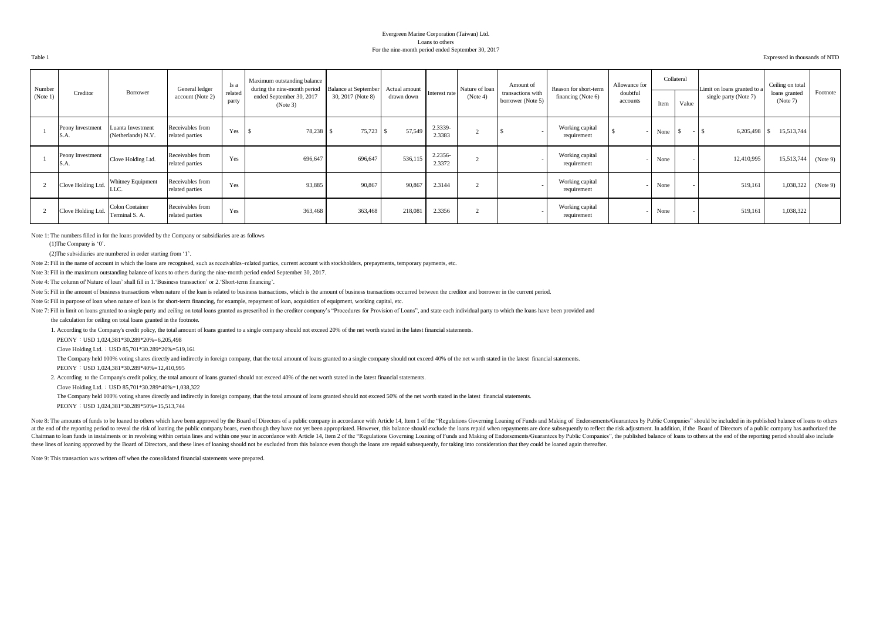#### Evergreen Marine Corporation (Taiwan) Ltd. Loans to others For the nine-month period ended September 30, 2017

Table 1 Expressed in thousands of NTD

| Number<br>(Note 1) | Creditor                 | Borrower                                 | General ledger<br>account (Note 2)  | Is a<br>related<br>party | Maximum outstanding balance<br>during the nine-month period<br>ended September 30, 2017<br>(Note 3) | <b>Balance at September</b><br>30, 2017 (Note 8) | Actual amount<br>drawn down | Interest rate     | Nature of loan<br>(Note 4) | Amount of<br>transactions with<br>borrower (Note 5) | Reason for short-term<br>financing (Note 6) | Allowance for<br>doubtful<br>accounts | Item | Collateral<br>Value | Limit on loans granted to a<br>single party (Note 7) | Ceiling on total<br>loans granted<br>(Note 7) | Footnote |
|--------------------|--------------------------|------------------------------------------|-------------------------------------|--------------------------|-----------------------------------------------------------------------------------------------------|--------------------------------------------------|-----------------------------|-------------------|----------------------------|-----------------------------------------------------|---------------------------------------------|---------------------------------------|------|---------------------|------------------------------------------------------|-----------------------------------------------|----------|
|                    |                          |                                          |                                     |                          |                                                                                                     |                                                  |                             |                   |                            |                                                     |                                             |                                       |      |                     |                                                      |                                               |          |
|                    | Peony Investment<br>S.A. | Luanta Investment<br>(Netherlands) N.V.  | Receivables from<br>related parties | Yes                      | 78,238 \$                                                                                           | 75,723                                           | 57,549                      | 2.3339-<br>2.3383 | $\sim$                     |                                                     | Working capital<br>requirement              |                                       | None |                     | 6,205,498                                            | 15,513,744                                    |          |
|                    | Peony Investment<br>S.A. | Clove Holding Ltd.                       | Receivables from<br>related parties | Yes                      | 696,647                                                                                             | 696,647                                          | 536,115                     | 2.2356-<br>2.3372 | $\sim$                     |                                                     | Working capital<br>requirement              |                                       | None |                     | 12,410,995                                           | 15,513,744                                    | (Note 9) |
|                    | Clove Holding Ltd.       | Whitney Equipment<br>LLC.                | Receivables from<br>related parties | Yes                      | 93,885                                                                                              | 90,867                                           | 90,867                      | 2.3144            |                            |                                                     | Working capital<br>requirement              |                                       | None |                     | 519,161                                              | 1,038,322                                     | (Note 9) |
|                    | Clove Holding Ltd.       | <b>Colon Container</b><br>Terminal S. A. | Receivables from<br>related parties | Yes                      | 363,468                                                                                             | 363,468                                          | 218,081                     | 2.3356            | $\sim$                     |                                                     | Working capital<br>requirement              |                                       | None |                     | 519,161                                              | 1,038,322                                     |          |

Note 1: The numbers filled in for the loans provided by the Company or subsidiaries are as follows

(1)The Company is '0'.

(2)The subsidiaries are numbered in order starting from '1'.

Note 2: Fill in the name of account in which the loans are recognised, such as receivables-related parties, current account with stockholders, prepayments, temporary payments, etc.

Note 3: Fill in the maximum outstanding balance of loans to others during the nine-month period ended September 30, 2017.

Note 4: The column of'Nature of loan' shall fill in 1.'Business transaction' or 2.'Short-term financing'.

Note 5: Fill in the amount of business transactions when nature of the loan is related to business transactions, which is the amount of business transactions occurred between the creditor and borrower in the current period

Note 6: Fill in purpose of loan when nature of loan is for short-term financing, for example, repayment of loan, acquisition of equipment, working capital, etc.

Note 7: Fill in limit on loans granted to a single party and ceiling on total loans granted as prescribed in the creditor company's "Procedures for Provision of Loans", and state each individual party to which the loans ha

the calculation for ceiling on total loans granted in the footnote.

1. According to the Company's credit policy, the total amount of loans granted to a single company should not exceed 20% of the net worth stated in the latest financial statements.

PEONY:USD 1,024,381\*30.289\*20%=6,205,498

Clove Holding Ltd.:USD 85,701\*30.289\*20%=519,161

The Company held 100% voting shares directly and indirectly in foreign company, that the total amount of loans granted to a single company should not exceed 40% of the net worth stated in the latest financial statements.

PEONY:USD 1,024,381\*30.289\*40%=12,410,995

2. According to the Company's credit policy, the total amount of loans granted should not exceed 40% of the net worth stated in the latest financial statements.

Clove Holding Ltd.:USD 85,701\*30.289\*40%=1,038,322

The Company held 100% voting shares directly and indirectly in foreign company, that the total amount of loans granted should not exceed 50% of the net worth stated in the latest financial statements.

PEONY:USD 1,024,381\*30.289\*50%=15,513,744

Note 8: The amounts of funds to be loaned to others which have been approved by the Board of Directors of a public company in accordance with Article 14, Item 1 of the "Regulations Governing Loaning of Funds and Making of at the end of the reporting period to reveal the risk of loaning the public company bears, even though they have not yet been appropriated. However, this balance should exclude the loans repaid when repayments are done sub Chairman to loan funds in instalments or in revolving within certain lines and within one year in accordance with Article 14, Item 2 of the "Regulations Governing Loaning of Funds and Making of Endorsements/Guarantees by P these lines of loaning approved by the Board of Directors, and these lines of loaning should not be excluded from this balance even though the loans are repaid subsequently, for taking into consideration that they could be

Note 9: This transaction was written off when the consolidated financial statements were prepared.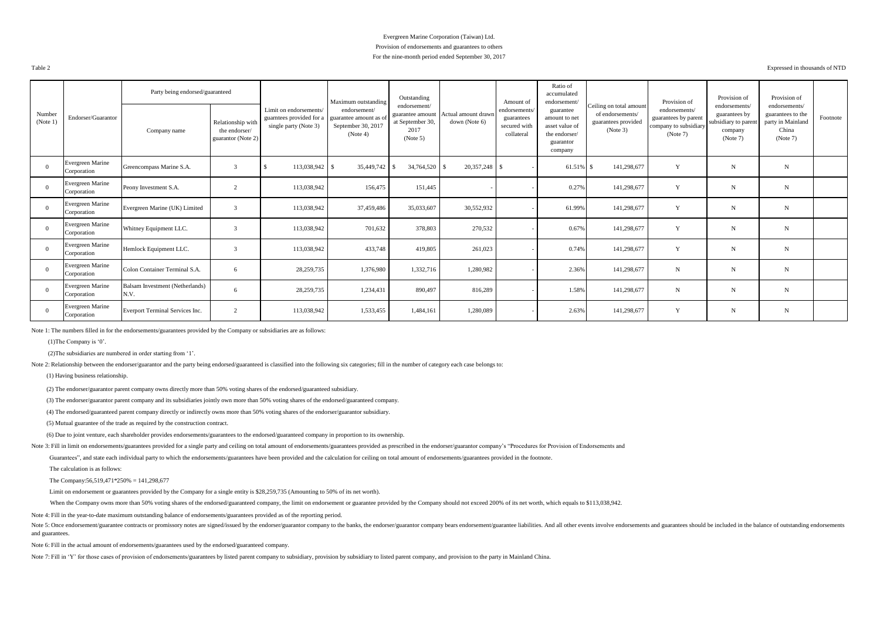#### Evergreen Marine Corporation (Taiwan) Ltd. Provision of endorsements and guarantees to others For the nine-month period ended September 30, 2017

Table 2 Expressed in thousands of NTD

|                    |                                 | Party being endorsed/guaranteed         |                                                          |                                                                             | Maximum outstanding                                                      | Outstanding                                                              |                                      | Amount of                                                 | Ratio of<br>accumulated<br>endorsement/                                               |                                                                                | Provision of                                                               | Provision of                                                                  | Provision of                                                                 |          |
|--------------------|---------------------------------|-----------------------------------------|----------------------------------------------------------|-----------------------------------------------------------------------------|--------------------------------------------------------------------------|--------------------------------------------------------------------------|--------------------------------------|-----------------------------------------------------------|---------------------------------------------------------------------------------------|--------------------------------------------------------------------------------|----------------------------------------------------------------------------|-------------------------------------------------------------------------------|------------------------------------------------------------------------------|----------|
| Number<br>(Note 1) | Endorser/Guarantor              | Company name                            | Relationship with<br>the endorser/<br>guarantor (Note 2) | Limit on endorsements/<br>guaratees provided for a<br>single party (Note 3) | endorsement/<br>guarantee amount as of<br>September 30, 2017<br>(Note 4) | endorsement/<br>guarantee amount<br>at September 30,<br>2017<br>(Note 5) | Actual amount drawn<br>down (Note 6) | endorsements/<br>guarantees<br>secured with<br>collateral | guarantee<br>amount to net<br>asset value of<br>the endorser/<br>guarantor<br>company | Ceiling on total amount<br>of endorsements/<br>guarantees provided<br>(Note 3) | endorsements/<br>guarantees by parent<br>company to subsidiary<br>(Note 7) | endorsements/<br>guarantees by<br>subsidiary to parent<br>company<br>(Note 7) | endorsements/<br>guarantees to the<br>party in Mainland<br>China<br>(Note 7) | Footnote |
| $\Omega$           | Evergreen Marine<br>Corporation | Greencompass Marine S.A.                | $\mathcal{E}$                                            | 113,038,942                                                                 | 35,449,742                                                               | 34,764,520 \$                                                            | 20,357,248 \$                        |                                                           | 61.51%                                                                                | 141,298,677                                                                    | Y                                                                          | N                                                                             | N                                                                            |          |
| $\Omega$           | Evergreen Marine<br>Corporation | Peony Investment S.A.                   | $\overline{2}$                                           | 113,038,942                                                                 | 156,475                                                                  | 151,445                                                                  |                                      |                                                           | 0.27%                                                                                 | 141,298,677                                                                    | Y                                                                          | N                                                                             | $\mathbf N$                                                                  |          |
| $\Omega$           | Evergreen Marine<br>Corporation | Evergreen Marine (UK) Limited           | $\mathcal{R}$                                            | 113,038,942                                                                 | 37,459,486                                                               | 35,033,607                                                               | 30,552,932                           |                                                           | 61.99%                                                                                | 141,298,677                                                                    | Y                                                                          | N                                                                             | $\mathbf N$                                                                  |          |
| $\Omega$           | Evergreen Marine<br>Corporation | Whitney Equipment LLC.                  | $\mathcal{E}$                                            | 113,038,942                                                                 | 701,632                                                                  | 378,803                                                                  | 270,532                              |                                                           | 0.67%                                                                                 | 141,298,677                                                                    | Y                                                                          | N                                                                             | N                                                                            |          |
| $\Omega$           | Evergreen Marine<br>Corporation | Hemlock Equipment LLC.                  | $\mathcal{E}$                                            | 113,038,942                                                                 | 433,748                                                                  | 419,805                                                                  | 261,023                              |                                                           | 0.74%                                                                                 | 141,298,677                                                                    | Y                                                                          | N                                                                             | $\mathbf N$                                                                  |          |
| $\Omega$           | Evergreen Marine<br>Corporation | Colon Container Terminal S.A.           | 6                                                        | 28,259,735                                                                  | 1,376,980                                                                | 1,332,716                                                                | 1,280,982                            |                                                           | 2.36%                                                                                 | 141,298,677                                                                    | $\mathbf N$                                                                | $_{\rm N}$                                                                    | $\mathbf N$                                                                  |          |
|                    | Evergreen Marine<br>Corporation | Balsam Investment (Netherlands)<br>N.V. | 6                                                        | 28,259,735                                                                  | 1,234,431                                                                | 890,497                                                                  | 816,289                              |                                                           | 1.58%                                                                                 | 141,298,677                                                                    | $\mathbf N$                                                                | N                                                                             | N                                                                            |          |
| $\Omega$           | Evergreen Marine<br>Corporation | <b>Everport Terminal Services Inc.</b>  | $\overline{2}$                                           | 113,038,942                                                                 | 1,533,455                                                                | 1,484,161                                                                | 1,280,089                            |                                                           | 2.63%                                                                                 | 141,298,677                                                                    | Y                                                                          | N                                                                             | N                                                                            |          |

Note 1: The numbers filled in for the endorsements/guarantees provided by the Company or subsidiaries are as follows:

(1)The Company is '0'.

(2)The subsidiaries are numbered in order starting from '1'.

Note 2: Relationship between the endorser/guarantor and the party being endorsed/guaranteed is classified into the following six categories; fill in the number of category each case belongs to:

(1) Having business relationship.

(2) The endorser/guarantor parent company owns directly more than 50% voting shares of the endorsed/guaranteed subsidiary.

(3) The endorser/guarantor parent company and its subsidiaries jointly own more than 50% voting shares of the endorsed/guaranteed company.

(4) The endorsed/guaranteed parent company directly or indirectly owns more than 50% voting shares of the endorser/guarantor subsidiary.

(5) Mutual guarantee of the trade as required by the construction contract.

(6) Due to joint venture, each shareholder provides endorsements/guarantees to the endorsed/guaranteed company in proportion to its ownership.

Note 3: Fill in limit on endorsements/guarantees provided for a single party and ceiling on total amount of endorsements/guarantees provided as prescribed in the endorser/guarantor company's "Procedures for Provision of En

Guarantees", and state each individual party to which the endorsements/guarantees have been provided and the calculation for ceiling on total amount of endorsements/guarantees provided in the footnote.

The calculation is as follows:

The Company:56,519,471\*250% = 141,298,677

Limit on endorsement or guarantees provided by the Company for a single entity is \$28,259,735 (Amounting to 50% of its net worth).

When the Company owns more than 50% voting shares of the endorsed/guaranteed company, the limit on endorsement or guarantee provided by the Company should not exceed 200% of its net worth, which equals to \$113,038,942.

Note 4: Fill in the year-to-date maximum outstanding balance of endorsements/guarantees provided as of the reporting period.

Note 5: Once endorsement/guarantee contracts or promissory notes are signed/issued by the endorser/guarantor company to the banks, the endorser/guarantor company bears endorsement/guarantee liabilities. And all other event and guarantees.

Note 6: Fill in the actual amount of endorsements/guarantees used by the endorsed/guaranteed company.

Note 7: Fill in 'Y' for those cases of provision of endorsements/guarantees by listed parent company to subsidiary, provision by subsidiary to listed parent company, and provision to the party in Mainland China.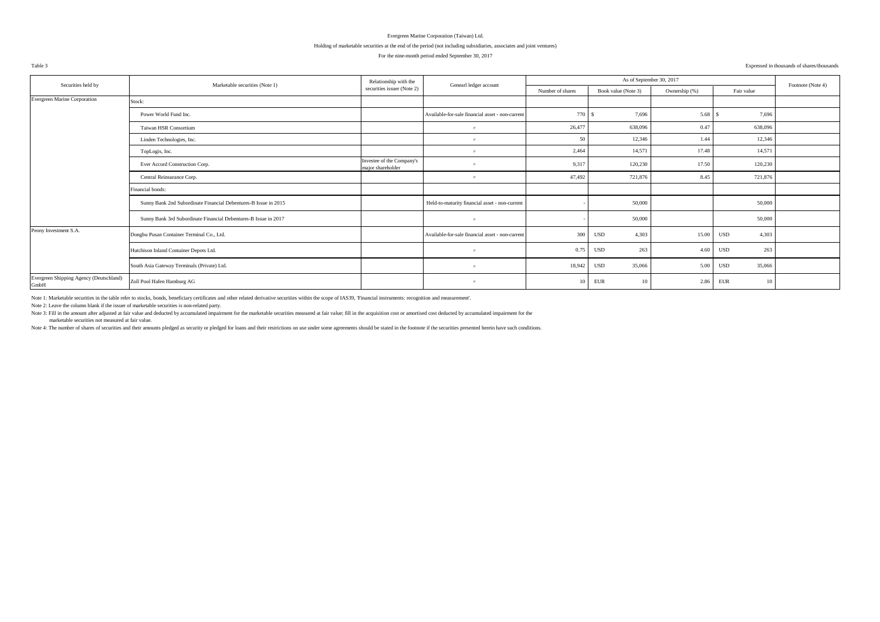#### Holding of marketable securities at the end of the period (not including subsidiaries, associates and joint ventures)

#### For the nine-month period ended September 30, 2017

#### Table 3 Expressed in thousands of shares/thousands

| Securities held by                              | Marketable securities (Note 1)                                  | Relationship with the                          | Genearl ledger account                           |                  | As of September 30, 2017 |               |                     | Footnote (Note 4) |
|-------------------------------------------------|-----------------------------------------------------------------|------------------------------------------------|--------------------------------------------------|------------------|--------------------------|---------------|---------------------|-------------------|
|                                                 |                                                                 | securities issuer (Note 2)                     |                                                  | Number of shares | Book value (Note 3)      | Ownership (%) | Fair value          |                   |
| Evergreen Marine Corporation                    | Stock:                                                          |                                                |                                                  |                  |                          |               |                     |                   |
|                                                 | Power World Fund Inc.                                           |                                                | Available-for-sale financial asset - non-current | 770 S            | 7.696                    | 5.68          | 7.696               |                   |
|                                                 | Taiwan HSR Consortium                                           |                                                | $^{\prime\prime}$                                | 26,477           | 638,096                  | 0.47          | 638,096             |                   |
|                                                 | Linden Technologies, Inc.                                       |                                                | $^{\prime\prime}$                                | 50               | 12,346                   | 1.44          | 12,346              |                   |
|                                                 | TopLogis, Inc.                                                  |                                                | $^{\prime\prime}$                                | 2,464            | 14,571                   | 17.48         | 14,571              |                   |
|                                                 | Ever Accord Construction Corp.                                  | Investee of the Company's<br>maior shareholder |                                                  | 9,317            | 120,230                  | 17.50         | 120,230             |                   |
|                                                 | Central Reinsurance Corp.                                       |                                                | $^{\prime\prime}$                                | 47,492           | 721,876                  | 8.45          | 721,876             |                   |
|                                                 | Financial bonds:                                                |                                                |                                                  |                  |                          |               |                     |                   |
|                                                 | Sunny Bank 2nd Subordinate Financial Debentures-B Issue in 2015 |                                                | Held-to-maturity financial asset - non-current   |                  | 50,000                   |               | 50,000              |                   |
|                                                 | Sunny Bank 3rd Subordinate Financial Debentures-B Issue in 2017 |                                                | $^{\prime\prime}$                                |                  | 50,000                   |               | 50,000              |                   |
| Peony Investment S.A.                           | Dongbu Pusan Container Terminal Co., Ltd.                       |                                                | Available-for-sale financial asset - non-current | 300              | 4,303<br>USD             | 15.00         | <b>USD</b><br>4,303 |                   |
|                                                 | Hutchison Inland Container Depots Ltd.                          |                                                | $^{\prime\prime}$                                | 0.75             | 263<br>USD               | 4.60          | 263<br>USD          |                   |
|                                                 | South Asia Gateway Terminals (Private) Ltd.                     |                                                | $^{\prime\prime}$                                | 18,942           | 35,066<br><b>USD</b>     | 5.00          | 35,066<br>USD       |                   |
| Evergreen Shipping Agency (Deutschland)<br>GmbH | Zoll Pool Hafen Hamburg AG                                      |                                                | $^{\prime\prime}$                                | 10               | <b>EUR</b><br>10         | 2.86          | EUR<br>10           |                   |

Note 1: Marketable securities in the table refer to stocks, bonds, beneficiary certificates and other related derivative securities within the scope of IAS39, 'Financial instruments: recognition and measurement'.

Note 2: Leave the column blank if the issuer of marketable securities is non-related party.

Note 3: Fill in the amount after adjusted at fair value and deducted by accumulated impairment for the marketable securities measured at fair value; fill in the acquisition cost or amortised cost deducted by accumulated im

marketable securities not measured at fair value.

Note 4: The number of shares of securities and their amounts pledeed as security or pledeed for loans and their restrictions on use under some aereements should be stated in the footnote if the securities presented herein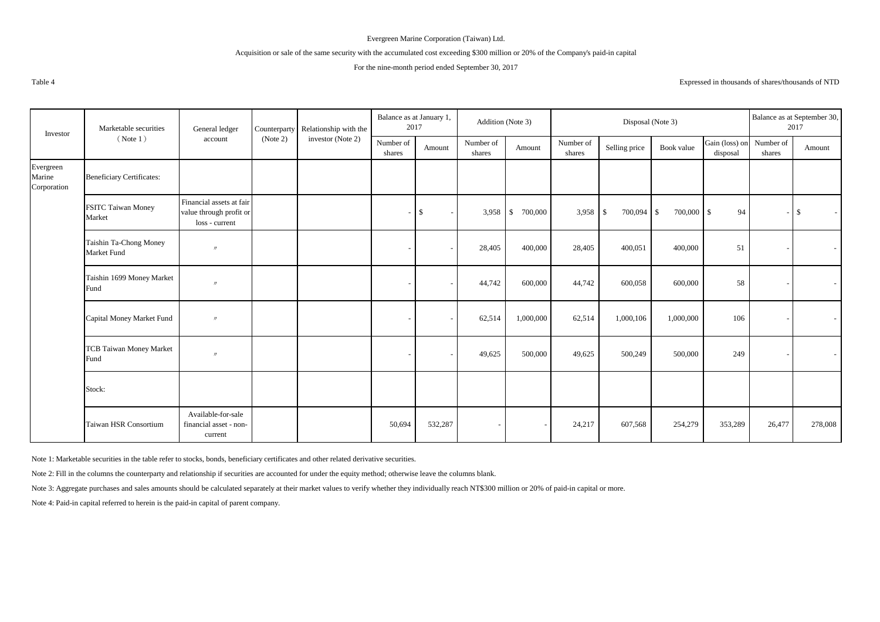## Acquisition or sale of the same security with the accumulated cost exceeding \$300 million or 20% of the Company's paid-in capital

## For the nine-month period ended September 30, 2017

Expressed in thousands of shares/thousands of NTD

| Investor                           | Marketable securities                  | General ledger                                                        |          | Counterparty Relationship with the | Balance as at January 1,<br>2017 |              | Addition (Note 3)   |                                    |                     | Disposal (Note 3)         |                            |                                      |        | Balance as at September 30,<br>2017 |
|------------------------------------|----------------------------------------|-----------------------------------------------------------------------|----------|------------------------------------|----------------------------------|--------------|---------------------|------------------------------------|---------------------|---------------------------|----------------------------|--------------------------------------|--------|-------------------------------------|
|                                    | (Note 1)                               | account                                                               | (Note 2) | investor (Note 2)                  | Number of<br>shares              | Amount       | Number of<br>shares | Amount                             | Number of<br>shares | Selling price             | Book value                 | Gain (loss) on Number of<br>disposal | shares | Amount                              |
| Evergreen<br>Marine<br>Corporation | <b>Beneficiary Certificates:</b>       |                                                                       |          |                                    |                                  |              |                     |                                    |                     |                           |                            |                                      |        |                                     |
|                                    | <b>FSITC Taiwan Money</b><br>Market    | Financial assets at fair<br>value through profit or<br>loss - current |          |                                    |                                  | $\mathbb{S}$ | 3,958               | 700,000<br>$\overline{\mathbf{s}}$ | 3,958               | 700,094<br>$\overline{1}$ | 700,000 \$<br>$\mathbb{S}$ | 94                                   |        | $\mathbf{s}$                        |
|                                    | Taishin Ta-Chong Money<br>Market Fund  | $^{\prime\prime}$                                                     |          |                                    |                                  |              | 28,405              | 400,000                            | 28,405              | 400,051                   | 400,000                    | 51                                   |        |                                     |
|                                    | Taishin 1699 Money Market<br>Fund      | $^{\prime\prime}$                                                     |          |                                    |                                  |              | 44,742              | 600,000                            | 44,742              | 600,058                   | 600,000                    | 58                                   |        |                                     |
|                                    | Capital Money Market Fund              | $^{\prime\prime}$                                                     |          |                                    |                                  |              | 62,514              | 1,000,000                          | 62,514              | 1,000,106                 | 1,000,000                  | 106                                  |        |                                     |
|                                    | <b>TCB Taiwan Money Market</b><br>Fund | $^{\prime\prime}$                                                     |          |                                    |                                  |              | 49,625              | 500,000                            | 49,625              | 500,249                   | 500,000                    | 249                                  |        |                                     |
|                                    | Stock:                                 |                                                                       |          |                                    |                                  |              |                     |                                    |                     |                           |                            |                                      |        |                                     |
|                                    | Taiwan HSR Consortium                  | Available-for-sale<br>financial asset - non-<br>current               |          |                                    | 50,694                           | 532,287      |                     |                                    | 24,217              | 607,568                   | 254,279                    | 353,289                              | 26,477 | 278,008                             |

Note 1: Marketable securities in the table refer to stocks, bonds, beneficiary certificates and other related derivative securities.

Note 2: Fill in the columns the counterparty and relationship if securities are accounted for under the equity method; otherwise leave the columns blank.

Note 3: Aggregate purchases and sales amounts should be calculated separately at their market values to verify whether they individually reach NT\$300 million or 20% of paid-in capital or more.

Note 4: Paid-in capital referred to herein is the paid-in capital of parent company.

Table 4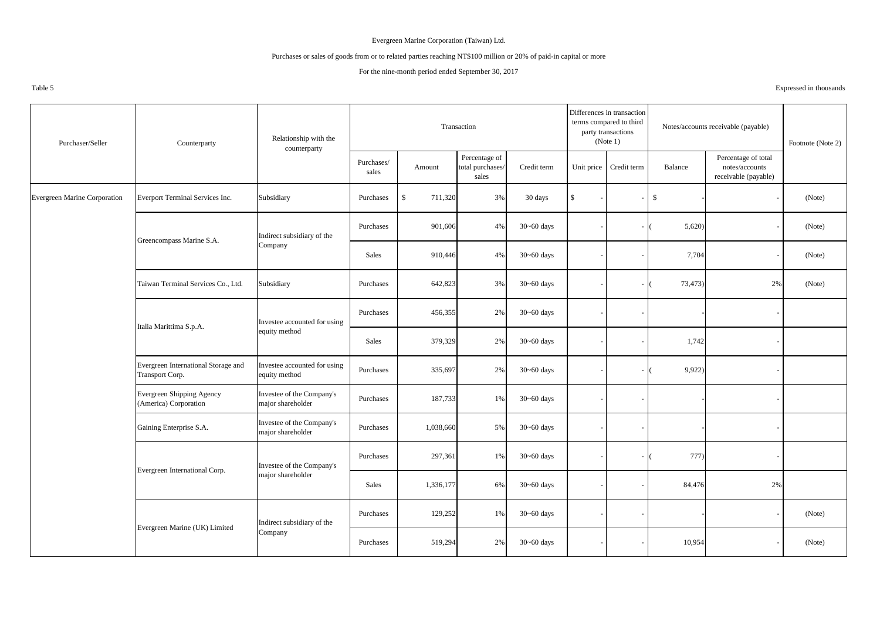## Purchases or sales of goods from or to related parties reaching NT\$100 million or 20% of paid-in capital or more

## For the nine-month period ended September 30, 2017

Table 5 Expressed in thousands

| Purchaser/Seller                    | Counterparty                                              | Relationship with the<br>counterparty          |                     |                         | Transaction                                |                |             | Differences in transaction<br>terms compared to third<br>party transactions<br>(Note 1) |              | Notes/accounts receivable (payable)                           | Footnote (Note 2) |
|-------------------------------------|-----------------------------------------------------------|------------------------------------------------|---------------------|-------------------------|--------------------------------------------|----------------|-------------|-----------------------------------------------------------------------------------------|--------------|---------------------------------------------------------------|-------------------|
|                                     |                                                           |                                                | Purchases/<br>sales | Amount                  | Percentage of<br>total purchases/<br>sales | Credit term    |             | Unit price Credit term                                                                  | Balance      | Percentage of total<br>notes/accounts<br>receivable (payable) |                   |
| <b>Evergreen Marine Corporation</b> | Everport Terminal Services Inc.                           | Subsidiary                                     | Purchases           | $\mathbb{S}$<br>711,320 | 3%                                         | 30 days        | $\mathbf S$ |                                                                                         | $\mathbb{S}$ |                                                               | (Note)            |
|                                     | Greencompass Marine S.A.                                  | Indirect subsidiary of the                     | Purchases           | 901,606                 | 4%                                         | $30 - 60$ days |             |                                                                                         | 5,620        |                                                               | (Note)            |
|                                     |                                                           | Company                                        | Sales               | 910,446                 | 4%                                         | $30 - 60$ days |             |                                                                                         | 7,704        |                                                               | (Note)            |
|                                     | Taiwan Terminal Services Co., Ltd.                        | Subsidiary                                     | Purchases           | 642,823                 | 3%                                         | $30 - 60$ days |             |                                                                                         | 73,473)      | 2%                                                            | (Note)            |
|                                     | Italia Marittima S.p.A.                                   | Investee accounted for using                   | Purchases           | 456,355                 | 2%                                         | $30 - 60$ days |             |                                                                                         |              |                                                               |                   |
|                                     |                                                           | equity method                                  | Sales               | 379,329                 | 2%                                         | $30 - 60$ days |             |                                                                                         | 1,742        |                                                               |                   |
|                                     | Evergreen International Storage and<br>Transport Corp.    | Investee accounted for using<br>equity method  | Purchases           | 335,697                 | 2%                                         | $30 - 60$ days |             |                                                                                         | 9,922)       |                                                               |                   |
|                                     | <b>Evergreen Shipping Agency</b><br>(America) Corporation | Investee of the Company's<br>major shareholder | Purchases           | 187,733                 | $1\%$                                      | $30 - 60$ days |             |                                                                                         |              |                                                               |                   |
|                                     | Gaining Enterprise S.A.                                   | Investee of the Company's<br>major shareholder | Purchases           | 1,038,660               | 5%                                         | $30 - 60$ days |             |                                                                                         |              |                                                               |                   |
|                                     | Evergreen International Corp.                             | Investee of the Company's                      | Purchases           | 297,361                 | 1%                                         | $30 - 60$ days |             |                                                                                         | 777)         |                                                               |                   |
|                                     |                                                           | major shareholder                              | Sales               | 1,336,177               | 6%                                         | $30 - 60$ days |             |                                                                                         | 84,476       | 2%                                                            |                   |
|                                     | Evergreen Marine (UK) Limited                             | Indirect subsidiary of the                     | Purchases           | 129,252                 | 1%                                         | $30 - 60$ days |             |                                                                                         |              |                                                               | (Note)            |
|                                     |                                                           | Company                                        | Purchases           | 519,294                 | 2%                                         | $30 - 60$ days |             |                                                                                         | 10,954       |                                                               | (Note)            |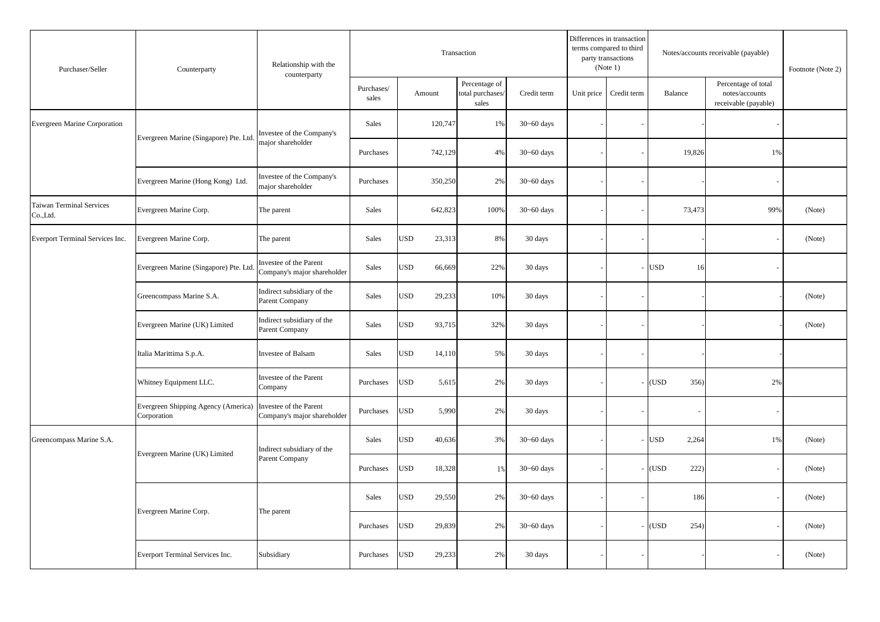| Purchaser/Seller                     | Counterparty                                       | Relationship with the<br>counterparty                 |                     |                      | Transaction                                |                |            | Differences in transaction<br>terms compared to third<br>party transactions<br>(Note 1) |                     | Notes/accounts receivable (payable)                           | Footnote (Note 2) |
|--------------------------------------|----------------------------------------------------|-------------------------------------------------------|---------------------|----------------------|--------------------------------------------|----------------|------------|-----------------------------------------------------------------------------------------|---------------------|---------------------------------------------------------------|-------------------|
|                                      |                                                    |                                                       | Purchases/<br>sales | Amount               | Percentage of<br>total purchases/<br>sales | Credit term    | Unit price | Credit term                                                                             | Balance             | Percentage of total<br>notes/accounts<br>receivable (payable) |                   |
| Evergreen Marine Corporation         | Evergreen Marine (Singapore) Pte. Ltd              | Investee of the Company's                             | Sales               | 120,747              | 1%                                         | $30 - 60$ days |            |                                                                                         |                     |                                                               |                   |
|                                      |                                                    | najor shareholder                                     | Purchases           | 742,129              | 4%                                         | $30 - 60$ days |            |                                                                                         | 19,826              | 1%                                                            |                   |
|                                      | Evergreen Marine (Hong Kong) Ltd.                  | Investee of the Company's<br>major shareholder        | Purchases           | 350,250              | 2%                                         | $30 - 60$ days |            |                                                                                         |                     |                                                               |                   |
| Taiwan Terminal Services<br>Co.,Ltd. | Evergreen Marine Corp.                             | The parent                                            | Sales               | 642,823              | 100%                                       | $30 - 60$ days |            |                                                                                         | 73,473              | 99%                                                           | (Note)            |
| Everport Terminal Services Inc.      | Evergreen Marine Corp.                             | The parent                                            | Sales               | <b>USD</b><br>23,313 | 8%                                         | 30 days        |            |                                                                                         |                     |                                                               | (Note)            |
|                                      | Evergreen Marine (Singapore) Pte. Ltd              | Investee of the Parent<br>Company's major shareholder | Sales               | <b>USD</b><br>66,669 | 22%                                        | 30 days        |            |                                                                                         | <b>USD</b><br>16    |                                                               |                   |
|                                      | Greencompass Marine S.A.                           | Indirect subsidiary of the<br>Parent Company          | Sales               | <b>USD</b><br>29,233 | 10%                                        | 30 days        |            |                                                                                         |                     |                                                               | (Note)            |
|                                      | Evergreen Marine (UK) Limited                      | Indirect subsidiary of the<br>Parent Company          | Sales               | <b>USD</b><br>93,715 | 32%                                        | 30 days        |            |                                                                                         |                     |                                                               | (Note)            |
|                                      | Italia Marittima S.p.A.                            | Investee of Balsam                                    | Sales               | <b>USD</b><br>14,110 | 5%                                         | 30 days        |            |                                                                                         |                     |                                                               |                   |
|                                      | Whitney Equipment LLC.                             | Investee of the Parent<br>Company                     | Purchases           | <b>USD</b><br>5,615  | 2%                                         | 30 days        |            |                                                                                         | (USD<br>356)        | 2%                                                            |                   |
|                                      | Evergreen Shipping Agency (America)<br>Corporation | Investee of the Parent<br>Company's major shareholder | Purchases           | <b>USD</b><br>5,990  | 2%                                         | 30 days        |            |                                                                                         |                     |                                                               |                   |
| Greencompass Marine S.A.             | Evergreen Marine (UK) Limited                      | Indirect subsidiary of the                            | Sales               | <b>USD</b><br>40,636 | 3%                                         | $30 - 60$ days |            |                                                                                         | <b>USD</b><br>2,264 | 1%                                                            | (Note)            |
|                                      |                                                    | Parent Company                                        | Purchases           | <b>USD</b><br>18,328 | 1%                                         | $30 - 60$ days |            |                                                                                         | (USD<br>222)        |                                                               | (Note)            |
|                                      | Evergreen Marine Corp.                             | The parent                                            | Sales               | <b>USD</b><br>29,550 | 2%                                         | $30 - 60$ days |            |                                                                                         | 186                 |                                                               | (Note)            |
|                                      |                                                    |                                                       | Purchases           | <b>USD</b><br>29,839 | 2%                                         | $30 - 60$ days |            |                                                                                         | (USD<br>254)        |                                                               | (Note)            |
|                                      | Everport Terminal Services Inc.                    | Subsidiary                                            | Purchases           | <b>USD</b><br>29,233 | 2%                                         | 30 days        |            |                                                                                         |                     |                                                               | (Note)            |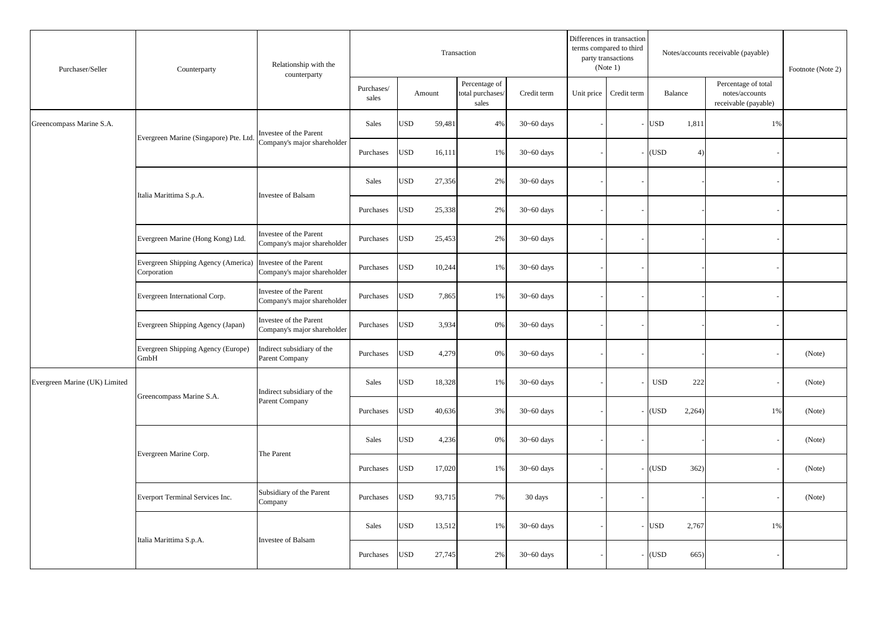| Purchaser/Seller              | Counterparty                                                              | Relationship with the<br>counterparty                 |                     |               | Transaction                                |                |            | Differences in transaction<br>terms compared to third<br>party transactions<br>(Note 1) |                     | Notes/accounts receivable (payable)                           | Footnote (Note 2) |
|-------------------------------|---------------------------------------------------------------------------|-------------------------------------------------------|---------------------|---------------|--------------------------------------------|----------------|------------|-----------------------------------------------------------------------------------------|---------------------|---------------------------------------------------------------|-------------------|
|                               |                                                                           |                                                       | Purchases/<br>sales | Amount        | Percentage of<br>total purchases/<br>sales | Credit term    | Unit price | Credit term                                                                             | Balance             | Percentage of total<br>notes/accounts<br>receivable (payable) |                   |
| Greencompass Marine S.A.      | Evergreen Marine (Singapore) Pte. Ltd.                                    | Investee of the Parent                                | Sales               | USD<br>59,481 | 4%                                         | $30 - 60$ days |            |                                                                                         | USD<br>1,811        | 1%                                                            |                   |
|                               |                                                                           | Company's major shareholder                           | Purchases           | USD<br>16,111 | 1%                                         | $30 - 60$ days |            |                                                                                         | (USD<br>4)          |                                                               |                   |
|                               | Italia Marittima S.p.A.                                                   | <b>Investee of Balsam</b>                             | Sales               | USD<br>27,356 | 2%                                         | $30 - 60$ days |            |                                                                                         |                     |                                                               |                   |
|                               |                                                                           |                                                       | Purchases           | USD<br>25,338 | 2%                                         | $30 - 60$ days |            |                                                                                         |                     |                                                               |                   |
|                               | Evergreen Marine (Hong Kong) Ltd.                                         | Investee of the Parent<br>Company's major shareholder | Purchases           | USD<br>25,453 | 2%                                         | $30 - 60$ days |            |                                                                                         |                     |                                                               |                   |
|                               | Evergreen Shipping Agency (America) Investee of the Parent<br>Corporation | Company's major shareholder                           | Purchases           | USD<br>10,244 | 1%                                         | $30 - 60$ days |            |                                                                                         |                     |                                                               |                   |
|                               | Evergreen International Corp.                                             | Investee of the Parent<br>Company's major shareholder | Purchases           | USD<br>7,865  | 1%                                         | $30 - 60$ days |            |                                                                                         |                     |                                                               |                   |
|                               | Evergreen Shipping Agency (Japan)                                         | Investee of the Parent<br>Company's major shareholder | Purchases           | USD<br>3,934  | 0%                                         | $30 - 60$ days |            |                                                                                         |                     |                                                               |                   |
|                               | Evergreen Shipping Agency (Europe)<br>GmbH                                | Indirect subsidiary of the<br>Parent Company          | Purchases           | USD<br>4,279  | 0%                                         | $30 - 60$ days |            |                                                                                         |                     |                                                               | (Note)            |
| Evergreen Marine (UK) Limited | Greencompass Marine S.A.                                                  | Indirect subsidiary of the                            | Sales               | USD<br>18,328 | 1%                                         | $30 - 60$ days |            |                                                                                         | <b>USD</b><br>222   |                                                               | (Note)            |
|                               |                                                                           | Parent Company                                        | Purchases           | USD<br>40,636 | 3%                                         | $30 - 60$ days |            |                                                                                         | (USD<br>2,264)      | 1%                                                            | (Note)            |
|                               | Evergreen Marine Corp.                                                    | The Parent                                            | Sales               | USD<br>4,236  | 0%                                         | $30 - 60$ days |            |                                                                                         |                     |                                                               | (Note)            |
|                               |                                                                           |                                                       | Purchases           | USD<br>17,020 | 1%                                         | $30 - 60$ days |            |                                                                                         | (USD<br>362)        |                                                               | (Note)            |
|                               | Everport Terminal Services Inc.                                           | Subsidiary of the Parent<br>Company                   | Purchases           | USD<br>93,715 | 7%                                         | 30 days        |            |                                                                                         |                     |                                                               | (Note)            |
|                               | Italia Marittima S.p.A.                                                   | Investee of Balsam                                    | Sales               | USD<br>13,512 | 1%                                         | $30 - 60$ days |            |                                                                                         | <b>USD</b><br>2,767 | 1%                                                            |                   |
|                               |                                                                           |                                                       | Purchases           | USD<br>27,745 | 2%                                         | $30 - 60$ days |            |                                                                                         | (USD<br>665)        |                                                               |                   |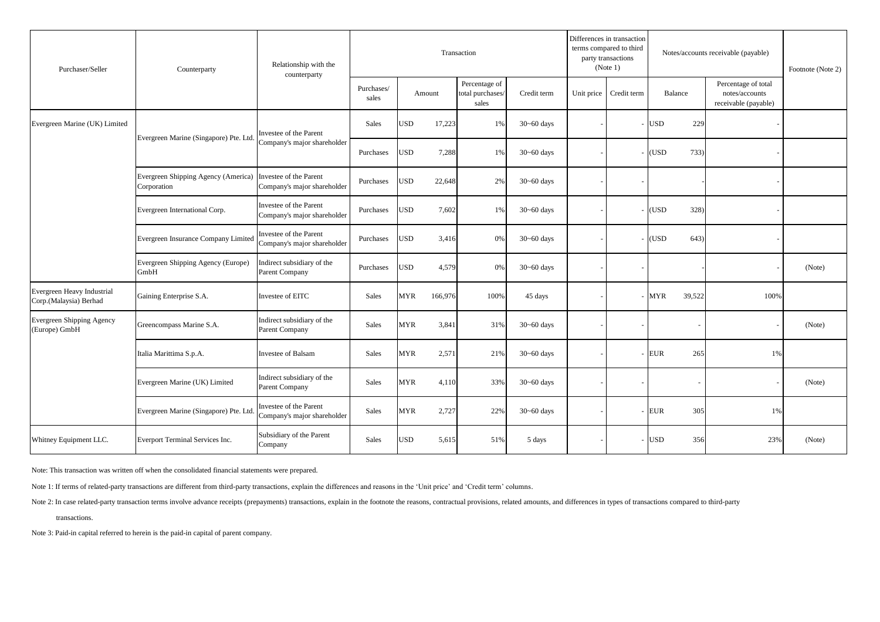| Purchaser/Seller                                     | Counterparty                                       | Relationship with the<br>counterparty                 |                     |                       | Transaction                                |                |            | Differences in transaction<br>terms compared to third<br>party transactions<br>(Note 1) |            |         | Notes/accounts receivable (payable)                           | Footnote (Note 2) |
|------------------------------------------------------|----------------------------------------------------|-------------------------------------------------------|---------------------|-----------------------|--------------------------------------------|----------------|------------|-----------------------------------------------------------------------------------------|------------|---------|---------------------------------------------------------------|-------------------|
|                                                      |                                                    |                                                       | Purchases/<br>sales | Amount                | Percentage of<br>total purchases/<br>sales | Credit term    | Unit price | Credit term                                                                             |            | Balance | Percentage of total<br>notes/accounts<br>receivable (payable) |                   |
| Evergreen Marine (UK) Limited                        | Evergreen Marine (Singapore) Pte. Ltd              | Investee of the Parent                                | Sales               | <b>USD</b><br>17,223  | 1%                                         | $30 - 60$ days |            |                                                                                         | <b>USD</b> | 229     |                                                               |                   |
|                                                      |                                                    | Company's major shareholder                           | Purchases           | <b>JSD</b><br>7,288   | 1%                                         | $30 - 60$ days |            |                                                                                         | (USD       | 733)    |                                                               |                   |
|                                                      | Evergreen Shipping Agency (America)<br>Corporation | Investee of the Parent<br>Company's major shareholder | Purchases           | JSD<br>22,648         | 2%                                         | $30 - 60$ days |            |                                                                                         |            |         |                                                               |                   |
|                                                      | Evergreen International Corp.                      | Investee of the Parent<br>Company's major shareholder | Purchases           | <b>JSD</b><br>7,602   | 1%                                         | $30 - 60$ days |            |                                                                                         | (USD)      | 328)    |                                                               |                   |
|                                                      | Evergreen Insurance Company Limited                | Investee of the Parent<br>Company's major shareholder | Purchases           | USD<br>3,416          | 0%                                         | $30 - 60$ days |            |                                                                                         | (USD)      | 643)    |                                                               |                   |
|                                                      | Evergreen Shipping Agency (Europe)<br>GmbH         | Indirect subsidiary of the<br>Parent Company          | Purchases           | JSD<br>4,579          | 0%                                         | $30 - 60$ days |            |                                                                                         |            |         |                                                               | (Note)            |
| Evergreen Heavy Industrial<br>Corp.(Malaysia) Berhad | Gaining Enterprise S.A.                            | Investee of EITC                                      | Sales               | <b>MYR</b><br>166,976 | 100%                                       | 45 days        |            |                                                                                         | <b>MYR</b> | 39,522  | 100%                                                          |                   |
| Evergreen Shipping Agency<br>(Europe) GmbH           | Greencompass Marine S.A.                           | Indirect subsidiary of the<br>Parent Company          | Sales               | <b>MYR</b><br>3,841   | 31%                                        | $30 - 60$ days |            |                                                                                         |            |         |                                                               | (Note)            |
|                                                      | Italia Marittima S.p.A.                            | Investee of Balsam                                    | Sales               | <b>MYR</b><br>2,571   | 21%                                        | $30 - 60$ days |            |                                                                                         | <b>EUR</b> | 265     | 1%                                                            |                   |
|                                                      | Evergreen Marine (UK) Limited                      | Indirect subsidiary of the<br>Parent Company          | Sales               | <b>MYR</b><br>4,110   | 33%                                        | $30 - 60$ days |            |                                                                                         |            |         |                                                               | (Note)            |
|                                                      | Evergreen Marine (Singapore) Pte. Ltd              | Investee of the Parent<br>Company's major shareholder | Sales               | <b>MYR</b><br>2,727   | 22%                                        | $30 - 60$ days |            |                                                                                         | EUR        | 305     | 1%                                                            |                   |
| Whitney Equipment LLC.                               | Everport Terminal Services Inc.                    | Subsidiary of the Parent<br>Company                   | Sales               | <b>USD</b><br>5,615   | 51%                                        | 5 days         |            |                                                                                         | <b>USD</b> | 356     | 23%                                                           | (Note)            |

Note: This transaction was written off when the consolidated financial statements were prepared.

Note 1: If terms of related-party transactions are different from third-party transactions, explain the differences and reasons in the 'Unit price' and 'Credit term' columns.

Note 2: In case related-party transaction terms involve advance receipts (prepayments) transactions, explain in the footnote the reasons, contractual provisions, related amounts, and differences in types of transactions co

transactions.

Note 3: Paid-in capital referred to herein is the paid-in capital of parent company.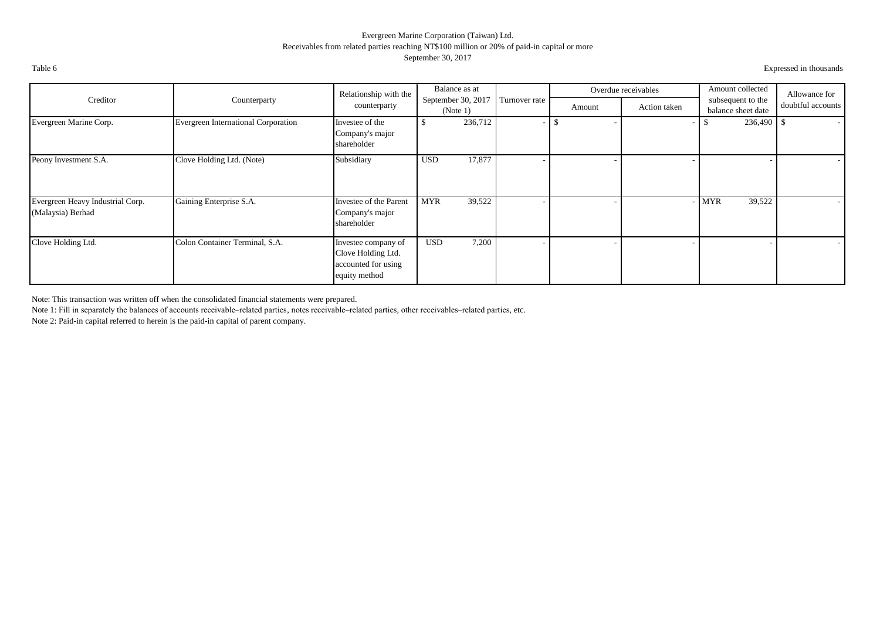## Evergreen Marine Corporation (Taiwan) Ltd. Receivables from related parties reaching NT\$100 million or 20% of paid-in capital or more September 30, 2017

Table 6 Expressed in thousands

|                                                       |                                     | Relationship with the                                                             | Balance as at                  |               |      |        | Overdue receivables | Amount collected                        | Allowance for            |
|-------------------------------------------------------|-------------------------------------|-----------------------------------------------------------------------------------|--------------------------------|---------------|------|--------|---------------------|-----------------------------------------|--------------------------|
| Creditor                                              | Counterparty                        | counterparty                                                                      | September 30, 2017<br>(Note 1) | Turnover rate |      | Amount | Action taken        | subsequent to the<br>balance sheet date | doubtful accounts        |
| Evergreen Marine Corp.                                | Evergreen International Corporation | Investee of the<br>Company's major<br>shareholder                                 | 236,712<br>\$                  |               | - 35 |        |                     | 236,490                                 | $\overline{\phantom{0}}$ |
| Peony Investment S.A.                                 | Clove Holding Ltd. (Note)           | Subsidiary                                                                        | 17,877<br><b>USD</b>           |               |      |        |                     |                                         |                          |
| Evergreen Heavy Industrial Corp.<br>(Malaysia) Berhad | Gaining Enterprise S.A.             | Investee of the Parent<br>Company's major<br>shareholder                          | <b>MYR</b><br>39,522           |               |      |        |                     | 39,522<br><b>MYR</b>                    | $\overline{\phantom{a}}$ |
| Clove Holding Ltd.                                    | Colon Container Terminal, S.A.      | Investee company of<br>Clove Holding Ltd.<br>accounted for using<br>equity method | <b>USD</b><br>7,200            |               |      |        |                     |                                         |                          |

Note: This transaction was written off when the consolidated financial statements were prepared.

Note 1: Fill in separately the balances of accounts receivable–related parties, notes receivable–related parties, other receivables–related parties, etc.

Note 2: Paid-in capital referred to herein is the paid-in capital of parent company.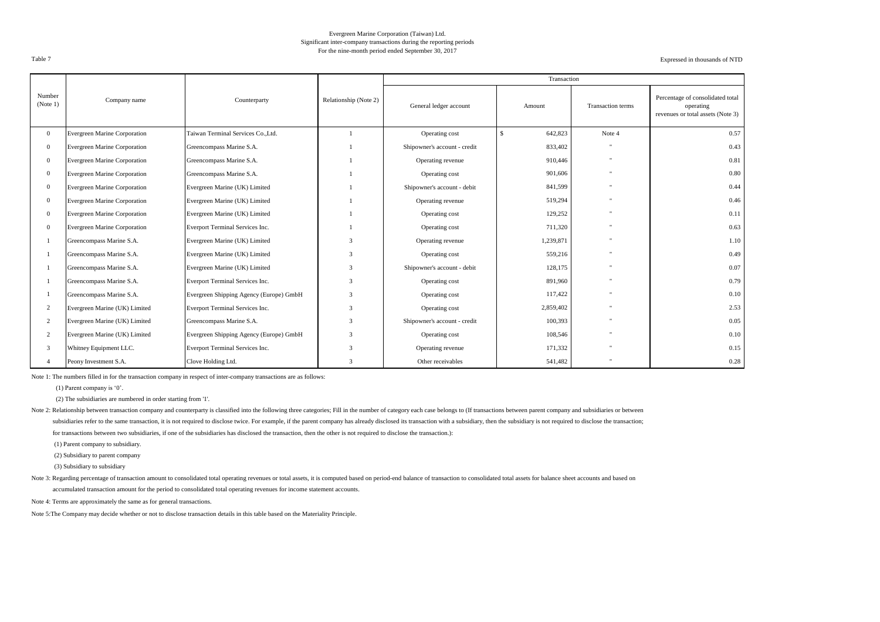#### Evergreen Marine Corporation (Taiwan) Ltd. Significant inter-company transactions during the reporting periods For the nine-month period ended September 30, 2017

Expressed in thousands of NTD

|                    |                                     |                                         |                       |                              | Transaction              |                   |                                                                                    |
|--------------------|-------------------------------------|-----------------------------------------|-----------------------|------------------------------|--------------------------|-------------------|------------------------------------------------------------------------------------|
| Number<br>(Note 1) | Company name                        | Counterparty                            | Relationship (Note 2) | General ledger account       | Amount                   | Transaction terms | Percentage of consolidated total<br>operating<br>revenues or total assets (Note 3) |
| $\overline{0}$     | <b>Evergreen Marine Corporation</b> | Taiwan Terminal Services Co., Ltd.      |                       | Operating cost               | $\mathcal{S}$<br>642,823 | Note 4            | 0.57                                                                               |
| $\mathbf{0}$       | Evergreen Marine Corporation        | Greencompass Marine S.A.                |                       | Shipowner's account - credit | 833,402                  |                   | 0.43                                                                               |
| $\mathbf{0}$       | <b>Evergreen Marine Corporation</b> | Greencompass Marine S.A.                |                       | Operating revenue            | 910,446                  |                   | 0.81                                                                               |
| $\mathbf{0}$       | Evergreen Marine Corporation        | Greencompass Marine S.A.                |                       | Operating cost               | 901,606                  |                   | 0.80                                                                               |
| $\mathbf{0}$       | Evergreen Marine Corporation        | Evergreen Marine (UK) Limited           |                       | Shipowner's account - debit  | 841,599                  |                   | 0.44                                                                               |
| $\Omega$           | <b>Evergreen Marine Corporation</b> | Evergreen Marine (UK) Limited           |                       | Operating revenue            | 519,294                  |                   | 0.46                                                                               |
| $\mathbf{0}$       | Evergreen Marine Corporation        | Evergreen Marine (UK) Limited           |                       | Operating cost               | 129,252                  |                   | 0.11                                                                               |
| $\mathbf{0}$       | Evergreen Marine Corporation        | Everport Terminal Services Inc.         |                       | Operating cost               | 711,320                  |                   | 0.63                                                                               |
|                    | Greencompass Marine S.A.            | Evergreen Marine (UK) Limited           | 3                     | Operating revenue            | 1,239,871                |                   | 1.10                                                                               |
|                    | Greencompass Marine S.A.            | Evergreen Marine (UK) Limited           | 3                     | Operating cost               | 559,216                  |                   | 0.49                                                                               |
|                    | Greencompass Marine S.A.            | Evergreen Marine (UK) Limited           | 3                     | Shipowner's account - debit  | 128,175                  |                   | 0.07                                                                               |
|                    | Greencompass Marine S.A.            | Everport Terminal Services Inc.         | 3                     | Operating cost               | 891,960                  |                   | 0.79                                                                               |
|                    | Greencompass Marine S.A.            | Evergreen Shipping Agency (Europe) GmbH | 3                     | Operating cost               | 117,422                  |                   | 0.10                                                                               |
|                    | Evergreen Marine (UK) Limited       | Everport Terminal Services Inc.         | 3                     | Operating cost               | 2,859,402                |                   | 2.53                                                                               |
| 2                  | Evergreen Marine (UK) Limited       | Greencompass Marine S.A.                | 3                     | Shipowner's account - credit | 100,393                  |                   | 0.05                                                                               |
| 2                  | Evergreen Marine (UK) Limited       | Evergreen Shipping Agency (Europe) GmbH | 3                     | Operating cost               | 108,546                  |                   | 0.10                                                                               |
| 3                  | Whitney Equipment LLC.              | Everport Terminal Services Inc.         | 3                     | Operating revenue            | 171,332                  |                   | 0.15                                                                               |
|                    | Peony Investment S.A.               | Clove Holding Ltd.                      | 3                     | Other receivables            | 541,482                  |                   | 0.28                                                                               |

Note 1: The numbers filled in for the transaction company in respect of inter-company transactions are as follows:

(1) Parent company is '0'.

(2) The subsidiaries are numbered in order starting from '1'.

Note 2: Relationship between transaction company and counterparty is classified into the following three categories; Fill in the number of category each case belongs to (If transactions between parent company and subsidiar subsidiaries refer to the same transaction, it is not required to disclose twice. For example, if the parent company has already disclosed its transaction with a subsidiary, then the subsidiary is not required to disclose

for transactions between two subsidiaries, if one of the subsidiaries has disclosed the transaction, then the other is not required to disclose the transaction.):

(1) Parent company to subsidiary.

(2) Subsidiary to parent company

(3) Subsidiary to subsidiary

Note 3: Regarding percentage of transaction amount to consolidated total operating revenues or total assets, it is computed based on period-end balance of transaction to consolidated total assets for balance sheet accounts

accumulated transaction amount for the period to consolidated total operating revenues for income statement accounts.

Note 4: Terms are approximately the same as for general transactions.

Note 5:The Company may decide whether or not to disclose transaction details in this table based on the Materiality Principle.

Table 7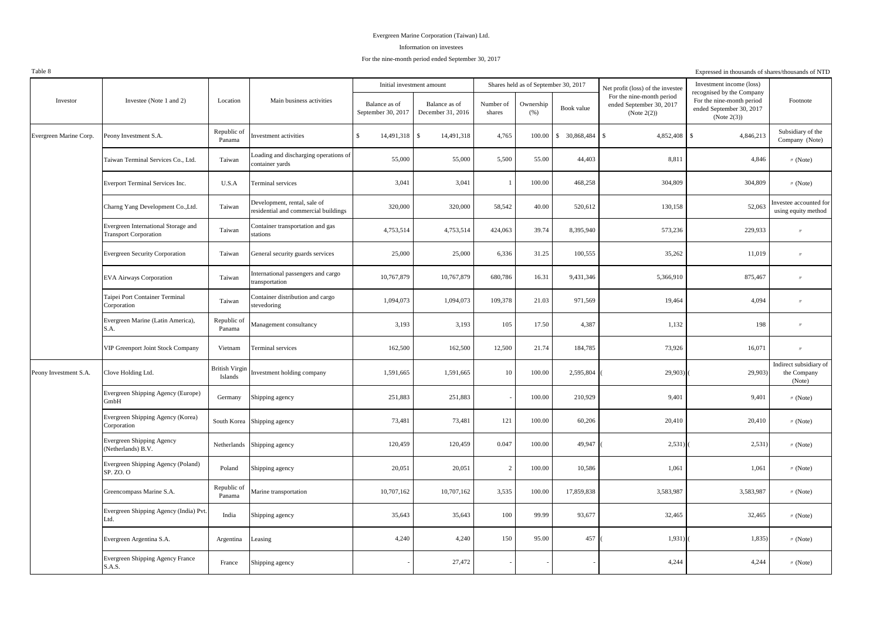#### Information on investees

### For the nine-month period ended September 30, 2017

Table 8

| Table 8                |                                                                     |                                  |                                                                     |                                     |                                    |                     |                                      |                  |                                                                | Expressed in thousands of shares/thousands of NTD                    |                                                 |
|------------------------|---------------------------------------------------------------------|----------------------------------|---------------------------------------------------------------------|-------------------------------------|------------------------------------|---------------------|--------------------------------------|------------------|----------------------------------------------------------------|----------------------------------------------------------------------|-------------------------------------------------|
|                        | Investee (Note 1 and 2)                                             |                                  |                                                                     | Initial investment amount           |                                    |                     | Shares held as of September 30, 2017 |                  | Net profit (loss) of the investee<br>For the nine-month period | Investment income (loss)<br>recognised by the Company                |                                                 |
| Investor               |                                                                     | Location                         | Main business activities                                            | Balance as of<br>September 30, 2017 | Balance as of<br>December 31, 2016 | Number of<br>shares | Ownership<br>(% )                    | Book value       | ended September 30, 2017<br>(Note $2(2)$ )                     | For the nine-month period<br>ended September 30, 2017<br>(Note 2(3)) | Footnote                                        |
| Evergreen Marine Corp. | Peony Investment S.A.                                               | Republic of<br>Panama            | nvestment activities                                                | $\mathbf{s}$<br>14,491,318          | $\mathcal{S}$<br>14,491,318        | 4,765               | 100.00                               | 30,868,484<br>\$ | $\mathbb{S}$<br>4,852,408                                      | $\hat{\mathbf{S}}$<br>4,846,213                                      | Subsidiary of the<br>Company (Note)             |
|                        | Taiwan Terminal Services Co., Ltd.                                  | Taiwan                           | Loading and discharging operations of<br>ontainer yards             | 55,000                              | 55,000                             | 5,500               | 55.00                                | 44,403           | 8,811                                                          | 4,846                                                                | $\text{W}$ (Note)                               |
|                        | Everport Terminal Services Inc.                                     | U.S.A                            | Terminal services                                                   | 3,041                               | 3,041                              |                     | 100.00                               | 468,258          | 304,809                                                        | 304,809                                                              | $\prime\prime$ (Note)                           |
|                        | Charng Yang Development Co., Ltd.                                   | Taiwan                           | Development, rental, sale of<br>esidential and commercial buildings | 320,000                             | 320,000                            | 58,542              | 40.00                                | 520,612          | 130,158                                                        | 52,063                                                               | nvestee accounted for<br>using equity method    |
|                        | Evergreen International Storage and<br><b>Transport Corporation</b> | Taiwan                           | Container transportation and gas<br>stations                        | 4,753,514                           | 4,753,514                          | 424,063             | 39.74                                | 8,395,940        | 573,236                                                        | 229,933                                                              | $^{\prime\prime}$                               |
|                        | <b>Evergreen Security Corporation</b>                               | Taiwan                           | General security guards services                                    | 25,000                              | 25,000                             | 6,336               | 31.25                                | 100,555          | 35,262                                                         | 11,019                                                               | $^{\prime\prime}$                               |
|                        | <b>EVA Airways Corporation</b>                                      | Taiwan                           | International passengers and cargo<br>ransportation                 | 10,767,879                          | 10,767,879                         | 680,786             | 16.31                                | 9,431,346        | 5,366,910                                                      | 875,467                                                              | $^{\prime\prime}$                               |
|                        | Taipei Port Container Terminal<br>Corporation                       | Taiwan                           | Container distribution and cargo<br>stevedoring                     | 1,094,073                           | 1,094,073                          | 109,378             | 21.03                                | 971,569          | 19,464                                                         | 4,094                                                                | $^{\prime\prime}$                               |
|                        | Evergreen Marine (Latin America),<br>S.A.                           | Republic of<br>Panama            | Management consultancy                                              | 3,193                               | 3,193                              | 105                 | 17.50                                | 4,387            | 1,132                                                          | 198                                                                  |                                                 |
|                        | VIP Greenport Joint Stock Company                                   | Vietnam                          | Terminal services                                                   | 162,500                             | 162,500                            | 12,500              | 21.74                                | 184,785          | 73,926                                                         | 16,071                                                               | $^{\prime\prime}$                               |
| Peony Investment S.A.  | Clove Holding Ltd.                                                  | <b>British Virgin</b><br>Islands | Investment holding company                                          | 1,591,665                           | 1,591,665                          | 10                  | 100.00                               | 2,595,804        | 29,903)                                                        | 29,903)                                                              | Indirect subsidiary of<br>the Company<br>(Note) |
|                        | Evergreen Shipping Agency (Europe)<br>GmbH                          | Germany                          | Shipping agency                                                     | 251,883                             | 251,883                            |                     | 100.00                               | 210,929          | 9,401                                                          | 9,401                                                                | $\prime\prime$ (Note)                           |
|                        | Evergreen Shipping Agency (Korea)<br>Corporation                    |                                  | South Korea Shipping agency                                         | 73,481                              | 73,481                             | 121                 | 100.00                               | 60,206           | 20,410                                                         | 20,410                                                               | $\text{M}$ (Note)                               |
|                        | <b>Evergreen Shipping Agency</b><br>(Netherlands) B.V.              |                                  | Netherlands Shipping agency                                         | 120,459                             | 120,459                            | 0.047               | 100.00                               | 49,947           | 2,531)                                                         | 2,531)                                                               | $\prime\prime$ (Note)                           |
|                        | Evergreen Shipping Agency (Poland)<br>SP. ZO. O                     | Poland                           | Shipping agency                                                     | 20,051                              | 20,051                             | $\overline{2}$      | 100.00                               | 10,586           | 1,061                                                          | 1,061                                                                | $\prime\prime$ (Note)                           |
|                        | Greencompass Marine S.A.                                            | Republic of<br>Panama            | Marine transportation                                               | 10,707,162                          | 10,707,162                         | 3,535               | 100.00                               | 17,859,838       | 3,583,987                                                      | 3,583,987                                                            | $\text{M}$ (Note)                               |
|                        | Evergreen Shipping Agency (India) Pvt.<br>Ltd.                      | India                            | Shipping agency                                                     | 35,643                              | 35,643                             | 100                 | 99.99                                | 93,677           | 32,465                                                         | 32,465                                                               | $\text{M}$ (Note)                               |
|                        | Evergreen Argentina S.A.                                            | Argentina                        | Leasing                                                             | 4,240                               | 4,240                              | 150                 | 95.00                                | 457              | 1,931)                                                         | 1,835                                                                | $\text{M}$ (Note)                               |
|                        | Evergreen Shipping Agency France<br><b>S.A.S.</b>                   | France                           | Shipping agency                                                     |                                     | 27,472                             |                     |                                      |                  | 4,244                                                          | 4,244                                                                | $\prime\prime$ (Note)                           |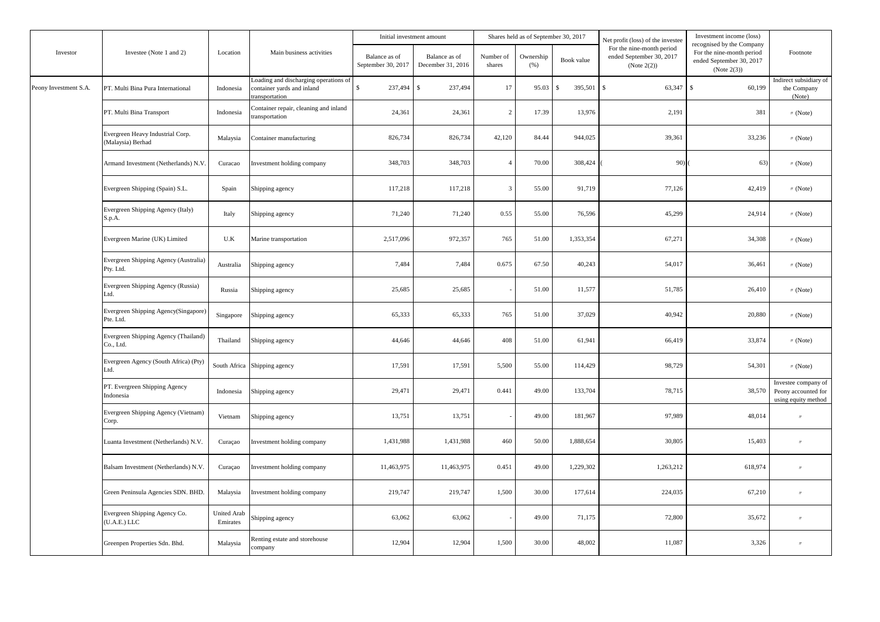|                       |                                                       |                                |                                                                                      | Initial investment amount           |                                    |                     | Shares held as of September 30, 2017 |                          | Net profit (loss) of the investee                                       | Investment income (loss)                                                                          |                                                                   |
|-----------------------|-------------------------------------------------------|--------------------------------|--------------------------------------------------------------------------------------|-------------------------------------|------------------------------------|---------------------|--------------------------------------|--------------------------|-------------------------------------------------------------------------|---------------------------------------------------------------------------------------------------|-------------------------------------------------------------------|
| Investor              | Investee (Note 1 and 2)                               | Location                       | Main business activities                                                             | Balance as of<br>September 30, 2017 | Balance as of<br>December 31, 2016 | Number of<br>shares | Ownership<br>(% )                    | Book value               | For the nine-month period<br>ended September 30, 2017<br>(Note $2(2)$ ) | recognised by the Company<br>For the nine-month period<br>ended September 30, 2017<br>(Note 2(3)) | Footnote                                                          |
| Peony Investment S.A. | PT. Multi Bina Pura International                     | Indonesia                      | coading and discharging operations of<br>container yards and inland<br>ransportation | $\mathbb{S}$<br>237,494             | 237,494<br><sup>\$</sup>           | 17                  | 95.03                                | 395,501<br>$\mathcal{S}$ | $\mathbb{S}$<br>63,347                                                  | $\mathbf{s}$<br>60,199                                                                            | Indirect subsidiary of<br>the Company<br>(Note)                   |
|                       | PT. Multi Bina Transport                              | Indonesia                      | Container repair, cleaning and inland<br>ransportation                               | 24,361                              | 24,361                             | $\overline{c}$      | 17.39                                | 13,976                   | 2,191                                                                   | 381                                                                                               | $\text{M}$ (Note)                                                 |
|                       | Evergreen Heavy Industrial Corp.<br>(Malaysia) Berhad | Malaysia                       | Container manufacturing                                                              | 826,734                             | 826,734                            | 42,120              | 84.44                                | 944,025                  | 39,361                                                                  | 33,236                                                                                            | $\text{M}$ (Note)                                                 |
|                       | Armand Investment (Netherlands) N.V.                  | Curacao                        | Investment holding company                                                           | 348,703                             | 348,703                            | $\overline{4}$      | 70.00                                | 308,424                  | 90)                                                                     | 63)                                                                                               | $\text{M}$ (Note)                                                 |
|                       | Evergreen Shipping (Spain) S.L.                       | Spain                          | Shipping agency                                                                      | 117,218                             | 117,218                            | $\overline{3}$      | 55.00                                | 91,719                   | 77,126                                                                  | 42,419                                                                                            | $\prime\prime$ (Note)                                             |
|                       | Evergreen Shipping Agency (Italy)<br>S.p.A.           | Italy                          | Shipping agency                                                                      | 71,240                              | 71,240                             | 0.55                | 55.00                                | 76,596                   | 45,299                                                                  | 24,914                                                                                            | $\prime\prime$ (Note)                                             |
|                       | Evergreen Marine (UK) Limited                         | U.K                            | Marine transportation                                                                | 2,517,096                           | 972,357                            | 765                 | 51.00                                | 1,353,354                | 67,271                                                                  | 34,308                                                                                            | $\text{M}$ (Note)                                                 |
|                       | Evergreen Shipping Agency (Australia)<br>Pty. Ltd.    | Australia                      | Shipping agency                                                                      | 7,484                               | 7,484                              | 0.675               | 67.50                                | 40,243                   | 54,017                                                                  | 36,461                                                                                            | $\prime\prime$ (Note)                                             |
|                       | Evergreen Shipping Agency (Russia)<br>Ltd.            | Russia                         | Shipping agency                                                                      | 25,685                              | 25,685                             |                     | 51.00                                | 11,577                   | 51,785                                                                  | 26,410                                                                                            | $\text{M}$ (Note)                                                 |
|                       | Evergreen Shipping Agency(Singapore)<br>Pte. Ltd.     | Singapore                      | Shipping agency                                                                      | 65,333                              | 65,333                             | 765                 | 51.00                                | 37,029                   | 40,942                                                                  | 20,880                                                                                            | $\prime\prime$ (Note)                                             |
|                       | Evergreen Shipping Agency (Thailand)<br>Co., Ltd.     | Thailand                       | Shipping agency                                                                      | 44,646                              | 44,646                             | 408                 | 51.00                                | 61,941                   | 66,419                                                                  | 33,874                                                                                            | $\text{W}$ (Note)                                                 |
|                       | Evergreen Agency (South Africa) (Pty)<br>Ltd.         | South Africa                   | Shipping agency                                                                      | 17,591                              | 17,591                             | 5,500               | 55.00                                | 114,429                  | 98.729                                                                  | 54,301                                                                                            | $\text{W}$ (Note)                                                 |
|                       | PT. Evergreen Shipping Agency<br>Indonesia            | Indonesia                      | Shipping agency                                                                      | 29,471                              | 29,471                             | 0.441               | 49.00                                | 133,704                  | 78,715                                                                  | 38,570                                                                                            | Investee company of<br>Peony accounted for<br>using equity method |
|                       | Evergreen Shipping Agency (Vietnam)<br>Corp.          | Vietnam                        | Shipping agency                                                                      | 13,751                              | 13,751                             |                     | 49.00                                | 181,967                  | 97,989                                                                  | 48,014                                                                                            | $^{\prime\prime}$                                                 |
|                       | Luanta Investment (Netherlands) N.V.                  | Curaçao                        | Investment holding company                                                           | 1,431,988                           | 1,431,988                          | 460                 | 50.00                                | 1,888,654                | 30,805                                                                  | 15,403                                                                                            | $^{\prime\prime}$                                                 |
|                       | Balsam Investment (Netherlands) N.V.                  | Curaçao                        | Investment holding company                                                           | 11,463,975                          | 11,463,975                         | 0.451               | 49.00                                | 1,229,302                | 1,263,212                                                               | 618,974                                                                                           | $\prime$                                                          |
|                       | Green Peninsula Agencies SDN. BHD.                    | Malaysia                       | Investment holding company                                                           | 219,747                             | 219,747                            | 1,500               | 30.00                                | 177,614                  | 224,035                                                                 | 67,210                                                                                            | $^{\prime\prime}$                                                 |
|                       | Evergreen Shipping Agency Co.<br>(U.A.E.) LLC         | <b>United Arab</b><br>Emirates | Shipping agency                                                                      | 63,062                              | 63,062                             |                     | 49.00                                | 71,175                   | 72,800                                                                  | 35,672                                                                                            | $^{\prime\prime}$                                                 |
|                       | Greenpen Properties Sdn. Bhd.                         | Malaysia                       | Renting estate and storehouse<br>company                                             | 12,904                              | 12,904                             | 1,500               | 30.00                                | 48,002                   | 11,087                                                                  | 3,326                                                                                             | $^{\prime\prime}$                                                 |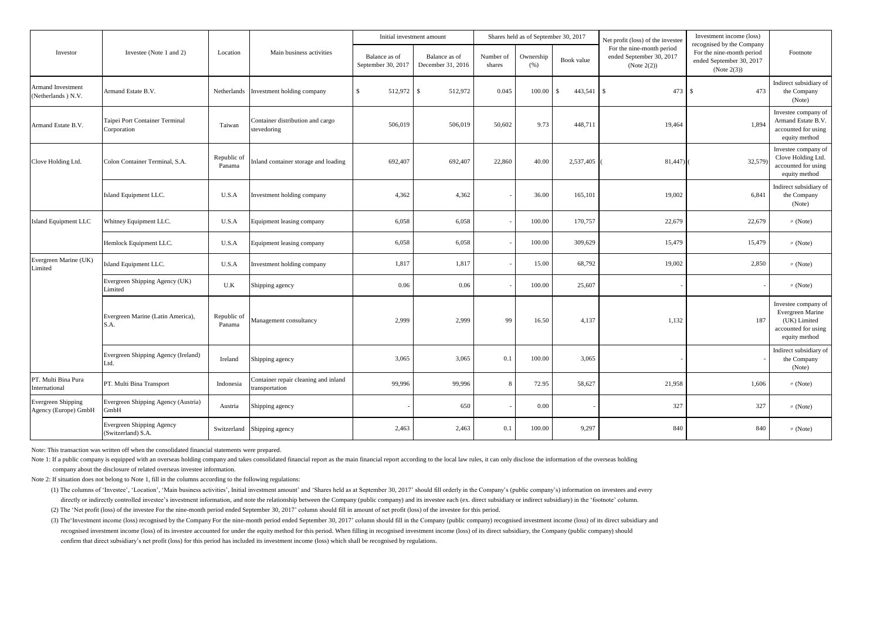|                                                   |                                                 |                       |                                                        | Initial investment amount           |                                    |                     | Shares held as of September 30, 2017 |                 | Net profit (loss) of the investee                                       | Investment income (loss)                                                                          |                                                                                                 |
|---------------------------------------------------|-------------------------------------------------|-----------------------|--------------------------------------------------------|-------------------------------------|------------------------------------|---------------------|--------------------------------------|-----------------|-------------------------------------------------------------------------|---------------------------------------------------------------------------------------------------|-------------------------------------------------------------------------------------------------|
| Investor                                          | Investee (Note 1 and 2)                         | Location              | Main business activities                               | Balance as of<br>September 30, 2017 | Balance as of<br>December 31, 2016 | Number of<br>shares | Ownership<br>(% )                    | Book value      | For the nine-month period<br>ended September 30, 2017<br>(Note $2(2)$ ) | recognised by the Company<br>For the nine-month period<br>ended September 30, 2017<br>(Note 2(3)) | Footnote                                                                                        |
| <b>Armand Investment</b><br>Netherlands ) N.V.    | Armand Estate B.V.                              | Netherlands           | Investment holding company                             | 512,972<br>\$.                      | 512,972<br>-S                      | 0.045               | 100.00                               | 443.541<br>- \$ | 473<br>$\mathbf{s}$                                                     | - S<br>473                                                                                        | Indirect subsidiary of<br>the Company<br>(Note)                                                 |
| Armand Estate B.V.                                | Taipei Port Container Terminal<br>Corporation   | Taiwan                | Container distribution and cargo<br>stevedoring        | 506,019                             | 506,019                            | 50,602              | 9.73                                 | 448,711         | 19,464                                                                  | 1,894                                                                                             | Investee company of<br>Armand Estate B.V.<br>accounted for using<br>equity method               |
| Clove Holding Ltd.                                | Colon Container Terminal, S.A.                  | Republic of<br>Panama | Inland container storage and loading                   | 692,407                             | 692,407                            | 22,860              | 40.00                                | 2,537,405       | 81,447)                                                                 | 32,579)                                                                                           | Investee company of<br>Clove Holding Ltd.<br>accounted for using<br>equity method               |
|                                                   | Island Equipment LLC.                           | U.S.A                 | Investment holding company                             | 4,362                               | 4,362                              |                     | 36.00                                | 165,101         | 19,002                                                                  | 6,841                                                                                             | Indirect subsidiary of<br>the Company<br>(Note)                                                 |
| Island Equipment LLC                              | Whitney Equipment LLC.                          | U.S.A                 | Equipment leasing company                              | 6,058                               | 6,058                              |                     | 100.00                               | 170,757         | 22,679                                                                  | 22,679                                                                                            | $\prime\prime$ (Note)                                                                           |
|                                                   | Hemlock Equipment LLC.                          | U.S.A                 | Equipment leasing company                              | 6,058                               | 6,058                              |                     | 100.00                               | 309,629         | 15,479                                                                  | 15,479                                                                                            | $\prime\prime$ (Note)                                                                           |
| Evergreen Marine (UK)<br>Limited                  | Island Equipment LLC.                           | U.S.A                 | Investment holding company                             | 1,817                               | 1,817                              |                     | 15.00                                | 68,792          | 19,002                                                                  | 2,850                                                                                             | $\prime\prime$ (Note)                                                                           |
|                                                   | Evergreen Shipping Agency (UK)<br>Limited       | U.K                   | Shipping agency                                        | 0.06                                | 0.06                               |                     | 100.00                               | 25,607          |                                                                         |                                                                                                   | $\prime\prime$ (Note)                                                                           |
|                                                   | Evergreen Marine (Latin America),<br>S.A.       | Republic of<br>Panama | Management consultancy                                 | 2,999                               | 2,999                              | 99                  | 16.50                                | 4,137           | 1,132                                                                   | 187                                                                                               | Investee company of<br>Evergreen Marine<br>(UK) Limited<br>accounted for using<br>equity method |
|                                                   | Evergreen Shipping Agency (Ireland)<br>Ltd.     | Ireland               | Shipping agency                                        | 3,065                               | 3,065                              | 0.1                 | 100.00                               | 3,065           |                                                                         |                                                                                                   | Indirect subsidiary of<br>the Company<br>(Note)                                                 |
| PT. Multi Bina Pura<br>International              | PT. Multi Bina Transport                        | Indonesia             | Container repair cleaning and inland<br>transportation | 99,996                              | 99,996                             | $\mathbf{R}$        | 72.95                                | 58,627          | 21,958                                                                  | 1,606                                                                                             | $\prime\prime$ (Note)                                                                           |
| <b>Evergreen Shipping</b><br>Agency (Europe) GmbH | Evergreen Shipping Agency (Austria)<br>GmbH     | Austria               | Shipping agency                                        |                                     | 650                                |                     | 0.00                                 |                 | 327                                                                     | 327                                                                                               | $\prime\prime$ (Note)                                                                           |
|                                                   | Evergreen Shipping Agency<br>(Switzerland) S.A. | Switzerland           | Shipping agency                                        | 2,463                               | 2,463                              | 0.1                 | 100.00                               | 9,297           | 840                                                                     | 840                                                                                               | $\prime\prime$ (Note)                                                                           |

Note: This transaction was written off when the consolidated financial statements were prepared.

Note 1: If a public company is equipped with an overseas holding company and takes consolidated financial report as the main financial report according to the local law rules, it can only disclose the information of the ov company about the disclosure of related overseas investee information.

Note 2: If situation does not belong to Note 1, fill in the columns according to the following regulations:

(1) The columns of 'Investee', 'Location', 'Main business activities', Initial investment amount' and 'Shares held as at September 30, 2017' should fill orderly in the Company's (public company's) information on investees directly or indirectly controlled investee's investment information, and note the relationship between the Company (public company) and its investee each (ex. direct subsidiary or indirect subsidiary) in the 'footnote' col

(2) The 'Net profit (loss) of the investee For the nine-month period ended September 30, 2017' column should fill in amount of net profit (loss) of the investee for this period.

(3) The 'Investment income (loss) recognised by the Company For the nine-month period ended September 30, 2017' column should fill in the Company (public company) recognised investment income (loss) of its direct subsidiar recognised investment income (loss) of its investee accounted for under the equity method for this period. When filling in recognised investment income (loss) of its direct subsidiary, the Company (public company) should confirm that direct subsidiary's net profit (loss) for this period has included its investment income (loss) which shall be recognised by regulations.